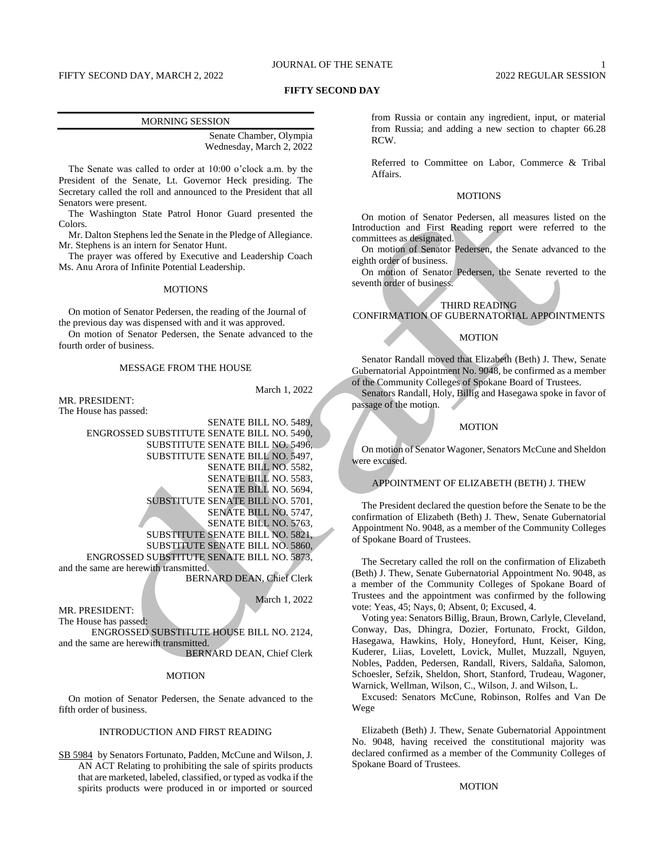# JOURNAL OF THE SENATE 1

# FIFTY SECOND DAY, MARCH 2, 2022 2022 2022 2022 REGULAR SESSION

# **FIFTY SECOND DAY**

| <b>MORNING SESSION</b> |
|------------------------|
|                        |

Senate Chamber, Olympia Wednesday, March 2, 2022

The Senate was called to order at 10:00 o'clock a.m. by the President of the Senate, Lt. Governor Heck presiding. The Secretary called the roll and announced to the President that all Senators were present.

The Washington State Patrol Honor Guard presented the Colors.

Mr. Dalton Stephens led the Senate in the Pledge of Allegiance. Mr. Stephens is an intern for Senator Hunt.

The prayer was offered by Executive and Leadership Coach Ms. Anu Arora of Infinite Potential Leadership.

#### **MOTIONS**

On motion of Senator Pedersen, the reading of the Journal of the previous day was dispensed with and it was approved.

On motion of Senator Pedersen, the Senate advanced to the fourth order of business.

# MESSAGE FROM THE HOUSE

March 1, 2022

MR. PRESIDENT: The House has passed:

SENATE BILL NO. 5489, ENGROSSED SUBSTITUTE SENATE BILL NO. 5490, SUBSTITUTE SENATE BILL NO. 5496, SUBSTITUTE SENATE BILL NO. 5497, SENATE BILL NO. 5582, SENATE BILL NO. 5583, SENATE BILL NO. 5694, SUBSTITUTE SENATE BILL NO. 5701, SENATE BILL NO. 5747, SENATE BILL NO. 5763, SUBSTITUTE SENATE BILL NO. 5821, SUBSTITUTE SENATE BILL NO. 5860, ENGROSSED SUBSTITUTE SENATE BILL NO. 5873, and the same are herewith transmitted.

BERNARD DEAN, Chief Clerk

March 1, 2022

MR. PRESIDENT: The House has passed:

ENGROSSED SUBSTITUTE HOUSE BILL NO. 2124, and the same are herewith transmitted.

BERNARD DEAN, Chief Clerk

#### **MOTION**

On motion of Senator Pedersen, the Senate advanced to the fifth order of business.

# INTRODUCTION AND FIRST READING

SB 5984 by Senators Fortunato, Padden, McCune and Wilson, J. AN ACT Relating to prohibiting the sale of spirits products that are marketed, labeled, classified, or typed as vodka if the spirits products were produced in or imported or sourced from Russia or contain any ingredient, input, or material from Russia; and adding a new section to chapter 66.28 RCW.

Referred to Committee on Labor, Commerce & Tribal Affairs.

## MOTIONS

On motion of Senator Pedersen, all measures listed on the Introduction and First Reading report were referred to the committees as designated.

On motion of Senator Pedersen, the Senate advanced to the eighth order of business.

On motion of Senator Pedersen, the Senate reverted to the seventh order of business.

# THIRD READING CONFIRMATION OF GUBERNATORIAL APPOINTMENTS

#### MOTION

Senator Randall moved that Elizabeth (Beth) J. Thew, Senate Gubernatorial Appointment No. 9048, be confirmed as a member of the Community Colleges of Spokane Board of Trustees.

Senators Randall, Holy, Billig and Hasegawa spoke in favor of passage of the motion.

#### **MOTION**

On motion of Senator Wagoner, Senators McCune and Sheldon were excused.

# APPOINTMENT OF ELIZABETH (BETH) J. THEW

The President declared the question before the Senate to be the confirmation of Elizabeth (Beth) J. Thew, Senate Gubernatorial Appointment No. 9048, as a member of the Community Colleges of Spokane Board of Trustees.

The Secretary called the roll on the confirmation of Elizabeth (Beth) J. Thew, Senate Gubernatorial Appointment No. 9048, as a member of the Community Colleges of Spokane Board of Trustees and the appointment was confirmed by the following vote: Yeas, 45; Nays, 0; Absent, 0; Excused, 4.

Voting yea: Senators Billig, Braun, Brown, Carlyle, Cleveland, Conway, Das, Dhingra, Dozier, Fortunato, Frockt, Gildon, Hasegawa, Hawkins, Holy, Honeyford, Hunt, Keiser, King, Kuderer, Liias, Lovelett, Lovick, Mullet, Muzzall, Nguyen, Nobles, Padden, Pedersen, Randall, Rivers, Saldaña, Salomon, Schoesler, Sefzik, Sheldon, Short, Stanford, Trudeau, Wagoner, Warnick, Wellman, Wilson, C., Wilson, J. and Wilson, L.

Excused: Senators McCune, Robinson, Rolfes and Van De Wege

Elizabeth (Beth) J. Thew, Senate Gubernatorial Appointment No. 9048, having received the constitutional majority was declared confirmed as a member of the Community Colleges of Spokane Board of Trustees.

# **MOTION**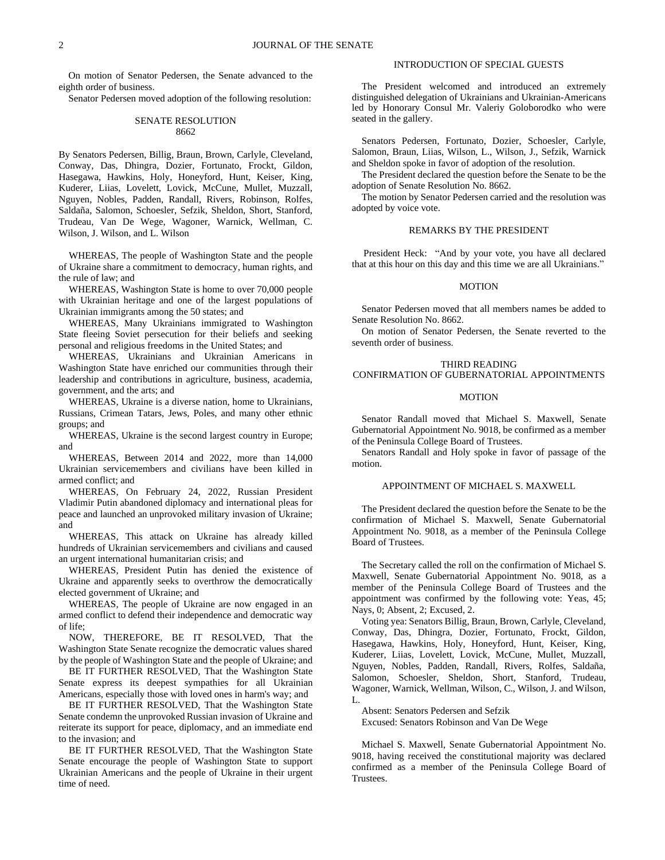On motion of Senator Pedersen, the Senate advanced to the eighth order of business.

Senator Pedersen moved adoption of the following resolution:

# SENATE RESOLUTION 8662

By Senators Pedersen, Billig, Braun, Brown, Carlyle, Cleveland, Conway, Das, Dhingra, Dozier, Fortunato, Frockt, Gildon, Hasegawa, Hawkins, Holy, Honeyford, Hunt, Keiser, King, Kuderer, Liias, Lovelett, Lovick, McCune, Mullet, Muzzall, Nguyen, Nobles, Padden, Randall, Rivers, Robinson, Rolfes, Saldaña, Salomon, Schoesler, Sefzik, Sheldon, Short, Stanford, Trudeau, Van De Wege, Wagoner, Warnick, Wellman, C. Wilson, J. Wilson, and L. Wilson

WHEREAS, The people of Washington State and the people of Ukraine share a commitment to democracy, human rights, and the rule of law; and

WHEREAS, Washington State is home to over 70,000 people with Ukrainian heritage and one of the largest populations of Ukrainian immigrants among the 50 states; and

WHEREAS, Many Ukrainians immigrated to Washington State fleeing Soviet persecution for their beliefs and seeking personal and religious freedoms in the United States; and

WHEREAS, Ukrainians and Ukrainian Americans in Washington State have enriched our communities through their leadership and contributions in agriculture, business, academia, government, and the arts; and

WHEREAS, Ukraine is a diverse nation, home to Ukrainians, Russians, Crimean Tatars, Jews, Poles, and many other ethnic groups; and

WHEREAS, Ukraine is the second largest country in Europe; and

WHEREAS, Between 2014 and 2022, more than 14,000 Ukrainian servicemembers and civilians have been killed in armed conflict; and

WHEREAS, On February 24, 2022, Russian President Vladimir Putin abandoned diplomacy and international pleas for peace and launched an unprovoked military invasion of Ukraine; and

WHEREAS, This attack on Ukraine has already killed hundreds of Ukrainian servicemembers and civilians and caused an urgent international humanitarian crisis; and

WHEREAS, President Putin has denied the existence of Ukraine and apparently seeks to overthrow the democratically elected government of Ukraine; and

WHEREAS, The people of Ukraine are now engaged in an armed conflict to defend their independence and democratic way of life;

NOW, THEREFORE, BE IT RESOLVED, That the Washington State Senate recognize the democratic values shared by the people of Washington State and the people of Ukraine; and

BE IT FURTHER RESOLVED, That the Washington State Senate express its deepest sympathies for all Ukrainian Americans, especially those with loved ones in harm's way; and

BE IT FURTHER RESOLVED, That the Washington State Senate condemn the unprovoked Russian invasion of Ukraine and reiterate its support for peace, diplomacy, and an immediate end to the invasion; and

BE IT FURTHER RESOLVED, That the Washington State Senate encourage the people of Washington State to support Ukrainian Americans and the people of Ukraine in their urgent time of need.

# INTRODUCTION OF SPECIAL GUESTS

The President welcomed and introduced an extremely distinguished delegation of Ukrainians and Ukrainian-Americans led by Honorary Consul Mr. Valeriy Goloborodko who were seated in the gallery.

Senators Pedersen, Fortunato, Dozier, Schoesler, Carlyle, Salomon, Braun, Liias, Wilson, L., Wilson, J., Sefzik, Warnick and Sheldon spoke in favor of adoption of the resolution.

The President declared the question before the Senate to be the adoption of Senate Resolution No. 8662.

The motion by Senator Pedersen carried and the resolution was adopted by voice vote.

# REMARKS BY THE PRESIDENT

President Heck: "And by your vote, you have all declared that at this hour on this day and this time we are all Ukrainians."

## MOTION

Senator Pedersen moved that all members names be added to Senate Resolution No. 8662.

On motion of Senator Pedersen, the Senate reverted to the seventh order of business.

# THIRD READING

# CONFIRMATION OF GUBERNATORIAL APPOINTMENTS

# **MOTION**

Senator Randall moved that Michael S. Maxwell, Senate Gubernatorial Appointment No. 9018, be confirmed as a member of the Peninsula College Board of Trustees.

Senators Randall and Holy spoke in favor of passage of the motion.

#### APPOINTMENT OF MICHAEL S. MAXWELL

The President declared the question before the Senate to be the confirmation of Michael S. Maxwell, Senate Gubernatorial Appointment No. 9018, as a member of the Peninsula College Board of Trustees.

The Secretary called the roll on the confirmation of Michael S. Maxwell, Senate Gubernatorial Appointment No. 9018, as a member of the Peninsula College Board of Trustees and the appointment was confirmed by the following vote: Yeas, 45; Nays, 0; Absent, 2; Excused, 2.

Voting yea: Senators Billig, Braun, Brown, Carlyle, Cleveland, Conway, Das, Dhingra, Dozier, Fortunato, Frockt, Gildon, Hasegawa, Hawkins, Holy, Honeyford, Hunt, Keiser, King, Kuderer, Liias, Lovelett, Lovick, McCune, Mullet, Muzzall, Nguyen, Nobles, Padden, Randall, Rivers, Rolfes, Saldaña, Salomon, Schoesler, Sheldon, Short, Stanford, Trudeau, Wagoner, Warnick, Wellman, Wilson, C., Wilson, J. and Wilson,  $L$ .

Absent: Senators Pedersen and Sefzik

Excused: Senators Robinson and Van De Wege

Michael S. Maxwell, Senate Gubernatorial Appointment No. 9018, having received the constitutional majority was declared confirmed as a member of the Peninsula College Board of Trustees.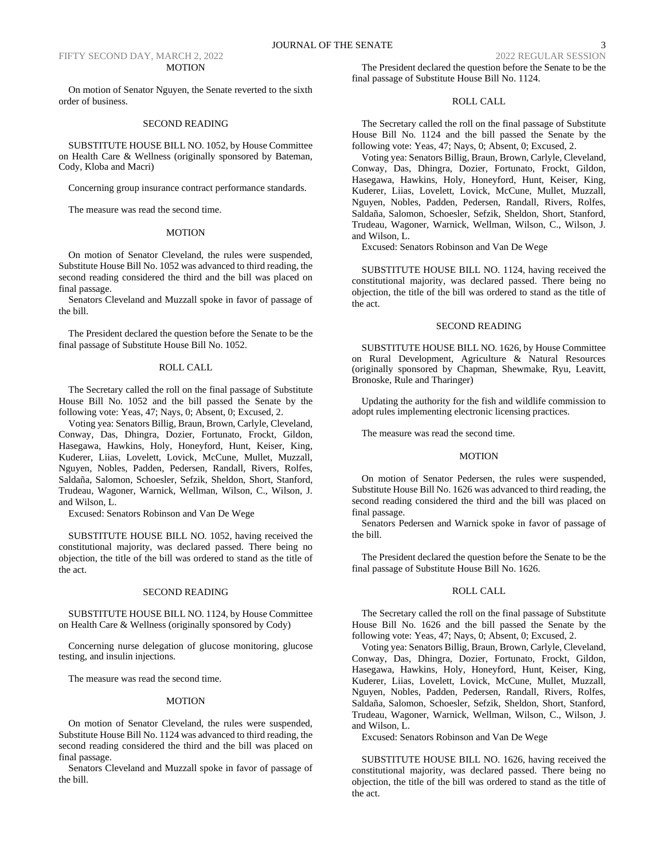#### MOTION

On motion of Senator Nguyen, the Senate reverted to the sixth order of business.

## SECOND READING

SUBSTITUTE HOUSE BILL NO. 1052, by House Committee on Health Care & Wellness (originally sponsored by Bateman, Cody, Kloba and Macri)

Concerning group insurance contract performance standards.

The measure was read the second time.

#### MOTION

On motion of Senator Cleveland, the rules were suspended, Substitute House Bill No. 1052 was advanced to third reading, the second reading considered the third and the bill was placed on final passage.

Senators Cleveland and Muzzall spoke in favor of passage of the bill.

The President declared the question before the Senate to be the final passage of Substitute House Bill No. 1052.

#### ROLL CALL

The Secretary called the roll on the final passage of Substitute House Bill No. 1052 and the bill passed the Senate by the following vote: Yeas, 47; Nays, 0; Absent, 0; Excused, 2.

Voting yea: Senators Billig, Braun, Brown, Carlyle, Cleveland, Conway, Das, Dhingra, Dozier, Fortunato, Frockt, Gildon, Hasegawa, Hawkins, Holy, Honeyford, Hunt, Keiser, King, Kuderer, Liias, Lovelett, Lovick, McCune, Mullet, Muzzall, Nguyen, Nobles, Padden, Pedersen, Randall, Rivers, Rolfes, Saldaña, Salomon, Schoesler, Sefzik, Sheldon, Short, Stanford, Trudeau, Wagoner, Warnick, Wellman, Wilson, C., Wilson, J. and Wilson, L.

Excused: Senators Robinson and Van De Wege

SUBSTITUTE HOUSE BILL NO. 1052, having received the constitutional majority, was declared passed. There being no objection, the title of the bill was ordered to stand as the title of the act.

## SECOND READING

SUBSTITUTE HOUSE BILL NO. 1124, by House Committee on Health Care & Wellness (originally sponsored by Cody)

Concerning nurse delegation of glucose monitoring, glucose testing, and insulin injections.

The measure was read the second time.

#### MOTION

On motion of Senator Cleveland, the rules were suspended, Substitute House Bill No. 1124 was advanced to third reading, the second reading considered the third and the bill was placed on final passage.

Senators Cleveland and Muzzall spoke in favor of passage of the bill.

# ROLL CALL

The Secretary called the roll on the final passage of Substitute House Bill No. 1124 and the bill passed the Senate by the following vote: Yeas, 47; Nays, 0; Absent, 0; Excused, 2.

Voting yea: Senators Billig, Braun, Brown, Carlyle, Cleveland, Conway, Das, Dhingra, Dozier, Fortunato, Frockt, Gildon, Hasegawa, Hawkins, Holy, Honeyford, Hunt, Keiser, King, Kuderer, Liias, Lovelett, Lovick, McCune, Mullet, Muzzall, Nguyen, Nobles, Padden, Pedersen, Randall, Rivers, Rolfes, Saldaña, Salomon, Schoesler, Sefzik, Sheldon, Short, Stanford, Trudeau, Wagoner, Warnick, Wellman, Wilson, C., Wilson, J. and Wilson, L.

Excused: Senators Robinson and Van De Wege

SUBSTITUTE HOUSE BILL NO. 1124, having received the constitutional majority, was declared passed. There being no objection, the title of the bill was ordered to stand as the title of the act.

#### SECOND READING

SUBSTITUTE HOUSE BILL NO. 1626, by House Committee on Rural Development, Agriculture & Natural Resources (originally sponsored by Chapman, Shewmake, Ryu, Leavitt, Bronoske, Rule and Tharinger)

Updating the authority for the fish and wildlife commission to adopt rules implementing electronic licensing practices.

The measure was read the second time.

## **MOTION**

On motion of Senator Pedersen, the rules were suspended, Substitute House Bill No. 1626 was advanced to third reading, the second reading considered the third and the bill was placed on final passage.

Senators Pedersen and Warnick spoke in favor of passage of the bill.

The President declared the question before the Senate to be the final passage of Substitute House Bill No. 1626.

#### ROLL CALL

The Secretary called the roll on the final passage of Substitute House Bill No. 1626 and the bill passed the Senate by the following vote: Yeas, 47; Nays, 0; Absent, 0; Excused, 2.

Voting yea: Senators Billig, Braun, Brown, Carlyle, Cleveland, Conway, Das, Dhingra, Dozier, Fortunato, Frockt, Gildon, Hasegawa, Hawkins, Holy, Honeyford, Hunt, Keiser, King, Kuderer, Liias, Lovelett, Lovick, McCune, Mullet, Muzzall, Nguyen, Nobles, Padden, Pedersen, Randall, Rivers, Rolfes, Saldaña, Salomon, Schoesler, Sefzik, Sheldon, Short, Stanford, Trudeau, Wagoner, Warnick, Wellman, Wilson, C., Wilson, J. and Wilson, L.

Excused: Senators Robinson and Van De Wege

SUBSTITUTE HOUSE BILL NO. 1626, having received the constitutional majority, was declared passed. There being no objection, the title of the bill was ordered to stand as the title of the act.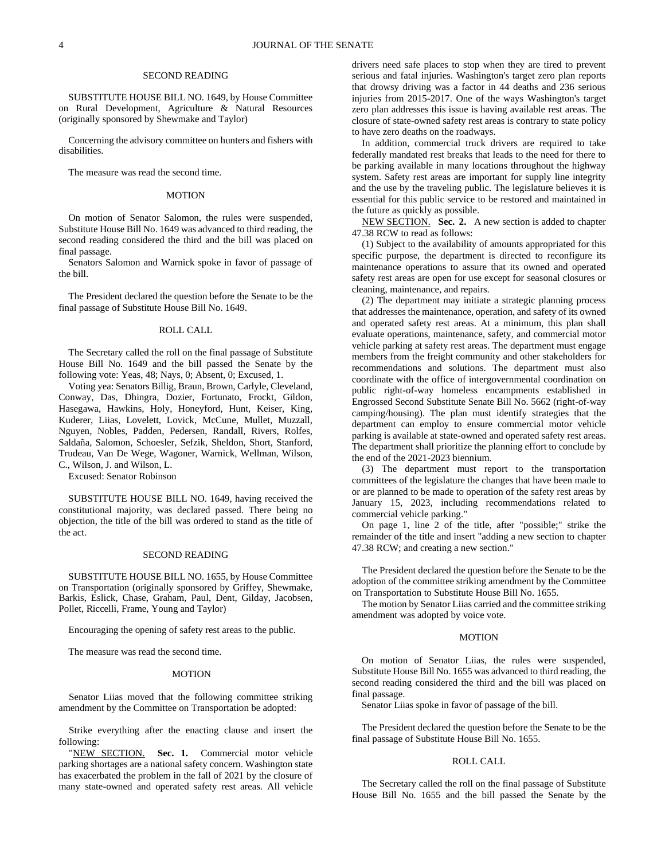#### SECOND READING

SUBSTITUTE HOUSE BILL NO. 1649, by House Committee on Rural Development, Agriculture & Natural Resources (originally sponsored by Shewmake and Taylor)

Concerning the advisory committee on hunters and fishers with disabilities.

The measure was read the second time.

## MOTION

On motion of Senator Salomon, the rules were suspended, Substitute House Bill No. 1649 was advanced to third reading, the second reading considered the third and the bill was placed on final passage.

Senators Salomon and Warnick spoke in favor of passage of the bill.

The President declared the question before the Senate to be the final passage of Substitute House Bill No. 1649.

# ROLL CALL

The Secretary called the roll on the final passage of Substitute House Bill No. 1649 and the bill passed the Senate by the following vote: Yeas, 48; Nays, 0; Absent, 0; Excused, 1.

Voting yea: Senators Billig, Braun, Brown, Carlyle, Cleveland, Conway, Das, Dhingra, Dozier, Fortunato, Frockt, Gildon, Hasegawa, Hawkins, Holy, Honeyford, Hunt, Keiser, King, Kuderer, Liias, Lovelett, Lovick, McCune, Mullet, Muzzall, Nguyen, Nobles, Padden, Pedersen, Randall, Rivers, Rolfes, Saldaña, Salomon, Schoesler, Sefzik, Sheldon, Short, Stanford, Trudeau, Van De Wege, Wagoner, Warnick, Wellman, Wilson, C., Wilson, J. and Wilson, L.

Excused: Senator Robinson

SUBSTITUTE HOUSE BILL NO. 1649, having received the constitutional majority, was declared passed. There being no objection, the title of the bill was ordered to stand as the title of the act.

#### SECOND READING

SUBSTITUTE HOUSE BILL NO. 1655, by House Committee on Transportation (originally sponsored by Griffey, Shewmake, Barkis, Eslick, Chase, Graham, Paul, Dent, Gilday, Jacobsen, Pollet, Riccelli, Frame, Young and Taylor)

Encouraging the opening of safety rest areas to the public.

The measure was read the second time.

#### MOTION

Senator Liias moved that the following committee striking amendment by the Committee on Transportation be adopted:

Strike everything after the enacting clause and insert the following:

"NEW SECTION. **Sec. 1.** Commercial motor vehicle parking shortages are a national safety concern. Washington state has exacerbated the problem in the fall of 2021 by the closure of many state-owned and operated safety rest areas. All vehicle drivers need safe places to stop when they are tired to prevent serious and fatal injuries. Washington's target zero plan reports that drowsy driving was a factor in 44 deaths and 236 serious injuries from 2015-2017. One of the ways Washington's target zero plan addresses this issue is having available rest areas. The closure of state-owned safety rest areas is contrary to state policy to have zero deaths on the roadways.

In addition, commercial truck drivers are required to take federally mandated rest breaks that leads to the need for there to be parking available in many locations throughout the highway system. Safety rest areas are important for supply line integrity and the use by the traveling public. The legislature believes it is essential for this public service to be restored and maintained in the future as quickly as possible.

NEW SECTION. **Sec. 2.** A new section is added to chapter 47.38 RCW to read as follows:

(1) Subject to the availability of amounts appropriated for this specific purpose, the department is directed to reconfigure its maintenance operations to assure that its owned and operated safety rest areas are open for use except for seasonal closures or cleaning, maintenance, and repairs.

(2) The department may initiate a strategic planning process that addresses the maintenance, operation, and safety of its owned and operated safety rest areas. At a minimum, this plan shall evaluate operations, maintenance, safety, and commercial motor vehicle parking at safety rest areas. The department must engage members from the freight community and other stakeholders for recommendations and solutions. The department must also coordinate with the office of intergovernmental coordination on public right-of-way homeless encampments established in Engrossed Second Substitute Senate Bill No. 5662 (right-of-way camping/housing). The plan must identify strategies that the department can employ to ensure commercial motor vehicle parking is available at state-owned and operated safety rest areas. The department shall prioritize the planning effort to conclude by the end of the 2021-2023 biennium.

(3) The department must report to the transportation committees of the legislature the changes that have been made to or are planned to be made to operation of the safety rest areas by January 15, 2023, including recommendations related to commercial vehicle parking."

On page 1, line 2 of the title, after "possible;" strike the remainder of the title and insert "adding a new section to chapter 47.38 RCW; and creating a new section."

The President declared the question before the Senate to be the adoption of the committee striking amendment by the Committee on Transportation to Substitute House Bill No. 1655.

The motion by Senator Liias carried and the committee striking amendment was adopted by voice vote.

# MOTION

On motion of Senator Liias, the rules were suspended, Substitute House Bill No. 1655 was advanced to third reading, the second reading considered the third and the bill was placed on final passage.

Senator Liias spoke in favor of passage of the bill.

The President declared the question before the Senate to be the final passage of Substitute House Bill No. 1655.

#### ROLL CALL

The Secretary called the roll on the final passage of Substitute House Bill No. 1655 and the bill passed the Senate by the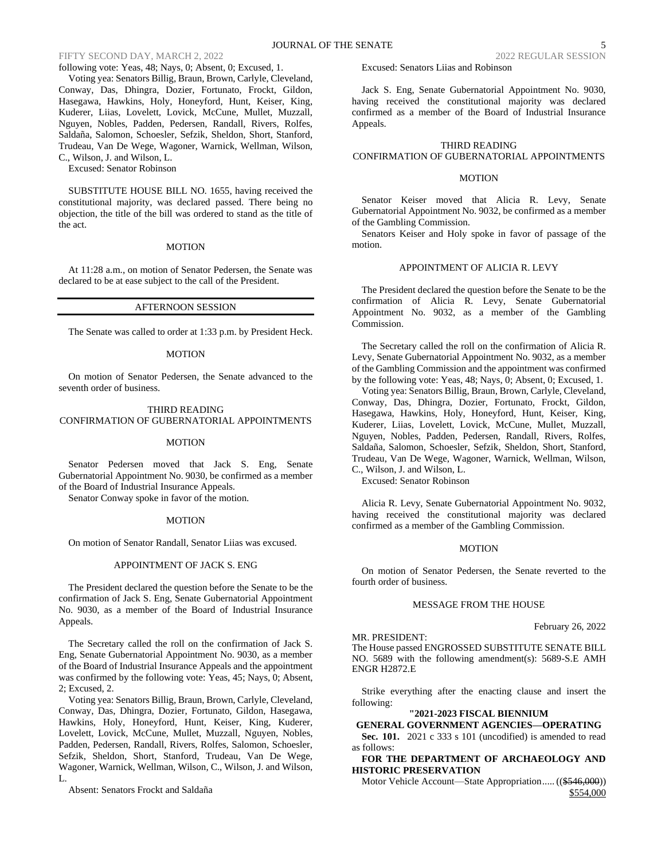following vote: Yeas, 48; Nays, 0; Absent, 0; Excused, 1.

Voting yea: Senators Billig, Braun, Brown, Carlyle, Cleveland, Conway, Das, Dhingra, Dozier, Fortunato, Frockt, Gildon, Hasegawa, Hawkins, Holy, Honeyford, Hunt, Keiser, King, Kuderer, Liias, Lovelett, Lovick, McCune, Mullet, Muzzall, Nguyen, Nobles, Padden, Pedersen, Randall, Rivers, Rolfes, Saldaña, Salomon, Schoesler, Sefzik, Sheldon, Short, Stanford, Trudeau, Van De Wege, Wagoner, Warnick, Wellman, Wilson, C., Wilson, J. and Wilson, L.

Excused: Senator Robinson

SUBSTITUTE HOUSE BILL NO. 1655, having received the constitutional majority, was declared passed. There being no objection, the title of the bill was ordered to stand as the title of the act.

#### MOTION

At 11:28 a.m., on motion of Senator Pedersen, the Senate was declared to be at ease subject to the call of the President.

# AFTERNOON SESSION

The Senate was called to order at 1:33 p.m. by President Heck.

#### MOTION

On motion of Senator Pedersen, the Senate advanced to the seventh order of business.

#### THIRD READING CONFIRMATION OF GUBERNATORIAL APPOINTMENTS

## MOTION

Senator Pedersen moved that Jack S. Eng, Senate Gubernatorial Appointment No. 9030, be confirmed as a member of the Board of Industrial Insurance Appeals.

Senator Conway spoke in favor of the motion.

## MOTION

On motion of Senator Randall, Senator Liias was excused.

# APPOINTMENT OF JACK S. ENG

The President declared the question before the Senate to be the confirmation of Jack S. Eng, Senate Gubernatorial Appointment No. 9030, as a member of the Board of Industrial Insurance Appeals.

The Secretary called the roll on the confirmation of Jack S. Eng, Senate Gubernatorial Appointment No. 9030, as a member of the Board of Industrial Insurance Appeals and the appointment was confirmed by the following vote: Yeas, 45; Nays, 0; Absent, 2; Excused, 2.

Voting yea: Senators Billig, Braun, Brown, Carlyle, Cleveland, Conway, Das, Dhingra, Dozier, Fortunato, Gildon, Hasegawa, Hawkins, Holy, Honeyford, Hunt, Keiser, King, Kuderer, Lovelett, Lovick, McCune, Mullet, Muzzall, Nguyen, Nobles, Padden, Pedersen, Randall, Rivers, Rolfes, Salomon, Schoesler, Sefzik, Sheldon, Short, Stanford, Trudeau, Van De Wege, Wagoner, Warnick, Wellman, Wilson, C., Wilson, J. and Wilson, L.

Absent: Senators Frockt and Saldaña

Excused: Senators Liias and Robinson

Jack S. Eng, Senate Gubernatorial Appointment No. 9030, having received the constitutional majority was declared confirmed as a member of the Board of Industrial Insurance Appeals.

# THIRD READING

# CONFIRMATION OF GUBERNATORIAL APPOINTMENTS

# MOTION

Senator Keiser moved that Alicia R. Levy, Senate Gubernatorial Appointment No. 9032, be confirmed as a member of the Gambling Commission.

Senators Keiser and Holy spoke in favor of passage of the motion.

# APPOINTMENT OF ALICIA R. LEVY

The President declared the question before the Senate to be the confirmation of Alicia R. Levy, Senate Gubernatorial Appointment No. 9032, as a member of the Gambling Commission.

The Secretary called the roll on the confirmation of Alicia R. Levy, Senate Gubernatorial Appointment No. 9032, as a member of the Gambling Commission and the appointment was confirmed by the following vote: Yeas, 48; Nays, 0; Absent, 0; Excused, 1.

Voting yea: Senators Billig, Braun, Brown, Carlyle, Cleveland, Conway, Das, Dhingra, Dozier, Fortunato, Frockt, Gildon, Hasegawa, Hawkins, Holy, Honeyford, Hunt, Keiser, King, Kuderer, Liias, Lovelett, Lovick, McCune, Mullet, Muzzall, Nguyen, Nobles, Padden, Pedersen, Randall, Rivers, Rolfes, Saldaña, Salomon, Schoesler, Sefzik, Sheldon, Short, Stanford, Trudeau, Van De Wege, Wagoner, Warnick, Wellman, Wilson, C., Wilson, J. and Wilson, L.

Excused: Senator Robinson

Alicia R. Levy, Senate Gubernatorial Appointment No. 9032, having received the constitutional majority was declared confirmed as a member of the Gambling Commission.

## MOTION

On motion of Senator Pedersen, the Senate reverted to the fourth order of business.

## MESSAGE FROM THE HOUSE

February 26, 2022

MR. PRESIDENT:

The House passed ENGROSSED SUBSTITUTE SENATE BILL NO. 5689 with the following amendment(s): 5689-S.E AMH ENGR H2872.E

Strike everything after the enacting clause and insert the following:

#### **"2021-2023 FISCAL BIENNIUM**

**GENERAL GOVERNMENT AGENCIES—OPERATING Sec. 101.** 2021 c 333 s 101 (uncodified) is amended to read as follows:

**FOR THE DEPARTMENT OF ARCHAEOLOGY AND HISTORIC PRESERVATION**

Motor Vehicle Account—State Appropriation..... ((\$546,000)) \$554,000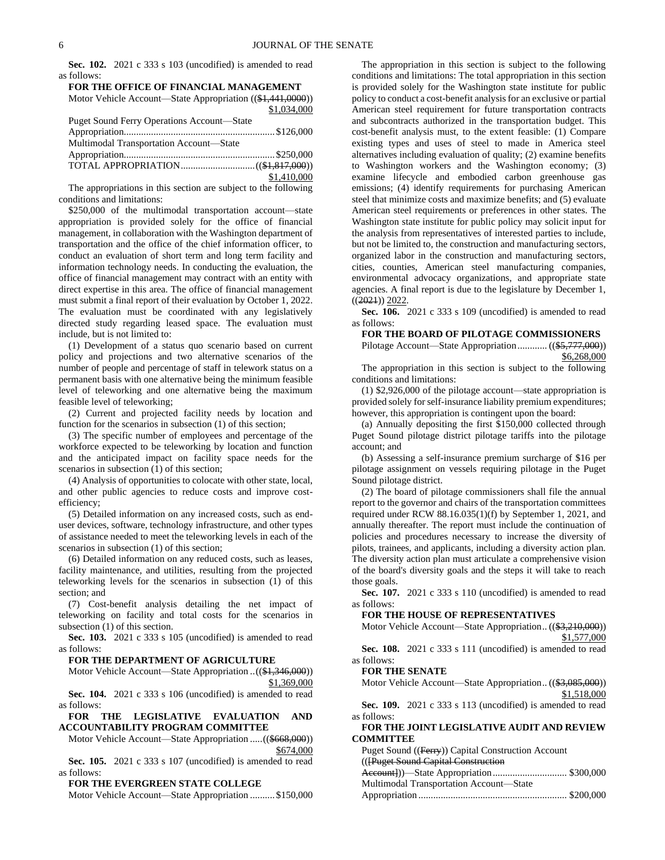**Sec. 102.** 2021 c 333 s 103 (uncodified) is amended to read as follows:

| FOR THE OFFICE OF FINANCIAL MANAGEMENT                     |  |
|------------------------------------------------------------|--|
| Motor Vehicle Account—State Appropriation ((\$1,441,0000)) |  |
| \$1,034,000                                                |  |

|                                                   | 41.031.000  |
|---------------------------------------------------|-------------|
| <b>Puget Sound Ferry Operations Account—State</b> |             |
|                                                   |             |
| Multimodal Transportation Account—State           |             |
|                                                   |             |
|                                                   |             |
|                                                   | \$1,410,000 |

The appropriations in this section are subject to the following conditions and limitations:

\$250,000 of the multimodal transportation account—state appropriation is provided solely for the office of financial management, in collaboration with the Washington department of transportation and the office of the chief information officer, to conduct an evaluation of short term and long term facility and information technology needs. In conducting the evaluation, the office of financial management may contract with an entity with direct expertise in this area. The office of financial management must submit a final report of their evaluation by October 1, 2022. The evaluation must be coordinated with any legislatively directed study regarding leased space. The evaluation must include, but is not limited to:

(1) Development of a status quo scenario based on current policy and projections and two alternative scenarios of the number of people and percentage of staff in telework status on a permanent basis with one alternative being the minimum feasible level of teleworking and one alternative being the maximum feasible level of teleworking;

(2) Current and projected facility needs by location and function for the scenarios in subsection (1) of this section;

(3) The specific number of employees and percentage of the workforce expected to be teleworking by location and function and the anticipated impact on facility space needs for the scenarios in subsection (1) of this section;

(4) Analysis of opportunities to colocate with other state, local, and other public agencies to reduce costs and improve costefficiency;

(5) Detailed information on any increased costs, such as enduser devices, software, technology infrastructure, and other types of assistance needed to meet the teleworking levels in each of the scenarios in subsection (1) of this section;

(6) Detailed information on any reduced costs, such as leases, facility maintenance, and utilities, resulting from the projected teleworking levels for the scenarios in subsection (1) of this section; and

(7) Cost-benefit analysis detailing the net impact of teleworking on facility and total costs for the scenarios in subsection (1) of this section.

**Sec. 103.** 2021 c 333 s 105 (uncodified) is amended to read as follows:

#### **FOR THE DEPARTMENT OF AGRICULTURE**

Motor Vehicle Account—State Appropriation ..((\$1,346,000)) \$1,369,000

**Sec. 104.** 2021 c 333 s 106 (uncodified) is amended to read as follows:

# **FOR THE LEGISLATIVE EVALUATION AND ACCOUNTABILITY PROGRAM COMMITTEE**

Motor Vehicle Account—State Appropriation .....((\$668,000)) \$674,000

**Sec. 105.** 2021 c 333 s 107 (uncodified) is amended to read as follows:

### **FOR THE EVERGREEN STATE COLLEGE**

Motor Vehicle Account—State Appropriation .......... \$150,000

The appropriation in this section is subject to the following conditions and limitations: The total appropriation in this section is provided solely for the Washington state institute for public policy to conduct a cost-benefit analysis for an exclusive or partial American steel requirement for future transportation contracts and subcontracts authorized in the transportation budget. This cost-benefit analysis must, to the extent feasible: (1) Compare existing types and uses of steel to made in America steel alternatives including evaluation of quality; (2) examine benefits to Washington workers and the Washington economy; (3) examine lifecycle and embodied carbon greenhouse gas emissions; (4) identify requirements for purchasing American steel that minimize costs and maximize benefits; and (5) evaluate American steel requirements or preferences in other states. The Washington state institute for public policy may solicit input for the analysis from representatives of interested parties to include, but not be limited to, the construction and manufacturing sectors, organized labor in the construction and manufacturing sectors, cities, counties, American steel manufacturing companies, environmental advocacy organizations, and appropriate state agencies. A final report is due to the legislature by December 1,  $((2021))$  2022.

**Sec. 106.** 2021 c 333 s 109 (uncodified) is amended to read as follows:

#### **FOR THE BOARD OF PILOTAGE COMMISSIONERS**

Pilotage Account—State Appropriation............ ((\$5,777,000)) \$6,268,000

The appropriation in this section is subject to the following conditions and limitations:

(1) \$2,926,000 of the pilotage account—state appropriation is provided solely for self-insurance liability premium expenditures; however, this appropriation is contingent upon the board:

(a) Annually depositing the first \$150,000 collected through Puget Sound pilotage district pilotage tariffs into the pilotage account; and

(b) Assessing a self-insurance premium surcharge of \$16 per pilotage assignment on vessels requiring pilotage in the Puget Sound pilotage district.

(2) The board of pilotage commissioners shall file the annual report to the governor and chairs of the transportation committees required under RCW 88.16.035(1)(f) by September 1, 2021, and annually thereafter. The report must include the continuation of policies and procedures necessary to increase the diversity of pilots, trainees, and applicants, including a diversity action plan. The diversity action plan must articulate a comprehensive vision of the board's diversity goals and the steps it will take to reach those goals.

**Sec. 107.** 2021 c 333 s 110 (uncodified) is amended to read as follows:

#### **FOR THE HOUSE OF REPRESENTATIVES**

Motor Vehicle Account—State Appropriation.. ((\$3,210,000)) \$1,577,000

**Sec. 108.** 2021 c 333 s 111 (uncodified) is amended to read as follows:

#### **FOR THE SENATE**

Motor Vehicle Account—State Appropriation.. ((\$3,085,000)) \$1,518,000

**Sec. 109.** 2021 c 333 s 113 (uncodified) is amended to read as follows:

# **FOR THE JOINT LEGISLATIVE AUDIT AND REVIEW COMMITTEE**

Puget Sound ((Ferry)) Capital Construction Account

(([Puget Sound Capital Construction

| Multimodal Transportation Account-State |  |
|-----------------------------------------|--|
|                                         |  |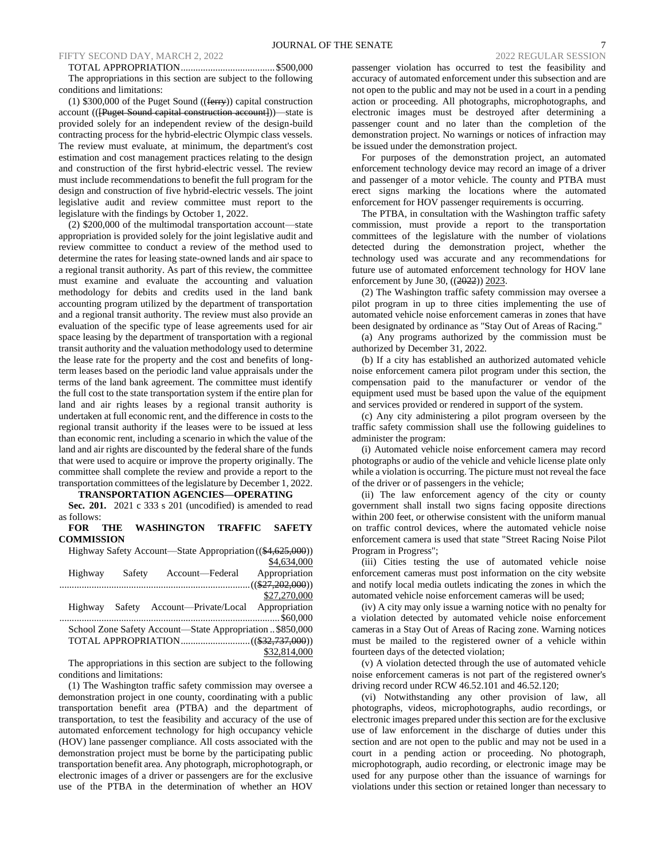# FIFTY SECOND DAY, MARCH 2, 2022 2022 2022 2022 REGULAR SESSION

TOTAL APPROPRIATION...................................... \$500,000 The appropriations in this section are subject to the following conditions and limitations:

(1) \$300,000 of the Puget Sound ((ferry)) capital construction account (([Puget Sound capital construction account]))—state is provided solely for an independent review of the design-build contracting process for the hybrid-electric Olympic class vessels. The review must evaluate, at minimum, the department's cost estimation and cost management practices relating to the design and construction of the first hybrid-electric vessel. The review must include recommendations to benefit the full program for the design and construction of five hybrid-electric vessels. The joint legislative audit and review committee must report to the legislature with the findings by October 1, 2022.

(2) \$200,000 of the multimodal transportation account—state appropriation is provided solely for the joint legislative audit and review committee to conduct a review of the method used to determine the rates for leasing state-owned lands and air space to a regional transit authority. As part of this review, the committee must examine and evaluate the accounting and valuation methodology for debits and credits used in the land bank accounting program utilized by the department of transportation and a regional transit authority. The review must also provide an evaluation of the specific type of lease agreements used for air space leasing by the department of transportation with a regional transit authority and the valuation methodology used to determine the lease rate for the property and the cost and benefits of longterm leases based on the periodic land value appraisals under the terms of the land bank agreement. The committee must identify the full cost to the state transportation system if the entire plan for land and air rights leases by a regional transit authority is undertaken at full economic rent, and the difference in costs to the regional transit authority if the leases were to be issued at less than economic rent, including a scenario in which the value of the land and air rights are discounted by the federal share of the funds that were used to acquire or improve the property originally. The committee shall complete the review and provide a report to the transportation committees of the legislature by December 1, 2022.

**TRANSPORTATION AGENCIES—OPERATING**

**Sec. 201.** 2021 c 333 s 201 (uncodified) is amended to read as follows:

**FOR THE WASHINGTON TRAFFIC SAFETY COMMISSION**

Highway Safety Account—State Appropriation ((\$4,625,000)) \$4,634,000

| Highway | Safety | Account-Federal                                          | Appropriation |
|---------|--------|----------------------------------------------------------|---------------|
|         |        |                                                          |               |
|         |        |                                                          | \$27,270,000  |
|         |        | Highway Safety Account—Private/Local Appropriation       |               |
|         |        |                                                          |               |
|         |        | School Zone Safety Account—State Appropriation \$850,000 |               |
|         |        |                                                          |               |

\$32,814,000

The appropriations in this section are subject to the following conditions and limitations:

(1) The Washington traffic safety commission may oversee a demonstration project in one county, coordinating with a public transportation benefit area (PTBA) and the department of transportation, to test the feasibility and accuracy of the use of automated enforcement technology for high occupancy vehicle (HOV) lane passenger compliance. All costs associated with the demonstration project must be borne by the participating public transportation benefit area. Any photograph, microphotograph, or electronic images of a driver or passengers are for the exclusive use of the PTBA in the determination of whether an HOV passenger violation has occurred to test the feasibility and accuracy of automated enforcement under this subsection and are not open to the public and may not be used in a court in a pending action or proceeding. All photographs, microphotographs, and electronic images must be destroyed after determining a passenger count and no later than the completion of the demonstration project. No warnings or notices of infraction may be issued under the demonstration project.

For purposes of the demonstration project, an automated enforcement technology device may record an image of a driver and passenger of a motor vehicle. The county and PTBA must erect signs marking the locations where the automated enforcement for HOV passenger requirements is occurring.

The PTBA, in consultation with the Washington traffic safety commission, must provide a report to the transportation committees of the legislature with the number of violations detected during the demonstration project, whether the technology used was accurate and any recommendations for future use of automated enforcement technology for HOV lane enforcement by June 30, ((2022)) 2023.

(2) The Washington traffic safety commission may oversee a pilot program in up to three cities implementing the use of automated vehicle noise enforcement cameras in zones that have been designated by ordinance as "Stay Out of Areas of Racing."

(a) Any programs authorized by the commission must be authorized by December 31, 2022.

(b) If a city has established an authorized automated vehicle noise enforcement camera pilot program under this section, the compensation paid to the manufacturer or vendor of the equipment used must be based upon the value of the equipment and services provided or rendered in support of the system.

(c) Any city administering a pilot program overseen by the traffic safety commission shall use the following guidelines to administer the program:

(i) Automated vehicle noise enforcement camera may record photographs or audio of the vehicle and vehicle license plate only while a violation is occurring. The picture must not reveal the face of the driver or of passengers in the vehicle;

(ii) The law enforcement agency of the city or county government shall install two signs facing opposite directions within 200 feet, or otherwise consistent with the uniform manual on traffic control devices, where the automated vehicle noise enforcement camera is used that state "Street Racing Noise Pilot Program in Progress";

(iii) Cities testing the use of automated vehicle noise enforcement cameras must post information on the city website and notify local media outlets indicating the zones in which the automated vehicle noise enforcement cameras will be used;

(iv) A city may only issue a warning notice with no penalty for a violation detected by automated vehicle noise enforcement cameras in a Stay Out of Areas of Racing zone. Warning notices must be mailed to the registered owner of a vehicle within fourteen days of the detected violation;

(v) A violation detected through the use of automated vehicle noise enforcement cameras is not part of the registered owner's driving record under RCW 46.52.101 and 46.52.120;

(vi) Notwithstanding any other provision of law, all photographs, videos, microphotographs, audio recordings, or electronic images prepared under this section are for the exclusive use of law enforcement in the discharge of duties under this section and are not open to the public and may not be used in a court in a pending action or proceeding. No photograph, microphotograph, audio recording, or electronic image may be used for any purpose other than the issuance of warnings for violations under this section or retained longer than necessary to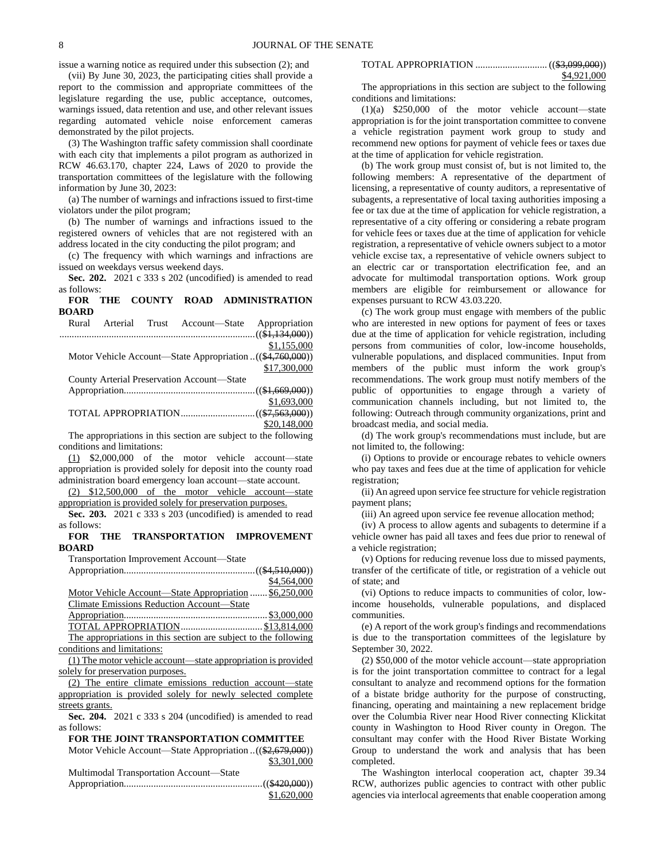issue a warning notice as required under this subsection (2); and

(vii) By June 30, 2023, the participating cities shall provide a report to the commission and appropriate committees of the legislature regarding the use, public acceptance, outcomes, warnings issued, data retention and use, and other relevant issues regarding automated vehicle noise enforcement cameras demonstrated by the pilot projects.

(3) The Washington traffic safety commission shall coordinate with each city that implements a pilot program as authorized in RCW 46.63.170, chapter 224, Laws of 2020 to provide the transportation committees of the legislature with the following information by June 30, 2023:

(a) The number of warnings and infractions issued to first-time violators under the pilot program;

(b) The number of warnings and infractions issued to the registered owners of vehicles that are not registered with an address located in the city conducting the pilot program; and

(c) The frequency with which warnings and infractions are issued on weekdays versus weekend days.

**Sec. 202.** 2021 c 333 s 202 (uncodified) is amended to read as follows:

# **FOR THE COUNTY ROAD ADMINISTRATION BOARD**

|  | Rural Arterial Trust Account-State Appropriation         |              |
|--|----------------------------------------------------------|--------------|
|  |                                                          |              |
|  |                                                          | \$1,155,000  |
|  | Motor Vehicle Account—State Appropriation((\$4,760,000)) |              |
|  |                                                          | \$17,300,000 |
|  | County Arterial Preservation Account-State               |              |
|  |                                                          |              |
|  |                                                          | \$1,693,000  |
|  |                                                          |              |

\$20,148,000 The appropriations in this section are subject to the following

conditions and limitations: (1) \$2,000,000 of the motor vehicle account—state appropriation is provided solely for deposit into the county road administration board emergency loan account—state account.

(2) \$12,500,000 of the motor vehicle account—state appropriation is provided solely for preservation purposes.

**Sec. 203.** 2021 c 333 s 203 (uncodified) is amended to read as follows:

# **FOR THE TRANSPORTATION IMPROVEMENT BOARD**

Transportation Improvement Account—State

|                                                                 | \$4,564,000 |
|-----------------------------------------------------------------|-------------|
| Motor Vehicle Account-State Appropriation  \$6,250,000          |             |
| Climate Emissions Reduction Account-State                       |             |
|                                                                 |             |
|                                                                 |             |
| The appropriations in this section are subject to the following |             |
| conditions and limitations:                                     |             |

(1) The motor vehicle account—state appropriation is provided solely for preservation purposes.

(2) The entire climate emissions reduction account—state appropriation is provided solely for newly selected complete streets grants.

**Sec. 204.** 2021 c 333 s 204 (uncodified) is amended to read as follows:

**FOR THE JOINT TRANSPORTATION COMMITTEE** Motor Vehicle Account—State Appropriation ..((\$2,679,000)) \$3,301,000

Multimodal Transportation Account—State

| \$1,620,000 |
|-------------|

| \$4,921,000 |
|-------------|

The appropriations in this section are subject to the following conditions and limitations:

(1)(a) \$250,000 of the motor vehicle account—state appropriation is for the joint transportation committee to convene a vehicle registration payment work group to study and recommend new options for payment of vehicle fees or taxes due at the time of application for vehicle registration.

(b) The work group must consist of, but is not limited to, the following members: A representative of the department of licensing, a representative of county auditors, a representative of subagents, a representative of local taxing authorities imposing a fee or tax due at the time of application for vehicle registration, a representative of a city offering or considering a rebate program for vehicle fees or taxes due at the time of application for vehicle registration, a representative of vehicle owners subject to a motor vehicle excise tax, a representative of vehicle owners subject to an electric car or transportation electrification fee, and an advocate for multimodal transportation options. Work group members are eligible for reimbursement or allowance for expenses pursuant to RCW 43.03.220.

(c) The work group must engage with members of the public who are interested in new options for payment of fees or taxes due at the time of application for vehicle registration, including persons from communities of color, low-income households, vulnerable populations, and displaced communities. Input from members of the public must inform the work group's recommendations. The work group must notify members of the public of opportunities to engage through a variety of communication channels including, but not limited to, the following: Outreach through community organizations, print and broadcast media, and social media.

(d) The work group's recommendations must include, but are not limited to, the following:

(i) Options to provide or encourage rebates to vehicle owners who pay taxes and fees due at the time of application for vehicle registration;

(ii) An agreed upon service fee structure for vehicle registration payment plans;

(iii) An agreed upon service fee revenue allocation method;

(iv) A process to allow agents and subagents to determine if a vehicle owner has paid all taxes and fees due prior to renewal of a vehicle registration;

(v) Options for reducing revenue loss due to missed payments, transfer of the certificate of title, or registration of a vehicle out of state; and

(vi) Options to reduce impacts to communities of color, lowincome households, vulnerable populations, and displaced communities.

(e) A report of the work group's findings and recommendations is due to the transportation committees of the legislature by September 30, 2022.

(2) \$50,000 of the motor vehicle account—state appropriation is for the joint transportation committee to contract for a legal consultant to analyze and recommend options for the formation of a bistate bridge authority for the purpose of constructing, financing, operating and maintaining a new replacement bridge over the Columbia River near Hood River connecting Klickitat county in Washington to Hood River county in Oregon. The consultant may confer with the Hood River Bistate Working Group to understand the work and analysis that has been completed.

The Washington interlocal cooperation act, chapter 39.34 RCW, authorizes public agencies to contract with other public agencies via interlocal agreements that enable cooperation among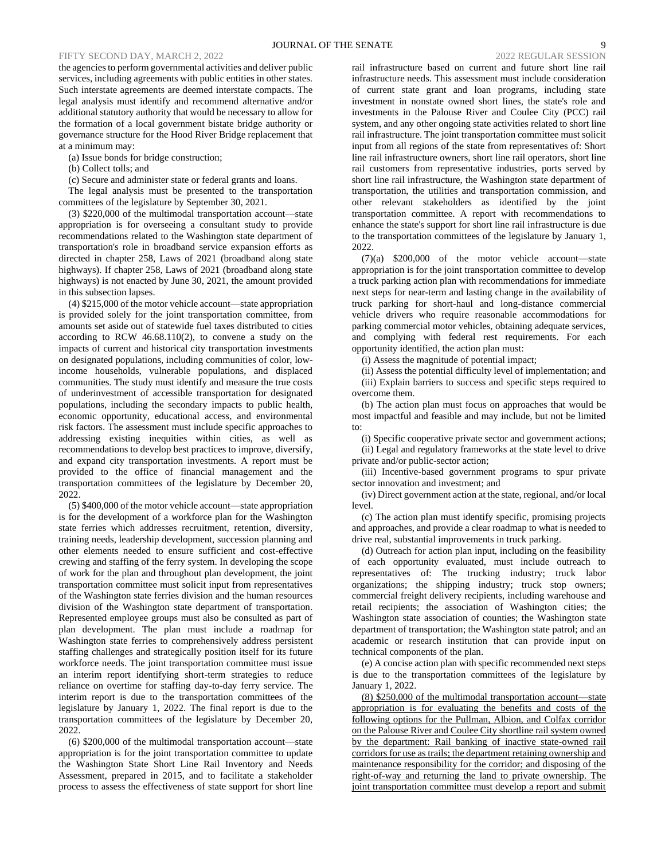# FIFTY SECOND DAY, MARCH 2, 2022

the agencies to perform governmental activities and deliver public services, including agreements with public entities in other states. Such interstate agreements are deemed interstate compacts. The legal analysis must identify and recommend alternative and/or additional statutory authority that would be necessary to allow for the formation of a local government bistate bridge authority or governance structure for the Hood River Bridge replacement that at a minimum may:

(a) Issue bonds for bridge construction;

(b) Collect tolls; and

(c) Secure and administer state or federal grants and loans.

The legal analysis must be presented to the transportation committees of the legislature by September 30, 2021.

(3) \$220,000 of the multimodal transportation account—state appropriation is for overseeing a consultant study to provide recommendations related to the Washington state department of transportation's role in broadband service expansion efforts as directed in chapter 258, Laws of 2021 (broadband along state highways). If chapter 258, Laws of 2021 (broadband along state highways) is not enacted by June 30, 2021, the amount provided in this subsection lapses.

(4) \$215,000 of the motor vehicle account—state appropriation is provided solely for the joint transportation committee, from amounts set aside out of statewide fuel taxes distributed to cities according to RCW 46.68.110(2), to convene a study on the impacts of current and historical city transportation investments on designated populations, including communities of color, lowincome households, vulnerable populations, and displaced communities. The study must identify and measure the true costs of underinvestment of accessible transportation for designated populations, including the secondary impacts to public health, economic opportunity, educational access, and environmental risk factors. The assessment must include specific approaches to addressing existing inequities within cities, as well as recommendations to develop best practices to improve, diversify, and expand city transportation investments. A report must be provided to the office of financial management and the transportation committees of the legislature by December 20, 2022.

(5) \$400,000 of the motor vehicle account—state appropriation is for the development of a workforce plan for the Washington state ferries which addresses recruitment, retention, diversity, training needs, leadership development, succession planning and other elements needed to ensure sufficient and cost-effective crewing and staffing of the ferry system. In developing the scope of work for the plan and throughout plan development, the joint transportation committee must solicit input from representatives of the Washington state ferries division and the human resources division of the Washington state department of transportation. Represented employee groups must also be consulted as part of plan development. The plan must include a roadmap for Washington state ferries to comprehensively address persistent staffing challenges and strategically position itself for its future workforce needs. The joint transportation committee must issue an interim report identifying short-term strategies to reduce reliance on overtime for staffing day-to-day ferry service. The interim report is due to the transportation committees of the legislature by January 1, 2022. The final report is due to the transportation committees of the legislature by December 20, 2022.

(6) \$200,000 of the multimodal transportation account—state appropriation is for the joint transportation committee to update the Washington State Short Line Rail Inventory and Needs Assessment, prepared in 2015, and to facilitate a stakeholder process to assess the effectiveness of state support for short line

rail infrastructure based on current and future short line rail infrastructure needs. This assessment must include consideration of current state grant and loan programs, including state investment in nonstate owned short lines, the state's role and investments in the Palouse River and Coulee City (PCC) rail system, and any other ongoing state activities related to short line rail infrastructure. The joint transportation committee must solicit input from all regions of the state from representatives of: Short line rail infrastructure owners, short line rail operators, short line rail customers from representative industries, ports served by short line rail infrastructure, the Washington state department of transportation, the utilities and transportation commission, and other relevant stakeholders as identified by the joint transportation committee. A report with recommendations to enhance the state's support for short line rail infrastructure is due to the transportation committees of the legislature by January 1, 2022.

(7)(a) \$200,000 of the motor vehicle account—state appropriation is for the joint transportation committee to develop a truck parking action plan with recommendations for immediate next steps for near-term and lasting change in the availability of truck parking for short-haul and long-distance commercial vehicle drivers who require reasonable accommodations for parking commercial motor vehicles, obtaining adequate services, and complying with federal rest requirements. For each opportunity identified, the action plan must:

(i) Assess the magnitude of potential impact;

(ii) Assess the potential difficulty level of implementation; and (iii) Explain barriers to success and specific steps required to

overcome them. (b) The action plan must focus on approaches that would be

most impactful and feasible and may include, but not be limited to:

(i) Specific cooperative private sector and government actions;

(ii) Legal and regulatory frameworks at the state level to drive private and/or public-sector action;

(iii) Incentive-based government programs to spur private sector innovation and investment; and

(iv) Direct government action at the state, regional, and/or local level.

(c) The action plan must identify specific, promising projects and approaches, and provide a clear roadmap to what is needed to drive real, substantial improvements in truck parking.

(d) Outreach for action plan input, including on the feasibility of each opportunity evaluated, must include outreach to representatives of: The trucking industry; truck labor organizations; the shipping industry; truck stop owners; commercial freight delivery recipients, including warehouse and retail recipients; the association of Washington cities; the Washington state association of counties; the Washington state department of transportation; the Washington state patrol; and an academic or research institution that can provide input on technical components of the plan.

(e) A concise action plan with specific recommended next steps is due to the transportation committees of the legislature by January 1, 2022.

(8) \$250,000 of the multimodal transportation account—state appropriation is for evaluating the benefits and costs of the following options for the Pullman, Albion, and Colfax corridor on the Palouse River and Coulee City shortline rail system owned by the department: Rail banking of inactive state-owned rail corridors for use as trails; the department retaining ownership and maintenance responsibility for the corridor; and disposing of the right-of-way and returning the land to private ownership. The joint transportation committee must develop a report and submit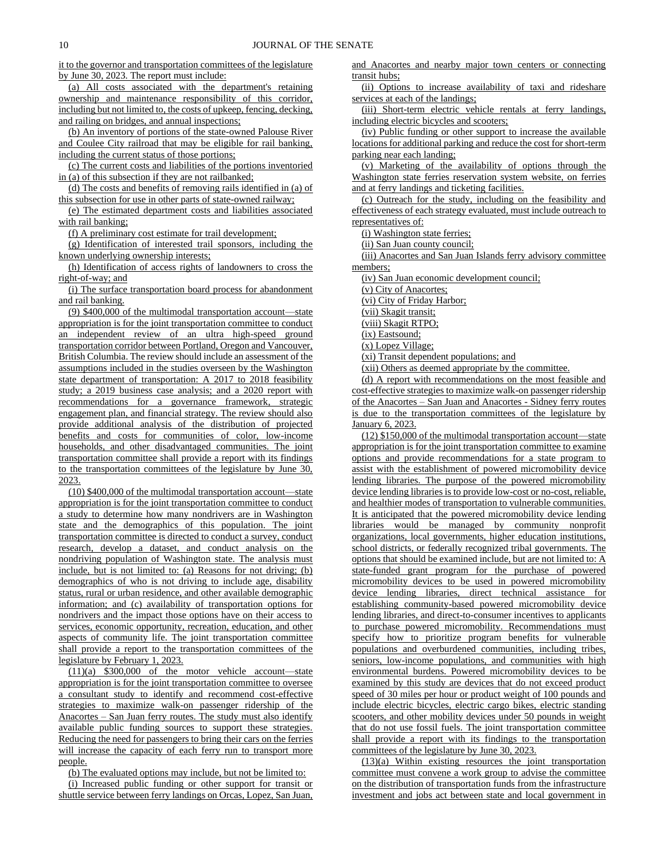it to the governor and transportation committees of the legislature by June 30, 2023. The report must include:

(a) All costs associated with the department's retaining ownership and maintenance responsibility of this corridor, including but not limited to, the costs of upkeep, fencing, decking, and railing on bridges, and annual inspections;

(b) An inventory of portions of the state-owned Palouse River and Coulee City railroad that may be eligible for rail banking, including the current status of those portions;

(c) The current costs and liabilities of the portions inventoried in (a) of this subsection if they are not railbanked;

(d) The costs and benefits of removing rails identified in (a) of this subsection for use in other parts of state-owned railway;

(e) The estimated department costs and liabilities associated with rail banking;

(f) A preliminary cost estimate for trail development;

(g) Identification of interested trail sponsors, including the known underlying ownership interests;

(h) Identification of access rights of landowners to cross the right-of-way; and

(i) The surface transportation board process for abandonment and rail banking.

(9) \$400,000 of the multimodal transportation account—state appropriation is for the joint transportation committee to conduct an independent review of an ultra high-speed ground transportation corridor between Portland, Oregon and Vancouver, British Columbia. The review should include an assessment of the assumptions included in the studies overseen by the Washington state department of transportation: A 2017 to 2018 feasibility study; a 2019 business case analysis; and a 2020 report with recommendations for a governance framework, strategic engagement plan, and financial strategy. The review should also provide additional analysis of the distribution of projected benefits and costs for communities of color, low-income households, and other disadvantaged communities. The joint transportation committee shall provide a report with its findings to the transportation committees of the legislature by June 30, 2023.

(10) \$400,000 of the multimodal transportation account—state appropriation is for the joint transportation committee to conduct a study to determine how many nondrivers are in Washington state and the demographics of this population. The joint transportation committee is directed to conduct a survey, conduct research, develop a dataset, and conduct analysis on the nondriving population of Washington state. The analysis must include, but is not limited to: (a) Reasons for not driving; (b) demographics of who is not driving to include age, disability status, rural or urban residence, and other available demographic information; and (c) availability of transportation options for nondrivers and the impact those options have on their access to services, economic opportunity, recreation, education, and other aspects of community life. The joint transportation committee shall provide a report to the transportation committees of the legislature by February 1, 2023.

(11)(a) \$300,000 of the motor vehicle account—state appropriation is for the joint transportation committee to oversee a consultant study to identify and recommend cost-effective strategies to maximize walk-on passenger ridership of the Anacortes – San Juan ferry routes. The study must also identify available public funding sources to support these strategies. Reducing the need for passengers to bring their cars on the ferries will increase the capacity of each ferry run to transport more people.

(b) The evaluated options may include, but not be limited to:

(i) Increased public funding or other support for transit or shuttle service between ferry landings on Orcas, Lopez, San Juan, and Anacortes and nearby major town centers or connecting transit hubs;

(ii) Options to increase availability of taxi and rideshare services at each of the landings;

(iii) Short-term electric vehicle rentals at ferry landings, including electric bicycles and scooters;

(iv) Public funding or other support to increase the available locations for additional parking and reduce the cost for short-term parking near each landing;

(v) Marketing of the availability of options through the Washington state ferries reservation system website, on ferries and at ferry landings and ticketing facilities.

(c) Outreach for the study, including on the feasibility and effectiveness of each strategy evaluated, must include outreach to representatives of:

(i) Washington state ferries;

(ii) San Juan county council;

(iii) Anacortes and San Juan Islands ferry advisory committee members;

(iv) San Juan economic development council;

(v) City of Anacortes;

(vi) City of Friday Harbor;

(vii) Skagit transit;

(viii) Skagit RTPO;

(ix) Eastsound;

(x) Lopez Village;

(xi) Transit dependent populations; and

(xii) Others as deemed appropriate by the committee.

(d) A report with recommendations on the most feasible and cost-effective strategies to maximize walk-on passenger ridership of the Anacortes – San Juan and Anacortes - Sidney ferry routes is due to the transportation committees of the legislature by January 6, 2023.

(12) \$150,000 of the multimodal transportation account—state appropriation is for the joint transportation committee to examine options and provide recommendations for a state program to assist with the establishment of powered micromobility device lending libraries. The purpose of the powered micromobility device lending libraries is to provide low-cost or no-cost, reliable, and healthier modes of transportation to vulnerable communities. It is anticipated that the powered micromobility device lending libraries would be managed by community nonprofit organizations, local governments, higher education institutions, school districts, or federally recognized tribal governments. The options that should be examined include, but are not limited to: A state-funded grant program for the purchase of powered micromobility devices to be used in powered micromobility device lending libraries, direct technical assistance for establishing community-based powered micromobility device lending libraries, and direct-to-consumer incentives to applicants to purchase powered micromobility. Recommendations must specify how to prioritize program benefits for vulnerable populations and overburdened communities, including tribes, seniors, low-income populations, and communities with high environmental burdens. Powered micromobility devices to be examined by this study are devices that do not exceed product speed of 30 miles per hour or product weight of 100 pounds and include electric bicycles, electric cargo bikes, electric standing scooters, and other mobility devices under 50 pounds in weight that do not use fossil fuels. The joint transportation committee shall provide a report with its findings to the transportation committees of the legislature by June 30, 2023.

(13)(a) Within existing resources the joint transportation committee must convene a work group to advise the committee on the distribution of transportation funds from the infrastructure investment and jobs act between state and local government in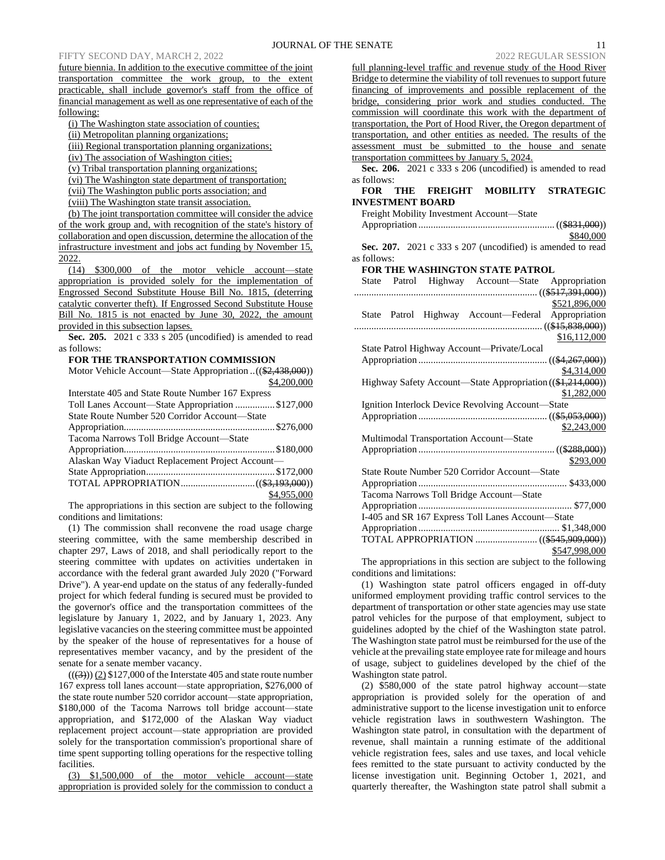# FIFTY SECOND DAY, MARCH 2, 2022

future biennia. In addition to the executive committee of the joint transportation committee the work group, to the extent practicable, shall include governor's staff from the office of financial management as well as one representative of each of the following:

(i) The Washington state association of counties;

(ii) Metropolitan planning organizations;

(iii) Regional transportation planning organizations;

(iv) The association of Washington cities;

(v) Tribal transportation planning organizations;

(vi) The Washington state department of transportation;

(vii) The Washington public ports association; and

(viii) The Washington state transit association.

(b) The joint transportation committee will consider the advice of the work group and, with recognition of the state's history of collaboration and open discussion, determine the allocation of the infrastructure investment and jobs act funding by November 15, 2022.

(14) \$300,000 of the motor vehicle account—state appropriation is provided solely for the implementation of Engrossed Second Substitute House Bill No. 1815, (deterring catalytic converter theft). If Engrossed Second Substitute House Bill No. 1815 is not enacted by June 30, 2022, the amount provided in this subsection lapses.

**Sec. 205.** 2021 c 333 s 205 (uncodified) is amended to read as follows:

**FOR THE TRANSPORTATION COMMISSION**

Motor Vehicle Account—State Appropriation ..((\$2,438,000)) \$4,200,000

| Interstate 405 and State Route Number 167 Express |
|---------------------------------------------------|
| Toll Lanes Account—State Appropriation \$127,000  |
| State Route Number 520 Corridor Account—State     |
|                                                   |
| Tacoma Narrows Toll Bridge Account—State          |
|                                                   |
| Alaskan Way Viaduct Replacement Project Account-  |
|                                                   |
|                                                   |
| \$4,955,000                                       |

The appropriations in this section are subject to the following conditions and limitations:

(1) The commission shall reconvene the road usage charge steering committee, with the same membership described in chapter 297, Laws of 2018, and shall periodically report to the steering committee with updates on activities undertaken in accordance with the federal grant awarded July 2020 ("Forward Drive"). A year-end update on the status of any federally-funded project for which federal funding is secured must be provided to the governor's office and the transportation committees of the legislature by January 1, 2022, and by January 1, 2023. Any legislative vacancies on the steering committee must be appointed by the speaker of the house of representatives for a house of representatives member vacancy, and by the president of the senate for a senate member vacancy.

 $((3))$  (2) \$127,000 of the Interstate 405 and state route number 167 express toll lanes account—state appropriation, \$276,000 of the state route number 520 corridor account—state appropriation, \$180,000 of the Tacoma Narrows toll bridge account—state appropriation, and \$172,000 of the Alaskan Way viaduct replacement project account—state appropriation are provided solely for the transportation commission's proportional share of time spent supporting tolling operations for the respective tolling facilities.

(3) \$1,500,000 of the motor vehicle account—state appropriation is provided solely for the commission to conduct a full planning-level traffic and revenue study of the Hood River Bridge to determine the viability of toll revenues to support future financing of improvements and possible replacement of the bridge, considering prior work and studies conducted. The commission will coordinate this work with the department of transportation, the Port of Hood River, the Oregon department of transportation, and other entities as needed. The results of the assessment must be submitted to the house and senate transportation committees by January 5, 2024.

**Sec. 206.** 2021 c 333 s 206 (uncodified) is amended to read as follows:

# **FOR THE FREIGHT MOBILITY STRATEGIC INVESTMENT BOARD**

| Freight Mobility Investment Account—State                  |
|------------------------------------------------------------|
|                                                            |
| \$840,000                                                  |
| Sec. 207. 2021 c 333 s 207 (uncodified) is amended to read |
| as follows:                                                |
| <b>FOR THE WASHINGTON STATE PATROL</b>                     |
| State Patrol Highway Account-State Appropriation           |
|                                                            |
| \$521,896,000                                              |
| State Patrol Highway Account-Federal Appropriation         |
|                                                            |
| \$16,112,000                                               |
| State Patrol Highway Account—Private/Local                 |
|                                                            |
| \$4,314,000                                                |
| Highway Safety Account-State Appropriation ((\$1,214,000)) |
| \$1,282,000                                                |
| Ignition Interlock Device Revolving Account-State          |
|                                                            |
| \$2,243,000                                                |
| Multimodal Transportation Account-State                    |
|                                                            |
| \$293,000                                                  |
| State Route Number 520 Corridor Account-State              |
|                                                            |
| Tacoma Narrows Toll Bridge Account-State                   |
|                                                            |
| I-405 and SR 167 Express Toll Lanes Account-State          |
|                                                            |
|                                                            |
| \$547,998,000                                              |

The appropriations in this section are subject to the following conditions and limitations:

(1) Washington state patrol officers engaged in off-duty uniformed employment providing traffic control services to the department of transportation or other state agencies may use state patrol vehicles for the purpose of that employment, subject to guidelines adopted by the chief of the Washington state patrol. The Washington state patrol must be reimbursed for the use of the vehicle at the prevailing state employee rate for mileage and hours of usage, subject to guidelines developed by the chief of the Washington state patrol.

(2) \$580,000 of the state patrol highway account—state appropriation is provided solely for the operation of and administrative support to the license investigation unit to enforce vehicle registration laws in southwestern Washington. The Washington state patrol, in consultation with the department of revenue, shall maintain a running estimate of the additional vehicle registration fees, sales and use taxes, and local vehicle fees remitted to the state pursuant to activity conducted by the license investigation unit. Beginning October 1, 2021, and quarterly thereafter, the Washington state patrol shall submit a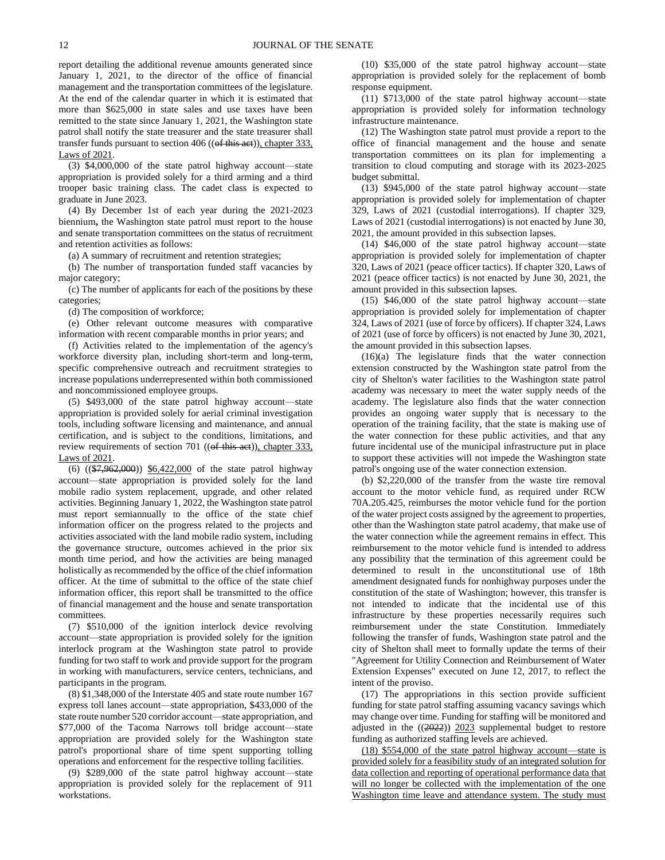report detailing the additional revenue amounts generated since January 1, 2021, to the director of the office of financial management and the transportation committees of the legislature. At the end of the calendar quarter in which it is estimated that more than \$625,000 in state sales and use taxes have been remitted to the state since January 1, 2021, the Washington state patrol shall notify the state treasurer and the state treasurer shall transfer funds pursuant to section 406 (( $ef$  this act)), chapter 333, Laws of 2021.

(3) \$4,000,000 of the state patrol highway account—state appropriation is provided solely for a third arming and a third trooper basic training class. The cadet class is expected to graduate in June 2023.

(4) By December 1st of each year during the 2021-2023 biennium**,** the Washington state patrol must report to the house and senate transportation committees on the status of recruitment and retention activities as follows:

(a) A summary of recruitment and retention strategies;

(b) The number of transportation funded staff vacancies by major category;

(c) The number of applicants for each of the positions by these categories;

(d) The composition of workforce;

(e) Other relevant outcome measures with comparative information with recent comparable months in prior years; and

(f) Activities related to the implementation of the agency's workforce diversity plan, including short-term and long-term, specific comprehensive outreach and recruitment strategies to increase populations underrepresented within both commissioned and noncommissioned employee groups.

(5) \$493,000 of the state patrol highway account—state appropriation is provided solely for aerial criminal investigation tools, including software licensing and maintenance, and annual certification, and is subject to the conditions, limitations, and review requirements of section 701 (( $\theta$ f this aet)), chapter 333, Laws of 2021.

(6) ((\$7,962,000)) \$6,422,000 of the state patrol highway account—state appropriation is provided solely for the land mobile radio system replacement, upgrade, and other related activities. Beginning January 1, 2022, the Washington state patrol must report semiannually to the office of the state chief information officer on the progress related to the projects and activities associated with the land mobile radio system, including the governance structure, outcomes achieved in the prior six month time period, and how the activities are being managed holistically as recommended by the office of the chief information officer. At the time of submittal to the office of the state chief information officer, this report shall be transmitted to the office of financial management and the house and senate transportation committees.

(7) \$510,000 of the ignition interlock device revolving account—state appropriation is provided solely for the ignition interlock program at the Washington state patrol to provide funding for two staff to work and provide support for the program in working with manufacturers, service centers, technicians, and participants in the program.

(8) \$1,348,000 of the Interstate 405 and state route number 167 express toll lanes account—state appropriation, \$433,000 of the state route number 520 corridor account—state appropriation, and \$77,000 of the Tacoma Narrows toll bridge account—state appropriation are provided solely for the Washington state patrol's proportional share of time spent supporting tolling operations and enforcement for the respective tolling facilities.

(9) \$289,000 of the state patrol highway account—state appropriation is provided solely for the replacement of 911 workstations.

(10) \$35,000 of the state patrol highway account—state appropriation is provided solely for the replacement of bomb response equipment.

(11) \$713,000 of the state patrol highway account—state appropriation is provided solely for information technology infrastructure maintenance.

(12) The Washington state patrol must provide a report to the office of financial management and the house and senate transportation committees on its plan for implementing a transition to cloud computing and storage with its 2023-2025 budget submittal.

(13) \$945,000 of the state patrol highway account—state appropriation is provided solely for implementation of chapter 329, Laws of 2021 (custodial interrogations). If chapter 329, Laws of 2021 (custodial interrogations) is not enacted by June 30, 2021, the amount provided in this subsection lapses.

(14) \$46,000 of the state patrol highway account—state appropriation is provided solely for implementation of chapter 320, Laws of 2021 (peace officer tactics). If chapter 320, Laws of 2021 (peace officer tactics) is not enacted by June 30, 2021, the amount provided in this subsection lapses.

(15) \$46,000 of the state patrol highway account—state appropriation is provided solely for implementation of chapter 324, Laws of 2021 (use of force by officers). If chapter 324, Laws of 2021 (use of force by officers) is not enacted by June 30, 2021, the amount provided in this subsection lapses.

(16)(a) The legislature finds that the water connection extension constructed by the Washington state patrol from the city of Shelton's water facilities to the Washington state patrol academy was necessary to meet the water supply needs of the academy. The legislature also finds that the water connection provides an ongoing water supply that is necessary to the operation of the training facility, that the state is making use of the water connection for these public activities, and that any future incidental use of the municipal infrastructure put in place to support these activities will not impede the Washington state patrol's ongoing use of the water connection extension.

(b) \$2,220,000 of the transfer from the waste tire removal account to the motor vehicle fund, as required under RCW 70A.205.425, reimburses the motor vehicle fund for the portion of the water project costs assigned by the agreement to properties, other than the Washington state patrol academy, that make use of the water connection while the agreement remains in effect. This reimbursement to the motor vehicle fund is intended to address any possibility that the termination of this agreement could be determined to result in the unconstitutional use of 18th amendment designated funds for nonhighway purposes under the constitution of the state of Washington; however, this transfer is not intended to indicate that the incidental use of this infrastructure by these properties necessarily requires such reimbursement under the state Constitution. Immediately following the transfer of funds, Washington state patrol and the city of Shelton shall meet to formally update the terms of their "Agreement for Utility Connection and Reimbursement of Water Extension Expenses" executed on June 12, 2017, to reflect the intent of the proviso.

(17) The appropriations in this section provide sufficient funding for state patrol staffing assuming vacancy savings which may change over time. Funding for staffing will be monitored and adjusted in the  $((2022))$  2023 supplemental budget to restore funding as authorized staffing levels are achieved.

(18) \$554,000 of the state patrol highway account—state is provided solely for a feasibility study of an integrated solution for data collection and reporting of operational performance data that will no longer be collected with the implementation of the one Washington time leave and attendance system. The study must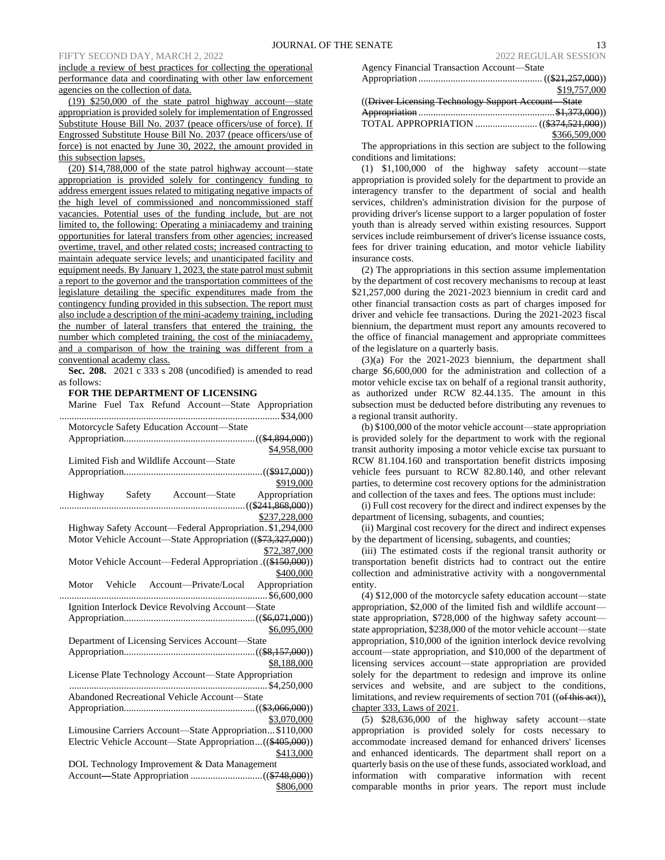include a review of best practices for collecting the operational performance data and coordinating with other law enforcement agencies on the collection of data.

(19) \$250,000 of the state patrol highway account—state appropriation is provided solely for implementation of Engrossed Substitute House Bill No. 2037 (peace officers/use of force). If Engrossed Substitute House Bill No. 2037 (peace officers/use of force) is not enacted by June 30, 2022, the amount provided in this subsection lapses.

(20) \$14,788,000 of the state patrol highway account—state appropriation is provided solely for contingency funding to address emergent issues related to mitigating negative impacts of the high level of commissioned and noncommissioned staff vacancies. Potential uses of the funding include, but are not limited to, the following: Operating a miniacademy and training opportunities for lateral transfers from other agencies; increased overtime, travel, and other related costs; increased contracting to maintain adequate service levels; and unanticipated facility and equipment needs. By January 1, 2023, the state patrol must submit a report to the governor and the transportation committees of the legislature detailing the specific expenditures made from the contingency funding provided in this subsection. The report must also include a description of the mini-academy training, including the number of lateral transfers that entered the training, the number which completed training, the cost of the miniacademy, and a comparison of how the training was different from a conventional academy class.

**Sec. 208.** 2021 c 333 s 208 (uncodified) is amended to read as follows:

## **FOR THE DEPARTMENT OF LICENSING**

| Marine Fuel Tax Refund Account-State<br>Appropriation       |
|-------------------------------------------------------------|
| Motorcycle Safety Education Account-State                   |
|                                                             |
| \$4,958,000                                                 |
| Limited Fish and Wildlife Account-State                     |
|                                                             |
| \$919,000                                                   |
| Highway Safety Account-State Appropriation                  |
|                                                             |
| \$237,228,000                                               |
| Highway Safety Account-Federal Appropriation. \$1,294,000   |
| Motor Vehicle Account-State Appropriation ((\$73,327,000))  |
| \$72,387,000                                                |
| Motor Vehicle Account—Federal Appropriation . ((\$150,000)) |
| \$400,000                                                   |
| Motor Vehicle Account—Private/Local Appropriation           |
|                                                             |
| Ignition Interlock Device Revolving Account-State           |
|                                                             |
| \$6,095,000                                                 |
| Department of Licensing Services Account-State              |
|                                                             |
| \$8,188,000                                                 |
| License Plate Technology Account-State Appropriation        |
|                                                             |
| Abandoned Recreational Vehicle Account-State                |
|                                                             |
| \$3,070,000                                                 |
| Limousine Carriers Account-State Appropriation \$110,000    |
| Electric Vehicle Account—State Appropriation((\$405,000))   |
| \$413,000                                                   |
| DOL Technology Improvement & Data Management                |
|                                                             |
| \$806,000                                                   |

| Agency Financial Transaction Account-State          |               |
|-----------------------------------------------------|---------------|
|                                                     |               |
|                                                     | \$19,757,000  |
| ((Driver Licensing Technology Support Account State |               |
|                                                     |               |
|                                                     |               |
|                                                     | \$366,509,000 |

The appropriations in this section are subject to the following conditions and limitations:

(1) \$1,100,000 of the highway safety account—state appropriation is provided solely for the department to provide an interagency transfer to the department of social and health services, children's administration division for the purpose of providing driver's license support to a larger population of foster youth than is already served within existing resources. Support services include reimbursement of driver's license issuance costs, fees for driver training education, and motor vehicle liability insurance costs.

(2) The appropriations in this section assume implementation by the department of cost recovery mechanisms to recoup at least \$21,257,000 during the 2021-2023 biennium in credit card and other financial transaction costs as part of charges imposed for driver and vehicle fee transactions. During the 2021-2023 fiscal biennium, the department must report any amounts recovered to the office of financial management and appropriate committees of the legislature on a quarterly basis.

(3)(a) For the 2021-2023 biennium, the department shall charge \$6,600,000 for the administration and collection of a motor vehicle excise tax on behalf of a regional transit authority, as authorized under RCW 82.44.135. The amount in this subsection must be deducted before distributing any revenues to a regional transit authority.

(b) \$100,000 of the motor vehicle account—state appropriation is provided solely for the department to work with the regional transit authority imposing a motor vehicle excise tax pursuant to RCW 81.104.160 and transportation benefit districts imposing vehicle fees pursuant to RCW 82.80.140, and other relevant parties, to determine cost recovery options for the administration and collection of the taxes and fees. The options must include:

(i) Full cost recovery for the direct and indirect expenses by the department of licensing, subagents, and counties;

(ii) Marginal cost recovery for the direct and indirect expenses by the department of licensing, subagents, and counties;

(iii) The estimated costs if the regional transit authority or transportation benefit districts had to contract out the entire collection and administrative activity with a nongovernmental entity.

(4) \$12,000 of the motorcycle safety education account—state appropriation, \$2,000 of the limited fish and wildlife account state appropriation, \$728,000 of the highway safety account state appropriation, \$238,000 of the motor vehicle account—state appropriation, \$10,000 of the ignition interlock device revolving account—state appropriation, and \$10,000 of the department of licensing services account—state appropriation are provided solely for the department to redesign and improve its online services and website, and are subject to the conditions, limitations, and review requirements of section 701 ((of this act)), chapter 333, Laws of 2021.

(5) \$28,636,000 of the highway safety account—state appropriation is provided solely for costs necessary to accommodate increased demand for enhanced drivers' licenses and enhanced identicards. The department shall report on a quarterly basis on the use of these funds, associated workload, and information with comparative information with recent comparable months in prior years. The report must include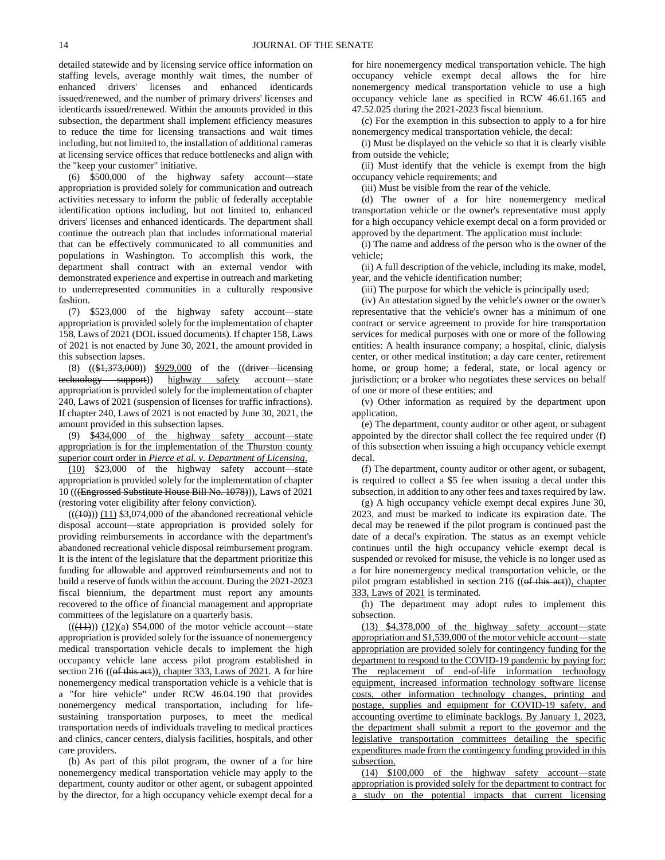detailed statewide and by licensing service office information on staffing levels, average monthly wait times, the number of enhanced drivers' licenses and enhanced identicards issued/renewed, and the number of primary drivers' licenses and identicards issued/renewed. Within the amounts provided in this subsection, the department shall implement efficiency measures to reduce the time for licensing transactions and wait times including, but not limited to, the installation of additional cameras at licensing service offices that reduce bottlenecks and align with the "keep your customer" initiative.

(6) \$500,000 of the highway safety account—state appropriation is provided solely for communication and outreach activities necessary to inform the public of federally acceptable identification options including, but not limited to, enhanced drivers' licenses and enhanced identicards. The department shall continue the outreach plan that includes informational material that can be effectively communicated to all communities and populations in Washington. To accomplish this work, the department shall contract with an external vendor with demonstrated experience and expertise in outreach and marketing to underrepresented communities in a culturally responsive fashion.

(7) \$523,000 of the highway safety account—state appropriation is provided solely for the implementation of chapter 158, Laws of 2021 (DOL issued documents). If chapter 158, Laws of 2021 is not enacted by June 30, 2021, the amount provided in this subsection lapses.

(8)  $((\frac{1}{373}, \frac{1}{900}))$   $\frac{$929,000}{1000}$  of the  $((\frac{1}{91})$ technology support)) highway safety account—state appropriation is provided solely for the implementation of chapter 240, Laws of 2021 (suspension of licenses for traffic infractions). If chapter 240, Laws of 2021 is not enacted by June 30, 2021, the amount provided in this subsection lapses.

(9) \$434,000 of the highway safety account—state appropriation is for the implementation of the Thurston county superior court order in *Pierce et al. v. Department of Licensing*.

(10) \$23,000 of the highway safety account—state appropriation is provided solely for the implementation of chapter 10 (((Engrossed Substitute House Bill No. 1078))), Laws of 2021 (restoring voter eligibility after felony conviction).

 $((\langle 10 \rangle)(11)$  \$3,074,000 of the abandoned recreational vehicle disposal account—state appropriation is provided solely for providing reimbursements in accordance with the department's abandoned recreational vehicle disposal reimbursement program. It is the intent of the legislature that the department prioritize this funding for allowable and approved reimbursements and not to build a reserve of funds within the account. During the 2021-2023 fiscal biennium, the department must report any amounts recovered to the office of financial management and appropriate committees of the legislature on a quarterly basis.

 $((\langle 11 \rangle) \langle 12 \rangle)$  (12)(a) \$54,000 of the motor vehicle account—state appropriation is provided solely for the issuance of nonemergency medical transportation vehicle decals to implement the high occupancy vehicle lane access pilot program established in section 216 ((of this aet)), chapter 333, Laws of 2021. A for hire nonemergency medical transportation vehicle is a vehicle that is a "for hire vehicle" under RCW 46.04.190 that provides nonemergency medical transportation, including for lifesustaining transportation purposes, to meet the medical transportation needs of individuals traveling to medical practices and clinics, cancer centers, dialysis facilities, hospitals, and other care providers.

(b) As part of this pilot program, the owner of a for hire nonemergency medical transportation vehicle may apply to the department, county auditor or other agent, or subagent appointed by the director, for a high occupancy vehicle exempt decal for a for hire nonemergency medical transportation vehicle. The high occupancy vehicle exempt decal allows the for hire nonemergency medical transportation vehicle to use a high occupancy vehicle lane as specified in RCW 46.61.165 and 47.52.025 during the 2021-2023 fiscal biennium.

(c) For the exemption in this subsection to apply to a for hire nonemergency medical transportation vehicle, the decal:

(i) Must be displayed on the vehicle so that it is clearly visible from outside the vehicle;

(ii) Must identify that the vehicle is exempt from the high occupancy vehicle requirements; and

(iii) Must be visible from the rear of the vehicle.

(d) The owner of a for hire nonemergency medical transportation vehicle or the owner's representative must apply for a high occupancy vehicle exempt decal on a form provided or approved by the department. The application must include:

(i) The name and address of the person who is the owner of the vehicle;

(ii) A full description of the vehicle, including its make, model, year, and the vehicle identification number;

(iii) The purpose for which the vehicle is principally used;

(iv) An attestation signed by the vehicle's owner or the owner's representative that the vehicle's owner has a minimum of one contract or service agreement to provide for hire transportation services for medical purposes with one or more of the following entities: A health insurance company; a hospital, clinic, dialysis center, or other medical institution; a day care center, retirement home, or group home; a federal, state, or local agency or jurisdiction; or a broker who negotiates these services on behalf of one or more of these entities; and

(v) Other information as required by the department upon application.

(e) The department, county auditor or other agent, or subagent appointed by the director shall collect the fee required under (f) of this subsection when issuing a high occupancy vehicle exempt decal.

(f) The department, county auditor or other agent, or subagent, is required to collect a \$5 fee when issuing a decal under this subsection, in addition to any other fees and taxes required by law.

(g) A high occupancy vehicle exempt decal expires June 30, 2023, and must be marked to indicate its expiration date. The decal may be renewed if the pilot program is continued past the date of a decal's expiration. The status as an exempt vehicle continues until the high occupancy vehicle exempt decal is suspended or revoked for misuse, the vehicle is no longer used as a for hire nonemergency medical transportation vehicle, or the pilot program established in section 216 ((of this act)), chapter 333, Laws of 2021 is terminated.

(h) The department may adopt rules to implement this subsection.

(13) \$4,378,000 of the highway safety account—state appropriation and \$1,539,000 of the motor vehicle account—state appropriation are provided solely for contingency funding for the department to respond to the COVID-19 pandemic by paying for: The replacement of end-of-life information technology equipment, increased information technology software license costs, other information technology changes, printing and postage, supplies and equipment for COVID-19 safety, and accounting overtime to eliminate backlogs. By January 1, 2023, the department shall submit a report to the governor and the legislative transportation committees detailing the specific expenditures made from the contingency funding provided in this subsection.

(14) \$100,000 of the highway safety account—state appropriation is provided solely for the department to contract for a study on the potential impacts that current licensing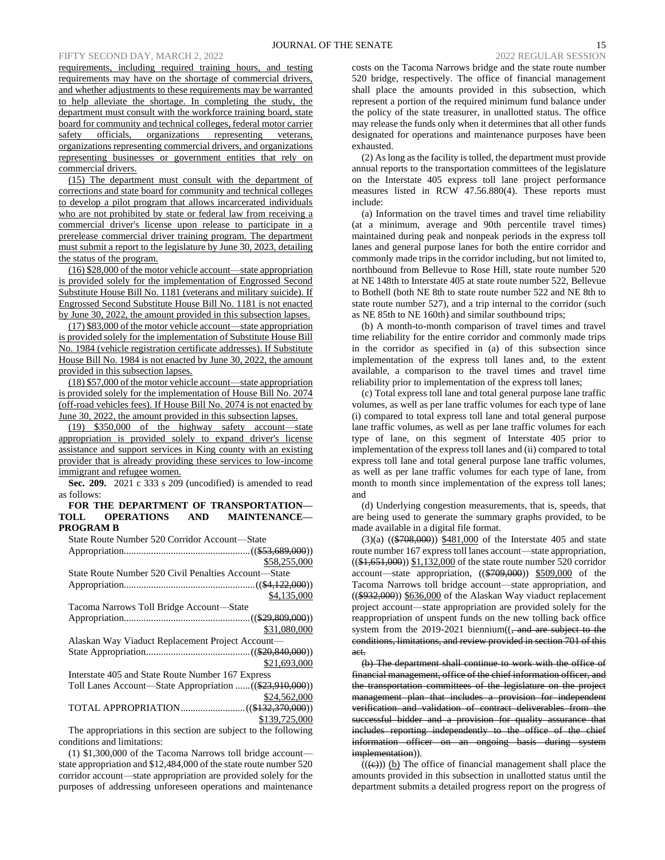requirements, including required training hours, and testing requirements may have on the shortage of commercial drivers, and whether adjustments to these requirements may be warranted to help alleviate the shortage. In completing the study, the department must consult with the workforce training board, state board for community and technical colleges, federal motor carrier safety officials, organizations representing veterans, organizations representing commercial drivers, and organizations representing businesses or government entities that rely on commercial drivers.

(15) The department must consult with the department of corrections and state board for community and technical colleges to develop a pilot program that allows incarcerated individuals who are not prohibited by state or federal law from receiving a commercial driver's license upon release to participate in a prerelease commercial driver training program. The department must submit a report to the legislature by June 30, 2023, detailing the status of the program.

(16) \$28,000 of the motor vehicle account—state appropriation is provided solely for the implementation of Engrossed Second Substitute House Bill No. 1181 (veterans and military suicide). If Engrossed Second Substitute House Bill No. 1181 is not enacted by June 30, 2022, the amount provided in this subsection lapses.

(17) \$83,000 of the motor vehicle account—state appropriation is provided solely for the implementation of Substitute House Bill No. 1984 (vehicle registration certificate addresses). If Substitute House Bill No. 1984 is not enacted by June 30, 2022, the amount provided in this subsection lapses.

(18) \$57,000 of the motor vehicle account—state appropriation is provided solely for the implementation of House Bill No. 2074 (off-road vehicles fees). If House Bill No. 2074 is not enacted by June 30, 2022, the amount provided in this subsection lapses.

(19) \$350,000 of the highway safety account—state appropriation is provided solely to expand driver's license assistance and support services in King county with an existing provider that is already providing these services to low-income immigrant and refugee women.

**Sec. 209.** 2021 c 333 s 209 (uncodified) is amended to read as follows:

# **FOR THE DEPARTMENT OF TRANSPORTATION—<br>OLL OPERATIONS AND MAINTENANCE— TOLL OPERATIONS AND MAINTENANCE— PROGRAM B**

State Route Number 520 Corridor Account—State Appropriation...................................................((\$53,689,000)) \$58,255,000 State Route Number 520 Civil Penalties Account—State Appropriation.....................................................((\$4,122,000)) \$4,135,000 Tacoma Narrows Toll Bridge Account—State Appropriation...................................................((\$29,809,000)) \$31,080,000 Alaskan Way Viaduct Replacement Project Account— State Appropriation..........................................((\$20,840,000)) \$21,693,000 Interstate 405 and State Route Number 167 Express Toll Lanes Account—State Appropriation ......((\$23,910,000)) \$24,562,000 TOTAL APPROPRIATION..........................((\$132,370,000)) \$139,725,000

The appropriations in this section are subject to the following conditions and limitations:

(1) \$1,300,000 of the Tacoma Narrows toll bridge account state appropriation and \$12,484,000 of the state route number 520 corridor account—state appropriation are provided solely for the purposes of addressing unforeseen operations and maintenance costs on the Tacoma Narrows bridge and the state route number 520 bridge, respectively. The office of financial management shall place the amounts provided in this subsection, which represent a portion of the required minimum fund balance under the policy of the state treasurer, in unallotted status. The office may release the funds only when it determines that all other funds designated for operations and maintenance purposes have been exhausted.

(2) As long as the facility is tolled, the department must provide annual reports to the transportation committees of the legislature on the Interstate 405 express toll lane project performance measures listed in RCW 47.56.880(4). These reports must include:

(a) Information on the travel times and travel time reliability (at a minimum, average and 90th percentile travel times) maintained during peak and nonpeak periods in the express toll lanes and general purpose lanes for both the entire corridor and commonly made trips in the corridor including, but not limited to, northbound from Bellevue to Rose Hill, state route number 520 at NE 148th to Interstate 405 at state route number 522, Bellevue to Bothell (both NE 8th to state route number 522 and NE 8th to state route number 527), and a trip internal to the corridor (such as NE 85th to NE 160th) and similar southbound trips;

(b) A month-to-month comparison of travel times and travel time reliability for the entire corridor and commonly made trips in the corridor as specified in (a) of this subsection since implementation of the express toll lanes and, to the extent available, a comparison to the travel times and travel time reliability prior to implementation of the express toll lanes;

(c) Total express toll lane and total general purpose lane traffic volumes, as well as per lane traffic volumes for each type of lane (i) compared to total express toll lane and total general purpose lane traffic volumes, as well as per lane traffic volumes for each type of lane, on this segment of Interstate 405 prior to implementation of the express toll lanes and (ii) compared to total express toll lane and total general purpose lane traffic volumes, as well as per lane traffic volumes for each type of lane, from month to month since implementation of the express toll lanes; and

(d) Underlying congestion measurements, that is, speeds, that are being used to generate the summary graphs provided, to be made available in a digital file format.

 $(3)(a)$   $((\$708,000))$  \$481,000 of the Interstate 405 and state route number 167 express toll lanes account—state appropriation, ((\$1,651,000)) \$1,132,000 of the state route number 520 corridor account—state appropriation,  $((\$709,000)$   $\$509,000$  of the Tacoma Narrows toll bridge account—state appropriation, and  $((\$932,000))$  \$636,000 of the Alaskan Way viaduct replacement project account—state appropriation are provided solely for the reappropriation of unspent funds on the new tolling back office system from the  $2019-2021$  biennium( $\left(-\right)$  and are subject to the conditions, limitations, and review provided in section 701 of this act.

(b) The department shall continue to work with the office of financial management, office of the chief information officer, and the transportation committees of the legislature on the project management plan that includes a provision for independent verification and validation of contract deliverables from the successful bidder and a provision for quality assurance that includes reporting independently to the office of the chief information officer on an ongoing basis during system implementation)).

 $(((e)))$  (b) The office of financial management shall place the amounts provided in this subsection in unallotted status until the department submits a detailed progress report on the progress of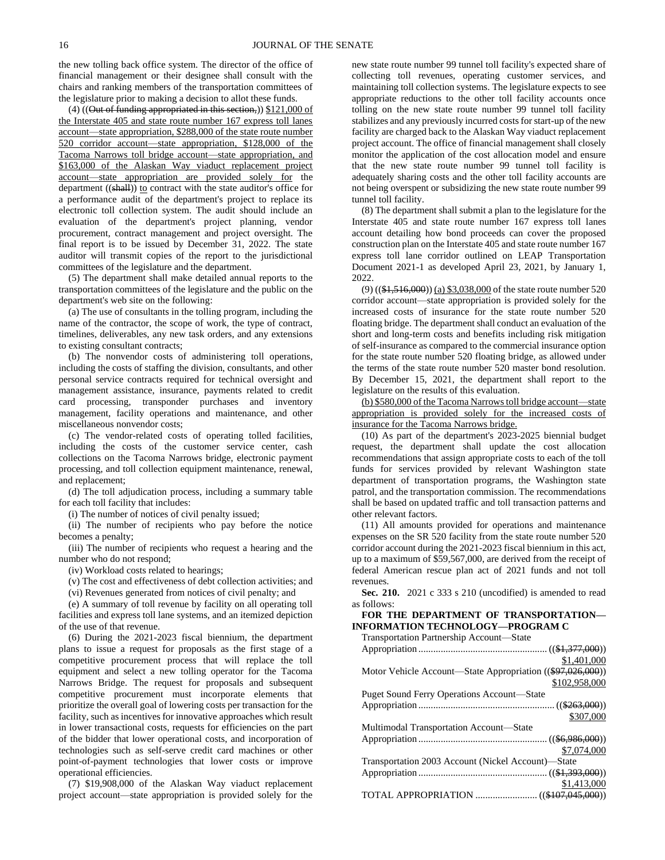the new tolling back office system. The director of the office of financial management or their designee shall consult with the chairs and ranking members of the transportation committees of the legislature prior to making a decision to allot these funds.

(4) ((Out of funding appropriated in this section,)) \$121,000 of the Interstate 405 and state route number 167 express toll lanes account—state appropriation, \$288,000 of the state route number 520 corridor account—state appropriation, \$128,000 of the Tacoma Narrows toll bridge account—state appropriation, and \$163,000 of the Alaskan Way viaduct replacement project account—state appropriation are provided solely for the department  $((shall))$  to contract with the state auditor's office for a performance audit of the department's project to replace its electronic toll collection system. The audit should include an evaluation of the department's project planning, vendor procurement, contract management and project oversight. The final report is to be issued by December 31, 2022. The state auditor will transmit copies of the report to the jurisdictional committees of the legislature and the department.

(5) The department shall make detailed annual reports to the transportation committees of the legislature and the public on the department's web site on the following:

(a) The use of consultants in the tolling program, including the name of the contractor, the scope of work, the type of contract, timelines, deliverables, any new task orders, and any extensions to existing consultant contracts;

(b) The nonvendor costs of administering toll operations, including the costs of staffing the division, consultants, and other personal service contracts required for technical oversight and management assistance, insurance, payments related to credit card processing, transponder purchases and inventory management, facility operations and maintenance, and other miscellaneous nonvendor costs;

(c) The vendor-related costs of operating tolled facilities, including the costs of the customer service center, cash collections on the Tacoma Narrows bridge, electronic payment processing, and toll collection equipment maintenance, renewal, and replacement;

(d) The toll adjudication process, including a summary table for each toll facility that includes:

(i) The number of notices of civil penalty issued;

(ii) The number of recipients who pay before the notice becomes a penalty;

(iii) The number of recipients who request a hearing and the number who do not respond;

(iv) Workload costs related to hearings;

(v) The cost and effectiveness of debt collection activities; and

(vi) Revenues generated from notices of civil penalty; and

(e) A summary of toll revenue by facility on all operating toll facilities and express toll lane systems, and an itemized depiction of the use of that revenue.

(6) During the 2021-2023 fiscal biennium, the department plans to issue a request for proposals as the first stage of a competitive procurement process that will replace the toll equipment and select a new tolling operator for the Tacoma Narrows Bridge. The request for proposals and subsequent competitive procurement must incorporate elements that prioritize the overall goal of lowering costs per transaction for the facility, such as incentives for innovative approaches which result in lower transactional costs, requests for efficiencies on the part of the bidder that lower operational costs, and incorporation of technologies such as self-serve credit card machines or other point-of-payment technologies that lower costs or improve operational efficiencies.

(7) \$19,908,000 of the Alaskan Way viaduct replacement project account—state appropriation is provided solely for the

new state route number 99 tunnel toll facility's expected share of collecting toll revenues, operating customer services, and maintaining toll collection systems. The legislature expects to see appropriate reductions to the other toll facility accounts once tolling on the new state route number 99 tunnel toll facility stabilizes and any previously incurred costs for start-up of the new facility are charged back to the Alaskan Way viaduct replacement project account. The office of financial management shall closely monitor the application of the cost allocation model and ensure that the new state route number 99 tunnel toll facility is adequately sharing costs and the other toll facility accounts are not being overspent or subsidizing the new state route number 99 tunnel toll facility.

(8) The department shall submit a plan to the legislature for the Interstate 405 and state route number 167 express toll lanes account detailing how bond proceeds can cover the proposed construction plan on the Interstate 405 and state route number 167 express toll lane corridor outlined on LEAP Transportation Document 2021-1 as developed April 23, 2021, by January 1, 2022.

(9) ((\$1,516,000)) (a) \$3,038,000 of the state route number 520 corridor account—state appropriation is provided solely for the increased costs of insurance for the state route number 520 floating bridge. The department shall conduct an evaluation of the short and long-term costs and benefits including risk mitigation of self-insurance as compared to the commercial insurance option for the state route number 520 floating bridge, as allowed under the terms of the state route number 520 master bond resolution. By December 15, 2021, the department shall report to the legislature on the results of this evaluation.

(b) \$580,000 of the Tacoma Narrows toll bridge account—state appropriation is provided solely for the increased costs of insurance for the Tacoma Narrows bridge.

(10) As part of the department's 2023-2025 biennial budget request, the department shall update the cost allocation recommendations that assign appropriate costs to each of the toll funds for services provided by relevant Washington state department of transportation programs, the Washington state patrol, and the transportation commission. The recommendations shall be based on updated traffic and toll transaction patterns and other relevant factors.

(11) All amounts provided for operations and maintenance expenses on the SR 520 facility from the state route number 520 corridor account during the 2021-2023 fiscal biennium in this act, up to a maximum of \$59,567,000, are derived from the receipt of federal American rescue plan act of 2021 funds and not toll revenues.

**Sec. 210.** 2021 c 333 s 210 (uncodified) is amended to read as follows:

**FOR THE DEPARTMENT OF TRANSPORTATION— INFORMATION TECHNOLOGY—PROGRAM C**

Transportation Partnership Account—State

|                                                            | \$1,401,000   |
|------------------------------------------------------------|---------------|
| Motor Vehicle Account—State Appropriation ((\$97,026,000)) |               |
|                                                            | \$102,958,000 |
| <b>Puget Sound Ferry Operations Account—State</b>          |               |
|                                                            |               |
|                                                            | \$307,000     |
| Multimodal Transportation Account—State                    |               |
|                                                            |               |
|                                                            | \$7,074,000   |
| Transportation 2003 Account (Nickel Account)—State         |               |
|                                                            |               |
|                                                            | \$1,413,000   |
|                                                            |               |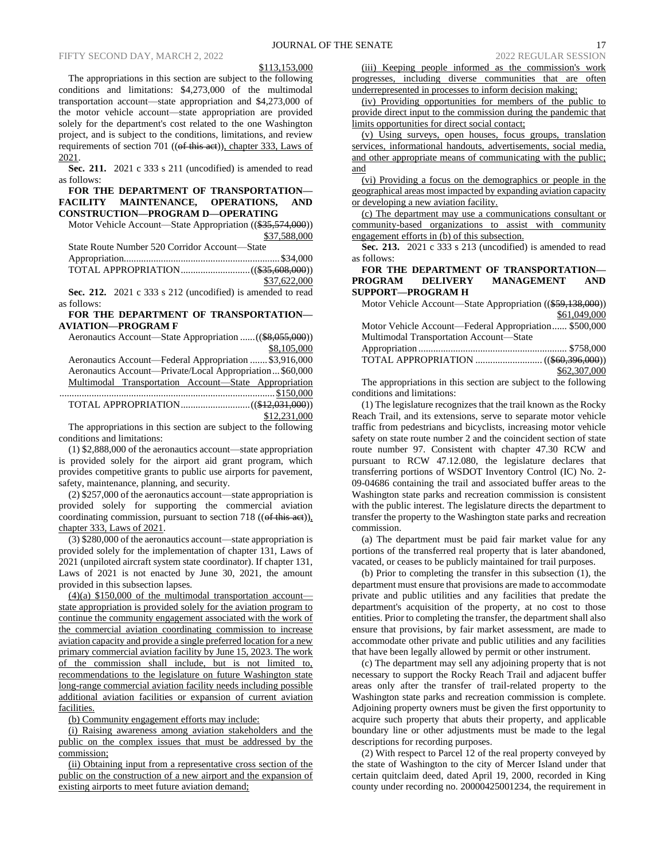## \$113,153,000

The appropriations in this section are subject to the following conditions and limitations: \$4,273,000 of the multimodal transportation account—state appropriation and \$4,273,000 of the motor vehicle account—state appropriation are provided solely for the department's cost related to the one Washington project, and is subject to the conditions, limitations, and review requirements of section 701 (( $ef$  this aet)), chapter 333, Laws of 2021.

**Sec. 211.** 2021 c 333 s 211 (uncodified) is amended to read as follows:

**FOR THE DEPARTMENT OF TRANSPORTATION— FACILITY MAINTENANCE, OPERATIONS, AND CONSTRUCTION—PROGRAM D—OPERATING**

Motor Vehicle Account—State Appropriation ((\$35,574,000)) \$37,588,000  $N$ umber 520 Countdor  $\Lambda$ 

| State Route Number 520 Corrigor Account—State |              |
|-----------------------------------------------|--------------|
|                                               |              |
|                                               |              |
|                                               | \$37,622,000 |

**Sec. 212.** 2021 c 333 s 212 (uncodified) is amended to read as follows:

## **FOR THE DEPARTMENT OF TRANSPORTATION— AVIATION—PROGRAM F**

Aeronautics Account—State Appropriation ......((\$8,055,000)) \$8,105,000

Aeronautics Account—Federal Appropriation ....... \$3,916,000 Aeronautics Account—Private/Local Appropriation...\$60,000 Multimodal Transportation Account—State Appropriation ....................................................................................... \$150,000 TOTAL APPROPRIATION............................((\$12,031,000)) \$12,231,000

The appropriations in this section are subject to the following conditions and limitations:

(1) \$2,888,000 of the aeronautics account—state appropriation is provided solely for the airport aid grant program, which provides competitive grants to public use airports for pavement, safety, maintenance, planning, and security.

(2) \$257,000 of the aeronautics account—state appropriation is provided solely for supporting the commercial aviation coordinating commission, pursuant to section 718 ((of this act)). chapter 333, Laws of 2021.

(3) \$280,000 of the aeronautics account—state appropriation is provided solely for the implementation of chapter 131, Laws of 2021 (unpiloted aircraft system state coordinator). If chapter 131, Laws of 2021 is not enacted by June 30, 2021, the amount provided in this subsection lapses.

 $(4)(a)$  \$150,000 of the multimodal transportation account state appropriation is provided solely for the aviation program to continue the community engagement associated with the work of the commercial aviation coordinating commission to increase aviation capacity and provide a single preferred location for a new primary commercial aviation facility by June 15, 2023. The work of the commission shall include, but is not limited to, recommendations to the legislature on future Washington state long-range commercial aviation facility needs including possible additional aviation facilities or expansion of current aviation facilities.

(b) Community engagement efforts may include:

(i) Raising awareness among aviation stakeholders and the public on the complex issues that must be addressed by the commission;

(ii) Obtaining input from a representative cross section of the public on the construction of a new airport and the expansion of existing airports to meet future aviation demand;

(iii) Keeping people informed as the commission's work progresses, including diverse communities that are often underrepresented in processes to inform decision making;

(iv) Providing opportunities for members of the public to provide direct input to the commission during the pandemic that limits opportunities for direct social contact;

(v) Using surveys, open houses, focus groups, translation services, informational handouts, advertisements, social media, and other appropriate means of communicating with the public; and

(vi) Providing a focus on the demographics or people in the geographical areas most impacted by expanding aviation capacity or developing a new aviation facility.

(c) The department may use a communications consultant or community-based organizations to assist with community engagement efforts in (b) of this subsection.

**Sec. 213.** 2021 c 333 s 213 (uncodified) is amended to read as follows:

# **FOR THE DEPARTMENT OF TRANSPORTATION— PROGRAM DELIVERY MANAGEMENT AND SUPPORT—PROGRAM H**

| Motor Vehicle Account—State Appropriation ((\$59,138,000)) |              |
|------------------------------------------------------------|--------------|
|                                                            | \$61,049,000 |
| Motor Vehicle Account—Federal Appropriation \$500,000      |              |
| Multimodal Transportation Account-State                    |              |
|                                                            |              |
|                                                            |              |
|                                                            | \$62,307,000 |

The appropriations in this section are subject to the following conditions and limitations:

(1) The legislature recognizes that the trail known as the Rocky Reach Trail, and its extensions, serve to separate motor vehicle traffic from pedestrians and bicyclists, increasing motor vehicle safety on state route number 2 and the coincident section of state route number 97. Consistent with chapter 47.30 RCW and pursuant to RCW 47.12.080, the legislature declares that transferring portions of WSDOT Inventory Control (IC) No. 2- 09-04686 containing the trail and associated buffer areas to the Washington state parks and recreation commission is consistent with the public interest. The legislature directs the department to transfer the property to the Washington state parks and recreation commission.

(a) The department must be paid fair market value for any portions of the transferred real property that is later abandoned, vacated, or ceases to be publicly maintained for trail purposes.

(b) Prior to completing the transfer in this subsection (1), the department must ensure that provisions are made to accommodate private and public utilities and any facilities that predate the department's acquisition of the property, at no cost to those entities. Prior to completing the transfer, the department shall also ensure that provisions, by fair market assessment, are made to accommodate other private and public utilities and any facilities that have been legally allowed by permit or other instrument.

(c) The department may sell any adjoining property that is not necessary to support the Rocky Reach Trail and adjacent buffer areas only after the transfer of trail-related property to the Washington state parks and recreation commission is complete. Adjoining property owners must be given the first opportunity to acquire such property that abuts their property, and applicable boundary line or other adjustments must be made to the legal descriptions for recording purposes.

(2) With respect to Parcel 12 of the real property conveyed by the state of Washington to the city of Mercer Island under that certain quitclaim deed, dated April 19, 2000, recorded in King county under recording no. 20000425001234, the requirement in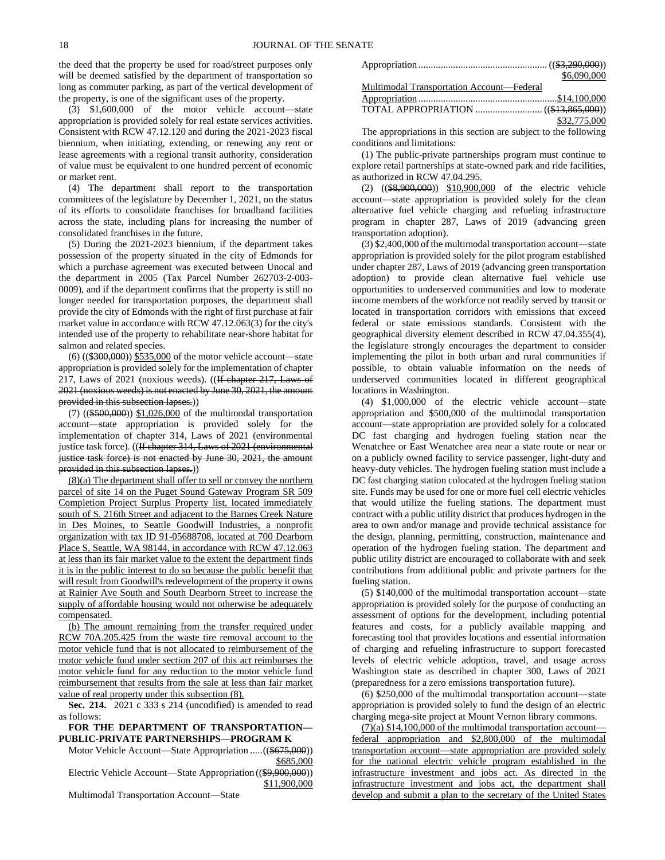the deed that the property be used for road/street purposes only will be deemed satisfied by the department of transportation so long as commuter parking, as part of the vertical development of the property, is one of the significant uses of the property.

(3) \$1,600,000 of the motor vehicle account—state appropriation is provided solely for real estate services activities. Consistent with RCW 47.12.120 and during the 2021-2023 fiscal biennium, when initiating, extending, or renewing any rent or lease agreements with a regional transit authority, consideration of value must be equivalent to one hundred percent of economic or market rent.

(4) The department shall report to the transportation committees of the legislature by December 1, 2021, on the status of its efforts to consolidate franchises for broadband facilities across the state, including plans for increasing the number of consolidated franchises in the future.

(5) During the 2021-2023 biennium, if the department takes possession of the property situated in the city of Edmonds for which a purchase agreement was executed between Unocal and the department in 2005 (Tax Parcel Number 262703-2-003- 0009), and if the department confirms that the property is still no longer needed for transportation purposes, the department shall provide the city of Edmonds with the right of first purchase at fair market value in accordance with RCW 47.12.063(3) for the city's intended use of the property to rehabilitate near-shore habitat for salmon and related species.

(6) ((\$300,000)) \$535,000 of the motor vehicle account—state appropriation is provided solely for the implementation of chapter 217, Laws of 2021 (noxious weeds). ((If chapter 217, Laws of 2021 (noxious weeds) is not enacted by June 30, 2021, the amount provided in this subsection lapses.))

(7) ((\$500,000)) \$1,026,000 of the multimodal transportation account—state appropriation is provided solely for the implementation of chapter 314, Laws of 2021 (environmental justice task force). ((If chapter 314, Laws of 2021 (environmental justice task force) is not enacted by June 30, 2021, the amount provided in this subsection lapses.))

(8)(a) The department shall offer to sell or convey the northern parcel of site 14 on the Puget Sound Gateway Program SR 509 Completion Project Surplus Property list, located immediately south of S. 216th Street and adjacent to the Barnes Creek Nature in Des Moines, to Seattle Goodwill Industries, a nonprofit organization with tax ID 91-05688708, located at 700 Dearborn Place S, Seattle, WA 98144, in accordance with RCW 47.12.063 at less than its fair market value to the extent the department finds it is in the public interest to do so because the public benefit that will result from Goodwill's redevelopment of the property it owns at Rainier Ave South and South Dearborn Street to increase the supply of affordable housing would not otherwise be adequately compensated.

(b) The amount remaining from the transfer required under RCW 70A.205.425 from the waste tire removal account to the motor vehicle fund that is not allocated to reimbursement of the motor vehicle fund under section 207 of this act reimburses the motor vehicle fund for any reduction to the motor vehicle fund reimbursement that results from the sale at less than fair market value of real property under this subsection (8).

**Sec. 214.** 2021 c 333 s 214 (uncodified) is amended to read as follows:

# **FOR THE DEPARTMENT OF TRANSPORTATION— PUBLIC-PRIVATE PARTNERSHIPS—PROGRAM K**

Motor Vehicle Account—State Appropriation ..... ((\$675,000)) \$685,000

Electric Vehicle Account—State Appropriation ((\$9,900,000)) \$11,900,000

Multimodal Transportation Account—State

|                                           | \$6,090,000  |
|-------------------------------------------|--------------|
| Multimodal Transportation Account—Federal |              |
|                                           |              |
|                                           |              |
|                                           | \$32,775,000 |

The appropriations in this section are subject to the following conditions and limitations:

(1) The public-private partnerships program must continue to explore retail partnerships at state-owned park and ride facilities, as authorized in RCW 47.04.295.

(2) ((\$8,900,000)) \$10,900,000 of the electric vehicle account—state appropriation is provided solely for the clean alternative fuel vehicle charging and refueling infrastructure program in chapter 287, Laws of 2019 (advancing green transportation adoption).

(3) \$2,400,000 of the multimodal transportation account—state appropriation is provided solely for the pilot program established under chapter 287, Laws of 2019 (advancing green transportation adoption) to provide clean alternative fuel vehicle use opportunities to underserved communities and low to moderate income members of the workforce not readily served by transit or located in transportation corridors with emissions that exceed federal or state emissions standards. Consistent with the geographical diversity element described in RCW 47.04.355(4), the legislature strongly encourages the department to consider implementing the pilot in both urban and rural communities if possible, to obtain valuable information on the needs of underserved communities located in different geographical locations in Washington.

(4) \$1,000,000 of the electric vehicle account—state appropriation and \$500,000 of the multimodal transportation account—state appropriation are provided solely for a colocated DC fast charging and hydrogen fueling station near the Wenatchee or East Wenatchee area near a state route or near or on a publicly owned facility to service passenger, light-duty and heavy-duty vehicles. The hydrogen fueling station must include a DC fast charging station colocated at the hydrogen fueling station site. Funds may be used for one or more fuel cell electric vehicles that would utilize the fueling stations. The department must contract with a public utility district that produces hydrogen in the area to own and/or manage and provide technical assistance for the design, planning, permitting, construction, maintenance and operation of the hydrogen fueling station. The department and public utility district are encouraged to collaborate with and seek contributions from additional public and private partners for the fueling station.

(5) \$140,000 of the multimodal transportation account—state appropriation is provided solely for the purpose of conducting an assessment of options for the development, including potential features and costs, for a publicly available mapping and forecasting tool that provides locations and essential information of charging and refueling infrastructure to support forecasted levels of electric vehicle adoption, travel, and usage across Washington state as described in chapter 300, Laws of 2021 (preparedness for a zero emissions transportation future).

(6) \$250,000 of the multimodal transportation account—state appropriation is provided solely to fund the design of an electric charging mega-site project at Mount Vernon library commons.

 $(7)(a)$  \$14,100,000 of the multimodal transportation accountfederal appropriation and \$2,800,000 of the multimodal transportation account—state appropriation are provided solely for the national electric vehicle program established in the infrastructure investment and jobs act. As directed in the infrastructure investment and jobs act, the department shall develop and submit a plan to the secretary of the United States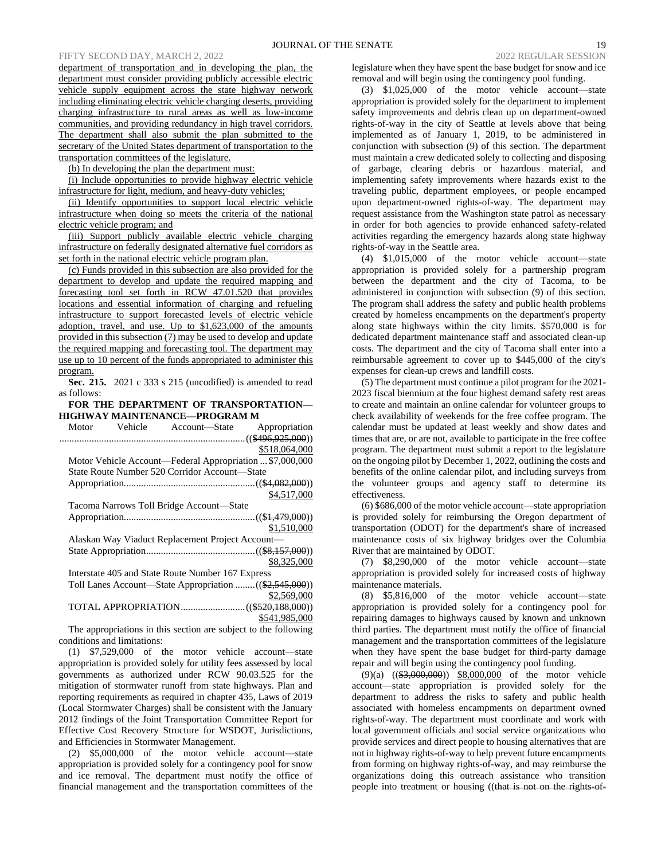department of transportation and in developing the plan, the department must consider providing publicly accessible electric vehicle supply equipment across the state highway network including eliminating electric vehicle charging deserts, providing charging infrastructure to rural areas as well as low-income communities, and providing redundancy in high travel corridors. The department shall also submit the plan submitted to the secretary of the United States department of transportation to the transportation committees of the legislature.

(b) In developing the plan the department must:

(i) Include opportunities to provide highway electric vehicle infrastructure for light, medium, and heavy-duty vehicles;

(ii) Identify opportunities to support local electric vehicle infrastructure when doing so meets the criteria of the national electric vehicle program; and

(iii) Support publicly available electric vehicle charging infrastructure on federally designated alternative fuel corridors as set forth in the national electric vehicle program plan.

(c) Funds provided in this subsection are also provided for the department to develop and update the required mapping and forecasting tool set forth in RCW 47.01.520 that provides locations and essential information of charging and refueling infrastructure to support forecasted levels of electric vehicle adoption, travel, and use. Up to \$1,623,000 of the amounts provided in this subsection (7) may be used to develop and update the required mapping and forecasting tool. The department may use up to 10 percent of the funds appropriated to administer this program.

**Sec. 215.** 2021 c 333 s 215 (uncodified) is amended to read as follows:

# **FOR THE DEPARTMENT OF TRANSPORTATION— HIGHWAY MAINTENANCE—PROGRAM M**

| Motor | Vehicle | Account—State                                            | Appropriation |
|-------|---------|----------------------------------------------------------|---------------|
|       |         |                                                          |               |
|       |         |                                                          | \$518,064,000 |
|       |         | Motor Vehicle Account—Federal Appropriation  \$7,000,000 |               |
|       |         | State Route Number 520 Corridor Account—State            |               |
|       |         |                                                          |               |
|       |         |                                                          | \$4,517,000   |
|       |         | Tacoma Narrows Toll Bridge Account-State                 |               |
|       |         |                                                          |               |
|       |         |                                                          | \$1,510,000   |
|       |         | Alaskan Way Viaduct Replacement Project Account—         |               |
|       |         |                                                          |               |
|       |         |                                                          | \$8,325,000   |
|       |         | Interstate 405 and State Route Number 167 Express        |               |
|       |         | Toll Lanes Account—State Appropriation ((\$2,545,000))   |               |
|       |         |                                                          | \$2,569,000   |
|       |         |                                                          |               |
|       |         |                                                          | \$541,985,000 |

The appropriations in this section are subject to the following conditions and limitations:

(1) \$7,529,000 of the motor vehicle account—state appropriation is provided solely for utility fees assessed by local governments as authorized under RCW 90.03.525 for the mitigation of stormwater runoff from state highways. Plan and reporting requirements as required in chapter 435, Laws of 2019 (Local Stormwater Charges) shall be consistent with the January 2012 findings of the Joint Transportation Committee Report for Effective Cost Recovery Structure for WSDOT, Jurisdictions, and Efficiencies in Stormwater Management.

(2) \$5,000,000 of the motor vehicle account—state appropriation is provided solely for a contingency pool for snow and ice removal. The department must notify the office of financial management and the transportation committees of the legislature when they have spent the base budget for snow and ice removal and will begin using the contingency pool funding.

(3) \$1,025,000 of the motor vehicle account—state appropriation is provided solely for the department to implement safety improvements and debris clean up on department-owned rights-of-way in the city of Seattle at levels above that being implemented as of January 1, 2019, to be administered in conjunction with subsection (9) of this section. The department must maintain a crew dedicated solely to collecting and disposing of garbage, clearing debris or hazardous material, and implementing safety improvements where hazards exist to the traveling public, department employees, or people encamped upon department-owned rights-of-way. The department may request assistance from the Washington state patrol as necessary in order for both agencies to provide enhanced safety-related activities regarding the emergency hazards along state highway rights-of-way in the Seattle area.

(4) \$1,015,000 of the motor vehicle account—state appropriation is provided solely for a partnership program between the department and the city of Tacoma, to be administered in conjunction with subsection (9) of this section. The program shall address the safety and public health problems created by homeless encampments on the department's property along state highways within the city limits. \$570,000 is for dedicated department maintenance staff and associated clean-up costs. The department and the city of Tacoma shall enter into a reimbursable agreement to cover up to \$445,000 of the city's expenses for clean-up crews and landfill costs.

(5) The department must continue a pilot program for the 2021- 2023 fiscal biennium at the four highest demand safety rest areas to create and maintain an online calendar for volunteer groups to check availability of weekends for the free coffee program. The calendar must be updated at least weekly and show dates and times that are, or are not, available to participate in the free coffee program. The department must submit a report to the legislature on the ongoing pilot by December 1, 2022, outlining the costs and benefits of the online calendar pilot, and including surveys from the volunteer groups and agency staff to determine its effectiveness.

(6) \$686,000 of the motor vehicle account—state appropriation is provided solely for reimbursing the Oregon department of transportation (ODOT) for the department's share of increased maintenance costs of six highway bridges over the Columbia River that are maintained by ODOT.

(7) \$8,290,000 of the motor vehicle account—state appropriation is provided solely for increased costs of highway maintenance materials.

(8) \$5,816,000 of the motor vehicle account—state appropriation is provided solely for a contingency pool for repairing damages to highways caused by known and unknown third parties. The department must notify the office of financial management and the transportation committees of the legislature when they have spent the base budget for third-party damage repair and will begin using the contingency pool funding.

(9)(a) ((\$3,000,000)) \$8,000,000 of the motor vehicle account—state appropriation is provided solely for the department to address the risks to safety and public health associated with homeless encampments on department owned rights-of-way. The department must coordinate and work with local government officials and social service organizations who provide services and direct people to housing alternatives that are not in highway rights-of-way to help prevent future encampments from forming on highway rights-of-way, and may reimburse the organizations doing this outreach assistance who transition people into treatment or housing ((that is not on the rights-of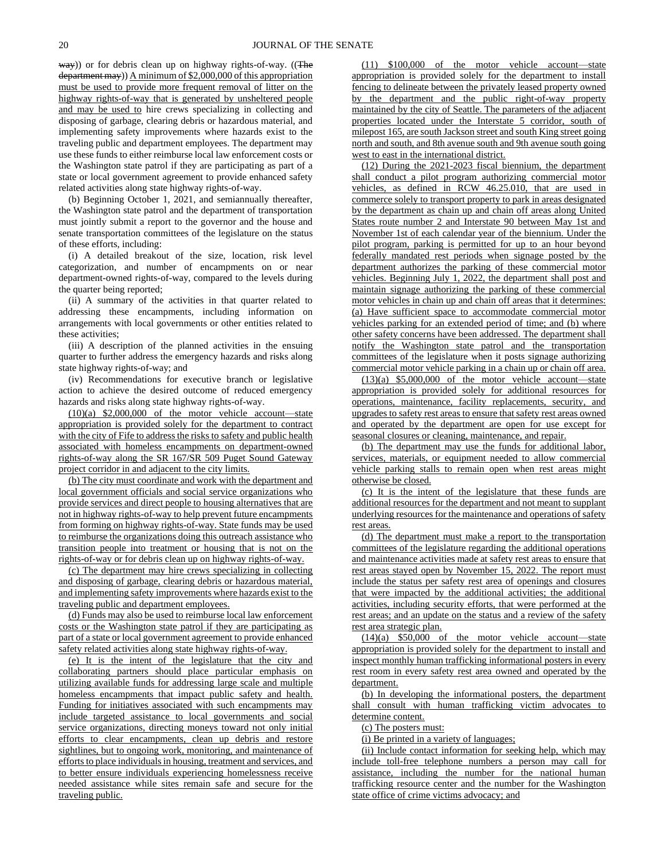way)) or for debris clean up on highway rights-of-way. ((The department may)) A minimum of \$2,000,000 of this appropriation must be used to provide more frequent removal of litter on the highway rights-of-way that is generated by unsheltered people and may be used to hire crews specializing in collecting and disposing of garbage, clearing debris or hazardous material, and implementing safety improvements where hazards exist to the traveling public and department employees. The department may use these funds to either reimburse local law enforcement costs or the Washington state patrol if they are participating as part of a state or local government agreement to provide enhanced safety related activities along state highway rights-of-way.

(b) Beginning October 1, 2021, and semiannually thereafter, the Washington state patrol and the department of transportation must jointly submit a report to the governor and the house and senate transportation committees of the legislature on the status of these efforts, including:

(i) A detailed breakout of the size, location, risk level categorization, and number of encampments on or near department-owned rights-of-way, compared to the levels during the quarter being reported;

(ii) A summary of the activities in that quarter related to addressing these encampments, including information on arrangements with local governments or other entities related to these activities;

(iii) A description of the planned activities in the ensuing quarter to further address the emergency hazards and risks along state highway rights-of-way; and

(iv) Recommendations for executive branch or legislative action to achieve the desired outcome of reduced emergency hazards and risks along state highway rights-of-way.

 $(10)(a)$  \$2,000,000 of the motor vehicle account—state appropriation is provided solely for the department to contract with the city of Fife to address the risks to safety and public health associated with homeless encampments on department-owned rights-of-way along the SR 167/SR 509 Puget Sound Gateway project corridor in and adjacent to the city limits.

(b) The city must coordinate and work with the department and local government officials and social service organizations who provide services and direct people to housing alternatives that are not in highway rights-of-way to help prevent future encampments from forming on highway rights-of-way. State funds may be used to reimburse the organizations doing this outreach assistance who transition people into treatment or housing that is not on the rights-of-way or for debris clean up on highway rights-of-way.

(c) The department may hire crews specializing in collecting and disposing of garbage, clearing debris or hazardous material, and implementing safety improvements where hazards exist to the traveling public and department employees.

(d) Funds may also be used to reimburse local law enforcement costs or the Washington state patrol if they are participating as part of a state or local government agreement to provide enhanced safety related activities along state highway rights-of-way.

(e) It is the intent of the legislature that the city and collaborating partners should place particular emphasis on utilizing available funds for addressing large scale and multiple homeless encampments that impact public safety and health. Funding for initiatives associated with such encampments may include targeted assistance to local governments and social service organizations, directing moneys toward not only initial efforts to clear encampments, clean up debris and restore sightlines, but to ongoing work, monitoring, and maintenance of efforts to place individuals in housing, treatment and services, and to better ensure individuals experiencing homelessness receive needed assistance while sites remain safe and secure for the traveling public.

(11) \$100,000 of the motor vehicle account—state appropriation is provided solely for the department to install fencing to delineate between the privately leased property owned by the department and the public right-of-way property maintained by the city of Seattle. The parameters of the adjacent properties located under the Interstate 5 corridor, south of milepost 165, are south Jackson street and south King street going north and south, and 8th avenue south and 9th avenue south going west to east in the international district.

(12) During the 2021-2023 fiscal biennium, the department shall conduct a pilot program authorizing commercial motor vehicles, as defined in RCW 46.25.010, that are used in commerce solely to transport property to park in areas designated by the department as chain up and chain off areas along United States route number 2 and Interstate 90 between May 1st and November 1st of each calendar year of the biennium. Under the pilot program, parking is permitted for up to an hour beyond federally mandated rest periods when signage posted by the department authorizes the parking of these commercial motor vehicles. Beginning July 1, 2022, the department shall post and maintain signage authorizing the parking of these commercial motor vehicles in chain up and chain off areas that it determines: (a) Have sufficient space to accommodate commercial motor vehicles parking for an extended period of time; and (b) where other safety concerns have been addressed. The department shall notify the Washington state patrol and the transportation committees of the legislature when it posts signage authorizing commercial motor vehicle parking in a chain up or chain off area.

 $(13)(a)$  \$5,000,000 of the motor vehicle account—state appropriation is provided solely for additional resources for operations, maintenance, facility replacements, security, and upgrades to safety rest areas to ensure that safety rest areas owned and operated by the department are open for use except for seasonal closures or cleaning, maintenance, and repair.

(b) The department may use the funds for additional labor, services, materials, or equipment needed to allow commercial vehicle parking stalls to remain open when rest areas might otherwise be closed.

(c) It is the intent of the legislature that these funds are additional resources for the department and not meant to supplant underlying resources for the maintenance and operations of safety rest areas.

(d) The department must make a report to the transportation committees of the legislature regarding the additional operations and maintenance activities made at safety rest areas to ensure that rest areas stayed open by November 15, 2022. The report must include the status per safety rest area of openings and closures that were impacted by the additional activities; the additional activities, including security efforts, that were performed at the rest areas; and an update on the status and a review of the safety rest area strategic plan.

(14)(a) \$50,000 of the motor vehicle account—state appropriation is provided solely for the department to install and inspect monthly human trafficking informational posters in every rest room in every safety rest area owned and operated by the department.

(b) In developing the informational posters, the department shall consult with human trafficking victim advocates to determine content.

(c) The posters must:

(i) Be printed in a variety of languages;

(ii) Include contact information for seeking help, which may include toll-free telephone numbers a person may call for assistance, including the number for the national human trafficking resource center and the number for the Washington state office of crime victims advocacy; and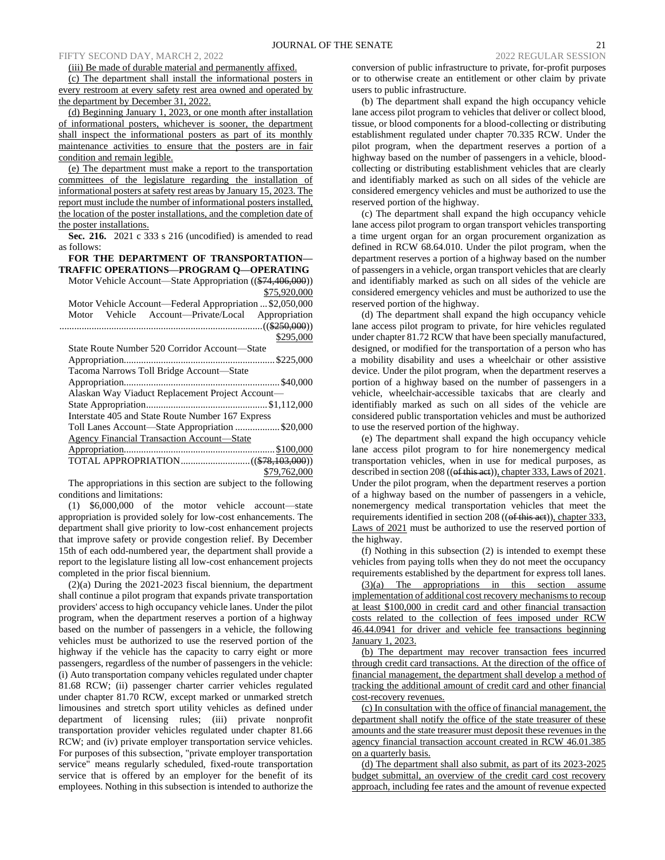(iii) Be made of durable material and permanently affixed.

(c) The department shall install the informational posters in every restroom at every safety rest area owned and operated by the department by December 31, 2022.

(d) Beginning January 1, 2023, or one month after installation of informational posters, whichever is sooner, the department shall inspect the informational posters as part of its monthly maintenance activities to ensure that the posters are in fair condition and remain legible.

(e) The department must make a report to the transportation committees of the legislature regarding the installation of informational posters at safety rest areas by January 15, 2023. The report must include the number of informational posters installed, the location of the poster installations, and the completion date of the poster installations.

**Sec. 216.** 2021 c 333 s 216 (uncodified) is amended to read as follows:

# **FOR THE DEPARTMENT OF TRANSPORTATION— TRAFFIC OPERATIONS—PROGRAM Q—OPERATING**

Motor Vehicle Account—State Appropriation ((\$74,406,000)) \$75,920,000

Motor Vehicle Account—Federal Appropriation ... \$2,050,000 Motor Vehicle Account—Private/Local Appropriation ..................................................................................((\$250,000)) \$295,000

| State Route Number 520 Corridor Account—State     |
|---------------------------------------------------|
|                                                   |
| Tacoma Narrows Toll Bridge Account-State          |
|                                                   |
| Alaskan Way Viaduct Replacement Project Account-  |
|                                                   |
| Interstate 405 and State Route Number 167 Express |
| Toll Lanes Account—State Appropriation \$20,000   |
| <b>Agency Financial Transaction Account—State</b> |
|                                                   |
|                                                   |
| \$79,762,000                                      |

The appropriations in this section are subject to the following conditions and limitations:

(1) \$6,000,000 of the motor vehicle account—state appropriation is provided solely for low-cost enhancements. The department shall give priority to low-cost enhancement projects that improve safety or provide congestion relief. By December 15th of each odd-numbered year, the department shall provide a report to the legislature listing all low-cost enhancement projects completed in the prior fiscal biennium.

(2)(a) During the 2021-2023 fiscal biennium, the department shall continue a pilot program that expands private transportation providers' access to high occupancy vehicle lanes. Under the pilot program, when the department reserves a portion of a highway based on the number of passengers in a vehicle, the following vehicles must be authorized to use the reserved portion of the highway if the vehicle has the capacity to carry eight or more passengers, regardless of the number of passengers in the vehicle: (i) Auto transportation company vehicles regulated under chapter 81.68 RCW; (ii) passenger charter carrier vehicles regulated under chapter 81.70 RCW, except marked or unmarked stretch limousines and stretch sport utility vehicles as defined under department of licensing rules; (iii) private nonprofit transportation provider vehicles regulated under chapter 81.66 RCW; and (iv) private employer transportation service vehicles. For purposes of this subsection, "private employer transportation service" means regularly scheduled, fixed-route transportation service that is offered by an employer for the benefit of its employees. Nothing in this subsection is intended to authorize the conversion of public infrastructure to private, for-profit purposes or to otherwise create an entitlement or other claim by private users to public infrastructure.

(b) The department shall expand the high occupancy vehicle lane access pilot program to vehicles that deliver or collect blood, tissue, or blood components for a blood-collecting or distributing establishment regulated under chapter 70.335 RCW. Under the pilot program, when the department reserves a portion of a highway based on the number of passengers in a vehicle, bloodcollecting or distributing establishment vehicles that are clearly and identifiably marked as such on all sides of the vehicle are considered emergency vehicles and must be authorized to use the reserved portion of the highway.

(c) The department shall expand the high occupancy vehicle lane access pilot program to organ transport vehicles transporting a time urgent organ for an organ procurement organization as defined in RCW 68.64.010. Under the pilot program, when the department reserves a portion of a highway based on the number of passengers in a vehicle, organ transport vehicles that are clearly and identifiably marked as such on all sides of the vehicle are considered emergency vehicles and must be authorized to use the reserved portion of the highway.

(d) The department shall expand the high occupancy vehicle lane access pilot program to private, for hire vehicles regulated under chapter 81.72 RCW that have been specially manufactured, designed, or modified for the transportation of a person who has a mobility disability and uses a wheelchair or other assistive device. Under the pilot program, when the department reserves a portion of a highway based on the number of passengers in a vehicle, wheelchair-accessible taxicabs that are clearly and identifiably marked as such on all sides of the vehicle are considered public transportation vehicles and must be authorized to use the reserved portion of the highway.

(e) The department shall expand the high occupancy vehicle lane access pilot program to for hire nonemergency medical transportation vehicles, when in use for medical purposes, as described in section 208 ((of this act)), chapter 333, Laws of 2021. Under the pilot program, when the department reserves a portion of a highway based on the number of passengers in a vehicle, nonemergency medical transportation vehicles that meet the requirements identified in section 208 (( $\theta$ f this aet)), chapter 333, Laws of 2021 must be authorized to use the reserved portion of the highway.

(f) Nothing in this subsection (2) is intended to exempt these vehicles from paying tolls when they do not meet the occupancy requirements established by the department for express toll lanes.

(3)(a) The appropriations in this section assume implementation of additional cost recovery mechanisms to recoup at least \$100,000 in credit card and other financial transaction costs related to the collection of fees imposed under RCW 46.44.0941 for driver and vehicle fee transactions beginning January 1, 2023.

(b) The department may recover transaction fees incurred through credit card transactions. At the direction of the office of financial management, the department shall develop a method of tracking the additional amount of credit card and other financial cost-recovery revenues.

(c) In consultation with the office of financial management, the department shall notify the office of the state treasurer of these amounts and the state treasurer must deposit these revenues in the agency financial transaction account created in RCW 46.01.385 on a quarterly basis.

(d) The department shall also submit, as part of its 2023-2025 budget submittal, an overview of the credit card cost recovery approach, including fee rates and the amount of revenue expected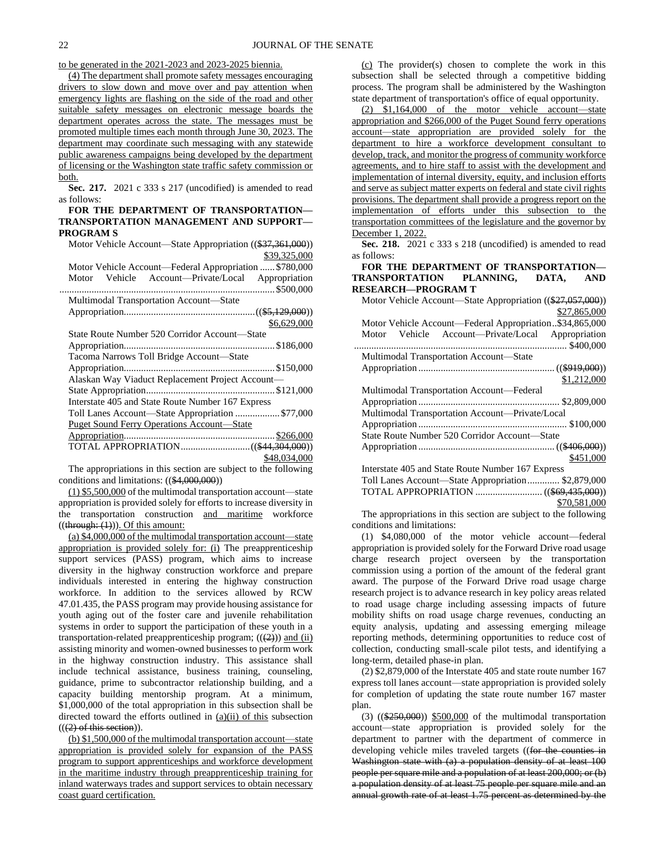to be generated in the 2021-2023 and 2023-2025 biennia.

(4) The department shall promote safety messages encouraging drivers to slow down and move over and pay attention when emergency lights are flashing on the side of the road and other suitable safety messages on electronic message boards the department operates across the state. The messages must be promoted multiple times each month through June 30, 2023. The department may coordinate such messaging with any statewide public awareness campaigns being developed by the department of licensing or the Washington state traffic safety commission or both.

**Sec. 217.** 2021 c 333 s 217 (uncodified) is amended to read as follows:

## **FOR THE DEPARTMENT OF TRANSPORTATION— TRANSPORTATION MANAGEMENT AND SUPPORT— PROGRAM S**

Motor Vehicle Account—State Appropriation ((\$37,361,000)) \$39,325,000

Motor Vehicle Account—Federal Appropriation ...... \$780,000 Motor Vehicle Account—Private/Local Appropriation ....................................................................................... \$500,000 Multimodal Transportation Account—State Appropriation.....................................................((\$5,129,000))

|                                                   | \$6,629,000  |
|---------------------------------------------------|--------------|
| State Route Number 520 Corridor Account—State     |              |
|                                                   |              |
| Tacoma Narrows Toll Bridge Account-State          |              |
|                                                   |              |
| Alaskan Way Viaduct Replacement Project Account—  |              |
|                                                   |              |
| Interstate 405 and State Route Number 167 Express |              |
| Toll Lanes Account-State Appropriation  \$77,000  |              |
| <b>Puget Sound Ferry Operations Account—State</b> |              |
|                                                   |              |
|                                                   |              |
|                                                   | \$48,034,000 |

The appropriations in this section are subject to the following conditions and limitations: ((\$4,000,000))

(1) \$5,500,000 of the multimodal transportation account—state appropriation is provided solely for efforts to increase diversity in the transportation construction and maritime workforce  $((\text{through: } (1))$ ). Of this amount:

(a) \$4,000,000 of the multimodal transportation account—state appropriation is provided solely for: (i) The preapprenticeship support services (PASS) program, which aims to increase diversity in the highway construction workforce and prepare individuals interested in entering the highway construction workforce. In addition to the services allowed by RCW 47.01.435, the PASS program may provide housing assistance for youth aging out of the foster care and juvenile rehabilitation systems in order to support the participation of these youth in a transportation-related preapprenticeship program;  $((2))$  and (ii) assisting minority and women-owned businesses to perform work in the highway construction industry. This assistance shall include technical assistance, business training, counseling, guidance, prime to subcontractor relationship building, and a capacity building mentorship program. At a minimum, \$1,000,000 of the total appropriation in this subsection shall be directed toward the efforts outlined in (a)(ii) of this subsection  $((2)$  of this section)).

(b) \$1,500,000 of the multimodal transportation account—state appropriation is provided solely for expansion of the PASS program to support apprenticeships and workforce development in the maritime industry through preapprenticeship training for inland waterways trades and support services to obtain necessary coast guard certification.

(c) The provider(s) chosen to complete the work in this subsection shall be selected through a competitive bidding process. The program shall be administered by the Washington state department of transportation's office of equal opportunity.

(2) \$1,164,000 of the motor vehicle account—state appropriation and \$266,000 of the Puget Sound ferry operations account—state appropriation are provided solely for the department to hire a workforce development consultant to develop, track, and monitor the progress of community workforce agreements, and to hire staff to assist with the development and implementation of internal diversity, equity, and inclusion efforts and serve as subject matter experts on federal and state civil rights provisions. The department shall provide a progress report on the implementation of efforts under this subsection to the transportation committees of the legislature and the governor by December 1, 2022.

**Sec. 218.** 2021 c 333 s 218 (uncodified) is amended to read as follows:

# **FOR THE DEPARTMENT OF TRANSPORTATION— TRANSPORTATION PLANNING, DATA, AND RESEARCH—PROGRAM T**

| Motor Vehicle Account—State Appropriation ((\$27,057,000)) |
|------------------------------------------------------------|
| \$27,865,000                                               |
| Motor Vehicle Account-Federal Appropriation\$34,865,000    |
| Vehicle Account-Private/Local Appropriation<br>Motor       |
|                                                            |
| Multimodal Transportation Account-State                    |
|                                                            |
| \$1,212,000                                                |
| Multimodal Transportation Account—Federal                  |
|                                                            |
| Multimodal Transportation Account—Private/Local            |
|                                                            |
| State Route Number 520 Corridor Account—State              |
|                                                            |
| \$451,000                                                  |
| Interstate 405 and State Route Number 167 Express          |
| Toll Lanes Account-State Appropriation \$2,879,000         |
|                                                            |
| \$70,581,000                                               |

The appropriations in this section are subject to the following conditions and limitations:

(1) \$4,080,000 of the motor vehicle account—federal appropriation is provided solely for the Forward Drive road usage charge research project overseen by the transportation commission using a portion of the amount of the federal grant award. The purpose of the Forward Drive road usage charge research project is to advance research in key policy areas related to road usage charge including assessing impacts of future mobility shifts on road usage charge revenues, conducting an equity analysis, updating and assessing emerging mileage reporting methods, determining opportunities to reduce cost of collection, conducting small-scale pilot tests, and identifying a long-term, detailed phase-in plan.

(2) \$2,879,000 of the Interstate 405 and state route number 167 express toll lanes account—state appropriation is provided solely for completion of updating the state route number 167 master plan.

(3) ((\$250,000)) \$500,000 of the multimodal transportation account—state appropriation is provided solely for the department to partner with the department of commerce in developing vehicle miles traveled targets ((for the counties in Washington state with (a) a population density of at least 100 people per square mile and a population of at least 200,000; or (b) a population density of at least 75 people per square mile and an annual growth rate of at least 1.75 percent as determined by the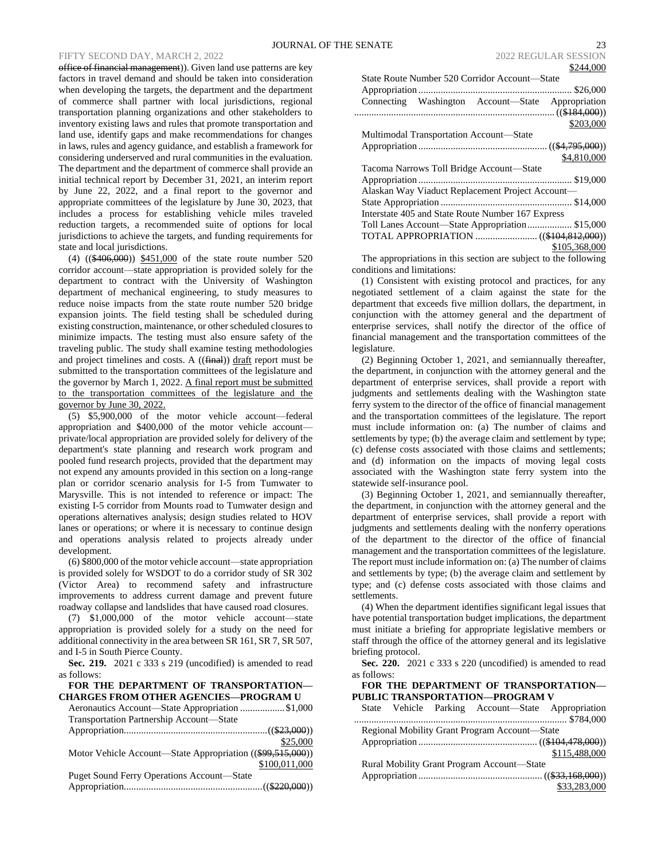office of financial management)). Given land use patterns are key factors in travel demand and should be taken into consideration when developing the targets, the department and the department of commerce shall partner with local jurisdictions, regional transportation planning organizations and other stakeholders to inventory existing laws and rules that promote transportation and land use, identify gaps and make recommendations for changes in laws, rules and agency guidance, and establish a framework for considering underserved and rural communities in the evaluation. The department and the department of commerce shall provide an initial technical report by December 31, 2021, an interim report by June 22, 2022, and a final report to the governor and appropriate committees of the legislature by June 30, 2023, that includes a process for establishing vehicle miles traveled reduction targets, a recommended suite of options for local jurisdictions to achieve the targets, and funding requirements for state and local jurisdictions.

(4) ((\$406,000)) \$451,000 of the state route number 520 corridor account—state appropriation is provided solely for the department to contract with the University of Washington department of mechanical engineering, to study measures to reduce noise impacts from the state route number 520 bridge expansion joints. The field testing shall be scheduled during existing construction, maintenance, or other scheduled closures to minimize impacts. The testing must also ensure safety of the traveling public. The study shall examine testing methodologies and project timelines and costs. A ((final)) draft report must be submitted to the transportation committees of the legislature and the governor by March 1, 2022. A final report must be submitted to the transportation committees of the legislature and the governor by June 30, 2022.

(5) \$5,900,000 of the motor vehicle account—federal appropriation and \$400,000 of the motor vehicle account private/local appropriation are provided solely for delivery of the department's state planning and research work program and pooled fund research projects, provided that the department may not expend any amounts provided in this section on a long-range plan or corridor scenario analysis for I-5 from Tumwater to Marysville. This is not intended to reference or impact: The existing I-5 corridor from Mounts road to Tumwater design and operations alternatives analysis; design studies related to HOV lanes or operations; or where it is necessary to continue design and operations analysis related to projects already under development.

(6) \$800,000 of the motor vehicle account—state appropriation is provided solely for WSDOT to do a corridor study of SR 302 (Victor Area) to recommend safety and infrastructure improvements to address current damage and prevent future roadway collapse and landslides that have caused road closures.

(7) \$1,000,000 of the motor vehicle account—state appropriation is provided solely for a study on the need for additional connectivity in the area between SR 161, SR 7, SR 507, and I-5 in South Pierce County.

**Sec. 219.** 2021 c 333 s 219 (uncodified) is amended to read as follows:

## **FOR THE DEPARTMENT OF TRANSPORTATION— CHARGES FROM OTHER AGENCIES—PROGRAM U**

Aeronautics Account—State Appropriation ..................\$1,000 Transportation Partnership Account—State

|                                                            | \$25,000      |
|------------------------------------------------------------|---------------|
| Motor Vehicle Account—State Appropriation ((\$99,515,000)) |               |
|                                                            | \$100,011,000 |
| <b>Puget Sound Ferry Operations Account—State</b>          |               |
|                                                            |               |

| State Route Number 520 Corridor Account—State     |
|---------------------------------------------------|
|                                                   |
| Connecting Washington Account—State Appropriation |
|                                                   |
| \$203,000                                         |
| Multimodal Transportation Account—State           |
|                                                   |
| \$4,810,000                                       |
| Tacoma Narrows Toll Bridge Account—State          |
|                                                   |
| Alaskan Way Viaduct Replacement Project Account—  |
|                                                   |
| Interstate 405 and State Route Number 167 Express |
| Toll Lanes Account—State Appropriation \$15,000   |
|                                                   |
| \$105,368,000                                     |
|                                                   |

The appropriations in this section are subject to the following conditions and limitations:

(1) Consistent with existing protocol and practices, for any negotiated settlement of a claim against the state for the department that exceeds five million dollars, the department, in conjunction with the attorney general and the department of enterprise services, shall notify the director of the office of financial management and the transportation committees of the legislature.

(2) Beginning October 1, 2021, and semiannually thereafter, the department, in conjunction with the attorney general and the department of enterprise services, shall provide a report with judgments and settlements dealing with the Washington state ferry system to the director of the office of financial management and the transportation committees of the legislature. The report must include information on: (a) The number of claims and settlements by type; (b) the average claim and settlement by type; (c) defense costs associated with those claims and settlements; and (d) information on the impacts of moving legal costs associated with the Washington state ferry system into the statewide self-insurance pool.

(3) Beginning October 1, 2021, and semiannually thereafter, the department, in conjunction with the attorney general and the department of enterprise services, shall provide a report with judgments and settlements dealing with the nonferry operations of the department to the director of the office of financial management and the transportation committees of the legislature. The report must include information on: (a) The number of claims and settlements by type; (b) the average claim and settlement by type; and (c) defense costs associated with those claims and settlements.

(4) When the department identifies significant legal issues that have potential transportation budget implications, the department must initiate a briefing for appropriate legislative members or staff through the office of the attorney general and its legislative briefing protocol.

**Sec. 220.** 2021 c 333 s 220 (uncodified) is amended to read as follows:

**FOR THE DEPARTMENT OF TRANSPORTATION— PUBLIC TRANSPORTATION—PROGRAM V**

|                                               |  |  | State Vehicle Parking Account—State Appropriation |               |
|-----------------------------------------------|--|--|---------------------------------------------------|---------------|
|                                               |  |  |                                                   |               |
| Regional Mobility Grant Program Account—State |  |  |                                                   |               |
|                                               |  |  |                                                   |               |
|                                               |  |  |                                                   | \$115,488,000 |
| Rural Mobility Grant Program Account—State    |  |  |                                                   |               |
|                                               |  |  |                                                   |               |
|                                               |  |  |                                                   | \$33,283,000  |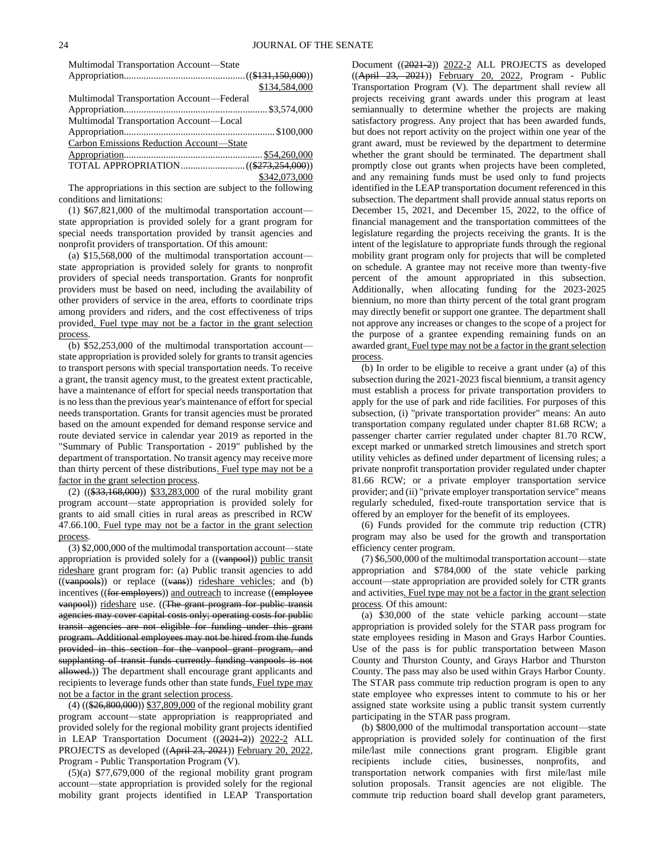| Multimodal Transportation Account-State   |               |
|-------------------------------------------|---------------|
|                                           |               |
|                                           | \$134,584,000 |
| Multimodal Transportation Account-Federal |               |
|                                           |               |
| Multimodal Transportation Account-Local   |               |
|                                           |               |
| Carbon Emissions Reduction Account-State  |               |
|                                           |               |
|                                           |               |
|                                           | \$342,073,000 |

The appropriations in this section are subject to the following conditions and limitations:

(1) \$67,821,000 of the multimodal transportation account state appropriation is provided solely for a grant program for special needs transportation provided by transit agencies and nonprofit providers of transportation. Of this amount:

(a) \$15,568,000 of the multimodal transportation account state appropriation is provided solely for grants to nonprofit providers of special needs transportation. Grants for nonprofit providers must be based on need, including the availability of other providers of service in the area, efforts to coordinate trips among providers and riders, and the cost effectiveness of trips provided. Fuel type may not be a factor in the grant selection process.

(b) \$52,253,000 of the multimodal transportation account state appropriation is provided solely for grants to transit agencies to transport persons with special transportation needs. To receive a grant, the transit agency must, to the greatest extent practicable, have a maintenance of effort for special needs transportation that is no less than the previous year's maintenance of effort for special needs transportation. Grants for transit agencies must be prorated based on the amount expended for demand response service and route deviated service in calendar year 2019 as reported in the "Summary of Public Transportation - 2019" published by the department of transportation. No transit agency may receive more than thirty percent of these distributions. Fuel type may not be a factor in the grant selection process.

(2) ((\$33,168,000)) \$33,283,000 of the rural mobility grant program account—state appropriation is provided solely for grants to aid small cities in rural areas as prescribed in RCW 47.66.100. Fuel type may not be a factor in the grant selection process.

(3) \$2,000,000 of the multimodal transportation account—state appropriation is provided solely for a ((vanpool)) public transit rideshare grant program for: (a) Public transit agencies to add  $((\overline{vanpools})$  or replace  $((\overline{vans}))$  rideshare vehicles; and (b) incentives ((for employers)) and outreach to increase ((employee vanpool)) rideshare use. ((The grant program for public transit agencies may cover capital costs only; operating costs for public transit agencies are not eligible for funding under this grant program. Additional employees may not be hired from the funds provided in this section for the vanpool grant program, and supplanting of transit funds currently funding vanpools is not allowed.)) The department shall encourage grant applicants and recipients to leverage funds other than state funds. Fuel type may not be a factor in the grant selection process.

(4) ((\$26,800,000)) \$37,809,000 of the regional mobility grant program account—state appropriation is reappropriated and provided solely for the regional mobility grant projects identified in LEAP Transportation Document ((2021-2)) 2022-2 ALL PROJECTS as developed ((April 23, 2021)) February 20, 2022, Program - Public Transportation Program (V).

(5)(a) \$77,679,000 of the regional mobility grant program account—state appropriation is provided solely for the regional mobility grant projects identified in LEAP Transportation

Document ((2021-2)) 2022-2 ALL PROJECTS as developed ((April 23, 2021)) February 20, 2022, Program - Public Transportation Program (V). The department shall review all projects receiving grant awards under this program at least semiannually to determine whether the projects are making satisfactory progress. Any project that has been awarded funds, but does not report activity on the project within one year of the grant award, must be reviewed by the department to determine whether the grant should be terminated. The department shall promptly close out grants when projects have been completed, and any remaining funds must be used only to fund projects identified in the LEAP transportation document referenced in this subsection. The department shall provide annual status reports on December 15, 2021, and December 15, 2022, to the office of financial management and the transportation committees of the legislature regarding the projects receiving the grants. It is the intent of the legislature to appropriate funds through the regional mobility grant program only for projects that will be completed on schedule. A grantee may not receive more than twenty-five percent of the amount appropriated in this subsection. Additionally, when allocating funding for the 2023-2025 biennium, no more than thirty percent of the total grant program may directly benefit or support one grantee. The department shall not approve any increases or changes to the scope of a project for the purpose of a grantee expending remaining funds on an awarded grant. Fuel type may not be a factor in the grant selection process.

(b) In order to be eligible to receive a grant under (a) of this subsection during the 2021-2023 fiscal biennium, a transit agency must establish a process for private transportation providers to apply for the use of park and ride facilities. For purposes of this subsection, (i) "private transportation provider" means: An auto transportation company regulated under chapter 81.68 RCW; a passenger charter carrier regulated under chapter 81.70 RCW, except marked or unmarked stretch limousines and stretch sport utility vehicles as defined under department of licensing rules; a private nonprofit transportation provider regulated under chapter 81.66 RCW; or a private employer transportation service provider; and (ii) "private employer transportation service" means regularly scheduled, fixed-route transportation service that is offered by an employer for the benefit of its employees.

(6) Funds provided for the commute trip reduction (CTR) program may also be used for the growth and transportation efficiency center program.

(7) \$6,500,000 of the multimodal transportation account—state appropriation and \$784,000 of the state vehicle parking account—state appropriation are provided solely for CTR grants and activities. Fuel type may not be a factor in the grant selection process. Of this amount:

(a) \$30,000 of the state vehicle parking account—state appropriation is provided solely for the STAR pass program for state employees residing in Mason and Grays Harbor Counties. Use of the pass is for public transportation between Mason County and Thurston County, and Grays Harbor and Thurston County. The pass may also be used within Grays Harbor County. The STAR pass commute trip reduction program is open to any state employee who expresses intent to commute to his or her assigned state worksite using a public transit system currently participating in the STAR pass program.

(b) \$800,000 of the multimodal transportation account—state appropriation is provided solely for continuation of the first mile/last mile connections grant program. Eligible grant recipients include cities, businesses, nonprofits, and transportation network companies with first mile/last mile solution proposals. Transit agencies are not eligible. The commute trip reduction board shall develop grant parameters,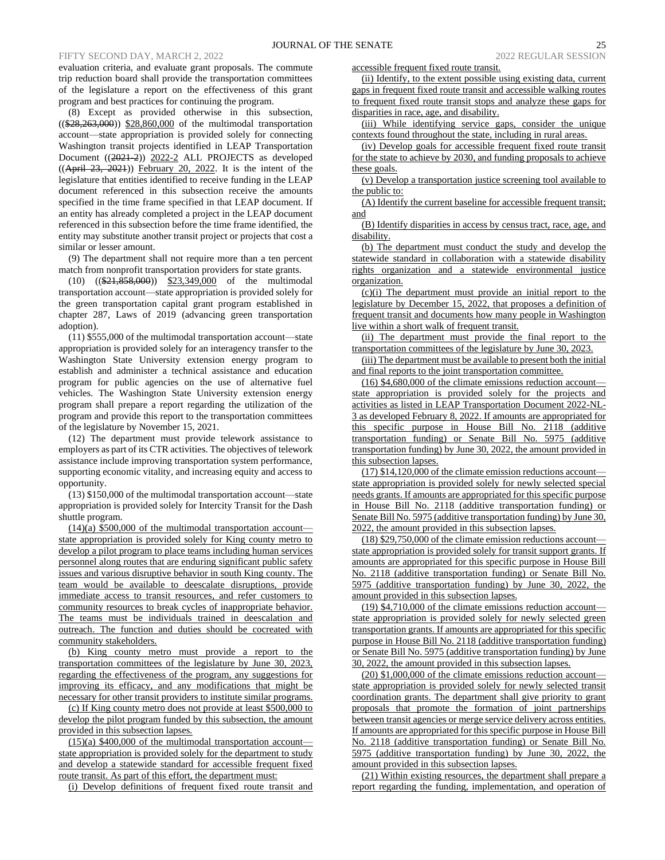evaluation criteria, and evaluate grant proposals. The commute trip reduction board shall provide the transportation committees of the legislature a report on the effectiveness of this grant program and best practices for continuing the program.

(8) Except as provided otherwise in this subsection, ((\$28,263,000)) \$28,860,000 of the multimodal transportation account—state appropriation is provided solely for connecting Washington transit projects identified in LEAP Transportation Document ((2021-2)) 2022-2 ALL PROJECTS as developed  $((Apiri<sup>1</sup> 23, 2021))$  February 20, 2022. It is the intent of the legislature that entities identified to receive funding in the LEAP document referenced in this subsection receive the amounts specified in the time frame specified in that LEAP document. If an entity has already completed a project in the LEAP document referenced in this subsection before the time frame identified, the entity may substitute another transit project or projects that cost a similar or lesser amount.

(9) The department shall not require more than a ten percent match from nonprofit transportation providers for state grants.

(10) ((\$21,858,000)) \$23,349,000 of the multimodal transportation account—state appropriation is provided solely for the green transportation capital grant program established in chapter 287, Laws of 2019 (advancing green transportation adoption).

(11) \$555,000 of the multimodal transportation account—state appropriation is provided solely for an interagency transfer to the Washington State University extension energy program to establish and administer a technical assistance and education program for public agencies on the use of alternative fuel vehicles. The Washington State University extension energy program shall prepare a report regarding the utilization of the program and provide this report to the transportation committees of the legislature by November 15, 2021.

(12) The department must provide telework assistance to employers as part of its CTR activities. The objectives of telework assistance include improving transportation system performance, supporting economic vitality, and increasing equity and access to opportunity.

(13) \$150,000 of the multimodal transportation account—state appropriation is provided solely for Intercity Transit for the Dash shuttle program.

 $(14)(a)$  \$500,000 of the multimodal transportation account state appropriation is provided solely for King county metro to develop a pilot program to place teams including human services personnel along routes that are enduring significant public safety issues and various disruptive behavior in south King county. The team would be available to deescalate disruptions, provide immediate access to transit resources, and refer customers to community resources to break cycles of inappropriate behavior. The teams must be individuals trained in deescalation and outreach. The function and duties should be cocreated with community stakeholders.

(b) King county metro must provide a report to the transportation committees of the legislature by June 30, 2023, regarding the effectiveness of the program, any suggestions for improving its efficacy, and any modifications that might be necessary for other transit providers to institute similar programs.

(c) If King county metro does not provide at least \$500,000 to develop the pilot program funded by this subsection, the amount provided in this subsection lapses.

 $(15)(a)$  \$400,000 of the multimodal transportation account state appropriation is provided solely for the department to study and develop a statewide standard for accessible frequent fixed route transit. As part of this effort, the department must:

(i) Develop definitions of frequent fixed route transit and

accessible frequent fixed route transit.

(ii) Identify, to the extent possible using existing data, current gaps in frequent fixed route transit and accessible walking routes to frequent fixed route transit stops and analyze these gaps for disparities in race, age, and disability.

(iii) While identifying service gaps, consider the unique contexts found throughout the state, including in rural areas.

(iv) Develop goals for accessible frequent fixed route transit for the state to achieve by 2030, and funding proposals to achieve these goals.

(v) Develop a transportation justice screening tool available to the public to:

(A) Identify the current baseline for accessible frequent transit; and

(B) Identify disparities in access by census tract, race, age, and disability.

(b) The department must conduct the study and develop the statewide standard in collaboration with a statewide disability rights organization and a statewide environmental justice organization.

(c)(i) The department must provide an initial report to the legislature by December 15, 2022, that proposes a definition of frequent transit and documents how many people in Washington live within a short walk of frequent transit.

(ii) The department must provide the final report to the transportation committees of the legislature by June 30, 2023.

(iii) The department must be available to present both the initial and final reports to the joint transportation committee.

(16) \$4,680,000 of the climate emissions reduction account state appropriation is provided solely for the projects and activities as listed in LEAP Transportation Document 2022-NL-3 as developed February 8, 2022. If amounts are appropriated for this specific purpose in House Bill No. 2118 (additive transportation funding) or Senate Bill No. 5975 (additive transportation funding) by June 30, 2022, the amount provided in this subsection lapses.

(17) \$14,120,000 of the climate emission reductions account state appropriation is provided solely for newly selected special needs grants. If amounts are appropriated for this specific purpose in House Bill No. 2118 (additive transportation funding) or Senate Bill No. 5975 (additive transportation funding) by June 30, 2022, the amount provided in this subsection lapses.

(18) \$29,750,000 of the climate emission reductions account state appropriation is provided solely for transit support grants. If amounts are appropriated for this specific purpose in House Bill No. 2118 (additive transportation funding) or Senate Bill No. 5975 (additive transportation funding) by June 30, 2022, the amount provided in this subsection lapses.

(19) \$4,710,000 of the climate emissions reduction account state appropriation is provided solely for newly selected green transportation grants. If amounts are appropriated for this specific purpose in House Bill No. 2118 (additive transportation funding) or Senate Bill No. 5975 (additive transportation funding) by June 30, 2022, the amount provided in this subsection lapses.

(20) \$1,000,000 of the climate emissions reduction account state appropriation is provided solely for newly selected transit coordination grants. The department shall give priority to grant proposals that promote the formation of joint partnerships between transit agencies or merge service delivery across entities. If amounts are appropriated for this specific purpose in House Bill No. 2118 (additive transportation funding) or Senate Bill No. 5975 (additive transportation funding) by June 30, 2022, the amount provided in this subsection lapses.

(21) Within existing resources, the department shall prepare a report regarding the funding, implementation, and operation of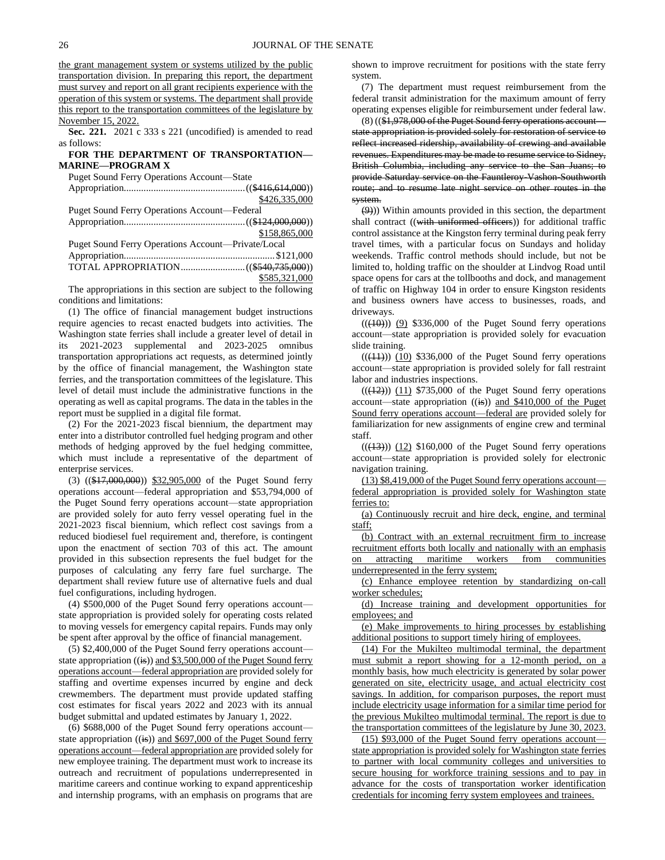the grant management system or systems utilized by the public transportation division. In preparing this report, the department must survey and report on all grant recipients experience with the operation of this system or systems. The department shall provide this report to the transportation committees of the legislature by November 15, 2022.

**Sec. 221.** 2021 c 333 s 221 (uncodified) is amended to read as follows:

# **FOR THE DEPARTMENT OF TRANSPORTATION— MARINE—PROGRAM X**

Puget Sound Ferry Operations Account—State

|                                                    | \$426,335,000 |
|----------------------------------------------------|---------------|
| Puget Sound Ferry Operations Account-Federal       |               |
|                                                    |               |
|                                                    | \$158,865,000 |
| Puget Sound Ferry Operations Account—Private/Local |               |
|                                                    |               |
|                                                    |               |
|                                                    | \$585,321,000 |

The appropriations in this section are subject to the following conditions and limitations:

(1) The office of financial management budget instructions require agencies to recast enacted budgets into activities. The Washington state ferries shall include a greater level of detail in its 2021-2023 supplemental and 2023-2025 omnibus transportation appropriations act requests, as determined jointly by the office of financial management, the Washington state ferries, and the transportation committees of the legislature. This level of detail must include the administrative functions in the operating as well as capital programs. The data in the tables in the report must be supplied in a digital file format.

(2) For the 2021-2023 fiscal biennium, the department may enter into a distributor controlled fuel hedging program and other methods of hedging approved by the fuel hedging committee, which must include a representative of the department of enterprise services.

(3) ((\$17,000,000)) \$32,905,000 of the Puget Sound ferry operations account—federal appropriation and \$53,794,000 of the Puget Sound ferry operations account—state appropriation are provided solely for auto ferry vessel operating fuel in the 2021-2023 fiscal biennium, which reflect cost savings from a reduced biodiesel fuel requirement and, therefore, is contingent upon the enactment of section 703 of this act. The amount provided in this subsection represents the fuel budget for the purposes of calculating any ferry fare fuel surcharge. The department shall review future use of alternative fuels and dual fuel configurations, including hydrogen.

(4) \$500,000 of the Puget Sound ferry operations account state appropriation is provided solely for operating costs related to moving vessels for emergency capital repairs. Funds may only be spent after approval by the office of financial management.

(5) \$2,400,000 of the Puget Sound ferry operations account state appropriation ((is)) and \$3,500,000 of the Puget Sound ferry operations account—federal appropriation are provided solely for staffing and overtime expenses incurred by engine and deck crewmembers. The department must provide updated staffing cost estimates for fiscal years 2022 and 2023 with its annual budget submittal and updated estimates by January 1, 2022.

(6) \$688,000 of the Puget Sound ferry operations account state appropriation  $((\frac{1}{15}))$  and \$697,000 of the Puget Sound ferry operations account—federal appropriation are provided solely for new employee training. The department must work to increase its outreach and recruitment of populations underrepresented in maritime careers and continue working to expand apprenticeship and internship programs, with an emphasis on programs that are

shown to improve recruitment for positions with the state ferry system.

(7) The department must request reimbursement from the federal transit administration for the maximum amount of ferry operating expenses eligible for reimbursement under federal law.

 $(8)$  ( $(\$1,978,000$  of the Puget Sound ferry operations account state appropriation is provided solely for restoration of service to reflect increased ridership, availability of crewing and available revenues. Expenditures may be made to resume service to Sidney, British Columbia, including any service to the San Juans; to provide Saturday service on the Fauntleroy-Vashon-Southworth route; and to resume late night service on other routes in the system.

(9))) Within amounts provided in this section, the department shall contract ((with uniformed officers)) for additional traffic control assistance at the Kingston ferry terminal during peak ferry travel times, with a particular focus on Sundays and holiday weekends. Traffic control methods should include, but not be limited to, holding traffic on the shoulder at Lindvog Road until space opens for cars at the tollbooths and dock, and management of traffic on Highway 104 in order to ensure Kingston residents and business owners have access to businesses, roads, and driveways.

 $((\langle 10 \rangle))$   $(9)$  \$336,000 of the Puget Sound ferry operations account—state appropriation is provided solely for evacuation slide training.

 $((\langle 11 \rangle))$   $(10)$  \$336,000 of the Puget Sound ferry operations account—state appropriation is provided solely for fall restraint labor and industries inspections.

 $((\frac{12}{12}))$   $(11)$  \$735,000 of the Puget Sound ferry operations account—state appropriation  $((\mathbf{is}))$  and \$410,000 of the Puget Sound ferry operations account—federal are provided solely for familiarization for new assignments of engine crew and terminal staff.

 $((\overline{(13)}))$   $(12)$  \$160,000 of the Puget Sound ferry operations account—state appropriation is provided solely for electronic navigation training.

(13) \$8,419,000 of the Puget Sound ferry operations account federal appropriation is provided solely for Washington state ferries to:

(a) Continuously recruit and hire deck, engine, and terminal staff;

(b) Contract with an external recruitment firm to increase recruitment efforts both locally and nationally with an emphasis on attracting maritime workers from communities underrepresented in the ferry system;

(c) Enhance employee retention by standardizing on-call worker schedules;

(d) Increase training and development opportunities for employees; and

(e) Make improvements to hiring processes by establishing additional positions to support timely hiring of employees.

(14) For the Mukilteo multimodal terminal, the department must submit a report showing for a 12-month period, on a monthly basis, how much electricity is generated by solar power generated on site, electricity usage, and actual electricity cost savings. In addition, for comparison purposes, the report must include electricity usage information for a similar time period for the previous Mukilteo multimodal terminal. The report is due to the transportation committees of the legislature by June 30, 2023.

(15) \$93,000 of the Puget Sound ferry operations account state appropriation is provided solely for Washington state ferries to partner with local community colleges and universities to secure housing for workforce training sessions and to pay in advance for the costs of transportation worker identification credentials for incoming ferry system employees and trainees.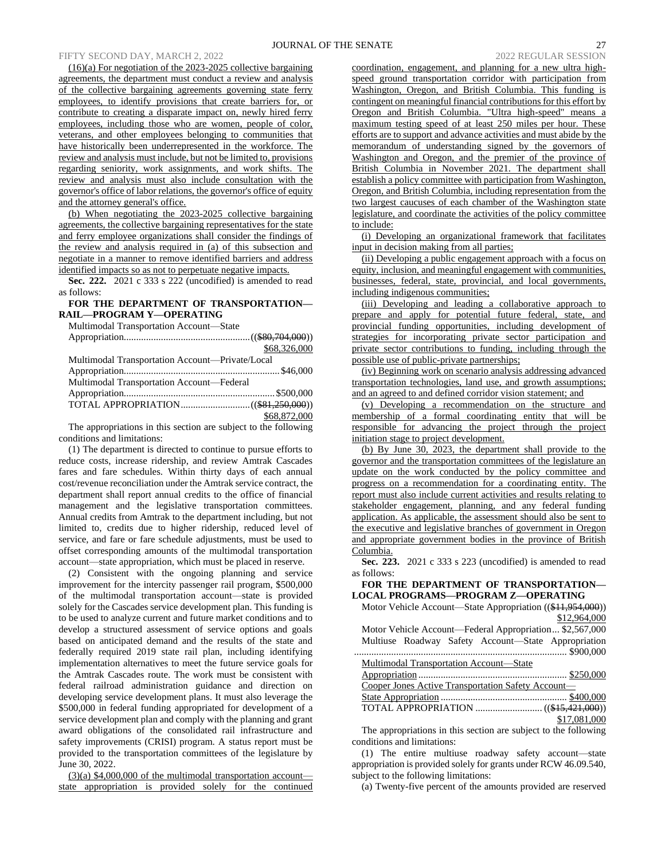# FIFTY SECOND DAY, MARCH 2, 2022 2022 2022 2022 REGULAR SESSION

(16)(a) For negotiation of the 2023-2025 collective bargaining agreements, the department must conduct a review and analysis of the collective bargaining agreements governing state ferry employees, to identify provisions that create barriers for, or contribute to creating a disparate impact on, newly hired ferry employees, including those who are women, people of color, veterans, and other employees belonging to communities that have historically been underrepresented in the workforce. The review and analysis must include, but not be limited to, provisions regarding seniority, work assignments, and work shifts. The review and analysis must also include consultation with the governor's office of labor relations, the governor's office of equity and the attorney general's office.

(b) When negotiating the 2023-2025 collective bargaining agreements, the collective bargaining representatives for the state and ferry employee organizations shall consider the findings of the review and analysis required in (a) of this subsection and negotiate in a manner to remove identified barriers and address identified impacts so as not to perpetuate negative impacts.

**Sec. 222.** 2021 c 333 s 222 (uncodified) is amended to read as follows:

## **FOR THE DEPARTMENT OF TRANSPORTATION— RAIL—PROGRAM Y—OPERATING**

Multimodal Transportation Account—State

|                                                 | \$68,326,000 |
|-------------------------------------------------|--------------|
| Multimodal Transportation Account—Private/Local |              |
|                                                 |              |
| Multimodal Transportation Account-Federal       |              |
|                                                 |              |
|                                                 |              |
|                                                 | \$68,872,000 |

The appropriations in this section are subject to the following conditions and limitations:

(1) The department is directed to continue to pursue efforts to reduce costs, increase ridership, and review Amtrak Cascades fares and fare schedules. Within thirty days of each annual cost/revenue reconciliation under the Amtrak service contract, the department shall report annual credits to the office of financial management and the legislative transportation committees. Annual credits from Amtrak to the department including, but not limited to, credits due to higher ridership, reduced level of service, and fare or fare schedule adjustments, must be used to offset corresponding amounts of the multimodal transportation account—state appropriation, which must be placed in reserve.

(2) Consistent with the ongoing planning and service improvement for the intercity passenger rail program, \$500,000 of the multimodal transportation account—state is provided solely for the Cascades service development plan. This funding is to be used to analyze current and future market conditions and to develop a structured assessment of service options and goals based on anticipated demand and the results of the state and federally required 2019 state rail plan, including identifying implementation alternatives to meet the future service goals for the Amtrak Cascades route. The work must be consistent with federal railroad administration guidance and direction on developing service development plans. It must also leverage the \$500,000 in federal funding appropriated for development of a service development plan and comply with the planning and grant award obligations of the consolidated rail infrastructure and safety improvements (CRISI) program. A status report must be provided to the transportation committees of the legislature by June 30, 2022.

 $(3)(a)$  \$4,000,000 of the multimodal transportation account state appropriation is provided solely for the continued coordination, engagement, and planning for a new ultra highspeed ground transportation corridor with participation from Washington, Oregon, and British Columbia. This funding is contingent on meaningful financial contributions for this effort by Oregon and British Columbia. "Ultra high-speed" means a maximum testing speed of at least 250 miles per hour. These efforts are to support and advance activities and must abide by the memorandum of understanding signed by the governors of Washington and Oregon, and the premier of the province of British Columbia in November 2021. The department shall establish a policy committee with participation from Washington, Oregon, and British Columbia, including representation from the two largest caucuses of each chamber of the Washington state legislature, and coordinate the activities of the policy committee to include:

(i) Developing an organizational framework that facilitates input in decision making from all parties;

(ii) Developing a public engagement approach with a focus on equity, inclusion, and meaningful engagement with communities, businesses, federal, state, provincial, and local governments, including indigenous communities;

(iii) Developing and leading a collaborative approach to prepare and apply for potential future federal, state, and provincial funding opportunities, including development of strategies for incorporating private sector participation and private sector contributions to funding, including through the possible use of public-private partnerships;

(iv) Beginning work on scenario analysis addressing advanced transportation technologies, land use, and growth assumptions; and an agreed to and defined corridor vision statement; and

(v) Developing a recommendation on the structure and membership of a formal coordinating entity that will be responsible for advancing the project through the project initiation stage to project development.

(b) By June 30, 2023, the department shall provide to the governor and the transportation committees of the legislature an update on the work conducted by the policy committee and progress on a recommendation for a coordinating entity. The report must also include current activities and results relating to stakeholder engagement, planning, and any federal funding application. As applicable, the assessment should also be sent to the executive and legislative branches of government in Oregon and appropriate government bodies in the province of British Columbia.

**Sec. 223.** 2021 c 333 s 223 (uncodified) is amended to read as follows:

# **FOR THE DEPARTMENT OF TRANSPORTATION— LOCAL PROGRAMS—PROGRAM Z—OPERATING**

| Motor Vehicle Account—State Appropriation ((\$11,954,000)) |
|------------------------------------------------------------|
| \$12,964,000                                               |
| Motor Vehicle Account-Federal Appropriation \$2,567,000    |
| Multiuse Roadway Safety Account—State Appropriation        |
|                                                            |
| Multimodal Transportation Account—State                    |
|                                                            |
| Cooper Jones Active Transportation Safety Account-         |
|                                                            |
|                                                            |
| \$17,081,000                                               |
|                                                            |

The appropriations in this section are subject to the following conditions and limitations:

(1) The entire multiuse roadway safety account—state appropriation is provided solely for grants under RCW 46.09.540, subject to the following limitations:

(a) Twenty-five percent of the amounts provided are reserved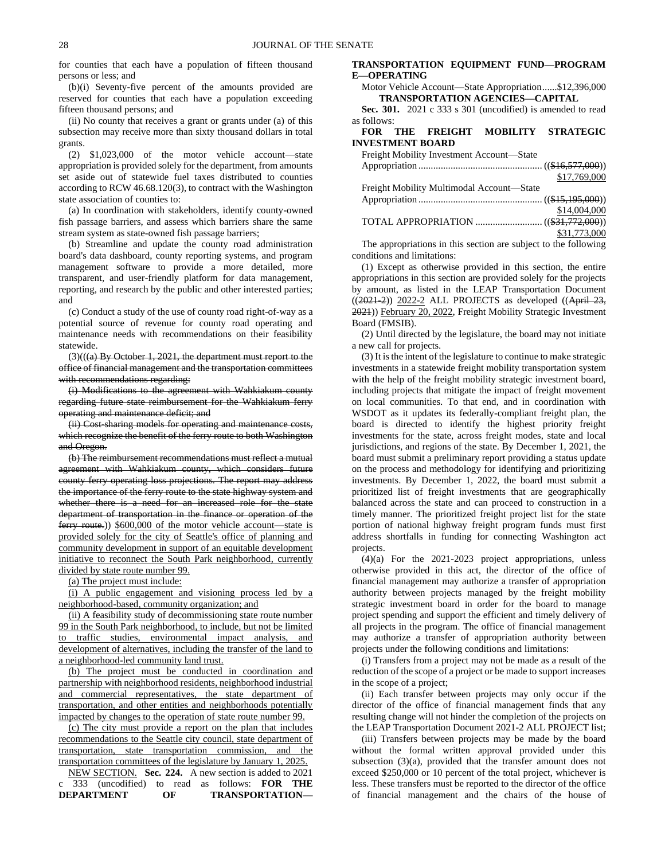for counties that each have a population of fifteen thousand persons or less; and

(b)(i) Seventy-five percent of the amounts provided are reserved for counties that each have a population exceeding fifteen thousand persons; and

(ii) No county that receives a grant or grants under (a) of this subsection may receive more than sixty thousand dollars in total grants.

(2) \$1,023,000 of the motor vehicle account—state appropriation is provided solely for the department, from amounts set aside out of statewide fuel taxes distributed to counties according to RCW 46.68.120(3), to contract with the Washington state association of counties to:

(a) In coordination with stakeholders, identify county-owned fish passage barriers, and assess which barriers share the same stream system as state-owned fish passage barriers;

(b) Streamline and update the county road administration board's data dashboard, county reporting systems, and program management software to provide a more detailed, more transparent, and user-friendly platform for data management, reporting, and research by the public and other interested parties; and

(c) Conduct a study of the use of county road right-of-way as a potential source of revenue for county road operating and maintenance needs with recommendations on their feasibility statewide.

(3)(((a) By October 1, 2021, the department must report to the office of financial management and the transportation committees with recommendations regarding:

(i) Modifications to the agreement with Wahkiakum county regarding future state reimbursement for the Wahkiakum ferry operating and maintenance deficit; and

(ii) Cost-sharing models for operating and maintenance costs, which recognize the benefit of the ferry route to both Washington and Oregon.

(b) The reimbursement recommendations must reflect a mutual agreement with Wahkiakum county, which considers future county ferry operating loss projections. The report may address the importance of the ferry route to the state highway system and whether there is a need for an increased role for the state department of transportation in the finance or operation of the ferry route.)) \$600,000 of the motor vehicle account—state is provided solely for the city of Seattle's office of planning and community development in support of an equitable development initiative to reconnect the South Park neighborhood, currently divided by state route number 99.

(a) The project must include:

(i) A public engagement and visioning process led by a neighborhood-based, community organization; and

(ii) A feasibility study of decommissioning state route number 99 in the South Park neighborhood, to include, but not be limited to traffic studies, environmental impact analysis, and development of alternatives, including the transfer of the land to a neighborhood-led community land trust.

(b) The project must be conducted in coordination and partnership with neighborhood residents, neighborhood industrial and commercial representatives, the state department of transportation, and other entities and neighborhoods potentially impacted by changes to the operation of state route number 99.

(c) The city must provide a report on the plan that includes recommendations to the Seattle city council, state department of transportation, state transportation commission, and the transportation committees of the legislature by January 1, 2025.

NEW SECTION. **Sec. 224.** A new section is added to 2021 c 333 (uncodified) to read as follows: **FOR THE DEPARTMENT OF TRANSPORTATION—**

# **TRANSPORTATION EQUIPMENT FUND—PROGRAM E—OPERATING**

Motor Vehicle Account—State Appropriation......\$12,396,000 **TRANSPORTATION AGENCIES—CAPITAL**

**Sec. 301.** 2021 c 333 s 301 (uncodified) is amended to read as follows:

# **FOR THE FREIGHT MOBILITY STRATEGIC INVESTMENT BOARD**

| Freight Mobility Investment Account-State |              |
|-------------------------------------------|--------------|
|                                           |              |
|                                           | \$17,769,000 |
| Freight Mobility Multimodal Account—State |              |
|                                           |              |
|                                           | \$14,004,000 |
|                                           |              |
|                                           | \$31,773,000 |

The appropriations in this section are subject to the following conditions and limitations:

(1) Except as otherwise provided in this section, the entire appropriations in this section are provided solely for the projects by amount, as listed in the LEAP Transportation Document  $((2021-2))$  2022-2 ALL PROJECTS as developed  $((Apiri)$   $23,$ 2021)) February 20, 2022, Freight Mobility Strategic Investment Board (FMSIB).

(2) Until directed by the legislature, the board may not initiate a new call for projects.

(3) It is the intent of the legislature to continue to make strategic investments in a statewide freight mobility transportation system with the help of the freight mobility strategic investment board, including projects that mitigate the impact of freight movement on local communities. To that end, and in coordination with WSDOT as it updates its federally-compliant freight plan, the board is directed to identify the highest priority freight investments for the state, across freight modes, state and local jurisdictions, and regions of the state. By December 1, 2021, the board must submit a preliminary report providing a status update on the process and methodology for identifying and prioritizing investments. By December 1, 2022, the board must submit a prioritized list of freight investments that are geographically balanced across the state and can proceed to construction in a timely manner. The prioritized freight project list for the state portion of national highway freight program funds must first address shortfalls in funding for connecting Washington act projects.

(4)(a) For the 2021-2023 project appropriations, unless otherwise provided in this act, the director of the office of financial management may authorize a transfer of appropriation authority between projects managed by the freight mobility strategic investment board in order for the board to manage project spending and support the efficient and timely delivery of all projects in the program. The office of financial management may authorize a transfer of appropriation authority between projects under the following conditions and limitations:

(i) Transfers from a project may not be made as a result of the reduction of the scope of a project or be made to support increases in the scope of a project;

(ii) Each transfer between projects may only occur if the director of the office of financial management finds that any resulting change will not hinder the completion of the projects on the LEAP Transportation Document 2021-2 ALL PROJECT list;

(iii) Transfers between projects may be made by the board without the formal written approval provided under this subsection (3)(a), provided that the transfer amount does not exceed \$250,000 or 10 percent of the total project, whichever is less. These transfers must be reported to the director of the office of financial management and the chairs of the house of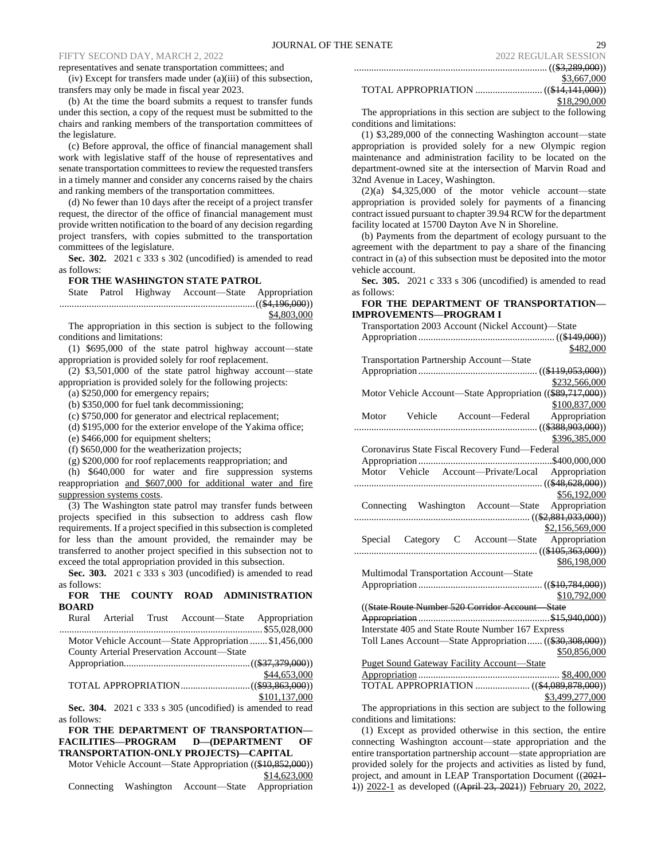.............................................................................. ((\$3,289,000))

# FIFTY SECOND DAY, MARCH 2, 2022

representatives and senate transportation committees; and

(iv) Except for transfers made under (a)(iii) of this subsection, transfers may only be made in fiscal year 2023.

(b) At the time the board submits a request to transfer funds under this section, a copy of the request must be submitted to the chairs and ranking members of the transportation committees of the legislature.

(c) Before approval, the office of financial management shall work with legislative staff of the house of representatives and senate transportation committees to review the requested transfers in a timely manner and consider any concerns raised by the chairs and ranking members of the transportation committees.

(d) No fewer than 10 days after the receipt of a project transfer request, the director of the office of financial management must provide written notification to the board of any decision regarding project transfers, with copies submitted to the transportation committees of the legislature.

**Sec. 302.** 2021 c 333 s 302 (uncodified) is amended to read as follows:

# **FOR THE WASHINGTON STATE PATROL**

State Patrol Highway Account—State Appropriation ...............................................................................((\$4,196,000)) \$4,803,000

The appropriation in this section is subject to the following conditions and limitations:

(1) \$695,000 of the state patrol highway account—state appropriation is provided solely for roof replacement.

(2) \$3,501,000 of the state patrol highway account—state appropriation is provided solely for the following projects:

(a) \$250,000 for emergency repairs;

(b) \$350,000 for fuel tank decommissioning;

(c) \$750,000 for generator and electrical replacement;

(d) \$195,000 for the exterior envelope of the Yakima office;

(e) \$466,000 for equipment shelters;

(f) \$650,000 for the weatherization projects;

(g) \$200,000 for roof replacements reappropriation; and

(h) \$640,000 for water and fire suppression systems reappropriation and \$607,000 for additional water and fire suppression systems costs.

(3) The Washington state patrol may transfer funds between projects specified in this subsection to address cash flow requirements. If a project specified in this subsection is completed for less than the amount provided, the remainder may be transferred to another project specified in this subsection not to exceed the total appropriation provided in this subsection.

**Sec. 303.** 2021 c 333 s 303 (uncodified) is amended to read as follows:

# **FOR THE COUNTY ROAD ADMINISTRATION BOARD**

|             |  | Rural Arterial Trust Account-State Appropriation           |               |
|-------------|--|------------------------------------------------------------|---------------|
|             |  |                                                            |               |
|             |  | Motor Vehicle Account—State Appropriation  \$1,456,000     |               |
|             |  | County Arterial Preservation Account-State                 |               |
|             |  |                                                            |               |
|             |  |                                                            | \$44,653,000  |
|             |  |                                                            |               |
|             |  |                                                            | \$101,137,000 |
|             |  | Sec. 304. 2021 c 333 s 305 (uncodified) is amended to read |               |
| as follows: |  |                                                            |               |

**FOR THE DEPARTMENT OF TRANSPORTATION— FACILITIES—PROGRAM D—(DEPARTMENT OF TRANSPORTATION-ONLY PROJECTS)—CAPITAL**

Motor Vehicle Account—State Appropriation ((\$10,852,000)) \$14,623,000

|  |  | Connecting Washington Account-State Appropriation |  |
|--|--|---------------------------------------------------|--|
|--|--|---------------------------------------------------|--|

| 2022 NEQULAN SESSION |
|----------------------|
|                      |
| \$3,667,000          |

TOTAL APPROPRIATION ........................... ((\$14,141,000))

|                                                       |  |  |  | \$18,290,000 |  |
|-------------------------------------------------------|--|--|--|--------------|--|
| riations in this section are subject to the following |  |  |  |              |  |

The approp conditions and limitations:

(1) \$3,289,000 of the connecting Washington account—state appropriation is provided solely for a new Olympic region maintenance and administration facility to be located on the department-owned site at the intersection of Marvin Road and 32nd Avenue in Lacey, Washington.

(2)(a) \$4,325,000 of the motor vehicle account—state appropriation is provided solely for payments of a financing contract issued pursuant to chapter 39.94 RCW for the department facility located at 15700 Dayton Ave N in Shoreline.

(b) Payments from the department of ecology pursuant to the agreement with the department to pay a share of the financing contract in (a) of this subsection must be deposited into the motor vehicle account.

**Sec. 305.** 2021 c 333 s 306 (uncodified) is amended to read as follows:

# **FOR THE DEPARTMENT OF TRANSPORTATION— IMPROVEMENTS—PROGRAM I**

| Transportation 2003 Account (Nickel Account)—State         |
|------------------------------------------------------------|
|                                                            |
| \$482,000                                                  |
| Transportation Partnership Account—State                   |
|                                                            |
| \$232,566,000                                              |
| Motor Vehicle Account-State Appropriation ((\$89,717,000)) |
| \$100,837,000                                              |
| Motor Vehicle Account-Federal Appropriation                |
|                                                            |
| \$396,385,000                                              |
| Coronavirus State Fiscal Recovery Fund-Federal             |
|                                                            |
| Motor Vehicle Account-Private/Local Appropriation          |
|                                                            |
| \$56,192,000                                               |
| Connecting Washington Account-State Appropriation          |
|                                                            |
| \$2,156,569,000                                            |
| Special Category C Account-State Appropriation             |
|                                                            |
| \$86,198,000                                               |
| Multimodal Transportation Account-State                    |
|                                                            |
| \$10,792,000                                               |
| ((State Route Number 520 Corridor Account State            |
|                                                            |
| Interstate 405 and State Route Number 167 Express          |
| Toll Lanes Account—State Appropriation ((\$30,308,000))    |
| \$50,856,000                                               |
| <b>Puget Sound Gateway Facility Account—State</b>          |
|                                                            |
| TOTAL APPROPRIATION  ((\$4,089,878,000))                   |
| \$3,499,277,000                                            |
|                                                            |

The appropriations in this section are subject to the following conditions and limitations:

(1) Except as provided otherwise in this section, the entire connecting Washington account—state appropriation and the entire transportation partnership account—state appropriation are provided solely for the projects and activities as listed by fund, project, and amount in LEAP Transportation Document ((2021- 1)) 2022-1 as developed ((April 23, 2021)) February 20, 2022,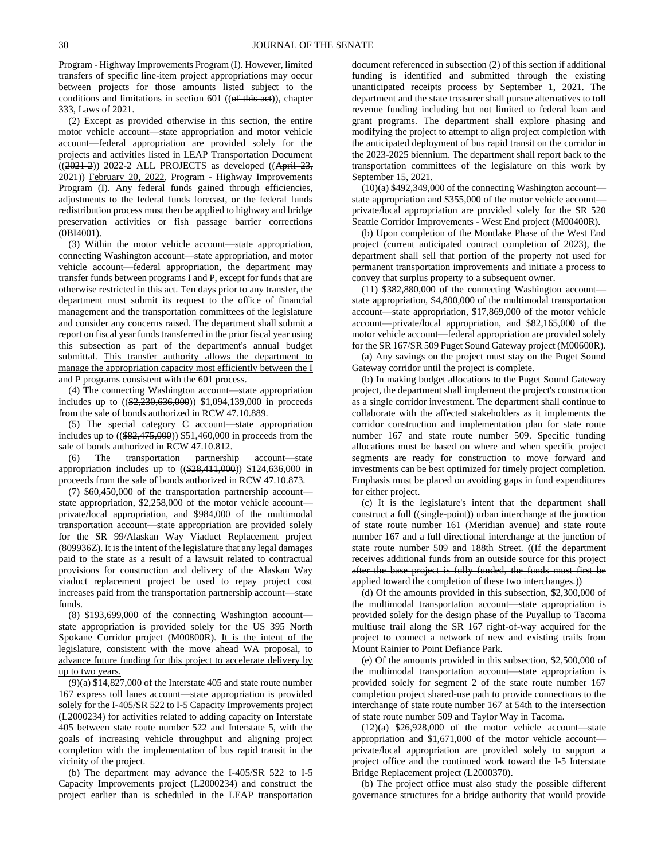Program - Highway Improvements Program (I). However, limited transfers of specific line-item project appropriations may occur between projects for those amounts listed subject to the conditions and limitations in section  $601$  (( $ef$  this act)), chapter 333, Laws of 2021.

(2) Except as provided otherwise in this section, the entire motor vehicle account—state appropriation and motor vehicle account—federal appropriation are provided solely for the projects and activities listed in LEAP Transportation Document  $((2021-2))$  2022-2 ALL PROJECTS as developed  $((Apiri)$  23, 2021)) February 20, 2022, Program - Highway Improvements Program (I). Any federal funds gained through efficiencies, adjustments to the federal funds forecast, or the federal funds redistribution process must then be applied to highway and bridge preservation activities or fish passage barrier corrections (0BI4001).

(3) Within the motor vehicle account—state appropriation, connecting Washington account—state appropriation, and motor vehicle account—federal appropriation, the department may transfer funds between programs I and P, except for funds that are otherwise restricted in this act. Ten days prior to any transfer, the department must submit its request to the office of financial management and the transportation committees of the legislature and consider any concerns raised. The department shall submit a report on fiscal year funds transferred in the prior fiscal year using this subsection as part of the department's annual budget submittal. This transfer authority allows the department to manage the appropriation capacity most efficiently between the I and P programs consistent with the 601 process.

(4) The connecting Washington account—state appropriation includes up to ((\$2,230,636,000)) \$1,094,139,000 in proceeds from the sale of bonds authorized in RCW 47.10.889.

(5) The special category C account—state appropriation includes up to ((\$82,475,000)) \$51,460,000 in proceeds from the sale of bonds authorized in RCW 47.10.812.

(6) The transportation partnership account—state appropriation includes up to ((\$28,411,000)) \$124,636,000 in proceeds from the sale of bonds authorized in RCW 47.10.873.

(7) \$60,450,000 of the transportation partnership account state appropriation, \$2,258,000 of the motor vehicle account private/local appropriation, and \$984,000 of the multimodal transportation account—state appropriation are provided solely for the SR 99/Alaskan Way Viaduct Replacement project (809936Z). It is the intent of the legislature that any legal damages paid to the state as a result of a lawsuit related to contractual provisions for construction and delivery of the Alaskan Way viaduct replacement project be used to repay project cost increases paid from the transportation partnership account—state funds.

(8) \$193,699,000 of the connecting Washington account state appropriation is provided solely for the US 395 North Spokane Corridor project (M00800R). It is the intent of the legislature, consistent with the move ahead WA proposal, to advance future funding for this project to accelerate delivery by up to two years.

(9)(a) \$14,827,000 of the Interstate 405 and state route number 167 express toll lanes account—state appropriation is provided solely for the I-405/SR 522 to I-5 Capacity Improvements project (L2000234) for activities related to adding capacity on Interstate 405 between state route number 522 and Interstate 5, with the goals of increasing vehicle throughput and aligning project completion with the implementation of bus rapid transit in the vicinity of the project.

(b) The department may advance the I-405/SR 522 to I-5 Capacity Improvements project (L2000234) and construct the project earlier than is scheduled in the LEAP transportation document referenced in subsection (2) of this section if additional funding is identified and submitted through the existing unanticipated receipts process by September 1, 2021. The department and the state treasurer shall pursue alternatives to toll revenue funding including but not limited to federal loan and grant programs. The department shall explore phasing and modifying the project to attempt to align project completion with the anticipated deployment of bus rapid transit on the corridor in the 2023-2025 biennium. The department shall report back to the transportation committees of the legislature on this work by September 15, 2021.

 $(10)(a)$  \$492,349,000 of the connecting Washington account state appropriation and \$355,000 of the motor vehicle account private/local appropriation are provided solely for the SR 520 Seattle Corridor Improvements - West End project (M00400R).

(b) Upon completion of the Montlake Phase of the West End project (current anticipated contract completion of 2023), the department shall sell that portion of the property not used for permanent transportation improvements and initiate a process to convey that surplus property to a subsequent owner.

(11) \$382,880,000 of the connecting Washington account state appropriation, \$4,800,000 of the multimodal transportation account—state appropriation, \$17,869,000 of the motor vehicle account—private/local appropriation, and \$82,165,000 of the motor vehicle account—federal appropriation are provided solely for the SR 167/SR 509 Puget Sound Gateway project (M00600R).

(a) Any savings on the project must stay on the Puget Sound Gateway corridor until the project is complete.

(b) In making budget allocations to the Puget Sound Gateway project, the department shall implement the project's construction as a single corridor investment. The department shall continue to collaborate with the affected stakeholders as it implements the corridor construction and implementation plan for state route number 167 and state route number 509. Specific funding allocations must be based on where and when specific project segments are ready for construction to move forward and investments can be best optimized for timely project completion. Emphasis must be placed on avoiding gaps in fund expenditures for either project.

(c) It is the legislature's intent that the department shall construct a full ((single-point)) urban interchange at the junction of state route number 161 (Meridian avenue) and state route number 167 and a full directional interchange at the junction of state route number 509 and 188th Street. ((If the department receives additional funds from an outside source for this project after the base project is fully funded, the funds must first be applied toward the completion of these two interchanges.))

(d) Of the amounts provided in this subsection, \$2,300,000 of the multimodal transportation account—state appropriation is provided solely for the design phase of the Puyallup to Tacoma multiuse trail along the SR 167 right-of-way acquired for the project to connect a network of new and existing trails from Mount Rainier to Point Defiance Park.

(e) Of the amounts provided in this subsection, \$2,500,000 of the multimodal transportation account—state appropriation is provided solely for segment 2 of the state route number 167 completion project shared-use path to provide connections to the interchange of state route number 167 at 54th to the intersection of state route number 509 and Taylor Way in Tacoma.

 $(12)(a)$  \$26,928,000 of the motor vehicle account—state appropriation and \$1,671,000 of the motor vehicle account private/local appropriation are provided solely to support a project office and the continued work toward the I-5 Interstate Bridge Replacement project (L2000370).

(b) The project office must also study the possible different governance structures for a bridge authority that would provide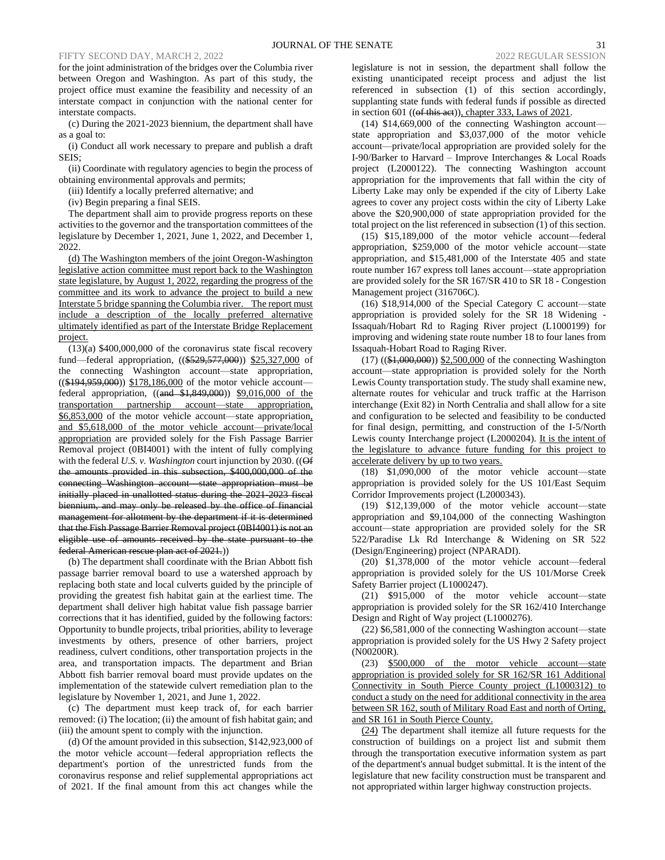for the joint administration of the bridges over the Columbia river between Oregon and Washington. As part of this study, the project office must examine the feasibility and necessity of an interstate compact in conjunction with the national center for interstate compacts.

(c) During the 2021-2023 biennium, the department shall have as a goal to:

(i) Conduct all work necessary to prepare and publish a draft SEIS;

(ii) Coordinate with regulatory agencies to begin the process of obtaining environmental approvals and permits;

(iii) Identify a locally preferred alternative; and

(iv) Begin preparing a final SEIS.

The department shall aim to provide progress reports on these activities to the governor and the transportation committees of the legislature by December 1, 2021, June 1, 2022, and December 1, 2022.

(d) The Washington members of the joint Oregon-Washington legislative action committee must report back to the Washington state legislature, by August 1, 2022, regarding the progress of the committee and its work to advance the project to build a new Interstate 5 bridge spanning the Columbia river. The report must include a description of the locally preferred alternative ultimately identified as part of the Interstate Bridge Replacement project.

(13)(a) \$400,000,000 of the coronavirus state fiscal recovery fund—federal appropriation, ((\$529,577,000)) \$25,327,000 of the connecting Washington account—state appropriation,  $((\$194,959,000))$  \$178,186,000 of the motor vehicle account federal appropriation,  $\sqrt{\frac{(\text{and } \$1,849,000)}{9.016,000}}$  of the transportation partnership account—state appropriation, \$6,853,000 of the motor vehicle account—state appropriation, and \$5,618,000 of the motor vehicle account—private/local appropriation are provided solely for the Fish Passage Barrier Removal project (0BI4001) with the intent of fully complying with the federal *U.S. v. Washington* court injunction by 2030. ((Of the amounts provided in this subsection, \$400,000,000 of the connecting Washington account—state appropriation must be initially placed in unallotted status during the 2021-2023 fiscal biennium, and may only be released by the office of financial management for allotment by the department if it is determined that the Fish Passage Barrier Removal project (0BI4001) is not an eligible use of amounts received by the state pursuant to the federal American rescue plan act of 2021.))

(b) The department shall coordinate with the Brian Abbott fish passage barrier removal board to use a watershed approach by replacing both state and local culverts guided by the principle of providing the greatest fish habitat gain at the earliest time. The department shall deliver high habitat value fish passage barrier corrections that it has identified, guided by the following factors: Opportunity to bundle projects, tribal priorities, ability to leverage investments by others, presence of other barriers, project readiness, culvert conditions, other transportation projects in the area, and transportation impacts. The department and Brian Abbott fish barrier removal board must provide updates on the implementation of the statewide culvert remediation plan to the legislature by November 1, 2021, and June 1, 2022.

(c) The department must keep track of, for each barrier removed: (i) The location; (ii) the amount of fish habitat gain; and (iii) the amount spent to comply with the injunction.

(d) Of the amount provided in this subsection, \$142,923,000 of the motor vehicle account—federal appropriation reflects the department's portion of the unrestricted funds from the coronavirus response and relief supplemental appropriations act of 2021. If the final amount from this act changes while the

legislature is not in session, the department shall follow the existing unanticipated receipt process and adjust the list referenced in subsection (1) of this section accordingly, supplanting state funds with federal funds if possible as directed in section 601 (( $ef$  this aet)), chapter 333, Laws of 2021.

 $(14)$  \$14,669,000 of the connecting Washington account state appropriation and \$3,037,000 of the motor vehicle account—private/local appropriation are provided solely for the I-90/Barker to Harvard – Improve Interchanges & Local Roads project (L2000122). The connecting Washington account appropriation for the improvements that fall within the city of Liberty Lake may only be expended if the city of Liberty Lake agrees to cover any project costs within the city of Liberty Lake above the \$20,900,000 of state appropriation provided for the total project on the list referenced in subsection (1) of this section.

(15) \$15,189,000 of the motor vehicle account—federal appropriation, \$259,000 of the motor vehicle account—state appropriation, and \$15,481,000 of the Interstate 405 and state route number 167 express toll lanes account—state appropriation are provided solely for the SR 167/SR 410 to SR 18 - Congestion Management project (316706C).

(16) \$18,914,000 of the Special Category C account—state appropriation is provided solely for the SR 18 Widening - Issaquah/Hobart Rd to Raging River project (L1000199) for improving and widening state route number 18 to four lanes from Issaquah-Hobart Road to Raging River.

(17) ((\$1,000,000)) \$2,500,000 of the connecting Washington account—state appropriation is provided solely for the North Lewis County transportation study. The study shall examine new, alternate routes for vehicular and truck traffic at the Harrison interchange (Exit 82) in North Centralia and shall allow for a site and configuration to be selected and feasibility to be conducted for final design, permitting, and construction of the I-5/North Lewis county Interchange project (L2000204). It is the intent of the legislature to advance future funding for this project to accelerate delivery by up to two years.

(18) \$1,090,000 of the motor vehicle account—state appropriation is provided solely for the US 101/East Sequim Corridor Improvements project (L2000343).

(19) \$12,139,000 of the motor vehicle account—state appropriation and \$9,104,000 of the connecting Washington account—state appropriation are provided solely for the SR 522/Paradise Lk Rd Interchange & Widening on SR 522 (Design/Engineering) project (NPARADI).

(20) \$1,378,000 of the motor vehicle account—federal appropriation is provided solely for the US 101/Morse Creek Safety Barrier project (L1000247).

(21) \$915,000 of the motor vehicle account—state appropriation is provided solely for the SR 162/410 Interchange Design and Right of Way project (L1000276).

(22) \$6,581,000 of the connecting Washington account—state appropriation is provided solely for the US Hwy 2 Safety project (N00200R).

(23) \$500,000 of the motor vehicle account—state appropriation is provided solely for SR 162/SR 161 Additional Connectivity in South Pierce County project (L1000312) to conduct a study on the need for additional connectivity in the area between SR 162, south of Military Road East and north of Orting, and SR 161 in South Pierce County.

(24) The department shall itemize all future requests for the construction of buildings on a project list and submit them through the transportation executive information system as part of the department's annual budget submittal. It is the intent of the legislature that new facility construction must be transparent and not appropriated within larger highway construction projects.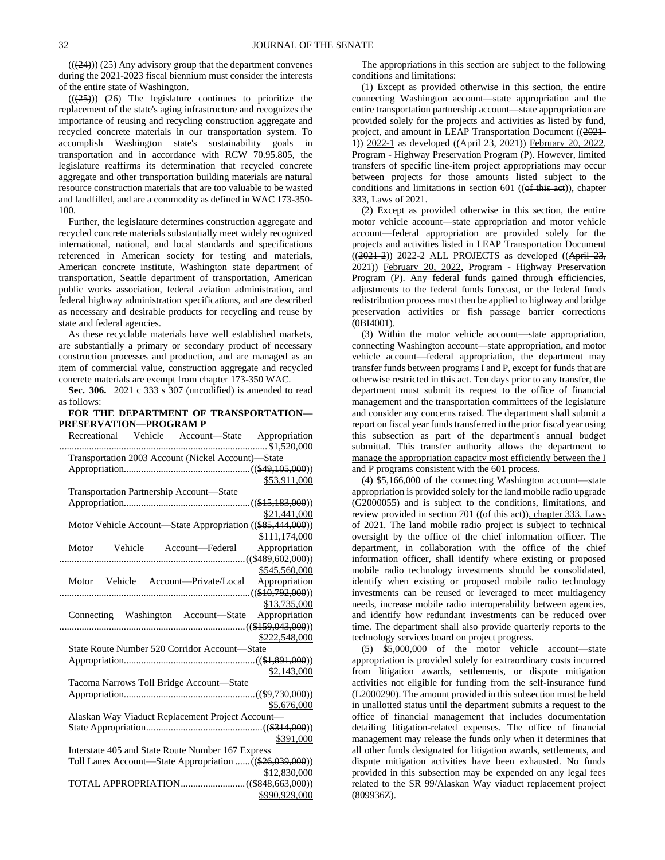$((24))$   $(25)$  Any advisory group that the department convenes during the 2021-2023 fiscal biennium must consider the interests of the entire state of Washington.

 $((25))$   $(26)$  The legislature continues to prioritize the replacement of the state's aging infrastructure and recognizes the importance of reusing and recycling construction aggregate and recycled concrete materials in our transportation system. To accomplish Washington state's sustainability goals in transportation and in accordance with RCW 70.95.805, the legislature reaffirms its determination that recycled concrete aggregate and other transportation building materials are natural resource construction materials that are too valuable to be wasted and landfilled, and are a commodity as defined in WAC 173-350- 100.

Further, the legislature determines construction aggregate and recycled concrete materials substantially meet widely recognized international, national, and local standards and specifications referenced in American society for testing and materials, American concrete institute, Washington state department of transportation, Seattle department of transportation, American public works association, federal aviation administration, and federal highway administration specifications, and are described as necessary and desirable products for recycling and reuse by state and federal agencies.

As these recyclable materials have well established markets, are substantially a primary or secondary product of necessary construction processes and production, and are managed as an item of commercial value, construction aggregate and recycled concrete materials are exempt from chapter 173-350 WAC.

**Sec. 306.** 2021 c 333 s 307 (uncodified) is amended to read as follows:

# **FOR THE DEPARTMENT OF TRANSPORTATION— PRESERVATION—PROGRAM P**

|                                                    |  | Recreational Vehicle Account—State Appropriation           |
|----------------------------------------------------|--|------------------------------------------------------------|
|                                                    |  |                                                            |
| Transportation 2003 Account (Nickel Account)-State |  |                                                            |
|                                                    |  |                                                            |
|                                                    |  | <u>\$53,911,000</u>                                        |
| Transportation Partnership Account—State           |  |                                                            |
|                                                    |  |                                                            |
|                                                    |  | \$21,441,000                                               |
|                                                    |  | Motor Vehicle Account-State Appropriation ((\$85,444,000)) |
|                                                    |  | \$111,174,000                                              |
|                                                    |  | Motor Vehicle Account-Federal Appropriation                |
|                                                    |  |                                                            |
|                                                    |  | \$545,560,000                                              |
|                                                    |  | Motor Vehicle Account-Private/Local Appropriation          |
|                                                    |  |                                                            |
|                                                    |  | \$13,735,000                                               |
|                                                    |  | Connecting Washington Account—State Appropriation          |
|                                                    |  |                                                            |
|                                                    |  | \$222,548,000                                              |
| State Route Number 520 Corridor Account—State      |  |                                                            |
|                                                    |  |                                                            |
|                                                    |  | \$2,143,000                                                |
| Tacoma Narrows Toll Bridge Account-State           |  |                                                            |
|                                                    |  |                                                            |
|                                                    |  | \$5,676,000                                                |
| Alaskan Way Viaduct Replacement Project Account-   |  |                                                            |
|                                                    |  |                                                            |
|                                                    |  | \$391,000                                                  |
| Interstate 405 and State Route Number 167 Express  |  |                                                            |
|                                                    |  | Toll Lanes Account-State Appropriation  ((\$26,039,000))   |
|                                                    |  | \$12,830,000                                               |
|                                                    |  |                                                            |
|                                                    |  | \$990,929,000                                              |

The appropriations in this section are subject to the following conditions and limitations:

(1) Except as provided otherwise in this section, the entire connecting Washington account—state appropriation and the entire transportation partnership account—state appropriation are provided solely for the projects and activities as listed by fund, project, and amount in LEAP Transportation Document ((2021- 1)) 2022-1 as developed ((April 23, 2021)) February 20, 2022, Program - Highway Preservation Program (P). However, limited transfers of specific line-item project appropriations may occur between projects for those amounts listed subject to the conditions and limitations in section 601 ((of this act)), chapter 333, Laws of 2021.

(2) Except as provided otherwise in this section, the entire motor vehicle account—state appropriation and motor vehicle account—federal appropriation are provided solely for the projects and activities listed in LEAP Transportation Document  $((2021-2))$  2022-2 ALL PROJECTS as developed  $((Apiri)$   $23,$ 2021)) February 20, 2022, Program - Highway Preservation Program (P). Any federal funds gained through efficiencies, adjustments to the federal funds forecast, or the federal funds redistribution process must then be applied to highway and bridge preservation activities or fish passage barrier corrections (0BI4001).

(3) Within the motor vehicle account—state appropriation, connecting Washington account—state appropriation, and motor vehicle account—federal appropriation, the department may transfer funds between programs I and P, except for funds that are otherwise restricted in this act. Ten days prior to any transfer, the department must submit its request to the office of financial management and the transportation committees of the legislature and consider any concerns raised. The department shall submit a report on fiscal year funds transferred in the prior fiscal year using this subsection as part of the department's annual budget submittal. This transfer authority allows the department to manage the appropriation capacity most efficiently between the I and P programs consistent with the 601 process.

(4) \$5,166,000 of the connecting Washington account—state appropriation is provided solely for the land mobile radio upgrade (G2000055) and is subject to the conditions, limitations, and review provided in section 701 (( $ef$  this aet)), chapter 333, Laws of 2021. The land mobile radio project is subject to technical oversight by the office of the chief information officer. The department, in collaboration with the office of the chief information officer, shall identify where existing or proposed mobile radio technology investments should be consolidated, identify when existing or proposed mobile radio technology investments can be reused or leveraged to meet multiagency needs, increase mobile radio interoperability between agencies, and identify how redundant investments can be reduced over time. The department shall also provide quarterly reports to the technology services board on project progress.

(5) \$5,000,000 of the motor vehicle account—state appropriation is provided solely for extraordinary costs incurred from litigation awards, settlements, or dispute mitigation activities not eligible for funding from the self-insurance fund (L2000290). The amount provided in this subsection must be held in unallotted status until the department submits a request to the office of financial management that includes documentation detailing litigation-related expenses. The office of financial management may release the funds only when it determines that all other funds designated for litigation awards, settlements, and dispute mitigation activities have been exhausted. No funds provided in this subsection may be expended on any legal fees related to the SR 99/Alaskan Way viaduct replacement project (809936Z).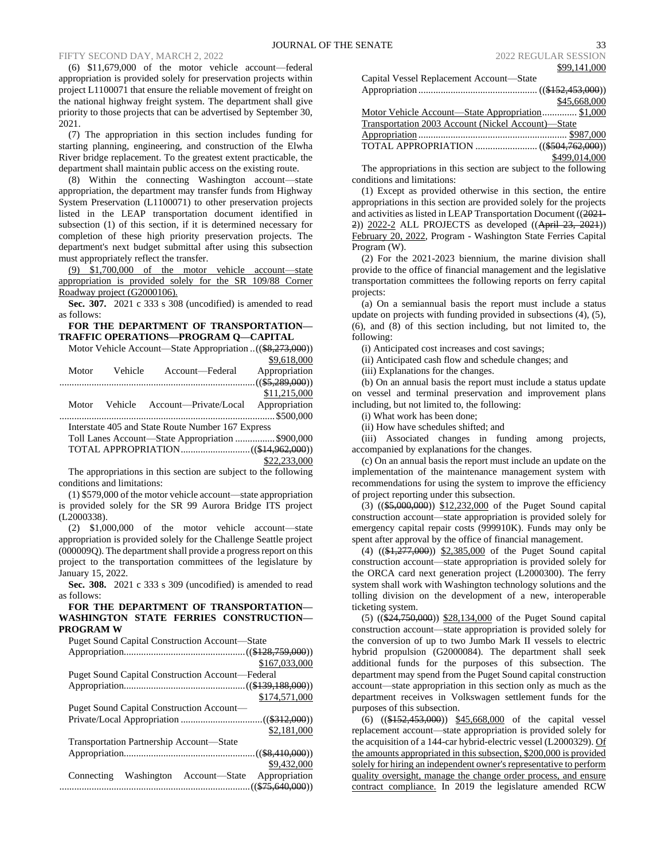(6) \$11,679,000 of the motor vehicle account—federal appropriation is provided solely for preservation projects within project L1100071 that ensure the reliable movement of freight on the national highway freight system. The department shall give priority to those projects that can be advertised by September 30, 2021.

(7) The appropriation in this section includes funding for starting planning, engineering, and construction of the Elwha River bridge replacement. To the greatest extent practicable, the department shall maintain public access on the existing route.

(8) Within the connecting Washington account—state appropriation, the department may transfer funds from Highway System Preservation (L1100071) to other preservation projects listed in the LEAP transportation document identified in subsection (1) of this section, if it is determined necessary for completion of these high priority preservation projects. The department's next budget submittal after using this subsection must appropriately reflect the transfer.

(9) \$1,700,000 of the motor vehicle account—state appropriation is provided solely for the SR 109/88 Corner Roadway project (G2000106).

**Sec. 307.** 2021 c 333 s 308 (uncodified) is amended to read as follows:

# **FOR THE DEPARTMENT OF TRANSPORTATION— TRAFFIC OPERATIONS—PROGRAM Q—CAPITAL**

Motor Vehicle Account—State Appropriation ..((\$8,273,000)) \$9,618,000

| Motor | Vehicle | Account-Federal                                   | Appropriation |
|-------|---------|---------------------------------------------------|---------------|
|       |         |                                                   |               |
|       |         |                                                   | \$11,215,000  |
| Motor | Vehicle | Account—Private/Local                             | Appropriation |
|       |         |                                                   |               |
|       |         | Interstate 405 and State Route Number 167 Express |               |
|       |         | Toll Lanes Account-State Appropriation  \$900,000 |               |
|       |         |                                                   |               |
|       |         |                                                   | \$22,233,000  |

The appropriations in this section are subject to the following conditions and limitations:

(1) \$579,000 of the motor vehicle account—state appropriation is provided solely for the SR 99 Aurora Bridge ITS project (L2000338).

(2) \$1,000,000 of the motor vehicle account—state appropriation is provided solely for the Challenge Seattle project (000009Q). The department shall provide a progress report on this project to the transportation committees of the legislature by January 15, 2022.

**Sec. 308.** 2021 c 333 s 309 (uncodified) is amended to read as follows:

# **FOR THE DEPARTMENT OF TRANSPORTATION— WASHINGTON STATE FERRIES CONSTRUCTION— PROGRAM W**

| <b>Puget Sound Capital Construction Account—State</b>   |  |  |
|---------------------------------------------------------|--|--|
|                                                         |  |  |
| \$167,033,000                                           |  |  |
| <b>Puget Sound Capital Construction Account—Federal</b> |  |  |
|                                                         |  |  |
| \$174,571,000                                           |  |  |
| <b>Puget Sound Capital Construction Account—</b>        |  |  |
|                                                         |  |  |
| \$2,181,000                                             |  |  |
| Transportation Partnership Account—State                |  |  |
|                                                         |  |  |
| \$9,432,000                                             |  |  |
| Appropriation<br>Washington Account-State<br>Connecting |  |  |
|                                                         |  |  |

| Capital Vessel Replacement Account-State           |               |
|----------------------------------------------------|---------------|
|                                                    |               |
|                                                    | \$45,668,000  |
| Motor Vehicle Account—State Appropriation \$1,000  |               |
| Transportation 2003 Account (Nickel Account)-State |               |
|                                                    |               |
|                                                    |               |
|                                                    | \$499,014,000 |

The appropriations in this section are subject to the following conditions and limitations:

(1) Except as provided otherwise in this section, the entire appropriations in this section are provided solely for the projects and activities as listed in LEAP Transportation Document ((2021- 2)) 2022-2 ALL PROJECTS as developed ((April 23, 2021)) February 20, 2022, Program - Washington State Ferries Capital Program (W).

(2) For the 2021-2023 biennium, the marine division shall provide to the office of financial management and the legislative transportation committees the following reports on ferry capital projects:

(a) On a semiannual basis the report must include a status update on projects with funding provided in subsections (4), (5), (6), and (8) of this section including, but not limited to, the following:

(i) Anticipated cost increases and cost savings;

(ii) Anticipated cash flow and schedule changes; and

(iii) Explanations for the changes.

(b) On an annual basis the report must include a status update on vessel and terminal preservation and improvement plans including, but not limited to, the following:

(i) What work has been done;

(ii) How have schedules shifted; and

(iii) Associated changes in funding among projects, accompanied by explanations for the changes.

(c) On an annual basis the report must include an update on the implementation of the maintenance management system with recommendations for using the system to improve the efficiency of project reporting under this subsection.

 $(3)$   $((\$5,000,000))$   $\$12,232,000$  of the Puget Sound capital construction account—state appropriation is provided solely for emergency capital repair costs (999910K). Funds may only be spent after approval by the office of financial management.

(4) ((\$1,277,000)) \$2,385,000 of the Puget Sound capital construction account—state appropriation is provided solely for the ORCA card next generation project (L2000300). The ferry system shall work with Washington technology solutions and the tolling division on the development of a new, interoperable ticketing system.

(5) ((\$24,750,000)) \$28,134,000 of the Puget Sound capital construction account—state appropriation is provided solely for the conversion of up to two Jumbo Mark II vessels to electric hybrid propulsion (G2000084). The department shall seek additional funds for the purposes of this subsection. The department may spend from the Puget Sound capital construction account—state appropriation in this section only as much as the department receives in Volkswagen settlement funds for the purposes of this subsection.

(6) ((\$152,453,000)) \$45,668,000 of the capital vessel replacement account—state appropriation is provided solely for the acquisition of a 144-car hybrid-electric vessel (L2000329). Of the amounts appropriated in this subsection, \$200,000 is provided solely for hiring an independent owner's representative to perform quality oversight, manage the change order process, and ensure contract compliance. In 2019 the legislature amended RCW

\$99,141,000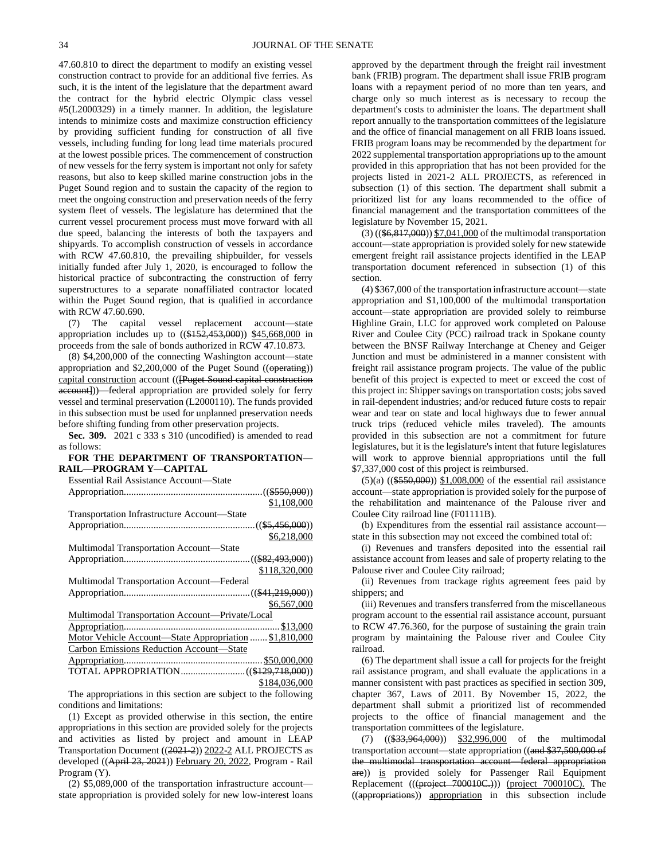47.60.810 to direct the department to modify an existing vessel construction contract to provide for an additional five ferries. As such, it is the intent of the legislature that the department award the contract for the hybrid electric Olympic class vessel #5(L2000329) in a timely manner. In addition, the legislature intends to minimize costs and maximize construction efficiency by providing sufficient funding for construction of all five vessels, including funding for long lead time materials procured at the lowest possible prices. The commencement of construction of new vessels for the ferry system is important not only for safety reasons, but also to keep skilled marine construction jobs in the Puget Sound region and to sustain the capacity of the region to meet the ongoing construction and preservation needs of the ferry system fleet of vessels. The legislature has determined that the current vessel procurement process must move forward with all due speed, balancing the interests of both the taxpayers and shipyards. To accomplish construction of vessels in accordance with RCW 47.60.810, the prevailing shipbuilder, for vessels initially funded after July 1, 2020, is encouraged to follow the historical practice of subcontracting the construction of ferry superstructures to a separate nonaffiliated contractor located within the Puget Sound region, that is qualified in accordance with RCW 47.60.690.

(7) The capital vessel replacement account—state appropriation includes up to  $((15152, 453, 000))$  \$45,668,000 in proceeds from the sale of bonds authorized in RCW 47.10.873.

(8) \$4,200,000 of the connecting Washington account—state appropriation and  $$2,200,000$  of the Puget Sound (( $\theta$ perating)) capital construction account (([Puget Sound capital construction account])—federal appropriation are provided solely for ferry vessel and terminal preservation (L2000110). The funds provided in this subsection must be used for unplanned preservation needs before shifting funding from other preservation projects.

**Sec. 309.** 2021 c 333 s 310 (uncodified) is amended to read as follows:

# **FOR THE DEPARTMENT OF TRANSPORTATION— RAIL—PROGRAM Y—CAPITAL**

Essential Rail Assistance Account—State

| \$1,108,000                                            |
|--------------------------------------------------------|
| Transportation Infrastructure Account-State            |
|                                                        |
| \$6,218,000                                            |
| Multimodal Transportation Account-State                |
|                                                        |
| \$118,320,000                                          |
| Multimodal Transportation Account—Federal              |
|                                                        |
| \$6,567,000                                            |
| Multimodal Transportation Account—Private/Local        |
|                                                        |
| Motor Vehicle Account—State Appropriation  \$1,810,000 |
| Carbon Emissions Reduction Account-State               |
|                                                        |
|                                                        |
| \$184,036,000                                          |

The appropriations in this section are subject to the following conditions and limitations:

(1) Except as provided otherwise in this section, the entire appropriations in this section are provided solely for the projects and activities as listed by project and amount in LEAP Transportation Document ((2021-2)) 2022-2 ALL PROJECTS as developed ((April 23, 2021)) February 20, 2022, Program - Rail Program (Y).

(2) \$5,089,000 of the transportation infrastructure account state appropriation is provided solely for new low-interest loans approved by the department through the freight rail investment bank (FRIB) program. The department shall issue FRIB program loans with a repayment period of no more than ten years, and charge only so much interest as is necessary to recoup the department's costs to administer the loans. The department shall report annually to the transportation committees of the legislature and the office of financial management on all FRIB loans issued. FRIB program loans may be recommended by the department for 2022 supplemental transportation appropriations up to the amount provided in this appropriation that has not been provided for the projects listed in 2021-2 ALL PROJECTS, as referenced in subsection (1) of this section. The department shall submit a prioritized list for any loans recommended to the office of financial management and the transportation committees of the legislature by November 15, 2021.

(3) ((\$6,817,000)) \$7,041,000 of the multimodal transportation account—state appropriation is provided solely for new statewide emergent freight rail assistance projects identified in the LEAP transportation document referenced in subsection (1) of this section.

(4) \$367,000 of the transportation infrastructure account—state appropriation and \$1,100,000 of the multimodal transportation account—state appropriation are provided solely to reimburse Highline Grain, LLC for approved work completed on Palouse River and Coulee City (PCC) railroad track in Spokane county between the BNSF Railway Interchange at Cheney and Geiger Junction and must be administered in a manner consistent with freight rail assistance program projects. The value of the public benefit of this project is expected to meet or exceed the cost of this project in: Shipper savings on transportation costs; jobs saved in rail-dependent industries; and/or reduced future costs to repair wear and tear on state and local highways due to fewer annual truck trips (reduced vehicle miles traveled). The amounts provided in this subsection are not a commitment for future legislatures, but it is the legislature's intent that future legislatures will work to approve biennial appropriations until the full \$7,337,000 cost of this project is reimbursed.

 $(5)(a)$   $((\$550,000))$  \$1,008,000 of the essential rail assistance account—state appropriation is provided solely for the purpose of the rehabilitation and maintenance of the Palouse river and Coulee City railroad line (F01111B).

(b) Expenditures from the essential rail assistance account state in this subsection may not exceed the combined total of:

(i) Revenues and transfers deposited into the essential rail assistance account from leases and sale of property relating to the Palouse river and Coulee City railroad;

(ii) Revenues from trackage rights agreement fees paid by shippers; and

(iii) Revenues and transfers transferred from the miscellaneous program account to the essential rail assistance account, pursuant to RCW 47.76.360, for the purpose of sustaining the grain train program by maintaining the Palouse river and Coulee City railroad.

(6) The department shall issue a call for projects for the freight rail assistance program, and shall evaluate the applications in a manner consistent with past practices as specified in section 309, chapter 367, Laws of 2011. By November 15, 2022, the department shall submit a prioritized list of recommended projects to the office of financial management and the transportation committees of the legislature.

(7) ((\$33,964,000)) \$32,996,000 of the multimodal transportation account—state appropriation ((and \$37,500,000 of the multimodal transportation account—federal appropriation are)) is provided solely for Passenger Rail Equipment Replacement (((project 700010C.))) (project 700010C). The ((appropriations)) appropriation in this subsection include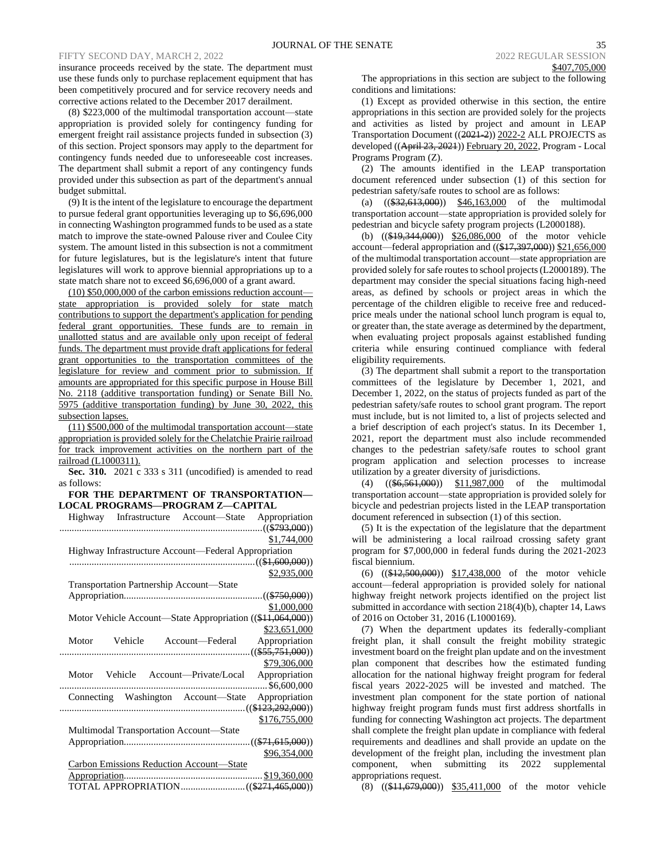insurance proceeds received by the state. The department must use these funds only to purchase replacement equipment that has been competitively procured and for service recovery needs and corrective actions related to the December 2017 derailment.

(8) \$223,000 of the multimodal transportation account—state appropriation is provided solely for contingency funding for emergent freight rail assistance projects funded in subsection (3) of this section. Project sponsors may apply to the department for contingency funds needed due to unforeseeable cost increases. The department shall submit a report of any contingency funds provided under this subsection as part of the department's annual budget submittal.

(9) It is the intent of the legislature to encourage the department to pursue federal grant opportunities leveraging up to \$6,696,000 in connecting Washington programmed funds to be used as a state match to improve the state-owned Palouse river and Coulee City system. The amount listed in this subsection is not a commitment for future legislatures, but is the legislature's intent that future legislatures will work to approve biennial appropriations up to a state match share not to exceed \$6,696,000 of a grant award.

(10) \$50,000,000 of the carbon emissions reduction account state appropriation is provided solely for state match contributions to support the department's application for pending federal grant opportunities. These funds are to remain in unallotted status and are available only upon receipt of federal funds. The department must provide draft applications for federal grant opportunities to the transportation committees of the legislature for review and comment prior to submission. If amounts are appropriated for this specific purpose in House Bill No. 2118 (additive transportation funding) or Senate Bill No. 5975 (additive transportation funding) by June 30, 2022, this subsection lapses.

(11) \$500,000 of the multimodal transportation account—state appropriation is provided solely for the Chelatchie Prairie railroad for track improvement activities on the northern part of the railroad (L1000311).

**Sec. 310.** 2021 c 333 s 311 (uncodified) is amended to read as follows:

# **FOR THE DEPARTMENT OF TRANSPORTATION— LOCAL PROGRAMS—PROGRAM Z—CAPITAL**

| Highway Infrastructure Account-State Appropriation         |
|------------------------------------------------------------|
|                                                            |
| \$1,744,000                                                |
| Highway Infrastructure Account—Federal Appropriation       |
|                                                            |
| \$2,935,000                                                |
| Transportation Partnership Account-State                   |
|                                                            |
| \$1,000,000                                                |
| Motor Vehicle Account—State Appropriation ((\$11,064,000)) |
| \$23,651,000                                               |
| Vehicle Account-Federal<br>Motor<br>Appropriation          |
|                                                            |
| \$79,306,000                                               |
| Motor Vehicle Account—Private/Local Appropriation          |
|                                                            |
| Connecting Washington Account-State Appropriation          |
|                                                            |
| \$176,755,000                                              |
| Multimodal Transportation Account-State                    |
|                                                            |
| \$96,354,000                                               |
| <b>Carbon Emissions Reduction Account-State</b>            |
| \$19,360,000                                               |
|                                                            |

The appropriations in this section are subject to the following conditions and limitations:

(1) Except as provided otherwise in this section, the entire appropriations in this section are provided solely for the projects and activities as listed by project and amount in LEAP Transportation Document ((2021-2)) 2022-2 ALL PROJECTS as developed ((April 23, 2021)) February 20, 2022, Program - Local Programs Program (Z).

(2) The amounts identified in the LEAP transportation document referenced under subsection (1) of this section for pedestrian safety/safe routes to school are as follows:

(a)  $((\$32,613,000))$   $\$46,163,000$  of the multimodal transportation account—state appropriation is provided solely for pedestrian and bicycle safety program projects (L2000188).

(b) ((\$19,344,000)) \$26,086,000 of the motor vehicle account—federal appropriation and  $((17,397,000))$  \$21,656,000 of the multimodal transportation account—state appropriation are provided solely for safe routes to school projects (L2000189). The department may consider the special situations facing high-need areas, as defined by schools or project areas in which the percentage of the children eligible to receive free and reducedprice meals under the national school lunch program is equal to, or greater than, the state average as determined by the department, when evaluating project proposals against established funding criteria while ensuring continued compliance with federal eligibility requirements.

(3) The department shall submit a report to the transportation committees of the legislature by December 1, 2021, and December 1, 2022, on the status of projects funded as part of the pedestrian safety/safe routes to school grant program. The report must include, but is not limited to, a list of projects selected and a brief description of each project's status. In its December 1, 2021, report the department must also include recommended changes to the pedestrian safety/safe routes to school grant program application and selection processes to increase utilization by a greater diversity of jurisdictions.

(4) ((\$6,561,000)) \$11,987,000 of the multimodal transportation account—state appropriation is provided solely for bicycle and pedestrian projects listed in the LEAP transportation document referenced in subsection (1) of this section.

(5) It is the expectation of the legislature that the department will be administering a local railroad crossing safety grant program for \$7,000,000 in federal funds during the 2021-2023 fiscal biennium.

(6) ((\$12,500,000)) \$17,438,000 of the motor vehicle account—federal appropriation is provided solely for national highway freight network projects identified on the project list submitted in accordance with section 218(4)(b), chapter 14, Laws of 2016 on October 31, 2016 (L1000169).

(7) When the department updates its federally-compliant freight plan, it shall consult the freight mobility strategic investment board on the freight plan update and on the investment plan component that describes how the estimated funding allocation for the national highway freight program for federal fiscal years 2022-2025 will be invested and matched. The investment plan component for the state portion of national highway freight program funds must first address shortfalls in funding for connecting Washington act projects. The department shall complete the freight plan update in compliance with federal requirements and deadlines and shall provide an update on the development of the freight plan, including the investment plan component, when submitting its 2022 supplemental appropriations request.

(8) ((\$11,679,000)) \$35,411,000 of the motor vehicle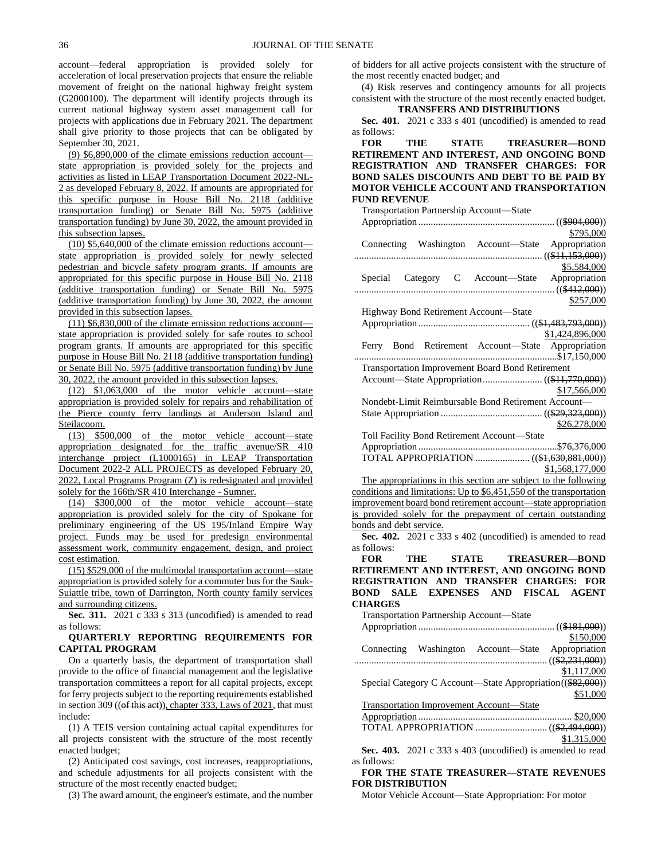account—federal appropriation is provided solely for acceleration of local preservation projects that ensure the reliable movement of freight on the national highway freight system (G2000100). The department will identify projects through its current national highway system asset management call for projects with applications due in February 2021. The department shall give priority to those projects that can be obligated by September 30, 2021.

(9) \$6,890,000 of the climate emissions reduction account state appropriation is provided solely for the projects and activities as listed in LEAP Transportation Document 2022-NL-2 as developed February 8, 2022. If amounts are appropriated for this specific purpose in House Bill No. 2118 (additive transportation funding) or Senate Bill No. 5975 (additive transportation funding) by June 30, 2022, the amount provided in this subsection lapses.

(10) \$5,640,000 of the climate emission reductions account state appropriation is provided solely for newly selected pedestrian and bicycle safety program grants. If amounts are appropriated for this specific purpose in House Bill No. 2118 (additive transportation funding) or Senate Bill No. 5975 (additive transportation funding) by June 30, 2022, the amount provided in this subsection lapses.

(11) \$6,830,000 of the climate emission reductions account state appropriation is provided solely for safe routes to school program grants. If amounts are appropriated for this specific purpose in House Bill No. 2118 (additive transportation funding) or Senate Bill No. 5975 (additive transportation funding) by June 30, 2022, the amount provided in this subsection lapses.

(12) \$1,063,000 of the motor vehicle account—state appropriation is provided solely for repairs and rehabilitation of the Pierce county ferry landings at Anderson Island and Steilacoom.

(13) \$500,000 of the motor vehicle account—state appropriation designated for the traffic avenue/SR 410 interchange project (L1000165) in LEAP Transportation Document 2022-2 ALL PROJECTS as developed February 20, 2022, Local Programs Program (Z) is redesignated and provided solely for the 166th/SR 410 Interchange - Sumner.

(14) \$300,000 of the motor vehicle account—state appropriation is provided solely for the city of Spokane for preliminary engineering of the US 195/Inland Empire Way project. Funds may be used for predesign environmental assessment work, community engagement, design, and project cost estimation.

(15) \$529,000 of the multimodal transportation account—state appropriation is provided solely for a commuter bus for the Sauk-Suiattle tribe, town of Darrington, North county family services and surrounding citizens.

**Sec. 311.** 2021 c 333 s 313 (uncodified) is amended to read as follows:

# **QUARTERLY REPORTING REQUIREMENTS FOR CAPITAL PROGRAM**

On a quarterly basis, the department of transportation shall provide to the office of financial management and the legislative transportation committees a report for all capital projects, except for ferry projects subject to the reporting requirements established in section 309 (( $\theta$ f this aet)), chapter 333, Laws of 2021, that must include:

(1) A TEIS version containing actual capital expenditures for all projects consistent with the structure of the most recently enacted budget;

(2) Anticipated cost savings, cost increases, reappropriations, and schedule adjustments for all projects consistent with the structure of the most recently enacted budget;

(3) The award amount, the engineer's estimate, and the number

of bidders for all active projects consistent with the structure of the most recently enacted budget; and

(4) Risk reserves and contingency amounts for all projects consistent with the structure of the most recently enacted budget. **TRANSFERS AND DISTRIBUTIONS**

**Sec. 401.** 2021 c 333 s 401 (uncodified) is amended to read as follows:

**FOR THE STATE TREASURER—BOND RETIREMENT AND INTEREST, AND ONGOING BOND REGISTRATION AND TRANSFER CHARGES: FOR BOND SALES DISCOUNTS AND DEBT TO BE PAID BY MOTOR VEHICLE ACCOUNT AND TRANSPORTATION FUND REVENUE**

| Transportation Partnership Account-State                            |
|---------------------------------------------------------------------|
|                                                                     |
| \$795,000                                                           |
| Connecting Washington Account-State<br>Appropriation                |
|                                                                     |
| \$5,584,000                                                         |
| Special Category C Account-State Appropriation                      |
|                                                                     |
| \$257,000                                                           |
| Highway Bond Retirement Account-State                               |
|                                                                     |
| \$1,424,896,000                                                     |
| Ferry Bond Retirement Account-State Appropriation                   |
|                                                                     |
| <b>Transportation Improvement Board Bond Retirement</b>             |
|                                                                     |
| \$17,566,000                                                        |
| Nondebt-Limit Reimbursable Bond Retirement Account-                 |
|                                                                     |
| \$26,278,000                                                        |
| Toll Facility Bond Retirement Account-State                         |
|                                                                     |
|                                                                     |
| \$1,568,177,000                                                     |
| The appropriations in this section are subject to the following     |
| conditions and limitations: Up to \$6,451,550 of the transportation |
| improvement board bond retirement account—state appropriation       |
| is provided solely for the prepayment of certain outstanding        |
| bonds and debt service.                                             |
| Sec. 402. 2021 c 333 s 402 (uncodified) is amended to read          |
| as follows:                                                         |
| THE STATE TREASURER-BOND<br><b>FOR</b>                              |
| RETIREMENT AND INTEREST, AND ONGOING BOND                           |
| REGISTRATION AND TRANSFER CHARGES: FOR                              |
| BOND SALE EXPENSES AND FISCAL AGENT                                 |
| <b>CHARGES</b>                                                      |
| Transportation Partnership Account-State                            |
|                                                                     |
| \$150,000                                                           |
| Connecting Washington Account-State<br>Appropriation                |
|                                                                     |
| \$1,117,000                                                         |
| Special Category C Account-State Appropriation((\$82,000))          |
| \$51,000                                                            |
| <b>Transportation Improvement Account-State</b>                     |
|                                                                     |
|                                                                     |
| \$1,315,000                                                         |
| Sec. 403. 2021 c 333 s 403 (uncodified) is amended to read          |
|                                                                     |

as follows:

## **FOR THE STATE TREASURER—STATE REVENUES FOR DISTRIBUTION**

Motor Vehicle Account—State Appropriation: For motor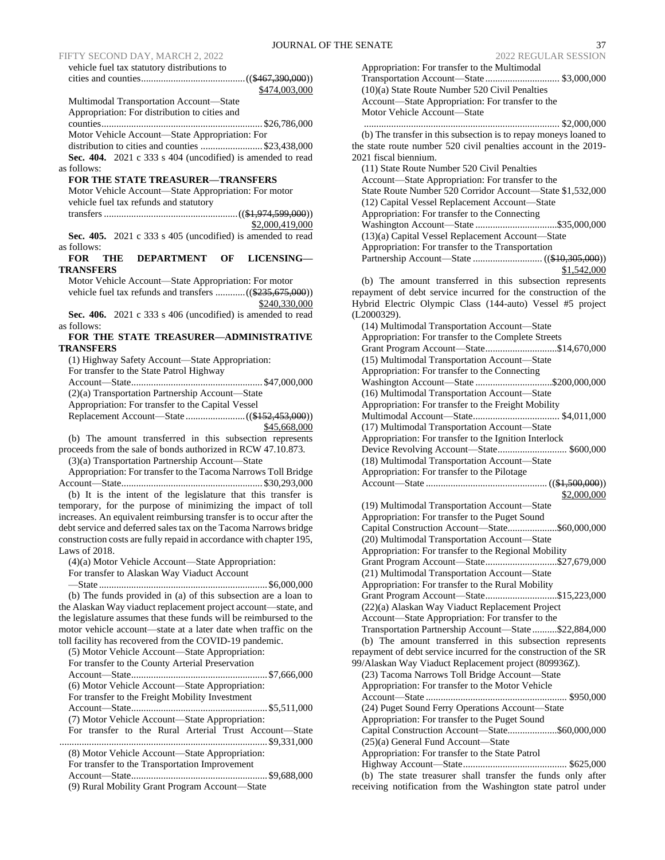FIFTY SECOND DAY, MARCH 2, 2022 vehicle fuel tax statutory distributions to

|                                                                                                                 | \$474,003,000     |
|-----------------------------------------------------------------------------------------------------------------|-------------------|
| Multimodal Transportation Account-State                                                                         |                   |
| Appropriation: For distribution to cities and                                                                   |                   |
|                                                                                                                 |                   |
| Motor Vehicle Account-State Appropriation: For                                                                  |                   |
| distribution to cities and counties  \$23,438,000<br>Sec. 404. 2021 c 333 s 404 (uncodified) is amended to read |                   |
| as follows:                                                                                                     |                   |
| <b>FOR THE STATE TREASURER-TRANSFERS</b>                                                                        |                   |
| Motor Vehicle Account-State Appropriation: For motor                                                            |                   |
| vehicle fuel tax refunds and statutory                                                                          |                   |
|                                                                                                                 |                   |
|                                                                                                                 | \$2,000,419,000   |
| Sec. 405. 2021 c 333 s 405 (uncodified) is amended to read                                                      |                   |
| as follows:                                                                                                     |                   |
| <b>DEPARTMENT</b><br>ОF<br><b>FOR</b><br>THE                                                                    | <b>LICENSING-</b> |
| <b>TRANSFERS</b>                                                                                                |                   |
| Motor Vehicle Account-State Appropriation: For motor                                                            |                   |
|                                                                                                                 | \$240,330,000     |
| Sec. 406. 2021 c 333 s 406 (uncodified) is amended to read                                                      |                   |
| as follows:                                                                                                     |                   |
| FOR THE STATE TREASURER-ADMINISTRATIVE                                                                          |                   |
| TRANSFERS                                                                                                       |                   |
| (1) Highway Safety Account-State Appropriation:                                                                 |                   |
| For transfer to the State Patrol Highway                                                                        |                   |
|                                                                                                                 |                   |
| (2)(a) Transportation Partnership Account-State                                                                 |                   |
| Appropriation: For transfer to the Capital Vessel                                                               |                   |
|                                                                                                                 | \$45,668,000      |
| (b) The amount transferred in this subsection represents                                                        |                   |
| proceeds from the sale of bonds authorized in RCW 47.10.873.                                                    |                   |
| (3)(a) Transportation Partnership Account-State                                                                 |                   |
| Appropriation: For transfer to the Tacoma Narrows Toll Bridge                                                   |                   |
|                                                                                                                 |                   |
| (b) It is the intent of the legislature that this transfer is                                                   |                   |
| temporary, for the purpose of minimizing the impact of toll                                                     |                   |
| increases. An equivalent reimbursing transfer is to occur after the                                             |                   |
| debt service and deferred sales tax on the Tacoma Narrows bridge                                                |                   |
| construction costs are fully repaid in accordance with chapter 195,                                             |                   |
| Laws of $2018$ .                                                                                                |                   |
| (4)(a) Motor Vehicle Account-State Appropriation:<br>For transfer to Alaskan Way Viaduct Account                |                   |
|                                                                                                                 |                   |
| (b) The funds provided in (a) of this subsection are a loan to                                                  |                   |
| the Alaskan Way viaduct replacement project account-state, and                                                  |                   |
| the legislature assumes that these funds will be reimbursed to the                                              |                   |
| motor vehicle account-state at a later date when traffic on the                                                 |                   |
| toll facility has recovered from the COVID-19 pandemic.                                                         |                   |
| (5) Motor Vehicle Account-State Appropriation:                                                                  |                   |
| For transfer to the County Arterial Preservation                                                                |                   |
| (6) Motor Vehicle Account-State Appropriation:                                                                  |                   |
| For transfer to the Freight Mobility Investment                                                                 |                   |
|                                                                                                                 |                   |
| (7) Motor Vehicle Account-State Appropriation:                                                                  |                   |
| For transfer to the Rural Arterial Trust Account-State                                                          |                   |
|                                                                                                                 |                   |
| (8) Motor Vehicle Account-State Appropriation:                                                                  |                   |
| For transfer to the Transportation Improvement                                                                  |                   |
|                                                                                                                 |                   |
| (9) Rural Mobility Grant Program Account-State                                                                  |                   |

| Appropriation: For transfer to the Multimodal                                                                                |
|------------------------------------------------------------------------------------------------------------------------------|
|                                                                                                                              |
| (10)(a) State Route Number 520 Civil Penalties                                                                               |
|                                                                                                                              |
| Account-State Appropriation: For transfer to the                                                                             |
| Motor Vehicle Account-State                                                                                                  |
|                                                                                                                              |
|                                                                                                                              |
| (b) The transfer in this subsection is to repay moneys loaned to                                                             |
| the state route number 520 civil penalties account in the 2019-                                                              |
| 2021 fiscal biennium.                                                                                                        |
|                                                                                                                              |
| (11) State Route Number 520 Civil Penalties                                                                                  |
| Account-State Appropriation: For transfer to the                                                                             |
| State Route Number 520 Corridor Account-State \$1,532,000                                                                    |
|                                                                                                                              |
| (12) Capital Vessel Replacement Account-State                                                                                |
| Appropriation: For transfer to the Connecting                                                                                |
|                                                                                                                              |
|                                                                                                                              |
| (13)(a) Capital Vessel Replacement Account-State                                                                             |
| Appropriation: For transfer to the Transportation                                                                            |
|                                                                                                                              |
|                                                                                                                              |
| \$1,542,000                                                                                                                  |
| (b) The amount transferred in this subsection represents                                                                     |
|                                                                                                                              |
| repayment of debt service incurred for the construction of the                                                               |
| Hybrid Electric Olympic Class (144-auto) Vessel #5 project                                                                   |
| (L2000329).                                                                                                                  |
|                                                                                                                              |
| (14) Multimodal Transportation Account-State                                                                                 |
| Appropriation: For transfer to the Complete Streets                                                                          |
| Grant Program Account-State\$14,670,000                                                                                      |
|                                                                                                                              |
| (15) Multimodal Transportation Account-State                                                                                 |
| Appropriation: For transfer to the Connecting                                                                                |
| Washington Account-State\$200,000,000                                                                                        |
|                                                                                                                              |
| (16) Multimodal Transportation Account-State                                                                                 |
| Appropriation: For transfer to the Freight Mobility                                                                          |
|                                                                                                                              |
|                                                                                                                              |
|                                                                                                                              |
| (17) Multimodal Transportation Account-State                                                                                 |
|                                                                                                                              |
| Appropriation: For transfer to the Ignition Interlock                                                                        |
| Device Revolving Account-State \$600,000                                                                                     |
| (18) Multimodal Transportation Account-State                                                                                 |
|                                                                                                                              |
| Appropriation: For transfer to the Pilotage                                                                                  |
|                                                                                                                              |
| \$2,000,000                                                                                                                  |
| (19) Multimodal Transportation Account-State                                                                                 |
|                                                                                                                              |
| Appropriation: For transfer to the Puget Sound                                                                               |
| Capital Construction Account-State\$60,000,000                                                                               |
|                                                                                                                              |
| (20) Multimodal Transportation Account-State                                                                                 |
| Appropriation: For transfer to the Regional Mobility                                                                         |
| Grant Program Account-State\$27,679,000                                                                                      |
| (21) Multimodal Transportation Account-State                                                                                 |
|                                                                                                                              |
| Appropriation: For transfer to the Rural Mobility                                                                            |
| Grant Program Account-State\$15,223,000                                                                                      |
|                                                                                                                              |
| (22)(a) Alaskan Way Viaduct Replacement Project                                                                              |
| Account-State Appropriation: For transfer to the                                                                             |
| Transportation Partnership Account-State \$22,884,000                                                                        |
| (b) The amount transferred in this subsection represents                                                                     |
|                                                                                                                              |
| repayment of debt service incurred for the construction of the SR                                                            |
| 99/Alaskan Way Viaduct Replacement project (809936Z).                                                                        |
|                                                                                                                              |
| (23) Tacoma Narrows Toll Bridge Account-State                                                                                |
| Appropriation: For transfer to the Motor Vehicle                                                                             |
|                                                                                                                              |
| (24) Puget Sound Ferry Operations Account-State                                                                              |
|                                                                                                                              |
| Appropriation: For transfer to the Puget Sound                                                                               |
| Capital Construction Account-State\$60,000,000                                                                               |
| (25)(a) General Fund Account-State                                                                                           |
|                                                                                                                              |
| Appropriation: For transfer to the State Patrol                                                                              |
|                                                                                                                              |
| (b) The state treasurer shall transfer the funds only after<br>receiving notification from the Washington state patrol under |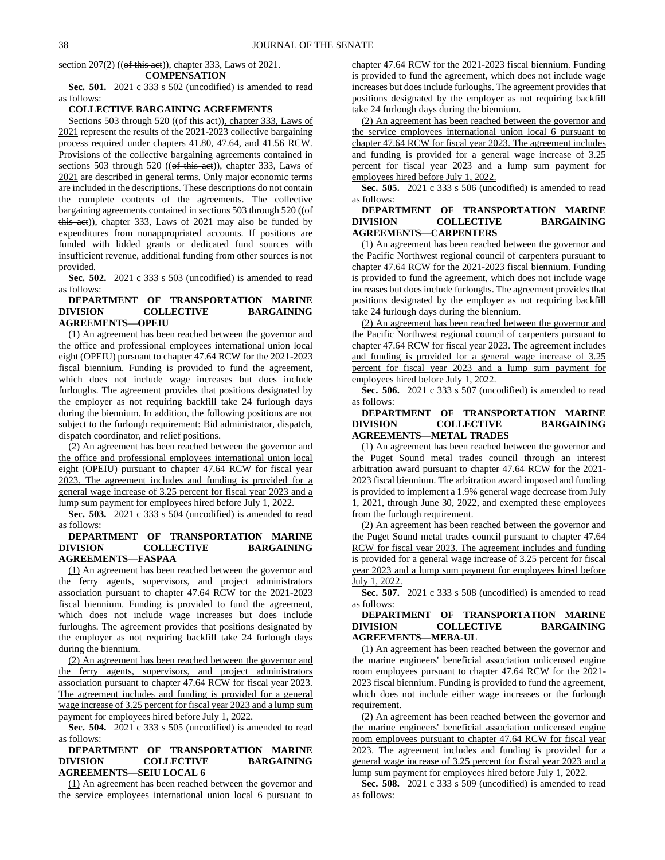section  $207(2)$  ((of this act)), chapter 333, Laws of  $2021$ .

#### **COMPENSATION**

**Sec. 501.** 2021 c 333 s 502 (uncodified) is amended to read as follows:

# **COLLECTIVE BARGAINING AGREEMENTS**

Sections 503 through 520 ((of this act)), chapter 333, Laws of 2021 represent the results of the 2021-2023 collective bargaining process required under chapters 41.80, 47.64, and 41.56 RCW. Provisions of the collective bargaining agreements contained in sections 503 through 520 ((of this act)), chapter 333, Laws of 2021 are described in general terms. Only major economic terms are included in the descriptions. These descriptions do not contain the complete contents of the agreements. The collective bargaining agreements contained in sections 503 through 520 ((of this act)), chapter 333, Laws of 2021 may also be funded by expenditures from nonappropriated accounts. If positions are funded with lidded grants or dedicated fund sources with insufficient revenue, additional funding from other sources is not provided.

**Sec. 502.** 2021 c 333 s 503 (uncodified) is amended to read as follows:

## **DEPARTMENT OF TRANSPORTATION MARINE DIVISION COLLECTIVE BARGAINING AGREEMENTS—OPEIU**

(1) An agreement has been reached between the governor and the office and professional employees international union local eight (OPEIU) pursuant to chapter 47.64 RCW for the 2021-2023 fiscal biennium. Funding is provided to fund the agreement, which does not include wage increases but does include furloughs. The agreement provides that positions designated by the employer as not requiring backfill take 24 furlough days during the biennium. In addition, the following positions are not subject to the furlough requirement: Bid administrator, dispatch, dispatch coordinator, and relief positions.

(2) An agreement has been reached between the governor and the office and professional employees international union local eight (OPEIU) pursuant to chapter 47.64 RCW for fiscal year 2023. The agreement includes and funding is provided for a general wage increase of 3.25 percent for fiscal year 2023 and a lump sum payment for employees hired before July 1, 2022.

**Sec. 503.** 2021 c 333 s 504 (uncodified) is amended to read as follows:

## **DEPARTMENT OF TRANSPORTATION MARINE DIVISION COLLECTIVE BARGAINING AGREEMENTS—FASPAA**

(1) An agreement has been reached between the governor and the ferry agents, supervisors, and project administrators association pursuant to chapter 47.64 RCW for the 2021-2023 fiscal biennium. Funding is provided to fund the agreement, which does not include wage increases but does include furloughs. The agreement provides that positions designated by the employer as not requiring backfill take 24 furlough days during the biennium.

(2) An agreement has been reached between the governor and the ferry agents, supervisors, and project administrators association pursuant to chapter 47.64 RCW for fiscal year 2023. The agreement includes and funding is provided for a general wage increase of 3.25 percent for fiscal year 2023 and a lump sum payment for employees hired before July 1, 2022.

**Sec. 504.** 2021 c 333 s 505 (uncodified) is amended to read as follows:

# **DEPARTMENT OF TRANSPORTATION MARINE DIVISION COLLECTIVE BARGAINING AGREEMENTS—SEIU LOCAL 6**

(1) An agreement has been reached between the governor and the service employees international union local 6 pursuant to chapter 47.64 RCW for the 2021-2023 fiscal biennium. Funding is provided to fund the agreement, which does not include wage increases but does include furloughs. The agreement provides that positions designated by the employer as not requiring backfill take 24 furlough days during the biennium.

(2) An agreement has been reached between the governor and the service employees international union local 6 pursuant to chapter 47.64 RCW for fiscal year 2023. The agreement includes and funding is provided for a general wage increase of 3.25 percent for fiscal year 2023 and a lump sum payment for employees hired before July 1, 2022.

**Sec. 505.** 2021 c 333 s 506 (uncodified) is amended to read as follows:

# **DEPARTMENT OF TRANSPORTATION MARINE DIVISION COLLECTIVE BARGAINING AGREEMENTS—CARPENTERS**

(1) An agreement has been reached between the governor and the Pacific Northwest regional council of carpenters pursuant to chapter 47.64 RCW for the 2021-2023 fiscal biennium. Funding is provided to fund the agreement, which does not include wage increases but does include furloughs. The agreement provides that positions designated by the employer as not requiring backfill take 24 furlough days during the biennium.

(2) An agreement has been reached between the governor and the Pacific Northwest regional council of carpenters pursuant to chapter 47.64 RCW for fiscal year 2023. The agreement includes and funding is provided for a general wage increase of 3.25 percent for fiscal year 2023 and a lump sum payment for employees hired before July 1, 2022.

**Sec. 506.** 2021 c 333 s 507 (uncodified) is amended to read as follows:

# **DEPARTMENT OF TRANSPORTATION MARINE DIVISION COLLECTIVE BARGAINING AGREEMENTS—METAL TRADES**

(1) An agreement has been reached between the governor and the Puget Sound metal trades council through an interest arbitration award pursuant to chapter 47.64 RCW for the 2021- 2023 fiscal biennium. The arbitration award imposed and funding is provided to implement a 1.9% general wage decrease from July 1, 2021, through June 30, 2022, and exempted these employees from the furlough requirement.

(2) An agreement has been reached between the governor and the Puget Sound metal trades council pursuant to chapter 47.64 RCW for fiscal year 2023. The agreement includes and funding is provided for a general wage increase of 3.25 percent for fiscal year 2023 and a lump sum payment for employees hired before July 1, 2022.

**Sec. 507.** 2021 c 333 s 508 (uncodified) is amended to read as follows:

# **DEPARTMENT OF TRANSPORTATION MARINE DIVISION COLLECTIVE BARGAINING AGREEMENTS—MEBA-UL**

(1) An agreement has been reached between the governor and the marine engineers' beneficial association unlicensed engine room employees pursuant to chapter 47.64 RCW for the 2021- 2023 fiscal biennium. Funding is provided to fund the agreement, which does not include either wage increases or the furlough requirement.

(2) An agreement has been reached between the governor and the marine engineers' beneficial association unlicensed engine room employees pursuant to chapter 47.64 RCW for fiscal year 2023. The agreement includes and funding is provided for a general wage increase of 3.25 percent for fiscal year 2023 and a lump sum payment for employees hired before July 1, 2022.

**Sec. 508.** 2021 c 333 s 509 (uncodified) is amended to read as follows: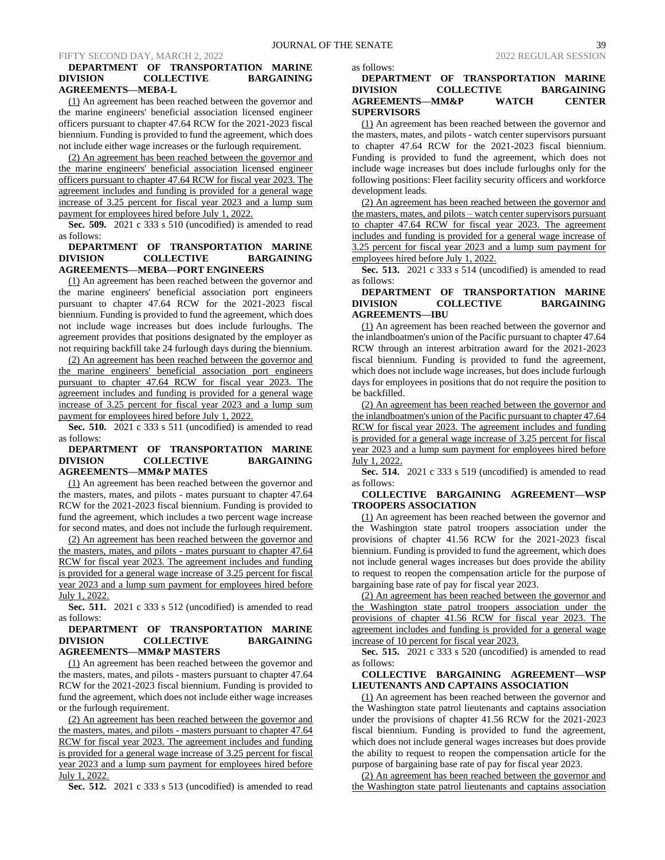## **DEPARTMENT OF TRANSPORTATION MARINE DIVISION COLLECTIVE BARGAINING AGREEMENTS—MEBA-L**

(1) An agreement has been reached between the governor and the marine engineers' beneficial association licensed engineer officers pursuant to chapter 47.64 RCW for the 2021-2023 fiscal biennium. Funding is provided to fund the agreement, which does not include either wage increases or the furlough requirement.

(2) An agreement has been reached between the governor and the marine engineers' beneficial association licensed engineer officers pursuant to chapter 47.64 RCW for fiscal year 2023. The agreement includes and funding is provided for a general wage increase of 3.25 percent for fiscal year 2023 and a lump sum payment for employees hired before July 1, 2022.

**Sec. 509.** 2021 c 333 s 510 (uncodified) is amended to read as follows:

# **DEPARTMENT OF TRANSPORTATION MARINE DIVISION COLLECTIVE BARGAINING AGREEMENTS—MEBA—PORT ENGINEERS**

(1) An agreement has been reached between the governor and the marine engineers' beneficial association port engineers pursuant to chapter 47.64 RCW for the 2021-2023 fiscal biennium. Funding is provided to fund the agreement, which does not include wage increases but does include furloughs. The agreement provides that positions designated by the employer as not requiring backfill take 24 furlough days during the biennium.

(2) An agreement has been reached between the governor and the marine engineers' beneficial association port engineers pursuant to chapter 47.64 RCW for fiscal year 2023. The agreement includes and funding is provided for a general wage increase of 3.25 percent for fiscal year 2023 and a lump sum payment for employees hired before July 1, 2022.

**Sec. 510.** 2021 c 333 s 511 (uncodified) is amended to read as follows:

# **DEPARTMENT OF TRANSPORTATION MARINE DIVISION COLLECTIVE BARGAINING AGREEMENTS—MM&P MATES**

(1) An agreement has been reached between the governor and the masters, mates, and pilots - mates pursuant to chapter 47.64 RCW for the 2021-2023 fiscal biennium. Funding is provided to fund the agreement, which includes a two percent wage increase for second mates, and does not include the furlough requirement.

(2) An agreement has been reached between the governor and the masters, mates, and pilots - mates pursuant to chapter 47.64 RCW for fiscal year 2023. The agreement includes and funding is provided for a general wage increase of 3.25 percent for fiscal year 2023 and a lump sum payment for employees hired before July 1, 2022.

**Sec. 511.** 2021 c 333 s 512 (uncodified) is amended to read as follows:

# **DEPARTMENT OF TRANSPORTATION MARINE DIVISION COLLECTIVE BARGAINING AGREEMENTS—MM&P MASTERS**

(1) An agreement has been reached between the governor and the masters, mates, and pilots - masters pursuant to chapter 47.64 RCW for the 2021-2023 fiscal biennium. Funding is provided to fund the agreement, which does not include either wage increases or the furlough requirement.

(2) An agreement has been reached between the governor and the masters, mates, and pilots - masters pursuant to chapter 47.64 RCW for fiscal year 2023. The agreement includes and funding is provided for a general wage increase of 3.25 percent for fiscal year 2023 and a lump sum payment for employees hired before July 1, 2022.

**Sec. 512.** 2021 c 333 s 513 (uncodified) is amended to read

as follows:

# **DEPARTMENT OF TRANSPORTATION MARINE DIVISION COLLECTIVE BARGAINING AGREEMENTS—MM&P WATCH CENTER SUPERVISORS**

(1) An agreement has been reached between the governor and the masters, mates, and pilots - watch center supervisors pursuant to chapter 47.64 RCW for the 2021-2023 fiscal biennium. Funding is provided to fund the agreement, which does not include wage increases but does include furloughs only for the following positions: Fleet facility security officers and workforce development leads.

(2) An agreement has been reached between the governor and the masters, mates, and pilots – watch center supervisors pursuant to chapter 47.64 RCW for fiscal year 2023. The agreement includes and funding is provided for a general wage increase of 3.25 percent for fiscal year 2023 and a lump sum payment for employees hired before July 1, 2022.

**Sec. 513.** 2021 c 333 s 514 (uncodified) is amended to read as follows:

# **DEPARTMENT OF TRANSPORTATION MARINE DIVISION COLLECTIVE BARGAINING AGREEMENTS—IBU**

(1) An agreement has been reached between the governor and the inlandboatmen's union of the Pacific pursuant to chapter 47.64 RCW through an interest arbitration award for the 2021-2023 fiscal biennium. Funding is provided to fund the agreement, which does not include wage increases, but does include furlough days for employees in positions that do not require the position to be backfilled.

(2) An agreement has been reached between the governor and the inlandboatmen's union of the Pacific pursuant to chapter 47.64 RCW for fiscal year 2023. The agreement includes and funding is provided for a general wage increase of 3.25 percent for fiscal year 2023 and a lump sum payment for employees hired before July 1, 2022.

**Sec. 514.** 2021 c 333 s 519 (uncodified) is amended to read as follows:

# **COLLECTIVE BARGAINING AGREEMENT—WSP TROOPERS ASSOCIATION**

(1) An agreement has been reached between the governor and the Washington state patrol troopers association under the provisions of chapter 41.56 RCW for the 2021-2023 fiscal biennium. Funding is provided to fund the agreement, which does not include general wages increases but does provide the ability to request to reopen the compensation article for the purpose of bargaining base rate of pay for fiscal year 2023.

(2) An agreement has been reached between the governor and the Washington state patrol troopers association under the provisions of chapter 41.56 RCW for fiscal year 2023. The agreement includes and funding is provided for a general wage increase of 10 percent for fiscal year 2023.

**Sec. 515.** 2021 c 333 s 520 (uncodified) is amended to read as follows:

# **COLLECTIVE BARGAINING AGREEMENT—WSP LIEUTENANTS AND CAPTAINS ASSOCIATION**

(1) An agreement has been reached between the governor and the Washington state patrol lieutenants and captains association under the provisions of chapter 41.56 RCW for the 2021-2023 fiscal biennium. Funding is provided to fund the agreement, which does not include general wages increases but does provide the ability to request to reopen the compensation article for the purpose of bargaining base rate of pay for fiscal year 2023.

(2) An agreement has been reached between the governor and the Washington state patrol lieutenants and captains association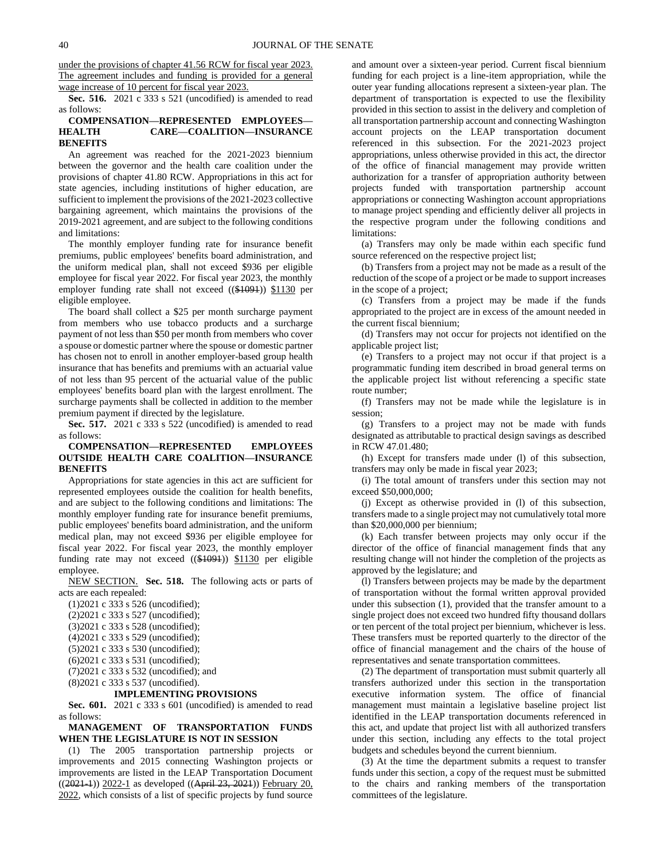under the provisions of chapter 41.56 RCW for fiscal year 2023. The agreement includes and funding is provided for a general wage increase of 10 percent for fiscal year 2023.

**Sec. 516.** 2021 c 333 s 521 (uncodified) is amended to read as follows:

# **COMPENSATION—REPRESENTED EMPLOYEES— HEALTH CARE—COALITION—INSURANCE BENEFITS**

An agreement was reached for the 2021-2023 biennium between the governor and the health care coalition under the provisions of chapter 41.80 RCW. Appropriations in this act for state agencies, including institutions of higher education, are sufficient to implement the provisions of the 2021-2023 collective bargaining agreement, which maintains the provisions of the 2019-2021 agreement, and are subject to the following conditions and limitations:

The monthly employer funding rate for insurance benefit premiums, public employees' benefits board administration, and the uniform medical plan, shall not exceed \$936 per eligible employee for fiscal year 2022. For fiscal year 2023, the monthly employer funding rate shall not exceed ((\$1094)) \$1130 per eligible employee.

The board shall collect a \$25 per month surcharge payment from members who use tobacco products and a surcharge payment of not less than \$50 per month from members who cover a spouse or domestic partner where the spouse or domestic partner has chosen not to enroll in another employer-based group health insurance that has benefits and premiums with an actuarial value of not less than 95 percent of the actuarial value of the public employees' benefits board plan with the largest enrollment. The surcharge payments shall be collected in addition to the member premium payment if directed by the legislature.

**Sec. 517.** 2021 c 333 s 522 (uncodified) is amended to read as follows:

# **COMPENSATION—REPRESENTED EMPLOYEES OUTSIDE HEALTH CARE COALITION—INSURANCE BENEFITS**

Appropriations for state agencies in this act are sufficient for represented employees outside the coalition for health benefits, and are subject to the following conditions and limitations: The monthly employer funding rate for insurance benefit premiums, public employees' benefits board administration, and the uniform medical plan, may not exceed \$936 per eligible employee for fiscal year 2022. For fiscal year 2023, the monthly employer funding rate may not exceed ((\$1091)) \$1130 per eligible employee.

NEW SECTION. **Sec. 518.** The following acts or parts of acts are each repealed:

(1)2021 c 333 s 526 (uncodified); (2)2021 c 333 s 527 (uncodified); (3)2021 c 333 s 528 (uncodified); (4)2021 c 333 s 529 (uncodified); (5)2021 c 333 s 530 (uncodified); (6)2021 c 333 s 531 (uncodified); (7)2021 c 333 s 532 (uncodified); and (8)2021 c 333 s 537 (uncodified).

#### **IMPLEMENTING PROVISIONS**

**Sec. 601.** 2021 c 333 s 601 (uncodified) is amended to read as follows:

# **MANAGEMENT OF TRANSPORTATION FUNDS WHEN THE LEGISLATURE IS NOT IN SESSION**

(1) The 2005 transportation partnership projects or improvements and 2015 connecting Washington projects or improvements are listed in the LEAP Transportation Document  $((2021-1))$  2022-1 as developed  $((Apiri 23, 2021))$  February 20, 2022, which consists of a list of specific projects by fund source

and amount over a sixteen-year period. Current fiscal biennium funding for each project is a line-item appropriation, while the outer year funding allocations represent a sixteen-year plan. The department of transportation is expected to use the flexibility provided in this section to assist in the delivery and completion of all transportation partnership account and connecting Washington account projects on the LEAP transportation document referenced in this subsection. For the 2021-2023 project appropriations, unless otherwise provided in this act, the director of the office of financial management may provide written authorization for a transfer of appropriation authority between projects funded with transportation partnership account appropriations or connecting Washington account appropriations to manage project spending and efficiently deliver all projects in the respective program under the following conditions and limitations:

(a) Transfers may only be made within each specific fund source referenced on the respective project list;

(b) Transfers from a project may not be made as a result of the reduction of the scope of a project or be made to support increases in the scope of a project;

(c) Transfers from a project may be made if the funds appropriated to the project are in excess of the amount needed in the current fiscal biennium;

(d) Transfers may not occur for projects not identified on the applicable project list;

(e) Transfers to a project may not occur if that project is a programmatic funding item described in broad general terms on the applicable project list without referencing a specific state route number;

(f) Transfers may not be made while the legislature is in session;

(g) Transfers to a project may not be made with funds designated as attributable to practical design savings as described in RCW 47.01.480;

(h) Except for transfers made under (l) of this subsection, transfers may only be made in fiscal year 2023;

(i) The total amount of transfers under this section may not exceed \$50,000,000;

(j) Except as otherwise provided in (l) of this subsection, transfers made to a single project may not cumulatively total more than \$20,000,000 per biennium;

(k) Each transfer between projects may only occur if the director of the office of financial management finds that any resulting change will not hinder the completion of the projects as approved by the legislature; and

(l) Transfers between projects may be made by the department of transportation without the formal written approval provided under this subsection (1), provided that the transfer amount to a single project does not exceed two hundred fifty thousand dollars or ten percent of the total project per biennium, whichever is less. These transfers must be reported quarterly to the director of the office of financial management and the chairs of the house of representatives and senate transportation committees.

(2) The department of transportation must submit quarterly all transfers authorized under this section in the transportation executive information system. The office of financial management must maintain a legislative baseline project list identified in the LEAP transportation documents referenced in this act, and update that project list with all authorized transfers under this section, including any effects to the total project budgets and schedules beyond the current biennium.

(3) At the time the department submits a request to transfer funds under this section, a copy of the request must be submitted to the chairs and ranking members of the transportation committees of the legislature.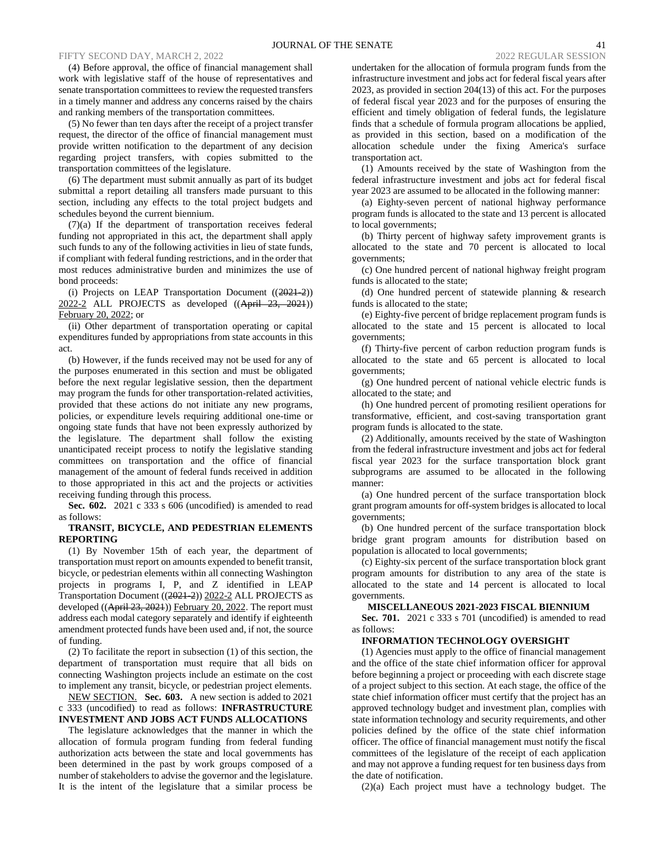## FIFTY SECOND DAY, MARCH 2, 2022 2022 REGULAR SESSION 2022 REGULAR SESSION

(4) Before approval, the office of financial management shall work with legislative staff of the house of representatives and senate transportation committees to review the requested transfers in a timely manner and address any concerns raised by the chairs and ranking members of the transportation committees.

(5) No fewer than ten days after the receipt of a project transfer request, the director of the office of financial management must provide written notification to the department of any decision regarding project transfers, with copies submitted to the transportation committees of the legislature.

(6) The department must submit annually as part of its budget submittal a report detailing all transfers made pursuant to this section, including any effects to the total project budgets and schedules beyond the current biennium.

(7)(a) If the department of transportation receives federal funding not appropriated in this act, the department shall apply such funds to any of the following activities in lieu of state funds, if compliant with federal funding restrictions, and in the order that most reduces administrative burden and minimizes the use of bond proceeds:

(i) Projects on LEAP Transportation Document ((2021-2)) 2022-2 ALL PROJECTS as developed ((April 23, 2021)) February 20, 2022; or

(ii) Other department of transportation operating or capital expenditures funded by appropriations from state accounts in this act.

(b) However, if the funds received may not be used for any of the purposes enumerated in this section and must be obligated before the next regular legislative session, then the department may program the funds for other transportation-related activities, provided that these actions do not initiate any new programs, policies, or expenditure levels requiring additional one-time or ongoing state funds that have not been expressly authorized by the legislature. The department shall follow the existing unanticipated receipt process to notify the legislative standing committees on transportation and the office of financial management of the amount of federal funds received in addition to those appropriated in this act and the projects or activities receiving funding through this process.

**Sec. 602.** 2021 c 333 s 606 (uncodified) is amended to read as follows:

## **TRANSIT, BICYCLE, AND PEDESTRIAN ELEMENTS REPORTING**

(1) By November 15th of each year, the department of transportation must report on amounts expended to benefit transit, bicycle, or pedestrian elements within all connecting Washington projects in programs I, P, and Z identified in LEAP Transportation Document ((2021-2)) 2022-2 ALL PROJECTS as developed ((April 23, 2021)) February 20, 2022. The report must address each modal category separately and identify if eighteenth amendment protected funds have been used and, if not, the source of funding.

(2) To facilitate the report in subsection (1) of this section, the department of transportation must require that all bids on connecting Washington projects include an estimate on the cost to implement any transit, bicycle, or pedestrian project elements.

NEW SECTION. **Sec. 603.** A new section is added to 2021 c 333 (uncodified) to read as follows: **INFRASTRUCTURE INVESTMENT AND JOBS ACT FUNDS ALLOCATIONS**

The legislature acknowledges that the manner in which the allocation of formula program funding from federal funding authorization acts between the state and local governments has been determined in the past by work groups composed of a number of stakeholders to advise the governor and the legislature. It is the intent of the legislature that a similar process be

undertaken for the allocation of formula program funds from the infrastructure investment and jobs act for federal fiscal years after 2023, as provided in section 204(13) of this act. For the purposes of federal fiscal year 2023 and for the purposes of ensuring the efficient and timely obligation of federal funds, the legislature finds that a schedule of formula program allocations be applied, as provided in this section, based on a modification of the allocation schedule under the fixing America's surface transportation act.

(1) Amounts received by the state of Washington from the federal infrastructure investment and jobs act for federal fiscal year 2023 are assumed to be allocated in the following manner:

(a) Eighty-seven percent of national highway performance program funds is allocated to the state and 13 percent is allocated to local governments;

(b) Thirty percent of highway safety improvement grants is allocated to the state and 70 percent is allocated to local governments;

(c) One hundred percent of national highway freight program funds is allocated to the state;

(d) One hundred percent of statewide planning & research funds is allocated to the state;

(e) Eighty-five percent of bridge replacement program funds is allocated to the state and 15 percent is allocated to local governments;

(f) Thirty-five percent of carbon reduction program funds is allocated to the state and 65 percent is allocated to local governments;

(g) One hundred percent of national vehicle electric funds is allocated to the state; and

(h) One hundred percent of promoting resilient operations for transformative, efficient, and cost-saving transportation grant program funds is allocated to the state.

(2) Additionally, amounts received by the state of Washington from the federal infrastructure investment and jobs act for federal fiscal year 2023 for the surface transportation block grant subprograms are assumed to be allocated in the following manner:

(a) One hundred percent of the surface transportation block grant program amounts for off-system bridges is allocated to local governments;

(b) One hundred percent of the surface transportation block bridge grant program amounts for distribution based on population is allocated to local governments;

(c) Eighty-six percent of the surface transportation block grant program amounts for distribution to any area of the state is allocated to the state and 14 percent is allocated to local governments.

## **MISCELLANEOUS 2021-2023 FISCAL BIENNIUM**

**Sec. 701.** 2021 c 333 s 701 (uncodified) is amended to read as follows:

# **INFORMATION TECHNOLOGY OVERSIGHT**

(1) Agencies must apply to the office of financial management and the office of the state chief information officer for approval before beginning a project or proceeding with each discrete stage of a project subject to this section. At each stage, the office of the state chief information officer must certify that the project has an approved technology budget and investment plan, complies with state information technology and security requirements, and other policies defined by the office of the state chief information officer. The office of financial management must notify the fiscal committees of the legislature of the receipt of each application and may not approve a funding request for ten business days from the date of notification.

(2)(a) Each project must have a technology budget. The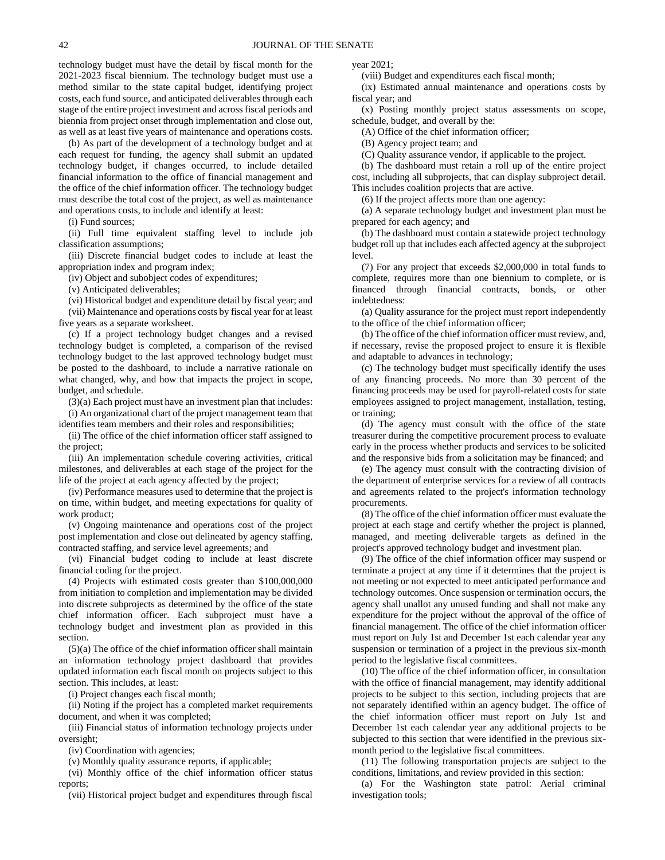technology budget must have the detail by fiscal month for the 2021-2023 fiscal biennium. The technology budget must use a method similar to the state capital budget, identifying project costs, each fund source, and anticipated deliverables through each stage of the entire project investment and across fiscal periods and biennia from project onset through implementation and close out, as well as at least five years of maintenance and operations costs.

(b) As part of the development of a technology budget and at each request for funding, the agency shall submit an updated technology budget, if changes occurred, to include detailed financial information to the office of financial management and the office of the chief information officer. The technology budget must describe the total cost of the project, as well as maintenance and operations costs, to include and identify at least:

(i) Fund sources;

(ii) Full time equivalent staffing level to include job classification assumptions;

(iii) Discrete financial budget codes to include at least the appropriation index and program index;

(iv) Object and subobject codes of expenditures;

(v) Anticipated deliverables;

(vi) Historical budget and expenditure detail by fiscal year; and (vii) Maintenance and operations costs by fiscal year for at least five years as a separate worksheet.

(c) If a project technology budget changes and a revised technology budget is completed, a comparison of the revised technology budget to the last approved technology budget must be posted to the dashboard, to include a narrative rationale on what changed, why, and how that impacts the project in scope, budget, and schedule.

(3)(a) Each project must have an investment plan that includes: (i) An organizational chart of the project management team that

identifies team members and their roles and responsibilities;

(ii) The office of the chief information officer staff assigned to the project;

(iii) An implementation schedule covering activities, critical milestones, and deliverables at each stage of the project for the life of the project at each agency affected by the project;

(iv) Performance measures used to determine that the project is on time, within budget, and meeting expectations for quality of work product:

(v) Ongoing maintenance and operations cost of the project post implementation and close out delineated by agency staffing, contracted staffing, and service level agreements; and

(vi) Financial budget coding to include at least discrete financial coding for the project.

(4) Projects with estimated costs greater than \$100,000,000 from initiation to completion and implementation may be divided into discrete subprojects as determined by the office of the state chief information officer. Each subproject must have a technology budget and investment plan as provided in this section.

(5)(a) The office of the chief information officer shall maintain an information technology project dashboard that provides updated information each fiscal month on projects subject to this section. This includes, at least:

(i) Project changes each fiscal month;

(ii) Noting if the project has a completed market requirements document, and when it was completed;

(iii) Financial status of information technology projects under oversight;

(iv) Coordination with agencies;

(v) Monthly quality assurance reports, if applicable;

(vi) Monthly office of the chief information officer status reports;

(vii) Historical project budget and expenditures through fiscal

year 2021;

(viii) Budget and expenditures each fiscal month;

(ix) Estimated annual maintenance and operations costs by fiscal year; and

(x) Posting monthly project status assessments on scope, schedule, budget, and overall by the:

(A) Office of the chief information officer;

(B) Agency project team; and

(C) Quality assurance vendor, if applicable to the project.

(b) The dashboard must retain a roll up of the entire project cost, including all subprojects, that can display subproject detail. This includes coalition projects that are active.

(6) If the project affects more than one agency:

(a) A separate technology budget and investment plan must be prepared for each agency; and

(b) The dashboard must contain a statewide project technology budget roll up that includes each affected agency at the subproject level.

(7) For any project that exceeds \$2,000,000 in total funds to complete, requires more than one biennium to complete, or is financed through financial contracts, bonds, or other indebtedness:

(a) Quality assurance for the project must report independently to the office of the chief information officer;

(b) The office of the chief information officer must review, and, if necessary, revise the proposed project to ensure it is flexible and adaptable to advances in technology;

(c) The technology budget must specifically identify the uses of any financing proceeds. No more than 30 percent of the financing proceeds may be used for payroll-related costs for state employees assigned to project management, installation, testing, or training;

(d) The agency must consult with the office of the state treasurer during the competitive procurement process to evaluate early in the process whether products and services to be solicited and the responsive bids from a solicitation may be financed; and

(e) The agency must consult with the contracting division of the department of enterprise services for a review of all contracts and agreements related to the project's information technology procurements.

(8) The office of the chief information officer must evaluate the project at each stage and certify whether the project is planned, managed, and meeting deliverable targets as defined in the project's approved technology budget and investment plan.

(9) The office of the chief information officer may suspend or terminate a project at any time if it determines that the project is not meeting or not expected to meet anticipated performance and technology outcomes. Once suspension or termination occurs, the agency shall unallot any unused funding and shall not make any expenditure for the project without the approval of the office of financial management. The office of the chief information officer must report on July 1st and December 1st each calendar year any suspension or termination of a project in the previous six-month period to the legislative fiscal committees.

(10) The office of the chief information officer, in consultation with the office of financial management, may identify additional projects to be subject to this section, including projects that are not separately identified within an agency budget. The office of the chief information officer must report on July 1st and December 1st each calendar year any additional projects to be subjected to this section that were identified in the previous sixmonth period to the legislative fiscal committees.

(11) The following transportation projects are subject to the conditions, limitations, and review provided in this section:

(a) For the Washington state patrol: Aerial criminal investigation tools;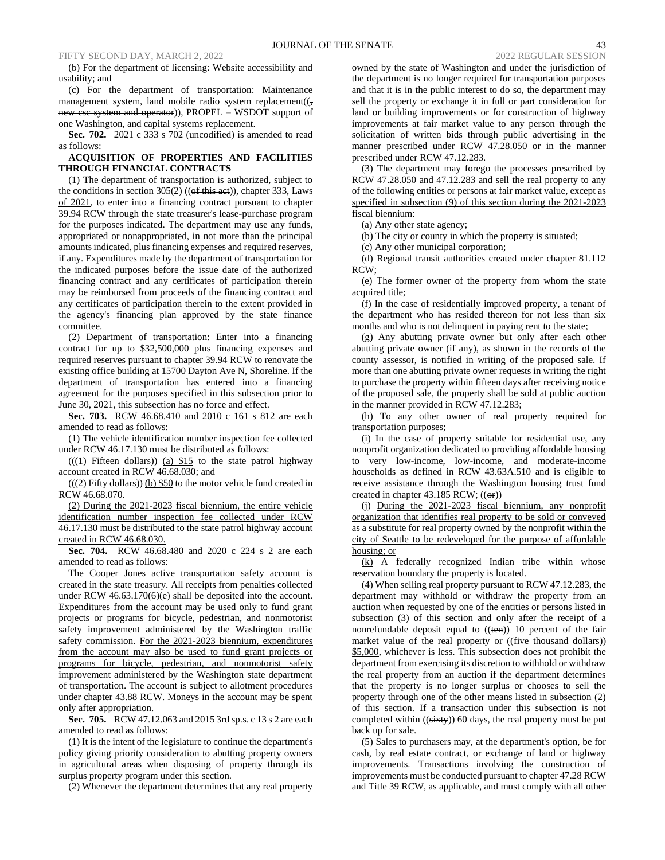(b) For the department of licensing: Website accessibility and usability; and

(c) For the department of transportation: Maintenance management system, land mobile radio system replacement( $($ , new csc system and operator)), PROPEL – WSDOT support of one Washington, and capital systems replacement.

**Sec. 702.** 2021 c 333 s 702 (uncodified) is amended to read as follows:

## **ACQUISITION OF PROPERTIES AND FACILITIES THROUGH FINANCIAL CONTRACTS**

(1) The department of transportation is authorized, subject to the conditions in section 305(2) (( $ef$  this act)), chapter 333, Laws of 2021, to enter into a financing contract pursuant to chapter 39.94 RCW through the state treasurer's lease-purchase program for the purposes indicated. The department may use any funds, appropriated or nonappropriated, in not more than the principal amounts indicated, plus financing expenses and required reserves, if any. Expenditures made by the department of transportation for the indicated purposes before the issue date of the authorized financing contract and any certificates of participation therein may be reimbursed from proceeds of the financing contract and any certificates of participation therein to the extent provided in the agency's financing plan approved by the state finance committee.

(2) Department of transportation: Enter into a financing contract for up to \$32,500,000 plus financing expenses and required reserves pursuant to chapter 39.94 RCW to renovate the existing office building at 15700 Dayton Ave N, Shoreline. If the department of transportation has entered into a financing agreement for the purposes specified in this subsection prior to June 30, 2021, this subsection has no force and effect.

**Sec. 703.** RCW 46.68.410 and 2010 c 161 s 812 are each amended to read as follows:

(1) The vehicle identification number inspection fee collected under RCW 46.17.130 must be distributed as follows:

 $((1)$  Fifteen dollars)) (a) \$15 to the state patrol highway account created in RCW 46.68.030; and

 $((2)$  Fifty dollars)) (b) \$50 to the motor vehicle fund created in RCW 46.68.070.

(2) During the 2021-2023 fiscal biennium, the entire vehicle identification number inspection fee collected under RCW 46.17.130 must be distributed to the state patrol highway account created in RCW 46.68.030.

**Sec. 704.** RCW 46.68.480 and 2020 c 224 s 2 are each amended to read as follows:

The Cooper Jones active transportation safety account is created in the state treasury. All receipts from penalties collected under RCW 46.63.170(6)(e) shall be deposited into the account. Expenditures from the account may be used only to fund grant projects or programs for bicycle, pedestrian, and nonmotorist safety improvement administered by the Washington traffic safety commission. For the 2021-2023 biennium, expenditures from the account may also be used to fund grant projects or programs for bicycle, pedestrian, and nonmotorist safety improvement administered by the Washington state department of transportation. The account is subject to allotment procedures under chapter 43.88 RCW. Moneys in the account may be spent only after appropriation.

**Sec. 705.** RCW 47.12.063 and 2015 3rd sp.s. c 13 s 2 are each amended to read as follows:

(1) It is the intent of the legislature to continue the department's policy giving priority consideration to abutting property owners in agricultural areas when disposing of property through its surplus property program under this section.

(2) Whenever the department determines that any real property

owned by the state of Washington and under the jurisdiction of the department is no longer required for transportation purposes and that it is in the public interest to do so, the department may sell the property or exchange it in full or part consideration for land or building improvements or for construction of highway improvements at fair market value to any person through the solicitation of written bids through public advertising in the manner prescribed under RCW 47.28.050 or in the manner prescribed under RCW 47.12.283.

(3) The department may forego the processes prescribed by RCW 47.28.050 and 47.12.283 and sell the real property to any of the following entities or persons at fair market value, except as specified in subsection (9) of this section during the 2021-2023 fiscal biennium:

(a) Any other state agency;

(b) The city or county in which the property is situated;

(c) Any other municipal corporation;

(d) Regional transit authorities created under chapter 81.112 RCW;

(e) The former owner of the property from whom the state acquired title;

(f) In the case of residentially improved property, a tenant of the department who has resided thereon for not less than six months and who is not delinquent in paying rent to the state;

(g) Any abutting private owner but only after each other abutting private owner (if any), as shown in the records of the county assessor, is notified in writing of the proposed sale. If more than one abutting private owner requests in writing the right to purchase the property within fifteen days after receiving notice of the proposed sale, the property shall be sold at public auction in the manner provided in RCW 47.12.283;

(h) To any other owner of real property required for transportation purposes;

(i) In the case of property suitable for residential use, any nonprofit organization dedicated to providing affordable housing to very low-income, low-income, and moderate-income households as defined in RCW 43.63A.510 and is eligible to receive assistance through the Washington housing trust fund created in chapter 43.185 RCW;  $((\Theta$ **r**))

(j) During the 2021-2023 fiscal biennium, any nonprofit organization that identifies real property to be sold or conveyed as a substitute for real property owned by the nonprofit within the city of Seattle to be redeveloped for the purpose of affordable housing; or

(k) A federally recognized Indian tribe within whose reservation boundary the property is located.

(4) When selling real property pursuant to RCW 47.12.283, the department may withhold or withdraw the property from an auction when requested by one of the entities or persons listed in subsection (3) of this section and only after the receipt of a nonrefundable deposit equal to  $((ten))$  10 percent of the fair market value of the real property or ((five thousand dollars)) \$5,000, whichever is less. This subsection does not prohibit the department from exercising its discretion to withhold or withdraw the real property from an auction if the department determines that the property is no longer surplus or chooses to sell the property through one of the other means listed in subsection (2) of this section. If a transaction under this subsection is not completed within  $((sixty))$  60 days, the real property must be put back up for sale.

(5) Sales to purchasers may, at the department's option, be for cash, by real estate contract, or exchange of land or highway improvements. Transactions involving the construction of improvements must be conducted pursuant to chapter 47.28 RCW and Title 39 RCW, as applicable, and must comply with all other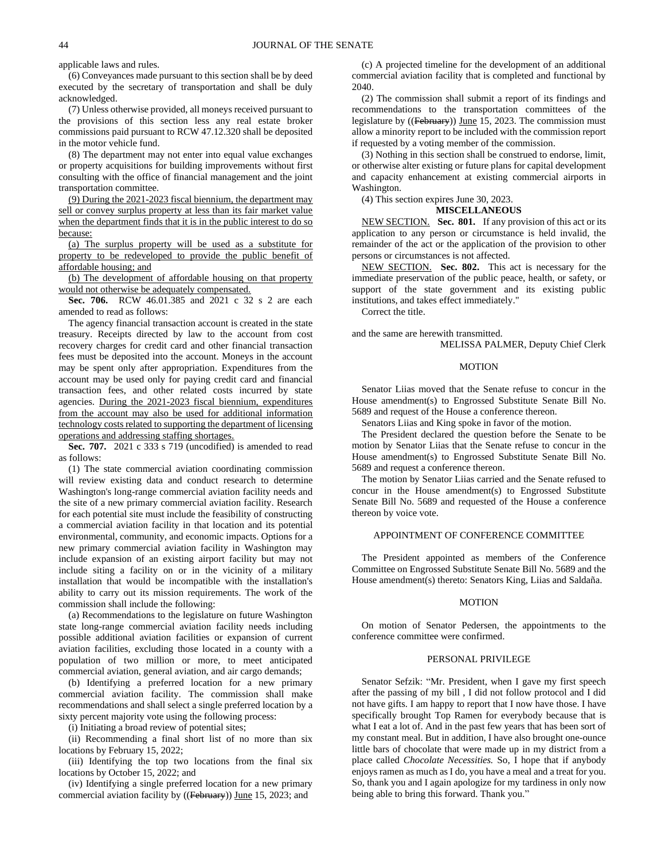applicable laws and rules.

(6) Conveyances made pursuant to this section shall be by deed executed by the secretary of transportation and shall be duly acknowledged.

(7) Unless otherwise provided, all moneys received pursuant to the provisions of this section less any real estate broker commissions paid pursuant to RCW 47.12.320 shall be deposited in the motor vehicle fund.

(8) The department may not enter into equal value exchanges or property acquisitions for building improvements without first consulting with the office of financial management and the joint transportation committee.

(9) During the 2021-2023 fiscal biennium, the department may sell or convey surplus property at less than its fair market value when the department finds that it is in the public interest to do so because:

(a) The surplus property will be used as a substitute for property to be redeveloped to provide the public benefit of affordable housing; and

(b) The development of affordable housing on that property would not otherwise be adequately compensated.

**Sec. 706.** RCW 46.01.385 and 2021 c 32 s 2 are each amended to read as follows:

The agency financial transaction account is created in the state treasury. Receipts directed by law to the account from cost recovery charges for credit card and other financial transaction fees must be deposited into the account. Moneys in the account may be spent only after appropriation. Expenditures from the account may be used only for paying credit card and financial transaction fees, and other related costs incurred by state agencies. During the 2021-2023 fiscal biennium, expenditures from the account may also be used for additional information technology costs related to supporting the department of licensing operations and addressing staffing shortages.

**Sec. 707.** 2021 c 333 s 719 (uncodified) is amended to read as follows:

(1) The state commercial aviation coordinating commission will review existing data and conduct research to determine Washington's long-range commercial aviation facility needs and the site of a new primary commercial aviation facility. Research for each potential site must include the feasibility of constructing a commercial aviation facility in that location and its potential environmental, community, and economic impacts. Options for a new primary commercial aviation facility in Washington may include expansion of an existing airport facility but may not include siting a facility on or in the vicinity of a military installation that would be incompatible with the installation's ability to carry out its mission requirements. The work of the commission shall include the following:

(a) Recommendations to the legislature on future Washington state long-range commercial aviation facility needs including possible additional aviation facilities or expansion of current aviation facilities, excluding those located in a county with a population of two million or more, to meet anticipated commercial aviation, general aviation, and air cargo demands;

(b) Identifying a preferred location for a new primary commercial aviation facility. The commission shall make recommendations and shall select a single preferred location by a sixty percent majority vote using the following process:

(i) Initiating a broad review of potential sites;

(ii) Recommending a final short list of no more than six locations by February 15, 2022;

(iii) Identifying the top two locations from the final six locations by October 15, 2022; and

(iv) Identifying a single preferred location for a new primary commercial aviation facility by ((February)) June 15, 2023; and

(c) A projected timeline for the development of an additional commercial aviation facility that is completed and functional by 2040.

(2) The commission shall submit a report of its findings and recommendations to the transportation committees of the legislature by ((February)) June 15, 2023. The commission must allow a minority report to be included with the commission report if requested by a voting member of the commission.

(3) Nothing in this section shall be construed to endorse, limit, or otherwise alter existing or future plans for capital development and capacity enhancement at existing commercial airports in Washington.

(4) This section expires June 30, 2023.

## **MISCELLANEOUS**

NEW SECTION. **Sec. 801.** If any provision of this act or its application to any person or circumstance is held invalid, the remainder of the act or the application of the provision to other persons or circumstances is not affected.

NEW SECTION. **Sec. 802.** This act is necessary for the immediate preservation of the public peace, health, or safety, or support of the state government and its existing public institutions, and takes effect immediately."

Correct the title.

and the same are herewith transmitted. MELISSA PALMER, Deputy Chief Clerk

#### **MOTION**

Senator Liias moved that the Senate refuse to concur in the House amendment(s) to Engrossed Substitute Senate Bill No. 5689 and request of the House a conference thereon.

Senators Liias and King spoke in favor of the motion.

The President declared the question before the Senate to be motion by Senator Liias that the Senate refuse to concur in the House amendment(s) to Engrossed Substitute Senate Bill No. 5689 and request a conference thereon.

The motion by Senator Liias carried and the Senate refused to concur in the House amendment(s) to Engrossed Substitute Senate Bill No. 5689 and requested of the House a conference thereon by voice vote.

#### APPOINTMENT OF CONFERENCE COMMITTEE

The President appointed as members of the Conference Committee on Engrossed Substitute Senate Bill No. 5689 and the House amendment(s) thereto: Senators King, Liias and Saldaña.

# **MOTION**

On motion of Senator Pedersen, the appointments to the conference committee were confirmed.

#### PERSONAL PRIVILEGE

Senator Sefzik: "Mr. President, when I gave my first speech after the passing of my bill , I did not follow protocol and I did not have gifts. I am happy to report that I now have those. I have specifically brought Top Ramen for everybody because that is what I eat a lot of. And in the past few years that has been sort of my constant meal. But in addition, I have also brought one-ounce little bars of chocolate that were made up in my district from a place called *Chocolate Necessities.* So, I hope that if anybody enjoys ramen as much as I do, you have a meal and a treat for you. So, thank you and I again apologize for my tardiness in only now being able to bring this forward. Thank you."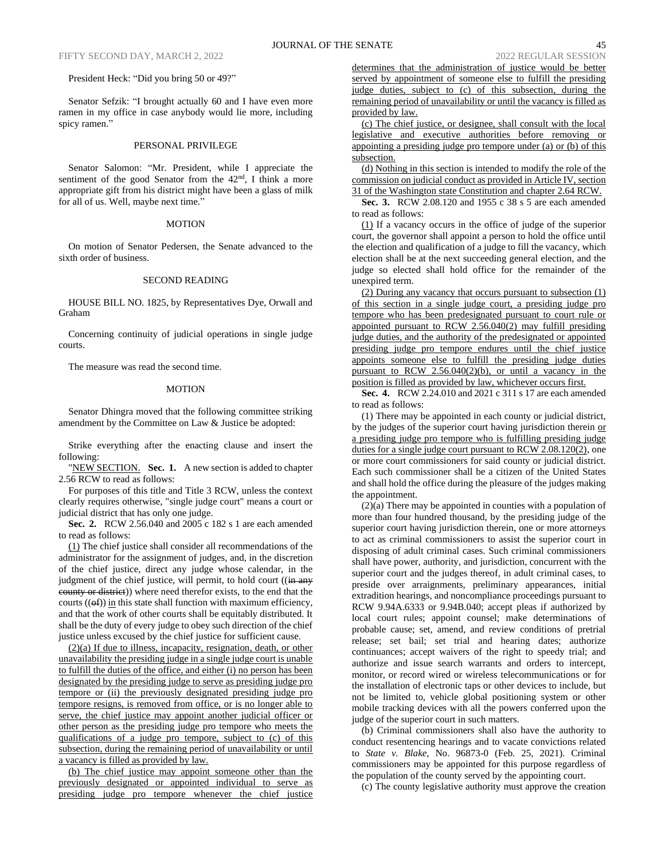#### President Heck: "Did you bring 50 or 49?"

Senator Sefzik: "I brought actually 60 and I have even more ramen in my office in case anybody would lie more, including spicy ramen."

#### PERSONAL PRIVILEGE

Senator Salomon: "Mr. President, while I appreciate the sentiment of the good Senator from the  $42<sup>nd</sup>$ , I think a more appropriate gift from his district might have been a glass of milk for all of us. Well, maybe next time."

#### MOTION

On motion of Senator Pedersen, the Senate advanced to the sixth order of business.

## SECOND READING

HOUSE BILL NO. 1825, by Representatives Dye, Orwall and Graham

Concerning continuity of judicial operations in single judge courts.

The measure was read the second time.

### MOTION

Senator Dhingra moved that the following committee striking amendment by the Committee on Law & Justice be adopted:

Strike everything after the enacting clause and insert the following:

"NEW SECTION. **Sec. 1.** A new section is added to chapter 2.56 RCW to read as follows:

For purposes of this title and Title 3 RCW, unless the context clearly requires otherwise, "single judge court" means a court or judicial district that has only one judge.

**Sec. 2.** RCW 2.56.040 and 2005 c 182 s 1 are each amended to read as follows:

(1) The chief justice shall consider all recommendations of the administrator for the assignment of judges, and, in the discretion of the chief justice, direct any judge whose calendar, in the judgment of the chief justice, will permit, to hold court ((in any eounty or district)) where need therefor exists, to the end that the courts  $((\theta f))$  in this state shall function with maximum efficiency, and that the work of other courts shall be equitably distributed. It shall be the duty of every judge to obey such direction of the chief justice unless excused by the chief justice for sufficient cause.

(2)(a) If due to illness, incapacity, resignation, death, or other unavailability the presiding judge in a single judge court is unable to fulfill the duties of the office, and either (i) no person has been designated by the presiding judge to serve as presiding judge pro tempore or (ii) the previously designated presiding judge pro tempore resigns, is removed from office, or is no longer able to serve, the chief justice may appoint another judicial officer or other person as the presiding judge pro tempore who meets the qualifications of a judge pro tempore, subject to (c) of this subsection, during the remaining period of unavailability or until a vacancy is filled as provided by law.

(b) The chief justice may appoint someone other than the previously designated or appointed individual to serve as presiding judge pro tempore whenever the chief justice determines that the administration of justice would be better served by appointment of someone else to fulfill the presiding judge duties, subject to (c) of this subsection, during the remaining period of unavailability or until the vacancy is filled as provided by law.

(c) The chief justice, or designee, shall consult with the local legislative and executive authorities before removing or appointing a presiding judge pro tempore under (a) or (b) of this subsection.

(d) Nothing in this section is intended to modify the role of the commission on judicial conduct as provided in Article IV, section 31 of the Washington state Constitution and chapter 2.64 RCW.

**Sec. 3.** RCW 2.08.120 and 1955 c 38 s 5 are each amended to read as follows:

(1) If a vacancy occurs in the office of judge of the superior court, the governor shall appoint a person to hold the office until the election and qualification of a judge to fill the vacancy, which election shall be at the next succeeding general election, and the judge so elected shall hold office for the remainder of the unexpired term.

(2) During any vacancy that occurs pursuant to subsection (1) of this section in a single judge court, a presiding judge pro tempore who has been predesignated pursuant to court rule or appointed pursuant to RCW 2.56.040(2) may fulfill presiding judge duties, and the authority of the predesignated or appointed presiding judge pro tempore endures until the chief justice appoints someone else to fulfill the presiding judge duties pursuant to RCW 2.56.040(2)(b), or until a vacancy in the position is filled as provided by law, whichever occurs first.

**Sec. 4.** RCW 2.24.010 and 2021 c 311 s 17 are each amended to read as follows:

(1) There may be appointed in each county or judicial district, by the judges of the superior court having jurisdiction therein or a presiding judge pro tempore who is fulfilling presiding judge duties for a single judge court pursuant to RCW 2.08.120(2), one or more court commissioners for said county or judicial district. Each such commissioner shall be a citizen of the United States and shall hold the office during the pleasure of the judges making the appointment.

(2)(a) There may be appointed in counties with a population of more than four hundred thousand, by the presiding judge of the superior court having jurisdiction therein, one or more attorneys to act as criminal commissioners to assist the superior court in disposing of adult criminal cases. Such criminal commissioners shall have power, authority, and jurisdiction, concurrent with the superior court and the judges thereof, in adult criminal cases, to preside over arraignments, preliminary appearances, initial extradition hearings, and noncompliance proceedings pursuant to RCW 9.94A.6333 or 9.94B.040; accept pleas if authorized by local court rules; appoint counsel; make determinations of probable cause; set, amend, and review conditions of pretrial release; set bail; set trial and hearing dates; authorize continuances; accept waivers of the right to speedy trial; and authorize and issue search warrants and orders to intercept, monitor, or record wired or wireless telecommunications or for the installation of electronic taps or other devices to include, but not be limited to, vehicle global positioning system or other mobile tracking devices with all the powers conferred upon the judge of the superior court in such matters.

(b) Criminal commissioners shall also have the authority to conduct resentencing hearings and to vacate convictions related to *State v. Blake*, No. 96873-0 (Feb. 25, 2021). Criminal commissioners may be appointed for this purpose regardless of the population of the county served by the appointing court.

(c) The county legislative authority must approve the creation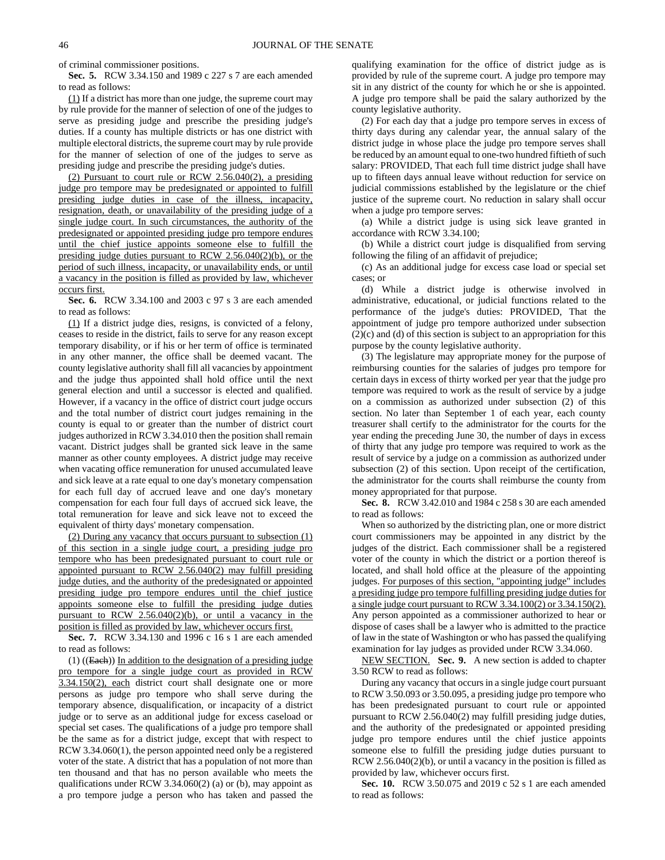of criminal commissioner positions.

**Sec. 5.** RCW 3.34.150 and 1989 c 227 s 7 are each amended to read as follows:

(1) If a district has more than one judge, the supreme court may by rule provide for the manner of selection of one of the judges to serve as presiding judge and prescribe the presiding judge's duties. If a county has multiple districts or has one district with multiple electoral districts, the supreme court may by rule provide for the manner of selection of one of the judges to serve as presiding judge and prescribe the presiding judge's duties.

(2) Pursuant to court rule or RCW 2.56.040(2), a presiding judge pro tempore may be predesignated or appointed to fulfill presiding judge duties in case of the illness, incapacity, resignation, death, or unavailability of the presiding judge of a single judge court. In such circumstances, the authority of the predesignated or appointed presiding judge pro tempore endures until the chief justice appoints someone else to fulfill the presiding judge duties pursuant to RCW 2.56.040(2)(b), or the period of such illness, incapacity, or unavailability ends, or until a vacancy in the position is filled as provided by law, whichever occurs first.

**Sec. 6.** RCW 3.34.100 and 2003 c 97 s 3 are each amended to read as follows:

(1) If a district judge dies, resigns, is convicted of a felony, ceases to reside in the district, fails to serve for any reason except temporary disability, or if his or her term of office is terminated in any other manner, the office shall be deemed vacant. The county legislative authority shall fill all vacancies by appointment and the judge thus appointed shall hold office until the next general election and until a successor is elected and qualified. However, if a vacancy in the office of district court judge occurs and the total number of district court judges remaining in the county is equal to or greater than the number of district court judges authorized in RCW 3.34.010 then the position shall remain vacant. District judges shall be granted sick leave in the same manner as other county employees. A district judge may receive when vacating office remuneration for unused accumulated leave and sick leave at a rate equal to one day's monetary compensation for each full day of accrued leave and one day's monetary compensation for each four full days of accrued sick leave, the total remuneration for leave and sick leave not to exceed the equivalent of thirty days' monetary compensation.

(2) During any vacancy that occurs pursuant to subsection (1) of this section in a single judge court, a presiding judge pro tempore who has been predesignated pursuant to court rule or appointed pursuant to RCW 2.56.040(2) may fulfill presiding judge duties, and the authority of the predesignated or appointed presiding judge pro tempore endures until the chief justice appoints someone else to fulfill the presiding judge duties pursuant to RCW 2.56.040(2)(b), or until a vacancy in the position is filled as provided by law, whichever occurs first.

**Sec. 7.** RCW 3.34.130 and 1996 c 16 s 1 are each amended to read as follows:

 $(1)$  ((Each)) In addition to the designation of a presiding judge pro tempore for a single judge court as provided in RCW 3.34.150(2), each district court shall designate one or more persons as judge pro tempore who shall serve during the temporary absence, disqualification, or incapacity of a district judge or to serve as an additional judge for excess caseload or special set cases. The qualifications of a judge pro tempore shall be the same as for a district judge, except that with respect to RCW 3.34.060(1), the person appointed need only be a registered voter of the state. A district that has a population of not more than ten thousand and that has no person available who meets the qualifications under RCW 3.34.060(2) (a) or (b), may appoint as a pro tempore judge a person who has taken and passed the qualifying examination for the office of district judge as is provided by rule of the supreme court. A judge pro tempore may sit in any district of the county for which he or she is appointed. A judge pro tempore shall be paid the salary authorized by the county legislative authority.

(2) For each day that a judge pro tempore serves in excess of thirty days during any calendar year, the annual salary of the district judge in whose place the judge pro tempore serves shall be reduced by an amount equal to one-two hundred fiftieth of such salary: PROVIDED, That each full time district judge shall have up to fifteen days annual leave without reduction for service on judicial commissions established by the legislature or the chief justice of the supreme court. No reduction in salary shall occur when a judge pro tempore serves:

(a) While a district judge is using sick leave granted in accordance with RCW 3.34.100;

(b) While a district court judge is disqualified from serving following the filing of an affidavit of prejudice;

(c) As an additional judge for excess case load or special set cases; or

(d) While a district judge is otherwise involved in administrative, educational, or judicial functions related to the performance of the judge's duties: PROVIDED, That the appointment of judge pro tempore authorized under subsection (2)(c) and (d) of this section is subject to an appropriation for this purpose by the county legislative authority.

(3) The legislature may appropriate money for the purpose of reimbursing counties for the salaries of judges pro tempore for certain days in excess of thirty worked per year that the judge pro tempore was required to work as the result of service by a judge on a commission as authorized under subsection (2) of this section. No later than September 1 of each year, each county treasurer shall certify to the administrator for the courts for the year ending the preceding June 30, the number of days in excess of thirty that any judge pro tempore was required to work as the result of service by a judge on a commission as authorized under subsection (2) of this section. Upon receipt of the certification, the administrator for the courts shall reimburse the county from money appropriated for that purpose.

**Sec. 8.** RCW 3.42.010 and 1984 c 258 s 30 are each amended to read as follows:

When so authorized by the districting plan, one or more district court commissioners may be appointed in any district by the judges of the district. Each commissioner shall be a registered voter of the county in which the district or a portion thereof is located, and shall hold office at the pleasure of the appointing judges. For purposes of this section, "appointing judge" includes a presiding judge pro tempore fulfilling presiding judge duties for a single judge court pursuant to RCW 3.34.100(2) or 3.34.150(2). Any person appointed as a commissioner authorized to hear or dispose of cases shall be a lawyer who is admitted to the practice of law in the state of Washington or who has passed the qualifying examination for lay judges as provided under RCW 3.34.060.

NEW SECTION. **Sec. 9.** A new section is added to chapter 3.50 RCW to read as follows:

During any vacancy that occurs in a single judge court pursuant to RCW 3.50.093 or 3.50.095, a presiding judge pro tempore who has been predesignated pursuant to court rule or appointed pursuant to RCW 2.56.040(2) may fulfill presiding judge duties, and the authority of the predesignated or appointed presiding judge pro tempore endures until the chief justice appoints someone else to fulfill the presiding judge duties pursuant to RCW 2.56.040(2)(b), or until a vacancy in the position is filled as provided by law, whichever occurs first.

**Sec. 10.** RCW 3.50.075 and 2019 c 52 s 1 are each amended to read as follows: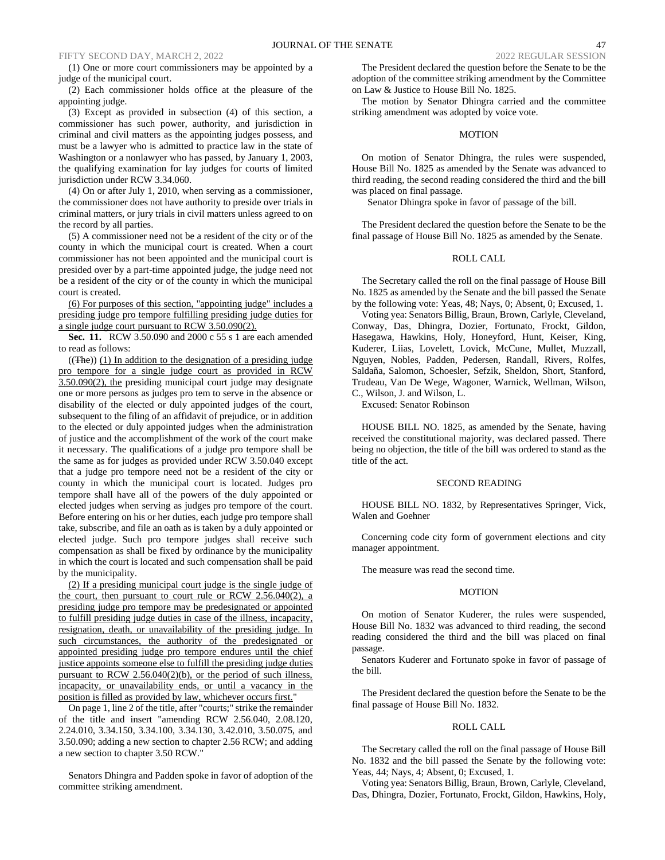FIFTY SECOND DAY, MARCH 2, 2022 2022 REGULAR SESSION 2022 REGULAR SESSION

(1) One or more court commissioners may be appointed by a judge of the municipal court.

(2) Each commissioner holds office at the pleasure of the appointing judge.

(3) Except as provided in subsection (4) of this section, a commissioner has such power, authority, and jurisdiction in criminal and civil matters as the appointing judges possess, and must be a lawyer who is admitted to practice law in the state of Washington or a nonlawyer who has passed, by January 1, 2003, the qualifying examination for lay judges for courts of limited jurisdiction under RCW 3.34.060.

(4) On or after July 1, 2010, when serving as a commissioner, the commissioner does not have authority to preside over trials in criminal matters, or jury trials in civil matters unless agreed to on the record by all parties.

(5) A commissioner need not be a resident of the city or of the county in which the municipal court is created. When a court commissioner has not been appointed and the municipal court is presided over by a part-time appointed judge, the judge need not be a resident of the city or of the county in which the municipal court is created.

(6) For purposes of this section, "appointing judge" includes a presiding judge pro tempore fulfilling presiding judge duties for a single judge court pursuant to RCW 3.50.090(2).

**Sec. 11.** RCW 3.50.090 and 2000 c 55 s 1 are each amended to read as follows:

 $((The))$  (1) In addition to the designation of a presiding judge pro tempore for a single judge court as provided in RCW 3.50.090(2), the presiding municipal court judge may designate one or more persons as judges pro tem to serve in the absence or disability of the elected or duly appointed judges of the court, subsequent to the filing of an affidavit of prejudice, or in addition to the elected or duly appointed judges when the administration of justice and the accomplishment of the work of the court make it necessary. The qualifications of a judge pro tempore shall be the same as for judges as provided under RCW 3.50.040 except that a judge pro tempore need not be a resident of the city or county in which the municipal court is located. Judges pro tempore shall have all of the powers of the duly appointed or elected judges when serving as judges pro tempore of the court. Before entering on his or her duties, each judge pro tempore shall take, subscribe, and file an oath as is taken by a duly appointed or elected judge. Such pro tempore judges shall receive such compensation as shall be fixed by ordinance by the municipality in which the court is located and such compensation shall be paid by the municipality.

(2) If a presiding municipal court judge is the single judge of the court, then pursuant to court rule or RCW 2.56.040(2), a presiding judge pro tempore may be predesignated or appointed to fulfill presiding judge duties in case of the illness, incapacity, resignation, death, or unavailability of the presiding judge. In such circumstances, the authority of the predesignated or appointed presiding judge pro tempore endures until the chief justice appoints someone else to fulfill the presiding judge duties pursuant to RCW 2.56.040(2)(b), or the period of such illness, incapacity, or unavailability ends, or until a vacancy in the position is filled as provided by law, whichever occurs first."

On page 1, line 2 of the title, after "courts;" strike the remainder of the title and insert "amending RCW 2.56.040, 2.08.120, 2.24.010, 3.34.150, 3.34.100, 3.34.130, 3.42.010, 3.50.075, and 3.50.090; adding a new section to chapter 2.56 RCW; and adding a new section to chapter 3.50 RCW."

Senators Dhingra and Padden spoke in favor of adoption of the committee striking amendment.

The President declared the question before the Senate to be the adoption of the committee striking amendment by the Committee on Law & Justice to House Bill No. 1825.

The motion by Senator Dhingra carried and the committee striking amendment was adopted by voice vote.

#### MOTION

On motion of Senator Dhingra, the rules were suspended, House Bill No. 1825 as amended by the Senate was advanced to third reading, the second reading considered the third and the bill was placed on final passage.

Senator Dhingra spoke in favor of passage of the bill.

The President declared the question before the Senate to be the final passage of House Bill No. 1825 as amended by the Senate.

## ROLL CALL

The Secretary called the roll on the final passage of House Bill No. 1825 as amended by the Senate and the bill passed the Senate by the following vote: Yeas, 48; Nays, 0; Absent, 0; Excused, 1.

Voting yea: Senators Billig, Braun, Brown, Carlyle, Cleveland, Conway, Das, Dhingra, Dozier, Fortunato, Frockt, Gildon, Hasegawa, Hawkins, Holy, Honeyford, Hunt, Keiser, King, Kuderer, Liias, Lovelett, Lovick, McCune, Mullet, Muzzall, Nguyen, Nobles, Padden, Pedersen, Randall, Rivers, Rolfes, Saldaña, Salomon, Schoesler, Sefzik, Sheldon, Short, Stanford, Trudeau, Van De Wege, Wagoner, Warnick, Wellman, Wilson, C., Wilson, J. and Wilson, L.

Excused: Senator Robinson

HOUSE BILL NO. 1825, as amended by the Senate, having received the constitutional majority, was declared passed. There being no objection, the title of the bill was ordered to stand as the title of the act.

## SECOND READING

HOUSE BILL NO. 1832, by Representatives Springer, Vick, Walen and Goehner

Concerning code city form of government elections and city manager appointment.

The measure was read the second time.

## MOTION

On motion of Senator Kuderer, the rules were suspended, House Bill No. 1832 was advanced to third reading, the second reading considered the third and the bill was placed on final passage.

Senators Kuderer and Fortunato spoke in favor of passage of the bill.

The President declared the question before the Senate to be the final passage of House Bill No. 1832.

#### ROLL CALL

The Secretary called the roll on the final passage of House Bill No. 1832 and the bill passed the Senate by the following vote: Yeas, 44; Nays, 4; Absent, 0; Excused, 1.

Voting yea: Senators Billig, Braun, Brown, Carlyle, Cleveland, Das, Dhingra, Dozier, Fortunato, Frockt, Gildon, Hawkins, Holy,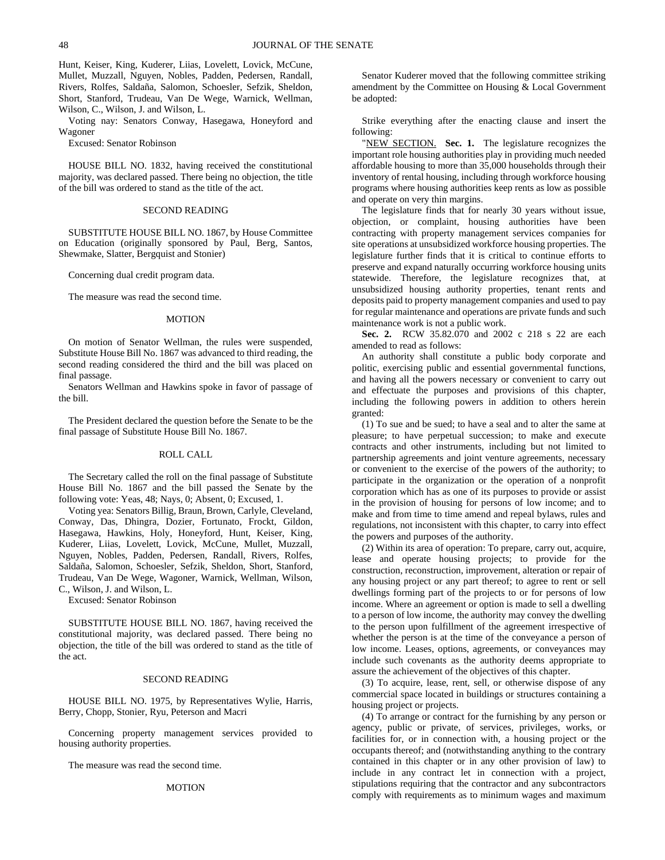Hunt, Keiser, King, Kuderer, Liias, Lovelett, Lovick, McCune, Mullet, Muzzall, Nguyen, Nobles, Padden, Pedersen, Randall, Rivers, Rolfes, Saldaña, Salomon, Schoesler, Sefzik, Sheldon, Short, Stanford, Trudeau, Van De Wege, Warnick, Wellman, Wilson, C., Wilson, J. and Wilson, L.

Voting nay: Senators Conway, Hasegawa, Honeyford and Wagoner

Excused: Senator Robinson

HOUSE BILL NO. 1832, having received the constitutional majority, was declared passed. There being no objection, the title of the bill was ordered to stand as the title of the act.

#### SECOND READING

SUBSTITUTE HOUSE BILL NO. 1867, by House Committee on Education (originally sponsored by Paul, Berg, Santos, Shewmake, Slatter, Bergquist and Stonier)

Concerning dual credit program data.

The measure was read the second time.

## MOTION

On motion of Senator Wellman, the rules were suspended, Substitute House Bill No. 1867 was advanced to third reading, the second reading considered the third and the bill was placed on final passage.

Senators Wellman and Hawkins spoke in favor of passage of the bill.

The President declared the question before the Senate to be the final passage of Substitute House Bill No. 1867.

## ROLL CALL

The Secretary called the roll on the final passage of Substitute House Bill No. 1867 and the bill passed the Senate by the following vote: Yeas, 48; Nays, 0; Absent, 0; Excused, 1.

Voting yea: Senators Billig, Braun, Brown, Carlyle, Cleveland, Conway, Das, Dhingra, Dozier, Fortunato, Frockt, Gildon, Hasegawa, Hawkins, Holy, Honeyford, Hunt, Keiser, King, Kuderer, Liias, Lovelett, Lovick, McCune, Mullet, Muzzall, Nguyen, Nobles, Padden, Pedersen, Randall, Rivers, Rolfes, Saldaña, Salomon, Schoesler, Sefzik, Sheldon, Short, Stanford, Trudeau, Van De Wege, Wagoner, Warnick, Wellman, Wilson, C., Wilson, J. and Wilson, L.

Excused: Senator Robinson

SUBSTITUTE HOUSE BILL NO. 1867, having received the constitutional majority, was declared passed. There being no objection, the title of the bill was ordered to stand as the title of the act.

# SECOND READING

HOUSE BILL NO. 1975, by Representatives Wylie, Harris, Berry, Chopp, Stonier, Ryu, Peterson and Macri

Concerning property management services provided to housing authority properties.

The measure was read the second time.

#### MOTION

Senator Kuderer moved that the following committee striking amendment by the Committee on Housing & Local Government be adopted:

Strike everything after the enacting clause and insert the following:

"NEW SECTION. **Sec. 1.** The legislature recognizes the important role housing authorities play in providing much needed affordable housing to more than 35,000 households through their inventory of rental housing, including through workforce housing programs where housing authorities keep rents as low as possible and operate on very thin margins.

The legislature finds that for nearly 30 years without issue, objection, or complaint, housing authorities have been contracting with property management services companies for site operations at unsubsidized workforce housing properties. The legislature further finds that it is critical to continue efforts to preserve and expand naturally occurring workforce housing units statewide. Therefore, the legislature recognizes that, at unsubsidized housing authority properties, tenant rents and deposits paid to property management companies and used to pay for regular maintenance and operations are private funds and such maintenance work is not a public work.

**Sec. 2.** RCW 35.82.070 and 2002 c 218 s 22 are each amended to read as follows:

An authority shall constitute a public body corporate and politic, exercising public and essential governmental functions, and having all the powers necessary or convenient to carry out and effectuate the purposes and provisions of this chapter, including the following powers in addition to others herein granted:

(1) To sue and be sued; to have a seal and to alter the same at pleasure; to have perpetual succession; to make and execute contracts and other instruments, including but not limited to partnership agreements and joint venture agreements, necessary or convenient to the exercise of the powers of the authority; to participate in the organization or the operation of a nonprofit corporation which has as one of its purposes to provide or assist in the provision of housing for persons of low income; and to make and from time to time amend and repeal bylaws, rules and regulations, not inconsistent with this chapter, to carry into effect the powers and purposes of the authority.

(2) Within its area of operation: To prepare, carry out, acquire, lease and operate housing projects; to provide for the construction, reconstruction, improvement, alteration or repair of any housing project or any part thereof; to agree to rent or sell dwellings forming part of the projects to or for persons of low income. Where an agreement or option is made to sell a dwelling to a person of low income, the authority may convey the dwelling to the person upon fulfillment of the agreement irrespective of whether the person is at the time of the conveyance a person of low income. Leases, options, agreements, or conveyances may include such covenants as the authority deems appropriate to assure the achievement of the objectives of this chapter.

(3) To acquire, lease, rent, sell, or otherwise dispose of any commercial space located in buildings or structures containing a housing project or projects.

(4) To arrange or contract for the furnishing by any person or agency, public or private, of services, privileges, works, or facilities for, or in connection with, a housing project or the occupants thereof; and (notwithstanding anything to the contrary contained in this chapter or in any other provision of law) to include in any contract let in connection with a project, stipulations requiring that the contractor and any subcontractors comply with requirements as to minimum wages and maximum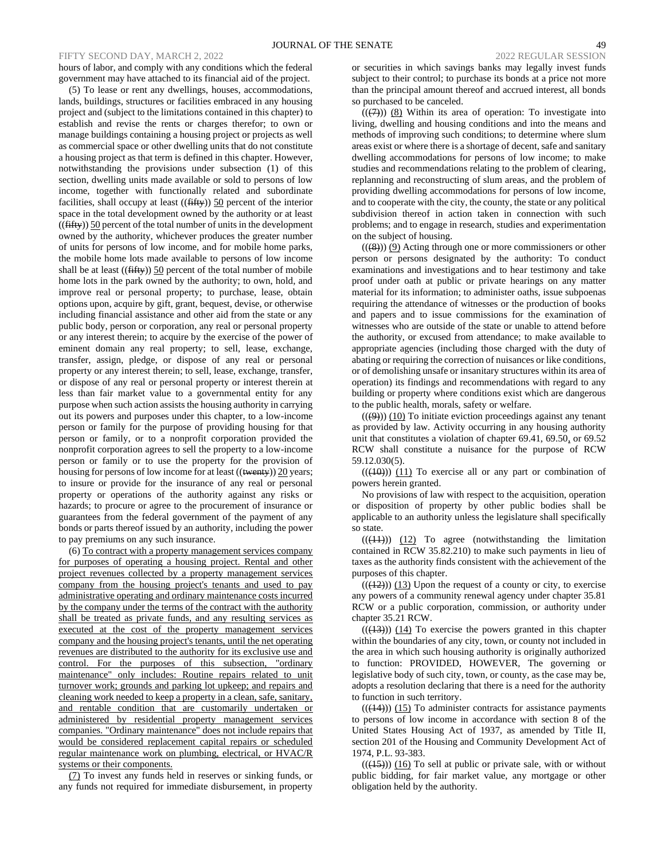# FIFTY SECOND DAY, MARCH 2, 2022 2022 REGULAR SESSION 2022 REGULAR SESSION

hours of labor, and comply with any conditions which the federal government may have attached to its financial aid of the project.

(5) To lease or rent any dwellings, houses, accommodations, lands, buildings, structures or facilities embraced in any housing project and (subject to the limitations contained in this chapter) to establish and revise the rents or charges therefor; to own or manage buildings containing a housing project or projects as well as commercial space or other dwelling units that do not constitute a housing project as that term is defined in this chapter. However, notwithstanding the provisions under subsection (1) of this section, dwelling units made available or sold to persons of low income, together with functionally related and subordinate facilities, shall occupy at least  $((\text{fiffy}))$  50 percent of the interior space in the total development owned by the authority or at least  $((\text{fifty}))$  50 percent of the total number of units in the development owned by the authority, whichever produces the greater number of units for persons of low income, and for mobile home parks, the mobile home lots made available to persons of low income shall be at least  $((\text{fiffy}))$  50 percent of the total number of mobile home lots in the park owned by the authority; to own, hold, and improve real or personal property; to purchase, lease, obtain options upon, acquire by gift, grant, bequest, devise, or otherwise including financial assistance and other aid from the state or any public body, person or corporation, any real or personal property or any interest therein; to acquire by the exercise of the power of eminent domain any real property; to sell, lease, exchange, transfer, assign, pledge, or dispose of any real or personal property or any interest therein; to sell, lease, exchange, transfer, or dispose of any real or personal property or interest therein at less than fair market value to a governmental entity for any purpose when such action assists the housing authority in carrying out its powers and purposes under this chapter, to a low-income person or family for the purpose of providing housing for that person or family, or to a nonprofit corporation provided the nonprofit corporation agrees to sell the property to a low-income person or family or to use the property for the provision of housing for persons of low income for at least ((twenty)) 20 years; to insure or provide for the insurance of any real or personal property or operations of the authority against any risks or hazards; to procure or agree to the procurement of insurance or guarantees from the federal government of the payment of any bonds or parts thereof issued by an authority, including the power to pay premiums on any such insurance.

(6) To contract with a property management services company for purposes of operating a housing project. Rental and other project revenues collected by a property management services company from the housing project's tenants and used to pay administrative operating and ordinary maintenance costs incurred by the company under the terms of the contract with the authority shall be treated as private funds, and any resulting services as executed at the cost of the property management services company and the housing project's tenants, until the net operating revenues are distributed to the authority for its exclusive use and control. For the purposes of this subsection, "ordinary maintenance" only includes: Routine repairs related to unit turnover work; grounds and parking lot upkeep; and repairs and cleaning work needed to keep a property in a clean, safe, sanitary, and rentable condition that are customarily undertaken or administered by residential property management services companies. "Ordinary maintenance" does not include repairs that would be considered replacement capital repairs or scheduled regular maintenance work on plumbing, electrical, or HVAC/R systems or their components.

(7) To invest any funds held in reserves or sinking funds, or any funds not required for immediate disbursement, in property

or securities in which savings banks may legally invest funds subject to their control; to purchase its bonds at a price not more than the principal amount thereof and accrued interest, all bonds so purchased to be canceled.

 $((\overline{(+)}))$  (8) Within its area of operation: To investigate into living, dwelling and housing conditions and into the means and methods of improving such conditions; to determine where slum areas exist or where there is a shortage of decent, safe and sanitary dwelling accommodations for persons of low income; to make studies and recommendations relating to the problem of clearing, replanning and reconstructing of slum areas, and the problem of providing dwelling accommodations for persons of low income, and to cooperate with the city, the county, the state or any political subdivision thereof in action taken in connection with such problems; and to engage in research, studies and experimentation on the subject of housing.

 $((\cancel{(8)}))$  (9) Acting through one or more commissioners or other person or persons designated by the authority: To conduct examinations and investigations and to hear testimony and take proof under oath at public or private hearings on any matter material for its information; to administer oaths, issue subpoenas requiring the attendance of witnesses or the production of books and papers and to issue commissions for the examination of witnesses who are outside of the state or unable to attend before the authority, or excused from attendance; to make available to appropriate agencies (including those charged with the duty of abating or requiring the correction of nuisances or like conditions, or of demolishing unsafe or insanitary structures within its area of operation) its findings and recommendations with regard to any building or property where conditions exist which are dangerous to the public health, morals, safety or welfare.

 $((\cancel{9}))$  (10) To initiate eviction proceedings against any tenant as provided by law. Activity occurring in any housing authority unit that constitutes a violation of chapter 69.41, 69.50, or 69.52 RCW shall constitute a nuisance for the purpose of RCW 59.12.030(5).

 $((\langle 10 \rangle))$   $(11)$  To exercise all or any part or combination of powers herein granted.

No provisions of law with respect to the acquisition, operation or disposition of property by other public bodies shall be applicable to an authority unless the legislature shall specifically so state.

 $(( (41)) )$   $(12)$  To agree (notwithstanding the limitation contained in RCW 35.82.210) to make such payments in lieu of taxes as the authority finds consistent with the achievement of the purposes of this chapter.

 $(( (12))$  (13) Upon the request of a county or city, to exercise any powers of a community renewal agency under chapter 35.81 RCW or a public corporation, commission, or authority under chapter 35.21 RCW.

 $((\langle 13 \rangle)$ ) (14) To exercise the powers granted in this chapter within the boundaries of any city, town, or county not included in the area in which such housing authority is originally authorized to function: PROVIDED, HOWEVER, The governing or legislative body of such city, town, or county, as the case may be, adopts a resolution declaring that there is a need for the authority to function in such territory.

 $(( (44))$  (15) To administer contracts for assistance payments to persons of low income in accordance with section 8 of the United States Housing Act of 1937, as amended by Title II, section 201 of the Housing and Community Development Act of 1974, P.L. 93-383.

 $(( (45)) ) (16)$  To sell at public or private sale, with or without public bidding, for fair market value, any mortgage or other obligation held by the authority.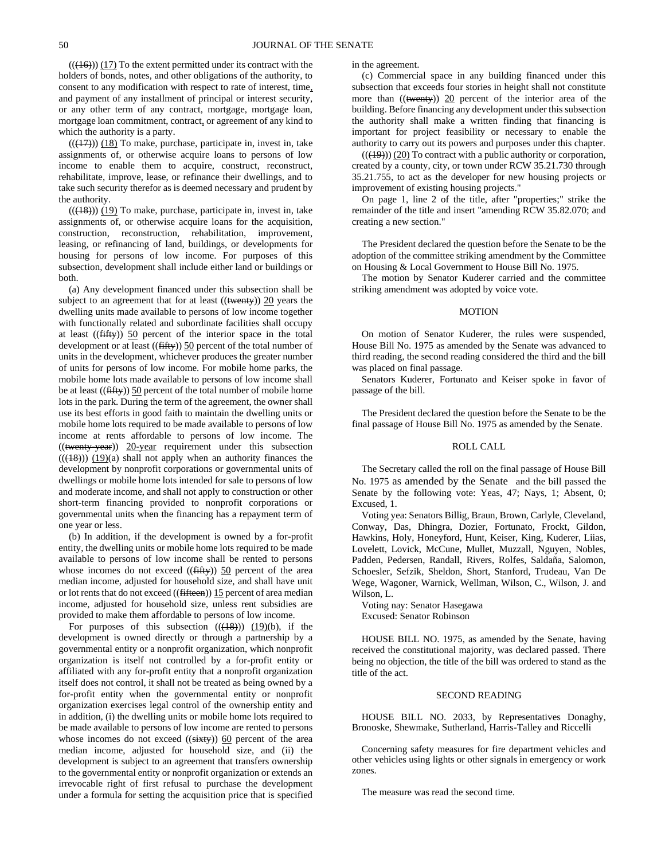$((\langle 16 \rangle) (17)$  To the extent permitted under its contract with the holders of bonds, notes, and other obligations of the authority, to consent to any modification with respect to rate of interest, time, and payment of any installment of principal or interest security, or any other term of any contract, mortgage, mortgage loan, mortgage loan commitment, contract, or agreement of any kind to which the authority is a party.

 $((\langle 17 \rangle)$ ) (18) To make, purchase, participate in, invest in, take assignments of, or otherwise acquire loans to persons of low income to enable them to acquire, construct, reconstruct, rehabilitate, improve, lease, or refinance their dwellings, and to take such security therefor as is deemed necessary and prudent by the authority.

 $(( (18)) ) (19)$  To make, purchase, participate in, invest in, take assignments of, or otherwise acquire loans for the acquisition, construction, reconstruction, rehabilitation, improvement, leasing, or refinancing of land, buildings, or developments for housing for persons of low income. For purposes of this subsection, development shall include either land or buildings or both.

(a) Any development financed under this subsection shall be subject to an agreement that for at least ((twenty)) 20 years the dwelling units made available to persons of low income together with functionally related and subordinate facilities shall occupy at least  $((\text{fifty}))$  50 percent of the interior space in the total development or at least ((fifty)) 50 percent of the total number of units in the development, whichever produces the greater number of units for persons of low income. For mobile home parks, the mobile home lots made available to persons of low income shall be at least ((fifty)) 50 percent of the total number of mobile home lots in the park. During the term of the agreement, the owner shall use its best efforts in good faith to maintain the dwelling units or mobile home lots required to be made available to persons of low income at rents affordable to persons of low income. The  $((\text{~~twenty-year~~)) 20-year requirement under this subsection$  $(( (18)) ) (19)(a)$  shall not apply when an authority finances the development by nonprofit corporations or governmental units of dwellings or mobile home lots intended for sale to persons of low and moderate income, and shall not apply to construction or other short-term financing provided to nonprofit corporations or governmental units when the financing has a repayment term of one year or less.

(b) In addition, if the development is owned by a for-profit entity, the dwelling units or mobile home lots required to be made available to persons of low income shall be rented to persons whose incomes do not exceed (( $fiffy$ )) 50 percent of the area median income, adjusted for household size, and shall have unit or lot rents that do not exceed ((fifteen)) 15 percent of area median income, adjusted for household size, unless rent subsidies are provided to make them affordable to persons of low income.

For purposes of this subsection  $((\frac{18}{9}))$   $(19)(b)$ , if the development is owned directly or through a partnership by a governmental entity or a nonprofit organization, which nonprofit organization is itself not controlled by a for-profit entity or affiliated with any for-profit entity that a nonprofit organization itself does not control, it shall not be treated as being owned by a for-profit entity when the governmental entity or nonprofit organization exercises legal control of the ownership entity and in addition, (i) the dwelling units or mobile home lots required to be made available to persons of low income are rented to persons whose incomes do not exceed  $((sixty))$  60 percent of the area median income, adjusted for household size, and (ii) the development is subject to an agreement that transfers ownership to the governmental entity or nonprofit organization or extends an irrevocable right of first refusal to purchase the development under a formula for setting the acquisition price that is specified in the agreement.

(c) Commercial space in any building financed under this subsection that exceeds four stories in height shall not constitute more than ((twenty)) 20 percent of the interior area of the building. Before financing any development under this subsection the authority shall make a written finding that financing is important for project feasibility or necessary to enable the authority to carry out its powers and purposes under this chapter.

 $(( (49)) (20)$  To contract with a public authority or corporation, created by a county, city, or town under RCW 35.21.730 through 35.21.755, to act as the developer for new housing projects or improvement of existing housing projects."

On page 1, line 2 of the title, after "properties;" strike the remainder of the title and insert "amending RCW 35.82.070; and creating a new section."

The President declared the question before the Senate to be the adoption of the committee striking amendment by the Committee on Housing & Local Government to House Bill No. 1975.

The motion by Senator Kuderer carried and the committee striking amendment was adopted by voice vote.

#### MOTION

On motion of Senator Kuderer, the rules were suspended, House Bill No. 1975 as amended by the Senate was advanced to third reading, the second reading considered the third and the bill was placed on final passage.

Senators Kuderer, Fortunato and Keiser spoke in favor of passage of the bill.

The President declared the question before the Senate to be the final passage of House Bill No. 1975 as amended by the Senate.

## ROLL CALL

The Secretary called the roll on the final passage of House Bill No. 1975 as amended by the Senate and the bill passed the Senate by the following vote: Yeas, 47; Nays, 1; Absent, 0; Excused, 1.

Voting yea: Senators Billig, Braun, Brown, Carlyle, Cleveland, Conway, Das, Dhingra, Dozier, Fortunato, Frockt, Gildon, Hawkins, Holy, Honeyford, Hunt, Keiser, King, Kuderer, Liias, Lovelett, Lovick, McCune, Mullet, Muzzall, Nguyen, Nobles, Padden, Pedersen, Randall, Rivers, Rolfes, Saldaña, Salomon, Schoesler, Sefzik, Sheldon, Short, Stanford, Trudeau, Van De Wege, Wagoner, Warnick, Wellman, Wilson, C., Wilson, J. and Wilson, L.

Voting nay: Senator Hasegawa Excused: Senator Robinson

HOUSE BILL NO. 1975, as amended by the Senate, having received the constitutional majority, was declared passed. There being no objection, the title of the bill was ordered to stand as the title of the act.

#### SECOND READING

HOUSE BILL NO. 2033, by Representatives Donaghy, Bronoske, Shewmake, Sutherland, Harris-Talley and Riccelli

Concerning safety measures for fire department vehicles and other vehicles using lights or other signals in emergency or work zones.

The measure was read the second time.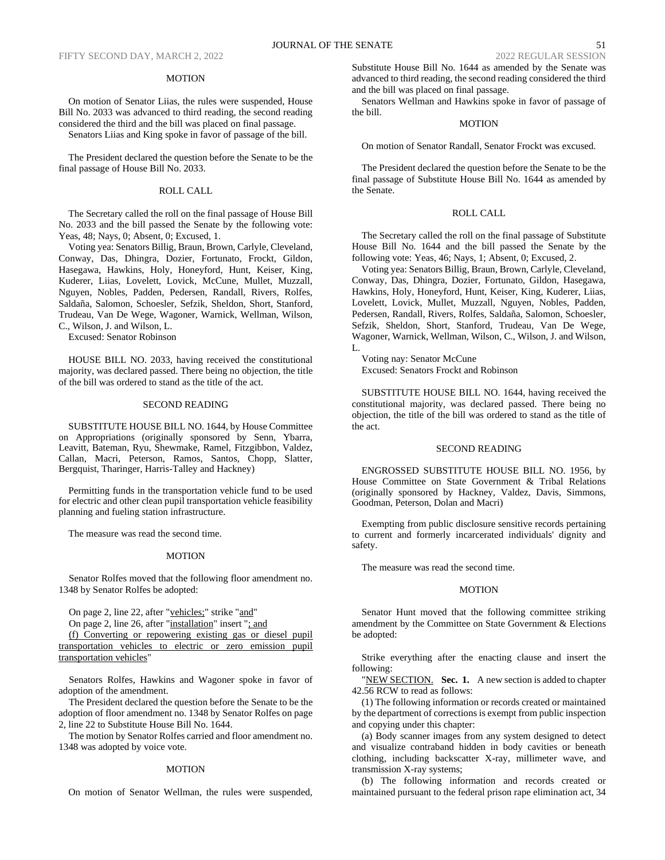#### MOTION

On motion of Senator Liias, the rules were suspended, House Bill No. 2033 was advanced to third reading, the second reading considered the third and the bill was placed on final passage.

Senators Liias and King spoke in favor of passage of the bill.

The President declared the question before the Senate to be the final passage of House Bill No. 2033.

# ROLL CALL

The Secretary called the roll on the final passage of House Bill No. 2033 and the bill passed the Senate by the following vote: Yeas, 48; Nays, 0; Absent, 0; Excused, 1.

Voting yea: Senators Billig, Braun, Brown, Carlyle, Cleveland, Conway, Das, Dhingra, Dozier, Fortunato, Frockt, Gildon, Hasegawa, Hawkins, Holy, Honeyford, Hunt, Keiser, King, Kuderer, Liias, Lovelett, Lovick, McCune, Mullet, Muzzall, Nguyen, Nobles, Padden, Pedersen, Randall, Rivers, Rolfes, Saldaña, Salomon, Schoesler, Sefzik, Sheldon, Short, Stanford, Trudeau, Van De Wege, Wagoner, Warnick, Wellman, Wilson, C., Wilson, J. and Wilson, L.

Excused: Senator Robinson

HOUSE BILL NO. 2033, having received the constitutional majority, was declared passed. There being no objection, the title of the bill was ordered to stand as the title of the act.

## SECOND READING

SUBSTITUTE HOUSE BILL NO. 1644, by House Committee on Appropriations (originally sponsored by Senn, Ybarra, Leavitt, Bateman, Ryu, Shewmake, Ramel, Fitzgibbon, Valdez, Callan, Macri, Peterson, Ramos, Santos, Chopp, Slatter, Bergquist, Tharinger, Harris-Talley and Hackney)

Permitting funds in the transportation vehicle fund to be used for electric and other clean pupil transportation vehicle feasibility planning and fueling station infrastructure.

The measure was read the second time.

## MOTION

Senator Rolfes moved that the following floor amendment no. 1348 by Senator Rolfes be adopted:

On page 2, line 22, after "vehicles;" strike "and"

On page 2, line 26, after "installation" insert "; and

(f) Converting or repowering existing gas or diesel pupil transportation vehicles to electric or zero emission pupil transportation vehicles"

Senators Rolfes, Hawkins and Wagoner spoke in favor of adoption of the amendment.

The President declared the question before the Senate to be the adoption of floor amendment no. 1348 by Senator Rolfes on page 2, line 22 to Substitute House Bill No. 1644.

The motion by Senator Rolfes carried and floor amendment no. 1348 was adopted by voice vote.

#### MOTION

On motion of Senator Wellman, the rules were suspended,

Substitute House Bill No. 1644 as amended by the Senate was advanced to third reading, the second reading considered the third and the bill was placed on final passage.

Senators Wellman and Hawkins spoke in favor of passage of the bill.

# MOTION

On motion of Senator Randall, Senator Frockt was excused.

The President declared the question before the Senate to be the final passage of Substitute House Bill No. 1644 as amended by the Senate.

## ROLL CALL

The Secretary called the roll on the final passage of Substitute House Bill No. 1644 and the bill passed the Senate by the following vote: Yeas, 46; Nays, 1; Absent, 0; Excused, 2.

Voting yea: Senators Billig, Braun, Brown, Carlyle, Cleveland, Conway, Das, Dhingra, Dozier, Fortunato, Gildon, Hasegawa, Hawkins, Holy, Honeyford, Hunt, Keiser, King, Kuderer, Liias, Lovelett, Lovick, Mullet, Muzzall, Nguyen, Nobles, Padden, Pedersen, Randall, Rivers, Rolfes, Saldaña, Salomon, Schoesler, Sefzik, Sheldon, Short, Stanford, Trudeau, Van De Wege, Wagoner, Warnick, Wellman, Wilson, C., Wilson, J. and Wilson, L.

Voting nay: Senator McCune Excused: Senators Frockt and Robinson

SUBSTITUTE HOUSE BILL NO. 1644, having received the constitutional majority, was declared passed. There being no objection, the title of the bill was ordered to stand as the title of the act.

## SECOND READING

ENGROSSED SUBSTITUTE HOUSE BILL NO. 1956, by House Committee on State Government & Tribal Relations (originally sponsored by Hackney, Valdez, Davis, Simmons, Goodman, Peterson, Dolan and Macri)

Exempting from public disclosure sensitive records pertaining to current and formerly incarcerated individuals' dignity and safety.

The measure was read the second time.

## **MOTION**

Senator Hunt moved that the following committee striking amendment by the Committee on State Government & Elections be adopted:

Strike everything after the enacting clause and insert the following:

"NEW SECTION. Sec. 1. A new section is added to chapter 42.56 RCW to read as follows:

(1) The following information or records created or maintained by the department of corrections is exempt from public inspection and copying under this chapter:

(a) Body scanner images from any system designed to detect and visualize contraband hidden in body cavities or beneath clothing, including backscatter X-ray, millimeter wave, and transmission X-ray systems;

(b) The following information and records created or maintained pursuant to the federal prison rape elimination act, 34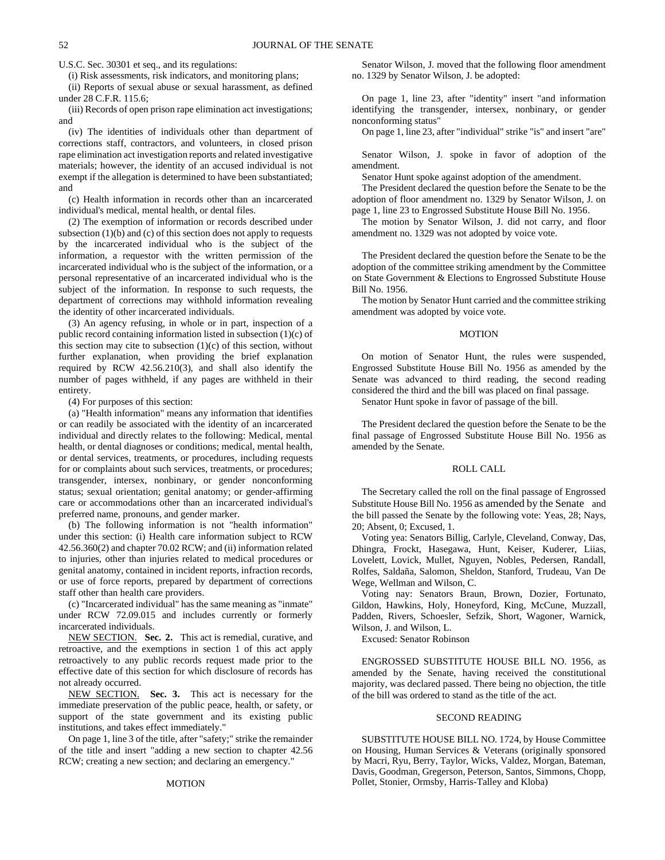U.S.C. Sec. 30301 et seq., and its regulations:

(i) Risk assessments, risk indicators, and monitoring plans;

(ii) Reports of sexual abuse or sexual harassment, as defined under 28 C.F.R. 115.6;

(iii) Records of open prison rape elimination act investigations; and

(iv) The identities of individuals other than department of corrections staff, contractors, and volunteers, in closed prison rape elimination act investigation reports and related investigative materials; however, the identity of an accused individual is not exempt if the allegation is determined to have been substantiated; and

(c) Health information in records other than an incarcerated individual's medical, mental health, or dental files.

(2) The exemption of information or records described under subsection  $(1)(b)$  and  $(c)$  of this section does not apply to requests by the incarcerated individual who is the subject of the information, a requestor with the written permission of the incarcerated individual who is the subject of the information, or a personal representative of an incarcerated individual who is the subject of the information. In response to such requests, the department of corrections may withhold information revealing the identity of other incarcerated individuals.

(3) An agency refusing, in whole or in part, inspection of a public record containing information listed in subsection (1)(c) of this section may cite to subsection  $(1)(c)$  of this section, without further explanation, when providing the brief explanation required by RCW 42.56.210(3), and shall also identify the number of pages withheld, if any pages are withheld in their entirety.

(4) For purposes of this section:

(a) "Health information" means any information that identifies or can readily be associated with the identity of an incarcerated individual and directly relates to the following: Medical, mental health, or dental diagnoses or conditions; medical, mental health, or dental services, treatments, or procedures, including requests for or complaints about such services, treatments, or procedures; transgender, intersex, nonbinary, or gender nonconforming status; sexual orientation; genital anatomy; or gender-affirming care or accommodations other than an incarcerated individual's preferred name, pronouns, and gender marker.

(b) The following information is not "health information" under this section: (i) Health care information subject to RCW 42.56.360(2) and chapter 70.02 RCW; and (ii) information related to injuries, other than injuries related to medical procedures or genital anatomy, contained in incident reports, infraction records, or use of force reports, prepared by department of corrections staff other than health care providers.

(c) "Incarcerated individual" has the same meaning as "inmate" under RCW 72.09.015 and includes currently or formerly incarcerated individuals.

NEW SECTION. **Sec. 2.** This act is remedial, curative, and retroactive, and the exemptions in section 1 of this act apply retroactively to any public records request made prior to the effective date of this section for which disclosure of records has not already occurred.

NEW SECTION. **Sec. 3.** This act is necessary for the immediate preservation of the public peace, health, or safety, or support of the state government and its existing public institutions, and takes effect immediately."

On page 1, line 3 of the title, after "safety;" strike the remainder of the title and insert "adding a new section to chapter 42.56 RCW; creating a new section; and declaring an emergency."

#### MOTION

Senator Wilson, J. moved that the following floor amendment no. 1329 by Senator Wilson, J. be adopted:

On page 1, line 23, after "identity" insert "and information identifying the transgender, intersex, nonbinary, or gender nonconforming status"

On page 1, line 23, after "individual" strike "is" and insert "are"

Senator Wilson, J. spoke in favor of adoption of the amendment.

Senator Hunt spoke against adoption of the amendment.

The President declared the question before the Senate to be the adoption of floor amendment no. 1329 by Senator Wilson, J. on page 1, line 23 to Engrossed Substitute House Bill No. 1956.

The motion by Senator Wilson, J. did not carry, and floor amendment no. 1329 was not adopted by voice vote.

The President declared the question before the Senate to be the adoption of the committee striking amendment by the Committee on State Government & Elections to Engrossed Substitute House Bill No. 1956.

The motion by Senator Hunt carried and the committee striking amendment was adopted by voice vote.

## MOTION

On motion of Senator Hunt, the rules were suspended, Engrossed Substitute House Bill No. 1956 as amended by the Senate was advanced to third reading, the second reading considered the third and the bill was placed on final passage.

Senator Hunt spoke in favor of passage of the bill.

The President declared the question before the Senate to be the final passage of Engrossed Substitute House Bill No. 1956 as amended by the Senate.

#### ROLL CALL

The Secretary called the roll on the final passage of Engrossed Substitute House Bill No. 1956 as amended by the Senate and the bill passed the Senate by the following vote: Yeas, 28; Nays, 20; Absent, 0; Excused, 1.

Voting yea: Senators Billig, Carlyle, Cleveland, Conway, Das, Dhingra, Frockt, Hasegawa, Hunt, Keiser, Kuderer, Liias, Lovelett, Lovick, Mullet, Nguyen, Nobles, Pedersen, Randall, Rolfes, Saldaña, Salomon, Sheldon, Stanford, Trudeau, Van De Wege, Wellman and Wilson, C.

Voting nay: Senators Braun, Brown, Dozier, Fortunato, Gildon, Hawkins, Holy, Honeyford, King, McCune, Muzzall, Padden, Rivers, Schoesler, Sefzik, Short, Wagoner, Warnick, Wilson, J. and Wilson, L.

Excused: Senator Robinson

ENGROSSED SUBSTITUTE HOUSE BILL NO. 1956, as amended by the Senate, having received the constitutional majority, was declared passed. There being no objection, the title of the bill was ordered to stand as the title of the act.

## SECOND READING

SUBSTITUTE HOUSE BILL NO. 1724, by House Committee on Housing, Human Services & Veterans (originally sponsored by Macri, Ryu, Berry, Taylor, Wicks, Valdez, Morgan, Bateman, Davis, Goodman, Gregerson, Peterson, Santos, Simmons, Chopp, Pollet, Stonier, Ormsby, Harris-Talley and Kloba)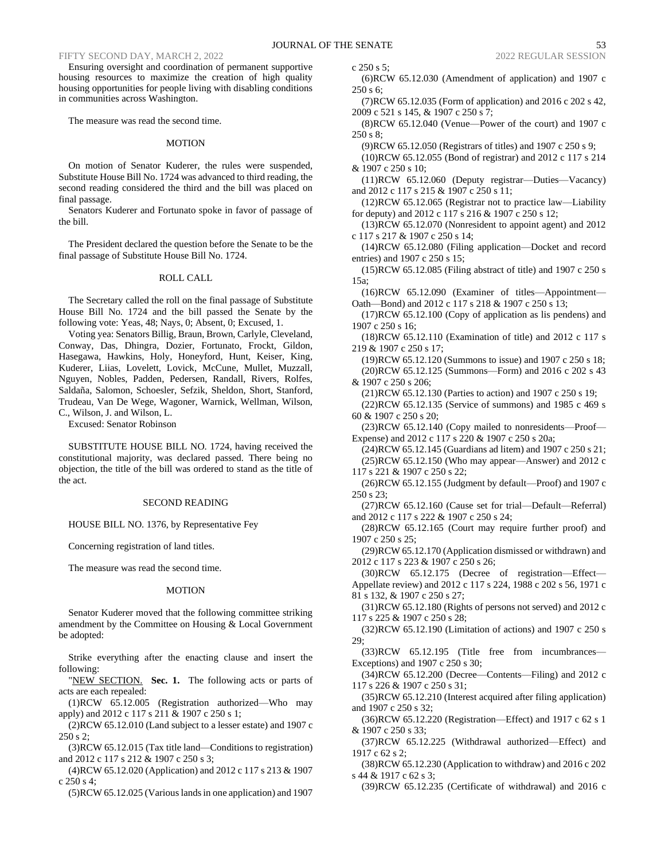## FIFTY SECOND DAY, MARCH 2, 2022 2022 REGULAR SESSION 2022 REGULAR SESSION

Ensuring oversight and coordination of permanent supportive housing resources to maximize the creation of high quality housing opportunities for people living with disabling conditions in communities across Washington.

The measure was read the second time.

## MOTION

On motion of Senator Kuderer, the rules were suspended, Substitute House Bill No. 1724 was advanced to third reading, the second reading considered the third and the bill was placed on final passage.

Senators Kuderer and Fortunato spoke in favor of passage of the bill.

The President declared the question before the Senate to be the final passage of Substitute House Bill No. 1724.

## ROLL CALL

The Secretary called the roll on the final passage of Substitute House Bill No. 1724 and the bill passed the Senate by the following vote: Yeas, 48; Nays, 0; Absent, 0; Excused, 1.

Voting yea: Senators Billig, Braun, Brown, Carlyle, Cleveland, Conway, Das, Dhingra, Dozier, Fortunato, Frockt, Gildon, Hasegawa, Hawkins, Holy, Honeyford, Hunt, Keiser, King, Kuderer, Liias, Lovelett, Lovick, McCune, Mullet, Muzzall, Nguyen, Nobles, Padden, Pedersen, Randall, Rivers, Rolfes, Saldaña, Salomon, Schoesler, Sefzik, Sheldon, Short, Stanford, Trudeau, Van De Wege, Wagoner, Warnick, Wellman, Wilson, C., Wilson, J. and Wilson, L.

Excused: Senator Robinson

SUBSTITUTE HOUSE BILL NO. 1724, having received the constitutional majority, was declared passed. There being no objection, the title of the bill was ordered to stand as the title of the act.

## SECOND READING

HOUSE BILL NO. 1376, by Representative Fey

Concerning registration of land titles.

The measure was read the second time.

## MOTION

Senator Kuderer moved that the following committee striking amendment by the Committee on Housing & Local Government be adopted:

Strike everything after the enacting clause and insert the following:

"NEW SECTION. **Sec. 1.** The following acts or parts of acts are each repealed:

(1)RCW 65.12.005 (Registration authorized—Who may apply) and 2012 c 117 s 211 & 1907 c 250 s 1;

(2)RCW 65.12.010 (Land subject to a lesser estate) and 1907 c 250 s 2;

(3)RCW 65.12.015 (Tax title land—Conditions to registration) and 2012 c 117 s 212 & 1907 c 250 s 3;

(4)RCW 65.12.020 (Application) and 2012 c 117 s 213 & 1907 c 250 s 4;

(5)RCW 65.12.025 (Various lands in one application) and 1907

c 250 s 5; (6)RCW 65.12.030 (Amendment of application) and 1907 c

250 s 6; (7)RCW 65.12.035 (Form of application) and 2016 c 202 s 42,

2009 c 521 s 145, & 1907 c 250 s 7;

(8)RCW 65.12.040 (Venue—Power of the court) and 1907 c 250 s 8;

(9)RCW 65.12.050 (Registrars of titles) and 1907 c 250 s 9;

(10)RCW 65.12.055 (Bond of registrar) and 2012 c 117 s 214 & 1907 c 250 s 10;

(11)RCW 65.12.060 (Deputy registrar—Duties—Vacancy) and 2012 c 117 s 215 & 1907 c 250 s 11;

(12)RCW 65.12.065 (Registrar not to practice law—Liability for deputy) and 2012 c 117 s 216 & 1907 c 250 s 12;

(13)RCW 65.12.070 (Nonresident to appoint agent) and 2012 c 117 s 217 & 1907 c 250 s 14;

- (14)RCW 65.12.080 (Filing application—Docket and record entries) and 1907 c 250 s 15;
- (15)RCW 65.12.085 (Filing abstract of title) and 1907 c 250 s 15a;

(16)RCW 65.12.090 (Examiner of titles—Appointment— Oath—Bond) and 2012 c 117 s 218 & 1907 c 250 s 13;

(17)RCW 65.12.100 (Copy of application as lis pendens) and 1907 c 250 s 16;

(18)RCW 65.12.110 (Examination of title) and 2012 c 117 s 219 & 1907 c 250 s 17;

(19)RCW 65.12.120 (Summons to issue) and 1907 c 250 s 18; (20)RCW 65.12.125 (Summons—Form) and 2016 c 202 s 43 & 1907 c 250 s 206;

(21)RCW 65.12.130 (Parties to action) and 1907 c 250 s 19; (22)RCW 65.12.135 (Service of summons) and 1985 c 469 s 60 & 1907 c 250 s 20;

(23)RCW 65.12.140 (Copy mailed to nonresidents—Proof— Expense) and 2012 c 117 s 220 & 1907 c 250 s 20a; (24)RCW 65.12.145 (Guardians ad litem) and 1907 c 250 s 21;

(25)RCW 65.12.150 (Who may appear—Answer) and 2012 c 117 s 221 & 1907 c 250 s 22;

(26)RCW 65.12.155 (Judgment by default—Proof) and 1907 c 250 s 23;

(27)RCW 65.12.160 (Cause set for trial—Default—Referral) and 2012 c 117 s 222 & 1907 c 250 s 24;

(28)RCW 65.12.165 (Court may require further proof) and 1907 c 250 s 25;

(29)RCW 65.12.170 (Application dismissed or withdrawn) and 2012 c 117 s 223 & 1907 c 250 s 26;

(30)RCW 65.12.175 (Decree of registration—Effect— Appellate review) and 2012 c 117 s 224, 1988 c 202 s 56, 1971 c 81 s 132, & 1907 c 250 s 27;

(31)RCW 65.12.180 (Rights of persons not served) and 2012 c 117 s 225 & 1907 c 250 s 28;

(32)RCW 65.12.190 (Limitation of actions) and 1907 c 250 s 29;

(33)RCW 65.12.195 (Title free from incumbrances— Exceptions) and 1907 c 250 s 30;

(34)RCW 65.12.200 (Decree—Contents—Filing) and 2012 c 117 s 226 & 1907 c 250 s 31;

(35)RCW 65.12.210 (Interest acquired after filing application) and 1907 c 250 s 32;

(36)RCW 65.12.220 (Registration—Effect) and 1917 c 62 s 1 & 1907 c 250 s 33;

(37)RCW 65.12.225 (Withdrawal authorized—Effect) and 1917 c 62 s 2;

(38)RCW 65.12.230 (Application to withdraw) and 2016 c 202 s 44 & 1917 c 62 s 3;

(39)RCW 65.12.235 (Certificate of withdrawal) and 2016 c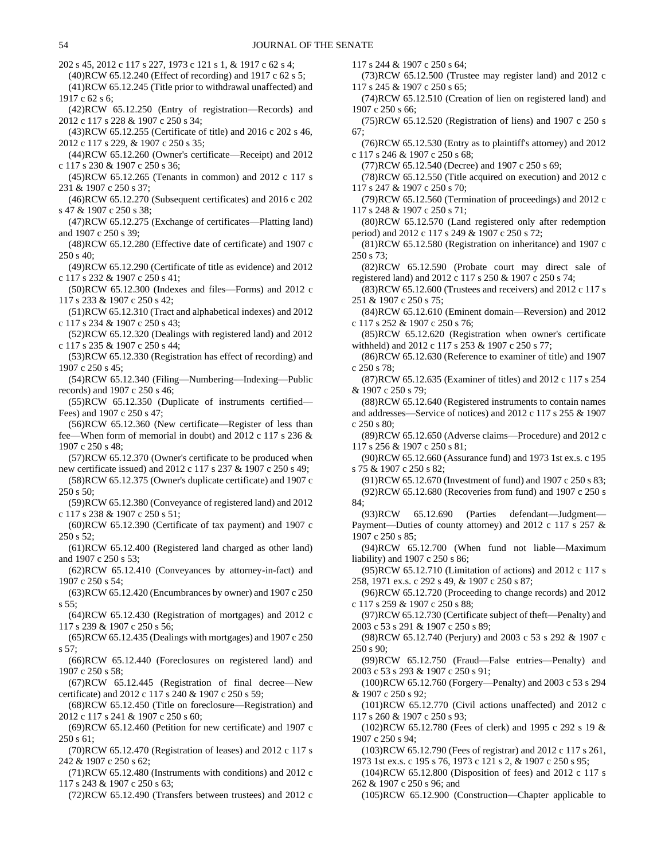202 s 45, 2012 c 117 s 227, 1973 c 121 s 1, & 1917 c 62 s 4;

(40)RCW 65.12.240 (Effect of recording) and 1917 c 62 s 5;

(41)RCW 65.12.245 (Title prior to withdrawal unaffected) and 1917 c 62 s 6;

(42)RCW 65.12.250 (Entry of registration—Records) and 2012 c 117 s 228 & 1907 c 250 s 34;

(43)RCW 65.12.255 (Certificate of title) and 2016 c 202 s 46, 2012 c 117 s 229, & 1907 c 250 s 35;

(44)RCW 65.12.260 (Owner's certificate—Receipt) and 2012 c 117 s 230 & 1907 c 250 s 36;

- (45)RCW 65.12.265 (Tenants in common) and 2012 c 117 s 231 & 1907 c 250 s 37;
- (46)RCW 65.12.270 (Subsequent certificates) and 2016 c 202 s 47 & 1907 c 250 s 38;

(47)RCW 65.12.275 (Exchange of certificates—Platting land) and 1907 c 250 s 39;

(48)RCW 65.12.280 (Effective date of certificate) and 1907 c 250 s 40;

(49)RCW 65.12.290 (Certificate of title as evidence) and 2012 c 117 s 232 & 1907 c 250 s 41;

(50)RCW 65.12.300 (Indexes and files—Forms) and 2012 c 117 s 233 & 1907 c 250 s 42;

(51)RCW 65.12.310 (Tract and alphabetical indexes) and 2012 c 117 s 234 & 1907 c 250 s 43;

(52)RCW 65.12.320 (Dealings with registered land) and 2012 c 117 s 235 & 1907 c 250 s 44;

(53)RCW 65.12.330 (Registration has effect of recording) and 1907 c 250 s 45;

(54)RCW 65.12.340 (Filing—Numbering—Indexing—Public records) and 1907 c 250 s 46;

(55)RCW 65.12.350 (Duplicate of instruments certified— Fees) and 1907 c 250 s 47;

(56)RCW 65.12.360 (New certificate—Register of less than fee—When form of memorial in doubt) and 2012 c 117 s 236 & 1907 c 250 s 48;

(57)RCW 65.12.370 (Owner's certificate to be produced when new certificate issued) and 2012 c 117 s 237 & 1907 c 250 s 49;

(58)RCW 65.12.375 (Owner's duplicate certificate) and 1907 c 250 s 50;

(59)RCW 65.12.380 (Conveyance of registered land) and 2012 c 117 s 238 & 1907 c 250 s 51;

(60)RCW 65.12.390 (Certificate of tax payment) and 1907 c  $250 \text{ s } 52$ ;

(61)RCW 65.12.400 (Registered land charged as other land) and 1907 c 250 s 53;

(62)RCW 65.12.410 (Conveyances by attorney-in-fact) and 1907 c 250 s 54;

(63)RCW 65.12.420 (Encumbrances by owner) and 1907 c 250 s 55;

(64)RCW 65.12.430 (Registration of mortgages) and 2012 c 117 s 239 & 1907 c 250 s 56;

(65)RCW 65.12.435 (Dealings with mortgages) and 1907 c 250 s 57;

(66)RCW 65.12.440 (Foreclosures on registered land) and 1907 c 250 s 58;

(67)RCW 65.12.445 (Registration of final decree—New certificate) and 2012 c 117 s 240 & 1907 c 250 s 59;

(68)RCW 65.12.450 (Title on foreclosure—Registration) and 2012 c 117 s 241 & 1907 c 250 s 60;

(69)RCW 65.12.460 (Petition for new certificate) and 1907 c 250 s 61;

(70)RCW 65.12.470 (Registration of leases) and 2012 c 117 s 242 & 1907 c 250 s 62;

(71)RCW 65.12.480 (Instruments with conditions) and 2012 c 117 s 243 & 1907 c 250 s 63;

(72)RCW 65.12.490 (Transfers between trustees) and 2012 c

117 s 244 & 1907 c 250 s 64;

(73)RCW 65.12.500 (Trustee may register land) and 2012 c 117 s 245 & 1907 c 250 s 65;

(74)RCW 65.12.510 (Creation of lien on registered land) and 1907 c 250 s 66;

(75)RCW 65.12.520 (Registration of liens) and 1907 c 250 s 67;

(76)RCW 65.12.530 (Entry as to plaintiff's attorney) and 2012 c 117 s 246 & 1907 c 250 s 68;

(77)RCW 65.12.540 (Decree) and 1907 c 250 s 69;

(78)RCW 65.12.550 (Title acquired on execution) and 2012 c 117 s 247 & 1907 c 250 s 70;

(79)RCW 65.12.560 (Termination of proceedings) and 2012 c 117 s 248 & 1907 c 250 s 71;

(80)RCW 65.12.570 (Land registered only after redemption period) and 2012 c 117 s 249 & 1907 c 250 s 72;

(81)RCW 65.12.580 (Registration on inheritance) and 1907 c 250 s 73;

(82)RCW 65.12.590 (Probate court may direct sale of registered land) and 2012 c 117 s 250 & 1907 c 250 s 74;

(83)RCW 65.12.600 (Trustees and receivers) and 2012 c 117 s 251 & 1907 c 250 s 75;

(84)RCW 65.12.610 (Eminent domain—Reversion) and 2012 c 117 s 252 & 1907 c 250 s 76;

(85)RCW 65.12.620 (Registration when owner's certificate withheld) and 2012 c 117 s 253 & 1907 c 250 s 77;

(86)RCW 65.12.630 (Reference to examiner of title) and 1907 c 250 s 78;

(87)RCW 65.12.635 (Examiner of titles) and 2012 c 117 s 254 & 1907 c 250 s 79;

(88)RCW 65.12.640 (Registered instruments to contain names and addresses—Service of notices) and 2012 c 117 s 255 & 1907 c 250 s 80;

(89)RCW 65.12.650 (Adverse claims—Procedure) and 2012 c 117 s 256 & 1907 c 250 s 81;

(90)RCW 65.12.660 (Assurance fund) and 1973 1st ex.s. c 195 s 75 & 1907 c 250 s 82;

(91)RCW 65.12.670 (Investment of fund) and 1907 c 250 s 83; (92)RCW 65.12.680 (Recoveries from fund) and 1907 c 250 s 84;

(93)RCW 65.12.690 (Parties defendant—Judgment— Payment—Duties of county attorney) and 2012 c 117 s 257 & 1907 c 250 s 85;

(94)RCW 65.12.700 (When fund not liable—Maximum liability) and 1907 c 250 s 86;

(95)RCW 65.12.710 (Limitation of actions) and 2012 c 117 s 258, 1971 ex.s. c 292 s 49, & 1907 c 250 s 87;

(96)RCW 65.12.720 (Proceeding to change records) and 2012 c 117 s 259 & 1907 c 250 s 88;

(97)RCW 65.12.730 (Certificate subject of theft—Penalty) and 2003 c 53 s 291 & 1907 c 250 s 89;

(98)RCW 65.12.740 (Perjury) and 2003 c 53 s 292 & 1907 c 250 s 90;

(99)RCW 65.12.750 (Fraud—False entries—Penalty) and 2003 c 53 s 293 & 1907 c 250 s 91;

(100)RCW 65.12.760 (Forgery—Penalty) and 2003 c 53 s 294 & 1907 c 250 s 92;

(101)RCW 65.12.770 (Civil actions unaffected) and 2012 c 117 s 260 & 1907 c 250 s 93;

(102)RCW 65.12.780 (Fees of clerk) and 1995 c 292 s 19 & 1907 c 250 s 94;

(103)RCW 65.12.790 (Fees of registrar) and 2012 c 117 s 261, 1973 1st ex.s. c 195 s 76, 1973 c 121 s 2, & 1907 c 250 s 95;

(104)RCW 65.12.800 (Disposition of fees) and 2012 c 117 s 262 & 1907 c 250 s 96; and

(105)RCW 65.12.900 (Construction—Chapter applicable to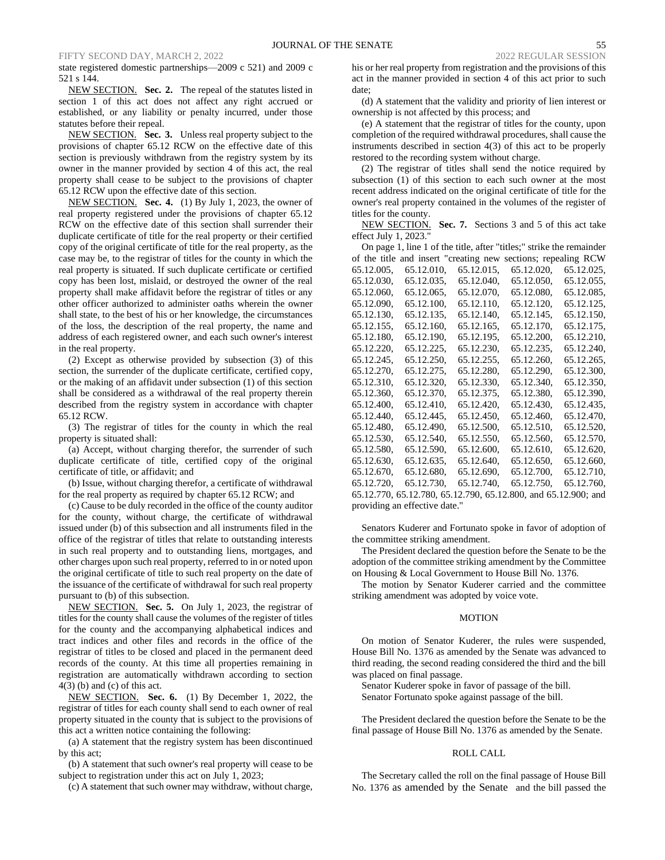state registered domestic partnerships—2009 c 521) and 2009 c 521 s 144.

NEW SECTION. **Sec. 2.** The repeal of the statutes listed in section 1 of this act does not affect any right accrued or established, or any liability or penalty incurred, under those statutes before their repeal.

NEW SECTION. **Sec. 3.** Unless real property subject to the provisions of chapter 65.12 RCW on the effective date of this section is previously withdrawn from the registry system by its owner in the manner provided by section 4 of this act, the real property shall cease to be subject to the provisions of chapter 65.12 RCW upon the effective date of this section.

NEW SECTION. **Sec. 4.** (1) By July 1, 2023, the owner of real property registered under the provisions of chapter 65.12 RCW on the effective date of this section shall surrender their duplicate certificate of title for the real property or their certified copy of the original certificate of title for the real property, as the case may be, to the registrar of titles for the county in which the real property is situated. If such duplicate certificate or certified copy has been lost, mislaid, or destroyed the owner of the real property shall make affidavit before the registrar of titles or any other officer authorized to administer oaths wherein the owner shall state, to the best of his or her knowledge, the circumstances of the loss, the description of the real property, the name and address of each registered owner, and each such owner's interest in the real property.

(2) Except as otherwise provided by subsection (3) of this section, the surrender of the duplicate certificate, certified copy, or the making of an affidavit under subsection (1) of this section shall be considered as a withdrawal of the real property therein described from the registry system in accordance with chapter 65.12 RCW.

(3) The registrar of titles for the county in which the real property is situated shall:

(a) Accept, without charging therefor, the surrender of such duplicate certificate of title, certified copy of the original certificate of title, or affidavit; and

(b) Issue, without charging therefor, a certificate of withdrawal for the real property as required by chapter 65.12 RCW; and

(c) Cause to be duly recorded in the office of the county auditor for the county, without charge, the certificate of withdrawal issued under (b) of this subsection and all instruments filed in the office of the registrar of titles that relate to outstanding interests in such real property and to outstanding liens, mortgages, and other charges upon such real property, referred to in or noted upon the original certificate of title to such real property on the date of the issuance of the certificate of withdrawal for such real property pursuant to (b) of this subsection.

NEW SECTION. **Sec. 5.** On July 1, 2023, the registrar of titles for the county shall cause the volumes of the register of titles for the county and the accompanying alphabetical indices and tract indices and other files and records in the office of the registrar of titles to be closed and placed in the permanent deed records of the county. At this time all properties remaining in registration are automatically withdrawn according to section  $4(3)$  (b) and (c) of this act.

NEW SECTION. **Sec. 6.** (1) By December 1, 2022, the registrar of titles for each county shall send to each owner of real property situated in the county that is subject to the provisions of this act a written notice containing the following:

(a) A statement that the registry system has been discontinued by this act;

(b) A statement that such owner's real property will cease to be subject to registration under this act on July 1, 2023;

(c) A statement that such owner may withdraw, without charge,

his or her real property from registration and the provisions of this act in the manner provided in section 4 of this act prior to such date;

(d) A statement that the validity and priority of lien interest or ownership is not affected by this process; and

(e) A statement that the registrar of titles for the county, upon completion of the required withdrawal procedures, shall cause the instruments described in section 4(3) of this act to be properly restored to the recording system without charge.

(2) The registrar of titles shall send the notice required by subsection (1) of this section to each such owner at the most recent address indicated on the original certificate of title for the owner's real property contained in the volumes of the register of titles for the county.

NEW SECTION. **Sec. 7.** Sections 3 and 5 of this act take effect July 1, 2023."

On page 1, line 1 of the title, after "titles;" strike the remainder of the title and insert "creating new sections; repealing RCW 65.12.005, 65.12.010, 65.12.015, 65.12.020, 65.12.025, 65.12.030, 65.12.035, 65.12.040, 65.12.050, 65.12.055, 65.12.060, 65.12.065, 65.12.070, 65.12.080, 65.12.085, 65.12.090, 65.12.100, 65.12.110, 65.12.120, 65.12.125, 65.12.130, 65.12.135, 65.12.140, 65.12.145, 65.12.150, 65.12.155, 65.12.160, 65.12.165, 65.12.170, 65.12.175, 65.12.180, 65.12.190, 65.12.195, 65.12.200, 65.12.210, 65.12.220, 65.12.225, 65.12.230, 65.12.235, 65.12.240, 65.12.245, 65.12.250, 65.12.255, 65.12.260, 65.12.265, 65.12.270, 65.12.275, 65.12.280, 65.12.290, 65.12.300, 65.12.310, 65.12.320, 65.12.330, 65.12.340, 65.12.350, 65.12.360, 65.12.370, 65.12.375, 65.12.380, 65.12.390, 65.12.400, 65.12.410, 65.12.420, 65.12.430, 65.12.435, 65.12.440, 65.12.445, 65.12.450, 65.12.460, 65.12.470, 65.12.480, 65.12.490, 65.12.500, 65.12.510, 65.12.520, 65.12.530, 65.12.540, 65.12.550, 65.12.560, 65.12.570, 65.12.580, 65.12.590, 65.12.600, 65.12.610, 65.12.620, 65.12.630, 65.12.635, 65.12.640, 65.12.650, 65.12.660, 65.12.670, 65.12.680, 65.12.690, 65.12.700, 65.12.710, 65.12.720, 65.12.730, 65.12.740, 65.12.750, 65.12.760, 65.12.770, 65.12.780, 65.12.790, 65.12.800, and 65.12.900; and providing an effective date."

Senators Kuderer and Fortunato spoke in favor of adoption of the committee striking amendment.

The President declared the question before the Senate to be the adoption of the committee striking amendment by the Committee on Housing & Local Government to House Bill No. 1376.

The motion by Senator Kuderer carried and the committee striking amendment was adopted by voice vote.

#### **MOTION**

On motion of Senator Kuderer, the rules were suspended, House Bill No. 1376 as amended by the Senate was advanced to third reading, the second reading considered the third and the bill was placed on final passage.

Senator Kuderer spoke in favor of passage of the bill. Senator Fortunato spoke against passage of the bill.

The President declared the question before the Senate to be the final passage of House Bill No. 1376 as amended by the Senate.

## ROLL CALL

The Secretary called the roll on the final passage of House Bill No. 1376 as amended by the Senate and the bill passed the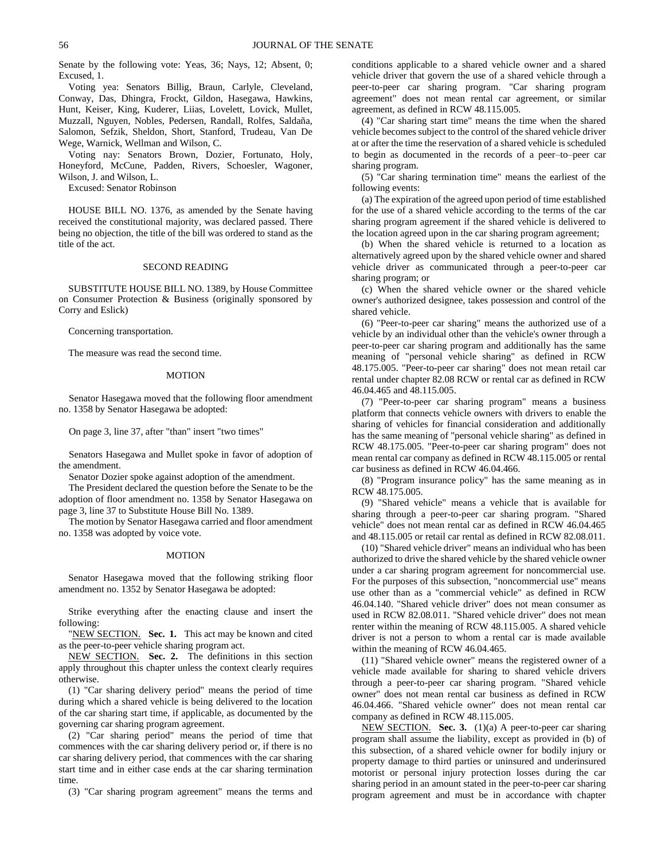Senate by the following vote: Yeas, 36; Nays, 12; Absent, 0; Excused, 1.

Voting yea: Senators Billig, Braun, Carlyle, Cleveland, Conway, Das, Dhingra, Frockt, Gildon, Hasegawa, Hawkins, Hunt, Keiser, King, Kuderer, Liias, Lovelett, Lovick, Mullet, Muzzall, Nguyen, Nobles, Pedersen, Randall, Rolfes, Saldaña, Salomon, Sefzik, Sheldon, Short, Stanford, Trudeau, Van De Wege, Warnick, Wellman and Wilson, C.

Voting nay: Senators Brown, Dozier, Fortunato, Holy, Honeyford, McCune, Padden, Rivers, Schoesler, Wagoner, Wilson, J. and Wilson, L.

Excused: Senator Robinson

HOUSE BILL NO. 1376, as amended by the Senate having received the constitutional majority, was declared passed. There being no objection, the title of the bill was ordered to stand as the title of the act.

## SECOND READING

SUBSTITUTE HOUSE BILL NO. 1389, by House Committee on Consumer Protection & Business (originally sponsored by Corry and Eslick)

Concerning transportation.

The measure was read the second time.

## MOTION

Senator Hasegawa moved that the following floor amendment no. 1358 by Senator Hasegawa be adopted:

On page 3, line 37, after "than" insert "two times"

Senators Hasegawa and Mullet spoke in favor of adoption of the amendment.

Senator Dozier spoke against adoption of the amendment.

The President declared the question before the Senate to be the adoption of floor amendment no. 1358 by Senator Hasegawa on page 3, line 37 to Substitute House Bill No. 1389.

The motion by Senator Hasegawa carried and floor amendment no. 1358 was adopted by voice vote.

#### MOTION

Senator Hasegawa moved that the following striking floor amendment no. 1352 by Senator Hasegawa be adopted:

Strike everything after the enacting clause and insert the following:

"NEW SECTION. **Sec. 1.** This act may be known and cited as the peer-to-peer vehicle sharing program act.

NEW SECTION. **Sec. 2.** The definitions in this section apply throughout this chapter unless the context clearly requires otherwise.

(1) "Car sharing delivery period" means the period of time during which a shared vehicle is being delivered to the location of the car sharing start time, if applicable, as documented by the governing car sharing program agreement.

(2) "Car sharing period" means the period of time that commences with the car sharing delivery period or, if there is no car sharing delivery period, that commences with the car sharing start time and in either case ends at the car sharing termination time.

(3) "Car sharing program agreement" means the terms and

conditions applicable to a shared vehicle owner and a shared vehicle driver that govern the use of a shared vehicle through a peer-to-peer car sharing program. "Car sharing program agreement" does not mean rental car agreement, or similar agreement, as defined in RCW 48.115.005.

(4) "Car sharing start time" means the time when the shared vehicle becomes subject to the control of the shared vehicle driver at or after the time the reservation of a shared vehicle is scheduled to begin as documented in the records of a peer–to–peer car sharing program.

(5) "Car sharing termination time" means the earliest of the following events:

(a) The expiration of the agreed upon period of time established for the use of a shared vehicle according to the terms of the car sharing program agreement if the shared vehicle is delivered to the location agreed upon in the car sharing program agreement;

(b) When the shared vehicle is returned to a location as alternatively agreed upon by the shared vehicle owner and shared vehicle driver as communicated through a peer-to-peer car sharing program; or

(c) When the shared vehicle owner or the shared vehicle owner's authorized designee, takes possession and control of the shared vehicle.

(6) "Peer-to-peer car sharing" means the authorized use of a vehicle by an individual other than the vehicle's owner through a peer-to-peer car sharing program and additionally has the same meaning of "personal vehicle sharing" as defined in RCW 48.175.005. "Peer-to-peer car sharing" does not mean retail car rental under chapter 82.08 RCW or rental car as defined in RCW 46.04.465 and 48.115.005.

(7) "Peer-to-peer car sharing program" means a business platform that connects vehicle owners with drivers to enable the sharing of vehicles for financial consideration and additionally has the same meaning of "personal vehicle sharing" as defined in RCW 48.175.005. "Peer-to-peer car sharing program" does not mean rental car company as defined in RCW 48.115.005 or rental car business as defined in RCW 46.04.466.

(8) "Program insurance policy" has the same meaning as in RCW 48.175.005.

(9) "Shared vehicle" means a vehicle that is available for sharing through a peer-to-peer car sharing program. "Shared vehicle" does not mean rental car as defined in RCW 46.04.465 and 48.115.005 or retail car rental as defined in RCW 82.08.011.

(10) "Shared vehicle driver" means an individual who has been authorized to drive the shared vehicle by the shared vehicle owner under a car sharing program agreement for noncommercial use. For the purposes of this subsection, "noncommercial use" means use other than as a "commercial vehicle" as defined in RCW 46.04.140. "Shared vehicle driver" does not mean consumer as used in RCW 82.08.011. "Shared vehicle driver" does not mean renter within the meaning of RCW 48.115.005. A shared vehicle driver is not a person to whom a rental car is made available within the meaning of RCW 46.04.465.

(11) "Shared vehicle owner" means the registered owner of a vehicle made available for sharing to shared vehicle drivers through a peer-to-peer car sharing program. "Shared vehicle owner" does not mean rental car business as defined in RCW 46.04.466. "Shared vehicle owner" does not mean rental car company as defined in RCW 48.115.005.

NEW SECTION. **Sec. 3.** (1)(a) A peer-to-peer car sharing program shall assume the liability, except as provided in (b) of this subsection, of a shared vehicle owner for bodily injury or property damage to third parties or uninsured and underinsured motorist or personal injury protection losses during the car sharing period in an amount stated in the peer-to-peer car sharing program agreement and must be in accordance with chapter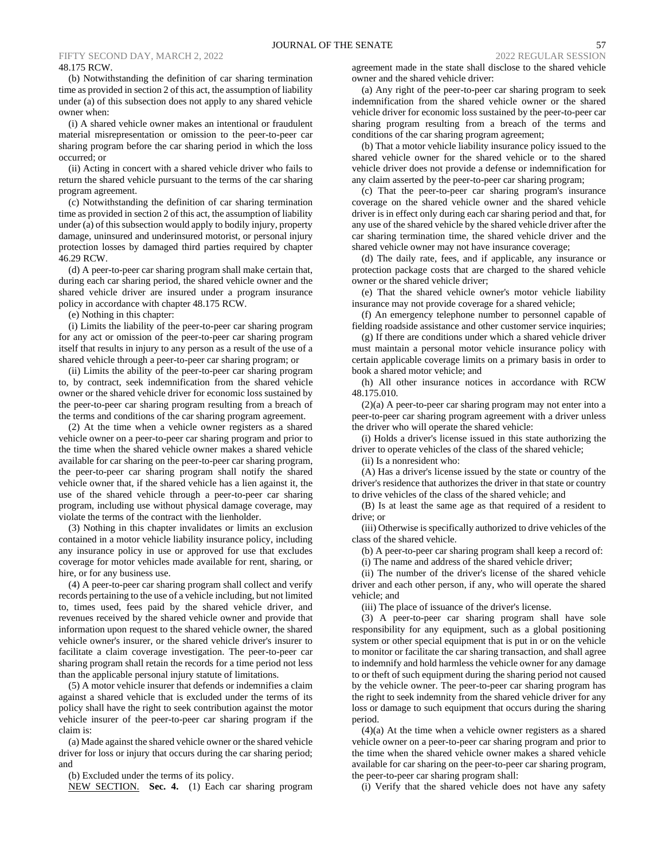#### FIFTY SECOND DAY, MARCH 2, 2022 2022 REGULAR SESSION 2022 REGULAR SESSION 48.175 RCW.

(b) Notwithstanding the definition of car sharing termination time as provided in section 2 of this act, the assumption of liability under (a) of this subsection does not apply to any shared vehicle owner when:

(i) A shared vehicle owner makes an intentional or fraudulent material misrepresentation or omission to the peer-to-peer car sharing program before the car sharing period in which the loss occurred; or

(ii) Acting in concert with a shared vehicle driver who fails to return the shared vehicle pursuant to the terms of the car sharing program agreement.

(c) Notwithstanding the definition of car sharing termination time as provided in section 2 of this act, the assumption of liability under (a) of this subsection would apply to bodily injury, property damage, uninsured and underinsured motorist, or personal injury protection losses by damaged third parties required by chapter 46.29 RCW.

(d) A peer-to-peer car sharing program shall make certain that, during each car sharing period, the shared vehicle owner and the shared vehicle driver are insured under a program insurance policy in accordance with chapter 48.175 RCW.

(e) Nothing in this chapter:

(i) Limits the liability of the peer-to-peer car sharing program for any act or omission of the peer-to-peer car sharing program itself that results in injury to any person as a result of the use of a shared vehicle through a peer-to-peer car sharing program; or

(ii) Limits the ability of the peer-to-peer car sharing program to, by contract, seek indemnification from the shared vehicle owner or the shared vehicle driver for economic loss sustained by the peer-to-peer car sharing program resulting from a breach of the terms and conditions of the car sharing program agreement.

(2) At the time when a vehicle owner registers as a shared vehicle owner on a peer-to-peer car sharing program and prior to the time when the shared vehicle owner makes a shared vehicle available for car sharing on the peer-to-peer car sharing program, the peer-to-peer car sharing program shall notify the shared vehicle owner that, if the shared vehicle has a lien against it, the use of the shared vehicle through a peer-to-peer car sharing program, including use without physical damage coverage, may violate the terms of the contract with the lienholder.

(3) Nothing in this chapter invalidates or limits an exclusion contained in a motor vehicle liability insurance policy, including any insurance policy in use or approved for use that excludes coverage for motor vehicles made available for rent, sharing, or hire, or for any business use.

(4) A peer-to-peer car sharing program shall collect and verify records pertaining to the use of a vehicle including, but not limited to, times used, fees paid by the shared vehicle driver, and revenues received by the shared vehicle owner and provide that information upon request to the shared vehicle owner, the shared vehicle owner's insurer, or the shared vehicle driver's insurer to facilitate a claim coverage investigation. The peer-to-peer car sharing program shall retain the records for a time period not less than the applicable personal injury statute of limitations.

(5) A motor vehicle insurer that defends or indemnifies a claim against a shared vehicle that is excluded under the terms of its policy shall have the right to seek contribution against the motor vehicle insurer of the peer-to-peer car sharing program if the claim is:

(a) Made against the shared vehicle owner or the shared vehicle driver for loss or injury that occurs during the car sharing period; and

(b) Excluded under the terms of its policy.

NEW SECTION. **Sec. 4.** (1) Each car sharing program

agreement made in the state shall disclose to the shared vehicle owner and the shared vehicle driver:

(a) Any right of the peer-to-peer car sharing program to seek indemnification from the shared vehicle owner or the shared vehicle driver for economic loss sustained by the peer-to-peer car sharing program resulting from a breach of the terms and conditions of the car sharing program agreement;

(b) That a motor vehicle liability insurance policy issued to the shared vehicle owner for the shared vehicle or to the shared vehicle driver does not provide a defense or indemnification for any claim asserted by the peer-to-peer car sharing program;

(c) That the peer-to-peer car sharing program's insurance coverage on the shared vehicle owner and the shared vehicle driver is in effect only during each car sharing period and that, for any use of the shared vehicle by the shared vehicle driver after the car sharing termination time, the shared vehicle driver and the shared vehicle owner may not have insurance coverage;

(d) The daily rate, fees, and if applicable, any insurance or protection package costs that are charged to the shared vehicle owner or the shared vehicle driver;

(e) That the shared vehicle owner's motor vehicle liability insurance may not provide coverage for a shared vehicle;

(f) An emergency telephone number to personnel capable of fielding roadside assistance and other customer service inquiries;

(g) If there are conditions under which a shared vehicle driver must maintain a personal motor vehicle insurance policy with certain applicable coverage limits on a primary basis in order to book a shared motor vehicle; and

(h) All other insurance notices in accordance with RCW 48.175.010.

(2)(a) A peer-to-peer car sharing program may not enter into a peer-to-peer car sharing program agreement with a driver unless the driver who will operate the shared vehicle:

(i) Holds a driver's license issued in this state authorizing the driver to operate vehicles of the class of the shared vehicle;

(ii) Is a nonresident who:

(A) Has a driver's license issued by the state or country of the driver's residence that authorizes the driver in that state or country to drive vehicles of the class of the shared vehicle; and

(B) Is at least the same age as that required of a resident to drive; or

(iii) Otherwise is specifically authorized to drive vehicles of the class of the shared vehicle.

(b) A peer-to-peer car sharing program shall keep a record of:

(i) The name and address of the shared vehicle driver;

(ii) The number of the driver's license of the shared vehicle driver and each other person, if any, who will operate the shared vehicle; and

(iii) The place of issuance of the driver's license.

(3) A peer-to-peer car sharing program shall have sole responsibility for any equipment, such as a global positioning system or other special equipment that is put in or on the vehicle to monitor or facilitate the car sharing transaction, and shall agree to indemnify and hold harmless the vehicle owner for any damage to or theft of such equipment during the sharing period not caused by the vehicle owner. The peer-to-peer car sharing program has the right to seek indemnity from the shared vehicle driver for any loss or damage to such equipment that occurs during the sharing period.

(4)(a) At the time when a vehicle owner registers as a shared vehicle owner on a peer-to-peer car sharing program and prior to the time when the shared vehicle owner makes a shared vehicle available for car sharing on the peer-to-peer car sharing program, the peer-to-peer car sharing program shall:

(i) Verify that the shared vehicle does not have any safety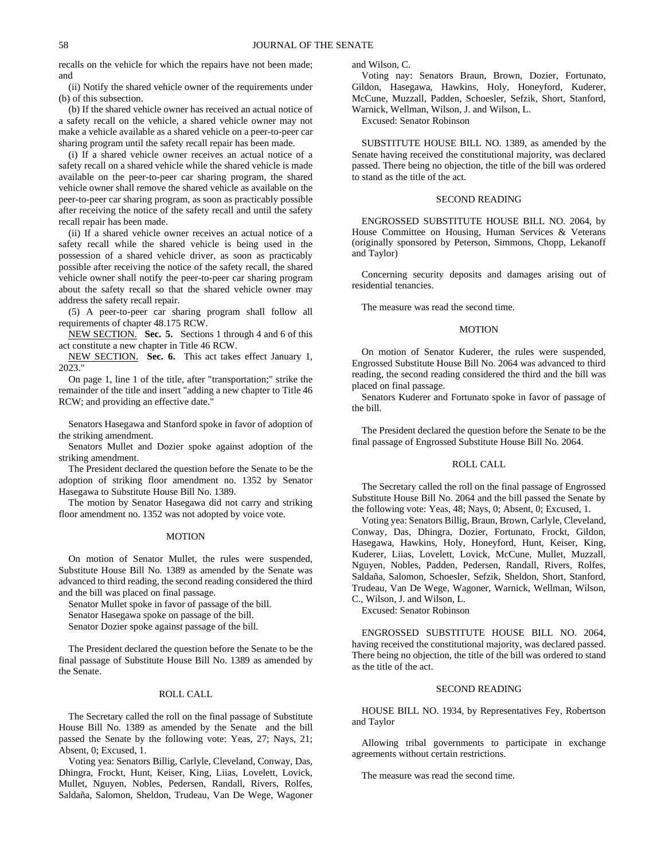recalls on the vehicle for which the repairs have not been made; and

(ii) Notify the shared vehicle owner of the requirements under (b) of this subsection.

(b) If the shared vehicle owner has received an actual notice of a safety recall on the vehicle, a shared vehicle owner may not make a vehicle available as a shared vehicle on a peer-to-peer car sharing program until the safety recall repair has been made.

(i) If a shared vehicle owner receives an actual notice of a safety recall on a shared vehicle while the shared vehicle is made available on the peer-to-peer car sharing program, the shared vehicle owner shall remove the shared vehicle as available on the peer-to-peer car sharing program, as soon as practicably possible after receiving the notice of the safety recall and until the safety recall repair has been made.

(ii) If a shared vehicle owner receives an actual notice of a safety recall while the shared vehicle is being used in the possession of a shared vehicle driver, as soon as practicably possible after receiving the notice of the safety recall, the shared vehicle owner shall notify the peer-to-peer car sharing program about the safety recall so that the shared vehicle owner may address the safety recall repair.

(5) A peer-to-peer car sharing program shall follow all requirements of chapter 48.175 RCW.

NEW SECTION. **Sec. 5.** Sections 1 through 4 and 6 of this act constitute a new chapter in Title 46 RCW.

NEW SECTION. **Sec. 6.** This act takes effect January 1, 2023."

On page 1, line 1 of the title, after "transportation;" strike the remainder of the title and insert "adding a new chapter to Title 46 RCW; and providing an effective date."

Senators Hasegawa and Stanford spoke in favor of adoption of the striking amendment.

Senators Mullet and Dozier spoke against adoption of the striking amendment.

The President declared the question before the Senate to be the adoption of striking floor amendment no. 1352 by Senator Hasegawa to Substitute House Bill No. 1389.

The motion by Senator Hasegawa did not carry and striking floor amendment no. 1352 was not adopted by voice vote.

## MOTION

On motion of Senator Mullet, the rules were suspended, Substitute House Bill No. 1389 as amended by the Senate was advanced to third reading, the second reading considered the third and the bill was placed on final passage.

Senator Mullet spoke in favor of passage of the bill.

Senator Hasegawa spoke on passage of the bill.

Senator Dozier spoke against passage of the bill.

The President declared the question before the Senate to be the final passage of Substitute House Bill No. 1389 as amended by the Senate.

# ROLL CALL

The Secretary called the roll on the final passage of Substitute House Bill No. 1389 as amended by the Senate and the bill passed the Senate by the following vote: Yeas, 27; Nays, 21; Absent, 0; Excused, 1.

Voting yea: Senators Billig, Carlyle, Cleveland, Conway, Das, Dhingra, Frockt, Hunt, Keiser, King, Liias, Lovelett, Lovick, Mullet, Nguyen, Nobles, Pedersen, Randall, Rivers, Rolfes, Saldaña, Salomon, Sheldon, Trudeau, Van De Wege, Wagoner and Wilson, C.

Voting nay: Senators Braun, Brown, Dozier, Fortunato, Gildon, Hasegawa, Hawkins, Holy, Honeyford, Kuderer, McCune, Muzzall, Padden, Schoesler, Sefzik, Short, Stanford, Warnick, Wellman, Wilson, J. and Wilson, L.

Excused: Senator Robinson

SUBSTITUTE HOUSE BILL NO. 1389, as amended by the Senate having received the constitutional majority, was declared passed. There being no objection, the title of the bill was ordered to stand as the title of the act.

## SECOND READING

ENGROSSED SUBSTITUTE HOUSE BILL NO. 2064, by House Committee on Housing, Human Services & Veterans (originally sponsored by Peterson, Simmons, Chopp, Lekanoff and Taylor)

Concerning security deposits and damages arising out of residential tenancies.

The measure was read the second time.

## MOTION

On motion of Senator Kuderer, the rules were suspended, Engrossed Substitute House Bill No. 2064 was advanced to third reading, the second reading considered the third and the bill was placed on final passage.

Senators Kuderer and Fortunato spoke in favor of passage of the bill.

The President declared the question before the Senate to be the final passage of Engrossed Substitute House Bill No. 2064.

## ROLL CALL

The Secretary called the roll on the final passage of Engrossed Substitute House Bill No. 2064 and the bill passed the Senate by the following vote: Yeas, 48; Nays, 0; Absent, 0; Excused, 1.

Voting yea: Senators Billig, Braun, Brown, Carlyle, Cleveland, Conway, Das, Dhingra, Dozier, Fortunato, Frockt, Gildon, Hasegawa, Hawkins, Holy, Honeyford, Hunt, Keiser, King, Kuderer, Liias, Lovelett, Lovick, McCune, Mullet, Muzzall, Nguyen, Nobles, Padden, Pedersen, Randall, Rivers, Rolfes, Saldaña, Salomon, Schoesler, Sefzik, Sheldon, Short, Stanford, Trudeau, Van De Wege, Wagoner, Warnick, Wellman, Wilson, C., Wilson, J. and Wilson, L.

Excused: Senator Robinson

ENGROSSED SUBSTITUTE HOUSE BILL NO. 2064, having received the constitutional majority, was declared passed. There being no objection, the title of the bill was ordered to stand as the title of the act.

## SECOND READING

HOUSE BILL NO. 1934, by Representatives Fey, Robertson and Taylor

Allowing tribal governments to participate in exchange agreements without certain restrictions.

The measure was read the second time.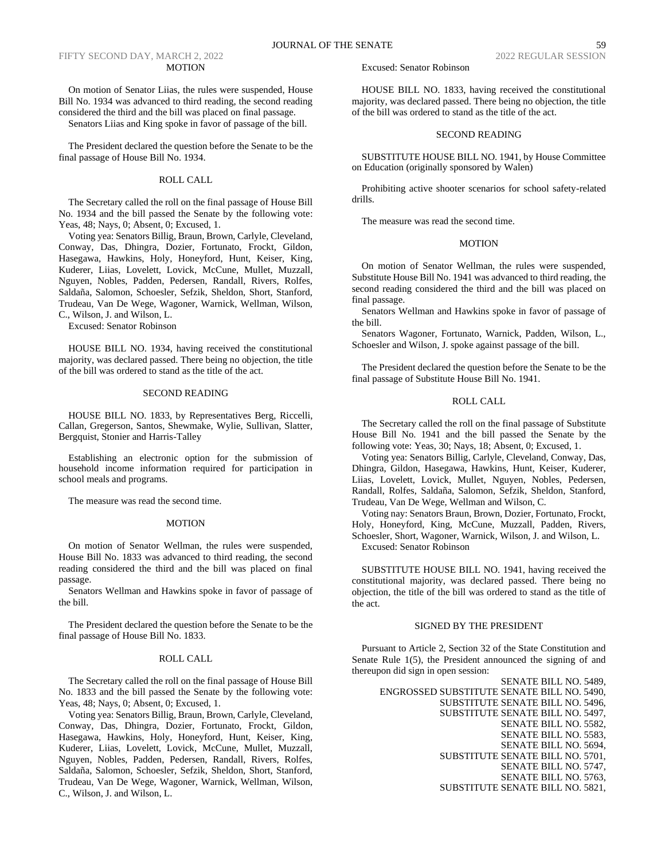## FIFTY SECOND DAY, MARCH 2, 2022 2022 REGULAR SESSION 2022 REGULAR SESSION MOTION

On motion of Senator Liias, the rules were suspended, House Bill No. 1934 was advanced to third reading, the second reading considered the third and the bill was placed on final passage.

Senators Liias and King spoke in favor of passage of the bill.

The President declared the question before the Senate to be the final passage of House Bill No. 1934.

# ROLL CALL

The Secretary called the roll on the final passage of House Bill No. 1934 and the bill passed the Senate by the following vote: Yeas, 48; Nays, 0; Absent, 0; Excused, 1.

Voting yea: Senators Billig, Braun, Brown, Carlyle, Cleveland, Conway, Das, Dhingra, Dozier, Fortunato, Frockt, Gildon, Hasegawa, Hawkins, Holy, Honeyford, Hunt, Keiser, King, Kuderer, Liias, Lovelett, Lovick, McCune, Mullet, Muzzall, Nguyen, Nobles, Padden, Pedersen, Randall, Rivers, Rolfes, Saldaña, Salomon, Schoesler, Sefzik, Sheldon, Short, Stanford, Trudeau, Van De Wege, Wagoner, Warnick, Wellman, Wilson, C., Wilson, J. and Wilson, L.

Excused: Senator Robinson

HOUSE BILL NO. 1934, having received the constitutional majority, was declared passed. There being no objection, the title of the bill was ordered to stand as the title of the act.

# SECOND READING

HOUSE BILL NO. 1833, by Representatives Berg, Riccelli, Callan, Gregerson, Santos, Shewmake, Wylie, Sullivan, Slatter, Bergquist, Stonier and Harris-Talley

Establishing an electronic option for the submission of household income information required for participation in school meals and programs.

The measure was read the second time.

## MOTION

On motion of Senator Wellman, the rules were suspended, House Bill No. 1833 was advanced to third reading, the second reading considered the third and the bill was placed on final passage.

Senators Wellman and Hawkins spoke in favor of passage of the bill.

The President declared the question before the Senate to be the final passage of House Bill No. 1833.

## ROLL CALL

The Secretary called the roll on the final passage of House Bill No. 1833 and the bill passed the Senate by the following vote: Yeas, 48; Nays, 0; Absent, 0; Excused, 1.

Voting yea: Senators Billig, Braun, Brown, Carlyle, Cleveland, Conway, Das, Dhingra, Dozier, Fortunato, Frockt, Gildon, Hasegawa, Hawkins, Holy, Honeyford, Hunt, Keiser, King, Kuderer, Liias, Lovelett, Lovick, McCune, Mullet, Muzzall, Nguyen, Nobles, Padden, Pedersen, Randall, Rivers, Rolfes, Saldaña, Salomon, Schoesler, Sefzik, Sheldon, Short, Stanford, Trudeau, Van De Wege, Wagoner, Warnick, Wellman, Wilson, C., Wilson, J. and Wilson, L.

HOUSE BILL NO. 1833, having received the constitutional majority, was declared passed. There being no objection, the title of the bill was ordered to stand as the title of the act.

# SECOND READING

SUBSTITUTE HOUSE BILL NO. 1941, by House Committee on Education (originally sponsored by Walen)

Prohibiting active shooter scenarios for school safety-related drills.

The measure was read the second time.

## MOTION

On motion of Senator Wellman, the rules were suspended, Substitute House Bill No. 1941 was advanced to third reading, the second reading considered the third and the bill was placed on final passage.

Senators Wellman and Hawkins spoke in favor of passage of the bill.

Senators Wagoner, Fortunato, Warnick, Padden, Wilson, L., Schoesler and Wilson, J. spoke against passage of the bill.

The President declared the question before the Senate to be the final passage of Substitute House Bill No. 1941.

## ROLL CALL

The Secretary called the roll on the final passage of Substitute House Bill No. 1941 and the bill passed the Senate by the following vote: Yeas, 30; Nays, 18; Absent, 0; Excused, 1.

Voting yea: Senators Billig, Carlyle, Cleveland, Conway, Das, Dhingra, Gildon, Hasegawa, Hawkins, Hunt, Keiser, Kuderer, Liias, Lovelett, Lovick, Mullet, Nguyen, Nobles, Pedersen, Randall, Rolfes, Saldaña, Salomon, Sefzik, Sheldon, Stanford, Trudeau, Van De Wege, Wellman and Wilson, C.

Voting nay: Senators Braun, Brown, Dozier, Fortunato, Frockt, Holy, Honeyford, King, McCune, Muzzall, Padden, Rivers, Schoesler, Short, Wagoner, Warnick, Wilson, J. and Wilson, L. Excused: Senator Robinson

SUBSTITUTE HOUSE BILL NO. 1941, having received the constitutional majority, was declared passed. There being no objection, the title of the bill was ordered to stand as the title of the act.

## SIGNED BY THE PRESIDENT

Pursuant to Article 2, Section 32 of the State Constitution and Senate Rule 1(5), the President announced the signing of and thereupon did sign in open session:

> SENATE BILL NO. 5489, ENGROSSED SUBSTITUTE SENATE BILL NO. 5490, SUBSTITUTE SENATE BILL NO. 5496, SUBSTITUTE SENATE BILL NO. 5497, SENATE BILL NO. 5582, SENATE BILL NO. 5583, SENATE BILL NO. 5694, SUBSTITUTE SENATE BILL NO. 5701, SENATE BILL NO. 5747, SENATE BILL NO. 5763, SUBSTITUTE SENATE BILL NO. 5821,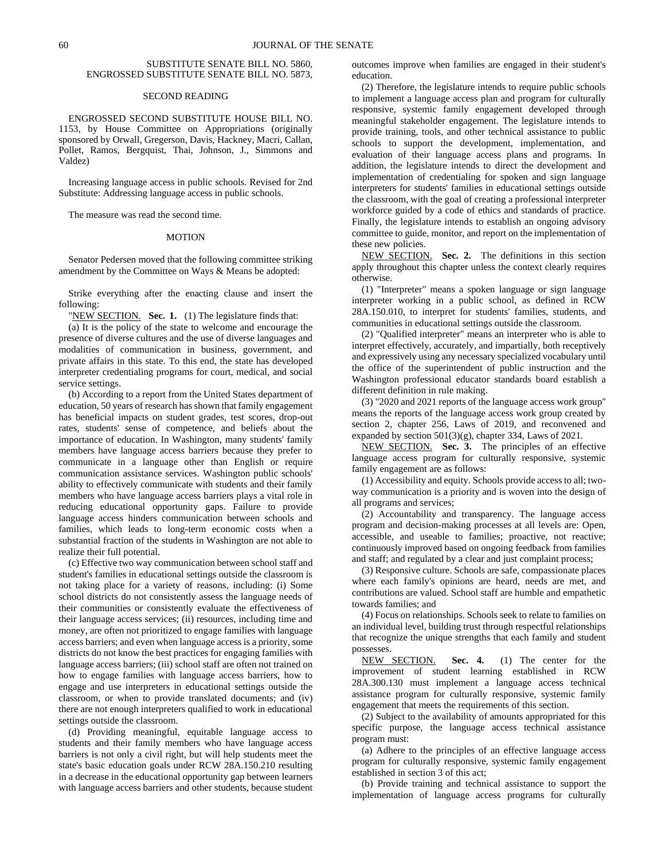# SUBSTITUTE SENATE BILL NO. 5860, ENGROSSED SUBSTITUTE SENATE BILL NO. 5873,

## SECOND READING

ENGROSSED SECOND SUBSTITUTE HOUSE BILL NO. 1153, by House Committee on Appropriations (originally sponsored by Orwall, Gregerson, Davis, Hackney, Macri, Callan, Pollet, Ramos, Bergquist, Thai, Johnson, J., Simmons and Valdez)

Increasing language access in public schools. Revised for 2nd Substitute: Addressing language access in public schools.

The measure was read the second time.

#### MOTION

Senator Pedersen moved that the following committee striking amendment by the Committee on Ways & Means be adopted:

Strike everything after the enacting clause and insert the following:

"NEW SECTION. **Sec. 1.** (1) The legislature finds that:

(a) It is the policy of the state to welcome and encourage the presence of diverse cultures and the use of diverse languages and modalities of communication in business, government, and private affairs in this state. To this end, the state has developed interpreter credentialing programs for court, medical, and social service settings.

(b) According to a report from the United States department of education, 50 years of research has shown that family engagement has beneficial impacts on student grades, test scores, drop-out rates, students' sense of competence, and beliefs about the importance of education. In Washington, many students' family members have language access barriers because they prefer to communicate in a language other than English or require communication assistance services. Washington public schools' ability to effectively communicate with students and their family members who have language access barriers plays a vital role in reducing educational opportunity gaps. Failure to provide language access hinders communication between schools and families, which leads to long-term economic costs when a substantial fraction of the students in Washington are not able to realize their full potential.

(c) Effective two way communication between school staff and student's families in educational settings outside the classroom is not taking place for a variety of reasons, including: (i) Some school districts do not consistently assess the language needs of their communities or consistently evaluate the effectiveness of their language access services; (ii) resources, including time and money, are often not prioritized to engage families with language access barriers; and even when language access is a priority, some districts do not know the best practices for engaging families with language access barriers; (iii) school staff are often not trained on how to engage families with language access barriers, how to engage and use interpreters in educational settings outside the classroom, or when to provide translated documents; and (iv) there are not enough interpreters qualified to work in educational settings outside the classroom.

(d) Providing meaningful, equitable language access to students and their family members who have language access barriers is not only a civil right, but will help students meet the state's basic education goals under RCW 28A.150.210 resulting in a decrease in the educational opportunity gap between learners with language access barriers and other students, because student outcomes improve when families are engaged in their student's education.

(2) Therefore, the legislature intends to require public schools to implement a language access plan and program for culturally responsive, systemic family engagement developed through meaningful stakeholder engagement. The legislature intends to provide training, tools, and other technical assistance to public schools to support the development, implementation, and evaluation of their language access plans and programs. In addition, the legislature intends to direct the development and implementation of credentialing for spoken and sign language interpreters for students' families in educational settings outside the classroom, with the goal of creating a professional interpreter workforce guided by a code of ethics and standards of practice. Finally, the legislature intends to establish an ongoing advisory committee to guide, monitor, and report on the implementation of these new policies.

NEW SECTION. **Sec. 2.** The definitions in this section apply throughout this chapter unless the context clearly requires otherwise.

(1) "Interpreter" means a spoken language or sign language interpreter working in a public school, as defined in RCW 28A.150.010, to interpret for students' families, students, and communities in educational settings outside the classroom.

(2) "Qualified interpreter" means an interpreter who is able to interpret effectively, accurately, and impartially, both receptively and expressively using any necessary specialized vocabulary until the office of the superintendent of public instruction and the Washington professional educator standards board establish a different definition in rule making.

(3) "2020 and 2021 reports of the language access work group" means the reports of the language access work group created by section 2, chapter 256, Laws of 2019, and reconvened and expanded by section 501(3)(g), chapter 334, Laws of 2021.

NEW SECTION. **Sec. 3.** The principles of an effective language access program for culturally responsive, systemic family engagement are as follows:

(1) Accessibility and equity. Schools provide access to all; twoway communication is a priority and is woven into the design of all programs and services;

(2) Accountability and transparency. The language access program and decision-making processes at all levels are: Open, accessible, and useable to families; proactive, not reactive; continuously improved based on ongoing feedback from families and staff; and regulated by a clear and just complaint process;

(3) Responsive culture. Schools are safe, compassionate places where each family's opinions are heard, needs are met, and contributions are valued. School staff are humble and empathetic towards families; and

(4) Focus on relationships. Schools seek to relate to families on an individual level, building trust through respectful relationships that recognize the unique strengths that each family and student possesses.

NEW SECTION. **Sec. 4.** (1) The center for the improvement of student learning established in RCW 28A.300.130 must implement a language access technical assistance program for culturally responsive, systemic family engagement that meets the requirements of this section.

(2) Subject to the availability of amounts appropriated for this specific purpose, the language access technical assistance program must:

(a) Adhere to the principles of an effective language access program for culturally responsive, systemic family engagement established in section 3 of this act;

(b) Provide training and technical assistance to support the implementation of language access programs for culturally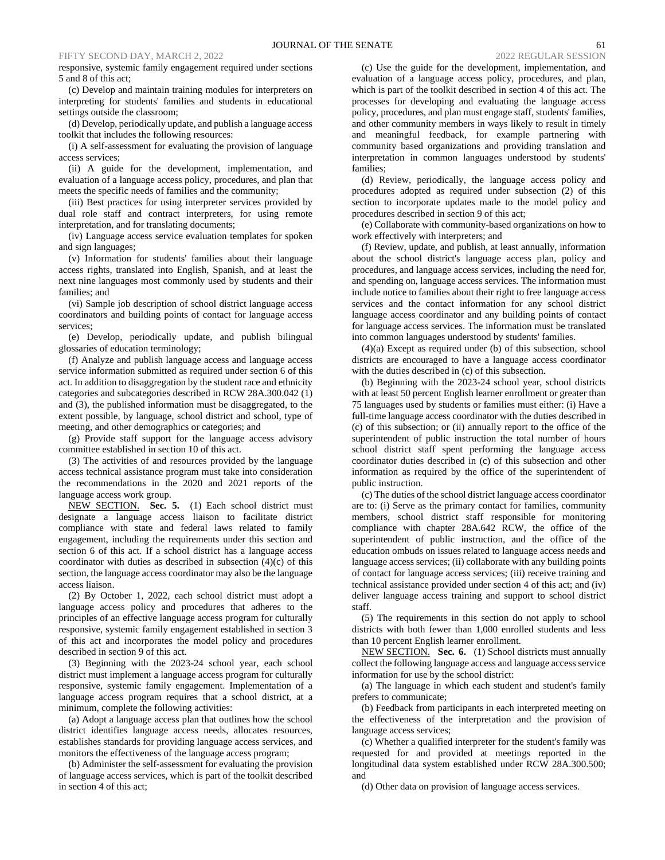# FIFTY SECOND DAY, MARCH 2, 2022 2022 REGULAR SESSION 2022 REGULAR SESSION

responsive, systemic family engagement required under sections 5 and 8 of this act;

(c) Develop and maintain training modules for interpreters on interpreting for students' families and students in educational settings outside the classroom;

(d) Develop, periodically update, and publish a language access toolkit that includes the following resources:

(i) A self-assessment for evaluating the provision of language access services;

(ii) A guide for the development, implementation, and evaluation of a language access policy, procedures, and plan that meets the specific needs of families and the community;

(iii) Best practices for using interpreter services provided by dual role staff and contract interpreters, for using remote interpretation, and for translating documents;

(iv) Language access service evaluation templates for spoken and sign languages;

(v) Information for students' families about their language access rights, translated into English, Spanish, and at least the next nine languages most commonly used by students and their families; and

(vi) Sample job description of school district language access coordinators and building points of contact for language access services;

(e) Develop, periodically update, and publish bilingual glossaries of education terminology;

(f) Analyze and publish language access and language access service information submitted as required under section 6 of this act. In addition to disaggregation by the student race and ethnicity categories and subcategories described in RCW 28A.300.042 (1) and (3), the published information must be disaggregated, to the extent possible, by language, school district and school, type of meeting, and other demographics or categories; and

(g) Provide staff support for the language access advisory committee established in section 10 of this act.

(3) The activities of and resources provided by the language access technical assistance program must take into consideration the recommendations in the 2020 and 2021 reports of the language access work group.

NEW SECTION. **Sec. 5.** (1) Each school district must designate a language access liaison to facilitate district compliance with state and federal laws related to family engagement, including the requirements under this section and section 6 of this act. If a school district has a language access coordinator with duties as described in subsection  $(4)(c)$  of this section, the language access coordinator may also be the language access liaison.

(2) By October 1, 2022, each school district must adopt a language access policy and procedures that adheres to the principles of an effective language access program for culturally responsive, systemic family engagement established in section 3 of this act and incorporates the model policy and procedures described in section 9 of this act.

(3) Beginning with the 2023-24 school year, each school district must implement a language access program for culturally responsive, systemic family engagement. Implementation of a language access program requires that a school district, at a minimum, complete the following activities:

(a) Adopt a language access plan that outlines how the school district identifies language access needs, allocates resources, establishes standards for providing language access services, and monitors the effectiveness of the language access program;

(b) Administer the self-assessment for evaluating the provision of language access services, which is part of the toolkit described in section 4 of this act;

(c) Use the guide for the development, implementation, and evaluation of a language access policy, procedures, and plan, which is part of the toolkit described in section 4 of this act. The processes for developing and evaluating the language access policy, procedures, and plan must engage staff, students' families, and other community members in ways likely to result in timely and meaningful feedback, for example partnering with community based organizations and providing translation and interpretation in common languages understood by students' families;

(d) Review, periodically, the language access policy and procedures adopted as required under subsection (2) of this section to incorporate updates made to the model policy and procedures described in section 9 of this act;

(e) Collaborate with community-based organizations on how to work effectively with interpreters; and

(f) Review, update, and publish, at least annually, information about the school district's language access plan, policy and procedures, and language access services, including the need for, and spending on, language access services. The information must include notice to families about their right to free language access services and the contact information for any school district language access coordinator and any building points of contact for language access services. The information must be translated into common languages understood by students' families.

(4)(a) Except as required under (b) of this subsection, school districts are encouraged to have a language access coordinator with the duties described in (c) of this subsection.

(b) Beginning with the 2023-24 school year, school districts with at least 50 percent English learner enrollment or greater than 75 languages used by students or families must either: (i) Have a full-time language access coordinator with the duties described in (c) of this subsection; or (ii) annually report to the office of the superintendent of public instruction the total number of hours school district staff spent performing the language access coordinator duties described in (c) of this subsection and other information as required by the office of the superintendent of public instruction.

(c) The duties of the school district language access coordinator are to: (i) Serve as the primary contact for families, community members, school district staff responsible for monitoring compliance with chapter 28A.642 RCW, the office of the superintendent of public instruction, and the office of the education ombuds on issues related to language access needs and language access services; (ii) collaborate with any building points of contact for language access services; (iii) receive training and technical assistance provided under section 4 of this act; and (iv) deliver language access training and support to school district staff.

(5) The requirements in this section do not apply to school districts with both fewer than 1,000 enrolled students and less than 10 percent English learner enrollment.

NEW SECTION. **Sec. 6.** (1) School districts must annually collect the following language access and language access service information for use by the school district:

(a) The language in which each student and student's family prefers to communicate;

(b) Feedback from participants in each interpreted meeting on the effectiveness of the interpretation and the provision of language access services;

(c) Whether a qualified interpreter for the student's family was requested for and provided at meetings reported in the longitudinal data system established under RCW 28A.300.500; and

(d) Other data on provision of language access services.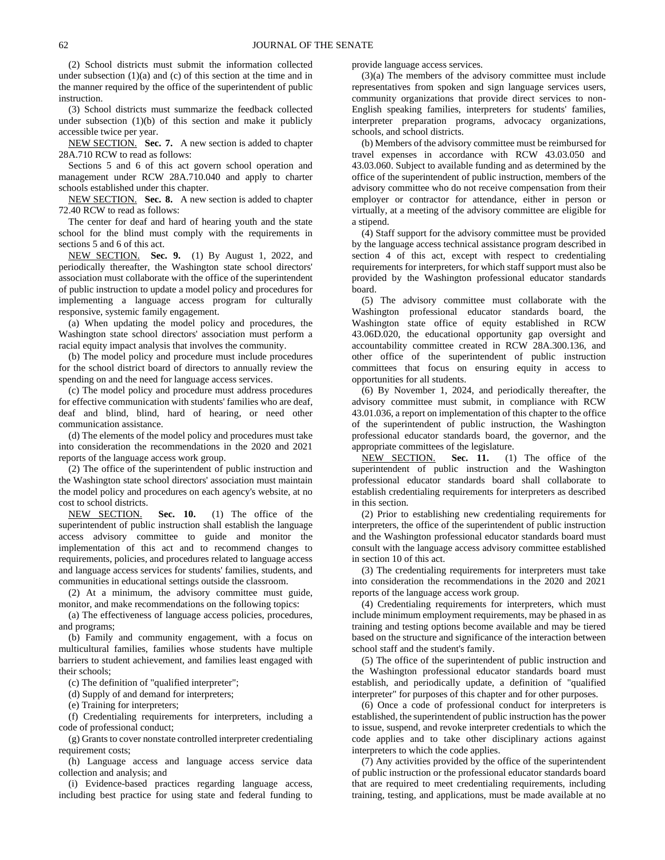(2) School districts must submit the information collected under subsection  $(1)(a)$  and  $(c)$  of this section at the time and in the manner required by the office of the superintendent of public instruction.

(3) School districts must summarize the feedback collected under subsection  $(1)(b)$  of this section and make it publicly accessible twice per year.

NEW SECTION. **Sec. 7.** A new section is added to chapter 28A.710 RCW to read as follows:

Sections 5 and 6 of this act govern school operation and management under RCW 28A.710.040 and apply to charter schools established under this chapter.

NEW SECTION. **Sec. 8.** A new section is added to chapter 72.40 RCW to read as follows:

The center for deaf and hard of hearing youth and the state school for the blind must comply with the requirements in sections 5 and 6 of this act.

NEW SECTION. **Sec. 9.** (1) By August 1, 2022, and periodically thereafter, the Washington state school directors' association must collaborate with the office of the superintendent of public instruction to update a model policy and procedures for implementing a language access program for culturally responsive, systemic family engagement.

(a) When updating the model policy and procedures, the Washington state school directors' association must perform a racial equity impact analysis that involves the community.

(b) The model policy and procedure must include procedures for the school district board of directors to annually review the spending on and the need for language access services.

(c) The model policy and procedure must address procedures for effective communication with students' families who are deaf, deaf and blind, blind, hard of hearing, or need other communication assistance.

(d) The elements of the model policy and procedures must take into consideration the recommendations in the 2020 and 2021 reports of the language access work group.

(2) The office of the superintendent of public instruction and the Washington state school directors' association must maintain the model policy and procedures on each agency's website, at no cost to school districts.<br>NEW\_SECTION.

Sec. 10. (1) The office of the superintendent of public instruction shall establish the language access advisory committee to guide and monitor the implementation of this act and to recommend changes to requirements, policies, and procedures related to language access and language access services for students' families, students, and communities in educational settings outside the classroom.

(2) At a minimum, the advisory committee must guide, monitor, and make recommendations on the following topics:

(a) The effectiveness of language access policies, procedures, and programs;

(b) Family and community engagement, with a focus on multicultural families, families whose students have multiple barriers to student achievement, and families least engaged with their schools;

(c) The definition of "qualified interpreter";

(d) Supply of and demand for interpreters;

(e) Training for interpreters;

(f) Credentialing requirements for interpreters, including a code of professional conduct;

(g) Grants to cover nonstate controlled interpreter credentialing requirement costs;

(h) Language access and language access service data collection and analysis; and

(i) Evidence-based practices regarding language access, including best practice for using state and federal funding to provide language access services.

(3)(a) The members of the advisory committee must include representatives from spoken and sign language services users, community organizations that provide direct services to non-English speaking families, interpreters for students' families, interpreter preparation programs, advocacy organizations, schools, and school districts.

(b) Members of the advisory committee must be reimbursed for travel expenses in accordance with RCW 43.03.050 and 43.03.060. Subject to available funding and as determined by the office of the superintendent of public instruction, members of the advisory committee who do not receive compensation from their employer or contractor for attendance, either in person or virtually, at a meeting of the advisory committee are eligible for a stipend.

(4) Staff support for the advisory committee must be provided by the language access technical assistance program described in section 4 of this act, except with respect to credentialing requirements for interpreters, for which staff support must also be provided by the Washington professional educator standards board.

(5) The advisory committee must collaborate with the Washington professional educator standards board, the Washington state office of equity established in RCW 43.06D.020, the educational opportunity gap oversight and accountability committee created in RCW 28A.300.136, and other office of the superintendent of public instruction committees that focus on ensuring equity in access to opportunities for all students.

(6) By November 1, 2024, and periodically thereafter, the advisory committee must submit, in compliance with RCW 43.01.036, a report on implementation of this chapter to the office of the superintendent of public instruction, the Washington professional educator standards board, the governor, and the appropriate committees of the legislature.

NEW SECTION. **Sec. 11.** (1) The office of the superintendent of public instruction and the Washington professional educator standards board shall collaborate to establish credentialing requirements for interpreters as described in this section.

(2) Prior to establishing new credentialing requirements for interpreters, the office of the superintendent of public instruction and the Washington professional educator standards board must consult with the language access advisory committee established in section 10 of this act.

(3) The credentialing requirements for interpreters must take into consideration the recommendations in the 2020 and 2021 reports of the language access work group.

(4) Credentialing requirements for interpreters, which must include minimum employment requirements, may be phased in as training and testing options become available and may be tiered based on the structure and significance of the interaction between school staff and the student's family.

(5) The office of the superintendent of public instruction and the Washington professional educator standards board must establish, and periodically update, a definition of "qualified interpreter" for purposes of this chapter and for other purposes.

(6) Once a code of professional conduct for interpreters is established, the superintendent of public instruction has the power to issue, suspend, and revoke interpreter credentials to which the code applies and to take other disciplinary actions against interpreters to which the code applies.

(7) Any activities provided by the office of the superintendent of public instruction or the professional educator standards board that are required to meet credentialing requirements, including training, testing, and applications, must be made available at no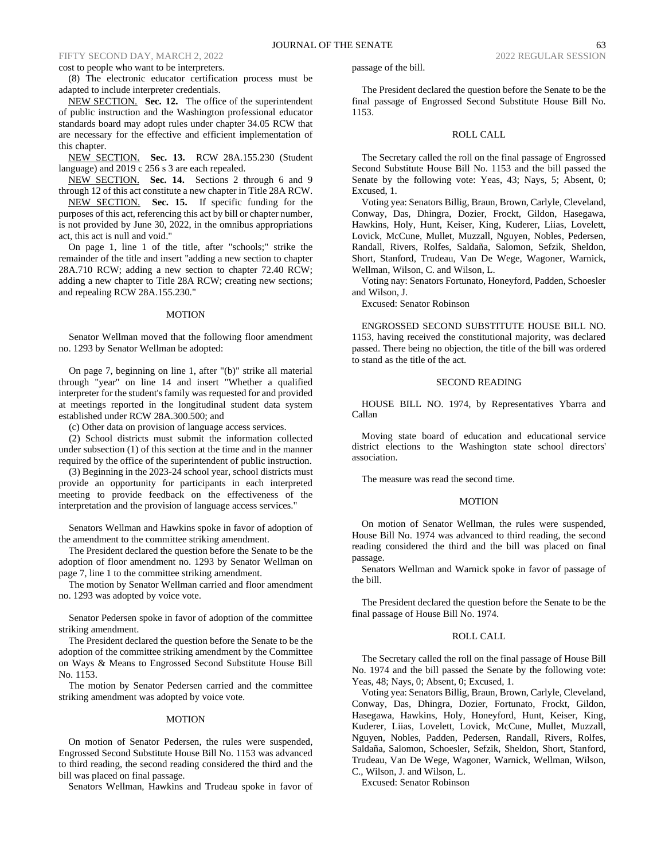# FIFTY SECOND DAY, MARCH 2, 2022 2022 REGULAR SESSION 2022 REGULAR SESSION

#### cost to people who want to be interpreters.

(8) The electronic educator certification process must be adapted to include interpreter credentials.

NEW SECTION. **Sec. 12.** The office of the superintendent of public instruction and the Washington professional educator standards board may adopt rules under chapter 34.05 RCW that are necessary for the effective and efficient implementation of this chapter.

NEW SECTION. **Sec. 13.** RCW 28A.155.230 (Student language) and 2019 c 256 s 3 are each repealed.

NEW SECTION. **Sec. 14.** Sections 2 through 6 and 9 through 12 of this act constitute a new chapter in Title 28A RCW.

NEW SECTION. **Sec. 15.** If specific funding for the purposes of this act, referencing this act by bill or chapter number, is not provided by June 30, 2022, in the omnibus appropriations act, this act is null and void."

On page 1, line 1 of the title, after "schools;" strike the remainder of the title and insert "adding a new section to chapter 28A.710 RCW; adding a new section to chapter 72.40 RCW; adding a new chapter to Title 28A RCW; creating new sections; and repealing RCW 28A.155.230."

#### MOTION

Senator Wellman moved that the following floor amendment no. 1293 by Senator Wellman be adopted:

On page 7, beginning on line 1, after "(b)" strike all material through "year" on line 14 and insert "Whether a qualified interpreter for the student's family was requested for and provided at meetings reported in the longitudinal student data system established under RCW 28A.300.500; and

(c) Other data on provision of language access services.

(2) School districts must submit the information collected under subsection (1) of this section at the time and in the manner required by the office of the superintendent of public instruction.

(3) Beginning in the 2023-24 school year, school districts must provide an opportunity for participants in each interpreted meeting to provide feedback on the effectiveness of the interpretation and the provision of language access services."

Senators Wellman and Hawkins spoke in favor of adoption of the amendment to the committee striking amendment.

The President declared the question before the Senate to be the adoption of floor amendment no. 1293 by Senator Wellman on page 7, line 1 to the committee striking amendment.

The motion by Senator Wellman carried and floor amendment no. 1293 was adopted by voice vote.

Senator Pedersen spoke in favor of adoption of the committee striking amendment.

The President declared the question before the Senate to be the adoption of the committee striking amendment by the Committee on Ways & Means to Engrossed Second Substitute House Bill No. 1153.

The motion by Senator Pedersen carried and the committee striking amendment was adopted by voice vote.

#### MOTION

On motion of Senator Pedersen, the rules were suspended, Engrossed Second Substitute House Bill No. 1153 was advanced to third reading, the second reading considered the third and the bill was placed on final passage.

Senators Wellman, Hawkins and Trudeau spoke in favor of

passage of the bill.

The President declared the question before the Senate to be the final passage of Engrossed Second Substitute House Bill No. 1153.

#### ROLL CALL

The Secretary called the roll on the final passage of Engrossed Second Substitute House Bill No. 1153 and the bill passed the Senate by the following vote: Yeas, 43; Nays, 5; Absent, 0; Excused, 1.

Voting yea: Senators Billig, Braun, Brown, Carlyle, Cleveland, Conway, Das, Dhingra, Dozier, Frockt, Gildon, Hasegawa, Hawkins, Holy, Hunt, Keiser, King, Kuderer, Liias, Lovelett, Lovick, McCune, Mullet, Muzzall, Nguyen, Nobles, Pedersen, Randall, Rivers, Rolfes, Saldaña, Salomon, Sefzik, Sheldon, Short, Stanford, Trudeau, Van De Wege, Wagoner, Warnick, Wellman, Wilson, C. and Wilson, L.

Voting nay: Senators Fortunato, Honeyford, Padden, Schoesler and Wilson, J.

Excused: Senator Robinson

ENGROSSED SECOND SUBSTITUTE HOUSE BILL NO. 1153, having received the constitutional majority, was declared passed. There being no objection, the title of the bill was ordered to stand as the title of the act.

#### SECOND READING

HOUSE BILL NO. 1974, by Representatives Ybarra and Callan

Moving state board of education and educational service district elections to the Washington state school directors' association.

The measure was read the second time.

## MOTION

On motion of Senator Wellman, the rules were suspended, House Bill No. 1974 was advanced to third reading, the second reading considered the third and the bill was placed on final passage.

Senators Wellman and Warnick spoke in favor of passage of the bill.

The President declared the question before the Senate to be the final passage of House Bill No. 1974.

#### ROLL CALL

The Secretary called the roll on the final passage of House Bill No. 1974 and the bill passed the Senate by the following vote: Yeas, 48; Nays, 0; Absent, 0; Excused, 1.

Voting yea: Senators Billig, Braun, Brown, Carlyle, Cleveland, Conway, Das, Dhingra, Dozier, Fortunato, Frockt, Gildon, Hasegawa, Hawkins, Holy, Honeyford, Hunt, Keiser, King, Kuderer, Liias, Lovelett, Lovick, McCune, Mullet, Muzzall, Nguyen, Nobles, Padden, Pedersen, Randall, Rivers, Rolfes, Saldaña, Salomon, Schoesler, Sefzik, Sheldon, Short, Stanford, Trudeau, Van De Wege, Wagoner, Warnick, Wellman, Wilson, C., Wilson, J. and Wilson, L.

Excused: Senator Robinson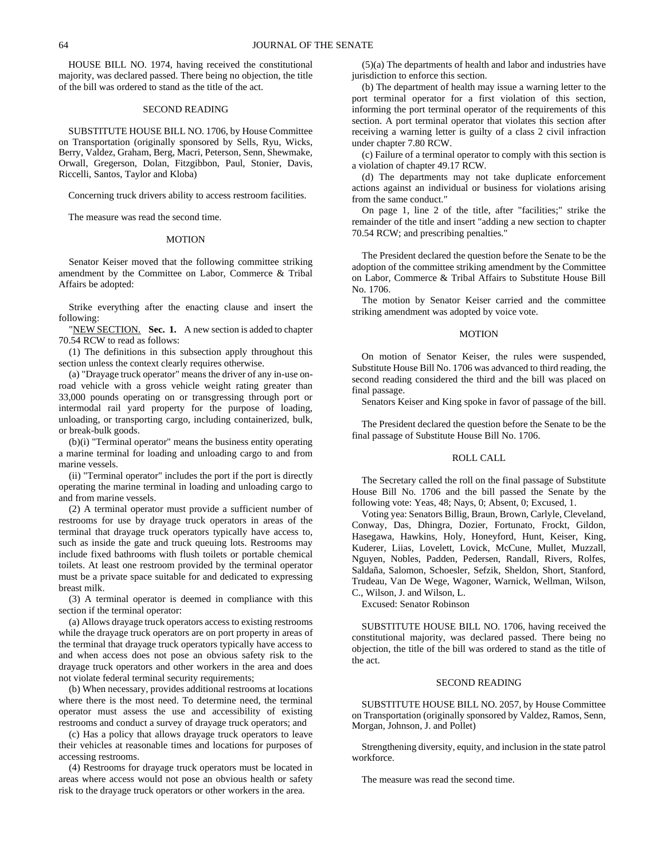HOUSE BILL NO. 1974, having received the constitutional majority, was declared passed. There being no objection, the title of the bill was ordered to stand as the title of the act.

## SECOND READING

SUBSTITUTE HOUSE BILL NO. 1706, by House Committee on Transportation (originally sponsored by Sells, Ryu, Wicks, Berry, Valdez, Graham, Berg, Macri, Peterson, Senn, Shewmake, Orwall, Gregerson, Dolan, Fitzgibbon, Paul, Stonier, Davis, Riccelli, Santos, Taylor and Kloba)

Concerning truck drivers ability to access restroom facilities.

The measure was read the second time.

## **MOTION**

Senator Keiser moved that the following committee striking amendment by the Committee on Labor, Commerce & Tribal Affairs be adopted:

Strike everything after the enacting clause and insert the following:

"NEW SECTION. **Sec. 1.** A new section is added to chapter 70.54 RCW to read as follows:

(1) The definitions in this subsection apply throughout this section unless the context clearly requires otherwise.

(a) "Drayage truck operator" means the driver of any in-use onroad vehicle with a gross vehicle weight rating greater than 33,000 pounds operating on or transgressing through port or intermodal rail yard property for the purpose of loading, unloading, or transporting cargo, including containerized, bulk, or break-bulk goods.

(b)(i) "Terminal operator" means the business entity operating a marine terminal for loading and unloading cargo to and from marine vessels.

(ii) "Terminal operator" includes the port if the port is directly operating the marine terminal in loading and unloading cargo to and from marine vessels.

(2) A terminal operator must provide a sufficient number of restrooms for use by drayage truck operators in areas of the terminal that drayage truck operators typically have access to, such as inside the gate and truck queuing lots. Restrooms may include fixed bathrooms with flush toilets or portable chemical toilets. At least one restroom provided by the terminal operator must be a private space suitable for and dedicated to expressing breast milk.

(3) A terminal operator is deemed in compliance with this section if the terminal operator:

(a) Allows drayage truck operators access to existing restrooms while the drayage truck operators are on port property in areas of the terminal that drayage truck operators typically have access to and when access does not pose an obvious safety risk to the drayage truck operators and other workers in the area and does not violate federal terminal security requirements;

(b) When necessary, provides additional restrooms at locations where there is the most need. To determine need, the terminal operator must assess the use and accessibility of existing restrooms and conduct a survey of drayage truck operators; and

(c) Has a policy that allows drayage truck operators to leave their vehicles at reasonable times and locations for purposes of accessing restrooms.

(4) Restrooms for drayage truck operators must be located in areas where access would not pose an obvious health or safety risk to the drayage truck operators or other workers in the area.

(5)(a) The departments of health and labor and industries have jurisdiction to enforce this section.

(b) The department of health may issue a warning letter to the port terminal operator for a first violation of this section, informing the port terminal operator of the requirements of this section. A port terminal operator that violates this section after receiving a warning letter is guilty of a class 2 civil infraction under chapter 7.80 RCW.

(c) Failure of a terminal operator to comply with this section is a violation of chapter 49.17 RCW.

(d) The departments may not take duplicate enforcement actions against an individual or business for violations arising from the same conduct."

On page 1, line 2 of the title, after "facilities;" strike the remainder of the title and insert "adding a new section to chapter 70.54 RCW; and prescribing penalties."

The President declared the question before the Senate to be the adoption of the committee striking amendment by the Committee on Labor, Commerce & Tribal Affairs to Substitute House Bill No. 1706.

The motion by Senator Keiser carried and the committee striking amendment was adopted by voice vote.

## MOTION

On motion of Senator Keiser, the rules were suspended, Substitute House Bill No. 1706 was advanced to third reading, the second reading considered the third and the bill was placed on final passage.

Senators Keiser and King spoke in favor of passage of the bill.

The President declared the question before the Senate to be the final passage of Substitute House Bill No. 1706.

## ROLL CALL

The Secretary called the roll on the final passage of Substitute House Bill No. 1706 and the bill passed the Senate by the following vote: Yeas, 48; Nays, 0; Absent, 0; Excused, 1.

Voting yea: Senators Billig, Braun, Brown, Carlyle, Cleveland, Conway, Das, Dhingra, Dozier, Fortunato, Frockt, Gildon, Hasegawa, Hawkins, Holy, Honeyford, Hunt, Keiser, King, Kuderer, Liias, Lovelett, Lovick, McCune, Mullet, Muzzall, Nguyen, Nobles, Padden, Pedersen, Randall, Rivers, Rolfes, Saldaña, Salomon, Schoesler, Sefzik, Sheldon, Short, Stanford, Trudeau, Van De Wege, Wagoner, Warnick, Wellman, Wilson, C., Wilson, J. and Wilson, L.

Excused: Senator Robinson

SUBSTITUTE HOUSE BILL NO. 1706, having received the constitutional majority, was declared passed. There being no objection, the title of the bill was ordered to stand as the title of the act.

## SECOND READING

SUBSTITUTE HOUSE BILL NO. 2057, by House Committee on Transportation (originally sponsored by Valdez, Ramos, Senn, Morgan, Johnson, J. and Pollet)

Strengthening diversity, equity, and inclusion in the state patrol workforce.

The measure was read the second time.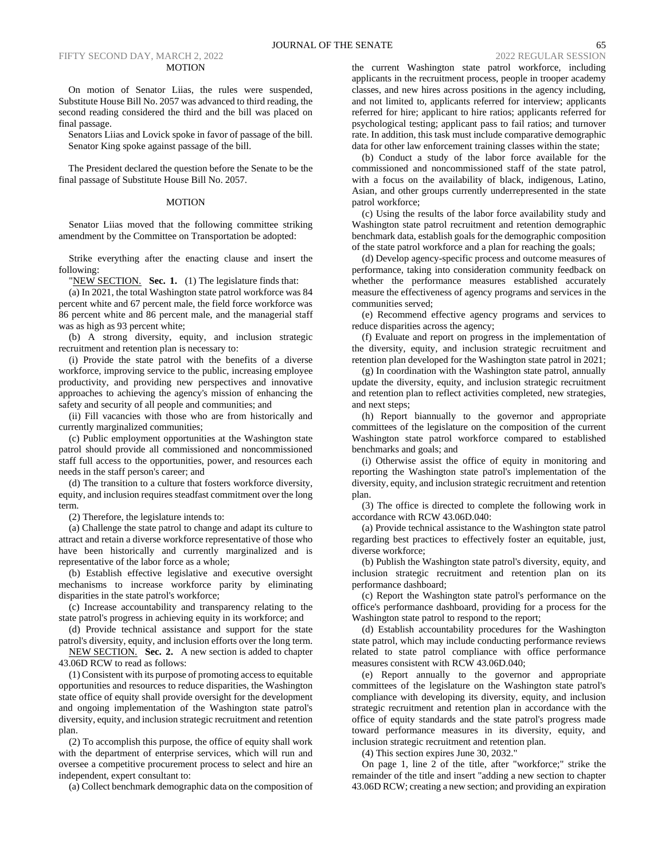#### FIFTY SECOND DAY, MARCH 2, 2022 2022 REGULAR SESSION 2022 REGULAR SESSION MOTION

On motion of Senator Liias, the rules were suspended, Substitute House Bill No. 2057 was advanced to third reading, the second reading considered the third and the bill was placed on final passage.

Senators Liias and Lovick spoke in favor of passage of the bill. Senator King spoke against passage of the bill.

The President declared the question before the Senate to be the final passage of Substitute House Bill No. 2057.

## MOTION

Senator Liias moved that the following committee striking amendment by the Committee on Transportation be adopted:

Strike everything after the enacting clause and insert the following:

"NEW SECTION. Sec. 1. (1) The legislature finds that:

(a) In 2021, the total Washington state patrol workforce was 84 percent white and 67 percent male, the field force workforce was 86 percent white and 86 percent male, and the managerial staff was as high as 93 percent white;

(b) A strong diversity, equity, and inclusion strategic recruitment and retention plan is necessary to:

(i) Provide the state patrol with the benefits of a diverse workforce, improving service to the public, increasing employee productivity, and providing new perspectives and innovative approaches to achieving the agency's mission of enhancing the safety and security of all people and communities; and

(ii) Fill vacancies with those who are from historically and currently marginalized communities;

(c) Public employment opportunities at the Washington state patrol should provide all commissioned and noncommissioned staff full access to the opportunities, power, and resources each needs in the staff person's career; and

(d) The transition to a culture that fosters workforce diversity, equity, and inclusion requires steadfast commitment over the long term.

(2) Therefore, the legislature intends to:

(a) Challenge the state patrol to change and adapt its culture to attract and retain a diverse workforce representative of those who have been historically and currently marginalized and is representative of the labor force as a whole;

(b) Establish effective legislative and executive oversight mechanisms to increase workforce parity by eliminating disparities in the state patrol's workforce;

(c) Increase accountability and transparency relating to the state patrol's progress in achieving equity in its workforce; and

(d) Provide technical assistance and support for the state patrol's diversity, equity, and inclusion efforts over the long term.

NEW SECTION. **Sec. 2.** A new section is added to chapter 43.06D RCW to read as follows:

(1) Consistent with its purpose of promoting access to equitable opportunities and resources to reduce disparities, the Washington state office of equity shall provide oversight for the development and ongoing implementation of the Washington state patrol's diversity, equity, and inclusion strategic recruitment and retention plan.

(2) To accomplish this purpose, the office of equity shall work with the department of enterprise services, which will run and oversee a competitive procurement process to select and hire an independent, expert consultant to:

(a) Collect benchmark demographic data on the composition of

the current Washington state patrol workforce, including applicants in the recruitment process, people in trooper academy classes, and new hires across positions in the agency including, and not limited to, applicants referred for interview; applicants referred for hire; applicant to hire ratios; applicants referred for psychological testing; applicant pass to fail ratios; and turnover rate. In addition, this task must include comparative demographic data for other law enforcement training classes within the state;

(b) Conduct a study of the labor force available for the commissioned and noncommissioned staff of the state patrol, with a focus on the availability of black, indigenous, Latino, Asian, and other groups currently underrepresented in the state patrol workforce;

(c) Using the results of the labor force availability study and Washington state patrol recruitment and retention demographic benchmark data, establish goals for the demographic composition of the state patrol workforce and a plan for reaching the goals;

(d) Develop agency-specific process and outcome measures of performance, taking into consideration community feedback on whether the performance measures established accurately measure the effectiveness of agency programs and services in the communities served;

(e) Recommend effective agency programs and services to reduce disparities across the agency;

(f) Evaluate and report on progress in the implementation of the diversity, equity, and inclusion strategic recruitment and retention plan developed for the Washington state patrol in 2021;

(g) In coordination with the Washington state patrol, annually update the diversity, equity, and inclusion strategic recruitment and retention plan to reflect activities completed, new strategies, and next steps;

(h) Report biannually to the governor and appropriate committees of the legislature on the composition of the current Washington state patrol workforce compared to established benchmarks and goals; and

(i) Otherwise assist the office of equity in monitoring and reporting the Washington state patrol's implementation of the diversity, equity, and inclusion strategic recruitment and retention plan.

(3) The office is directed to complete the following work in accordance with RCW 43.06D.040:

(a) Provide technical assistance to the Washington state patrol regarding best practices to effectively foster an equitable, just, diverse workforce;

(b) Publish the Washington state patrol's diversity, equity, and inclusion strategic recruitment and retention plan on its performance dashboard;

(c) Report the Washington state patrol's performance on the office's performance dashboard, providing for a process for the Washington state patrol to respond to the report;

(d) Establish accountability procedures for the Washington state patrol, which may include conducting performance reviews related to state patrol compliance with office performance measures consistent with RCW 43.06D.040;

(e) Report annually to the governor and appropriate committees of the legislature on the Washington state patrol's compliance with developing its diversity, equity, and inclusion strategic recruitment and retention plan in accordance with the office of equity standards and the state patrol's progress made toward performance measures in its diversity, equity, and inclusion strategic recruitment and retention plan.

(4) This section expires June 30, 2032."

On page 1, line 2 of the title, after "workforce;" strike the remainder of the title and insert "adding a new section to chapter 43.06D RCW; creating a new section; and providing an expiration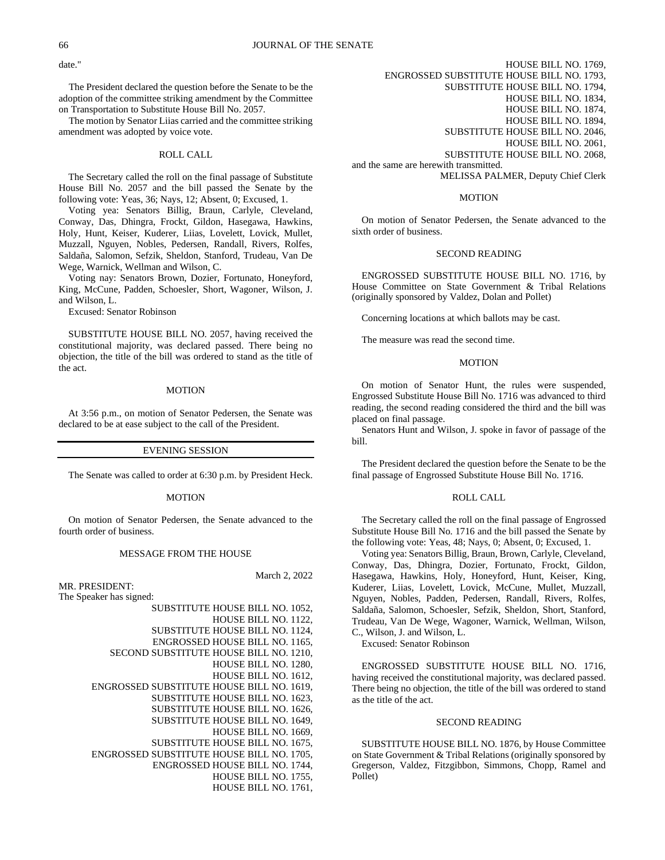date."

The President declared the question before the Senate to be the adoption of the committee striking amendment by the Committee on Transportation to Substitute House Bill No. 2057.

The motion by Senator Liias carried and the committee striking amendment was adopted by voice vote.

## ROLL CALL

The Secretary called the roll on the final passage of Substitute House Bill No. 2057 and the bill passed the Senate by the following vote: Yeas, 36; Nays, 12; Absent, 0; Excused, 1.

Voting yea: Senators Billig, Braun, Carlyle, Cleveland, Conway, Das, Dhingra, Frockt, Gildon, Hasegawa, Hawkins, Holy, Hunt, Keiser, Kuderer, Liias, Lovelett, Lovick, Mullet, Muzzall, Nguyen, Nobles, Pedersen, Randall, Rivers, Rolfes, Saldaña, Salomon, Sefzik, Sheldon, Stanford, Trudeau, Van De Wege, Warnick, Wellman and Wilson, C.

Voting nay: Senators Brown, Dozier, Fortunato, Honeyford, King, McCune, Padden, Schoesler, Short, Wagoner, Wilson, J. and Wilson, L.

Excused: Senator Robinson

SUBSTITUTE HOUSE BILL NO. 2057, having received the constitutional majority, was declared passed. There being no objection, the title of the bill was ordered to stand as the title of the act.

## MOTION

At 3:56 p.m., on motion of Senator Pedersen, the Senate was declared to be at ease subject to the call of the President.

## EVENING SESSION

The Senate was called to order at 6:30 p.m. by President Heck.

#### **MOTION**

On motion of Senator Pedersen, the Senate advanced to the fourth order of business.

## MESSAGE FROM THE HOUSE

MR. PRESIDENT:

The Speaker has signed:

March 2, 2022

SUBSTITUTE HOUSE BILL NO. 1052, HOUSE BILL NO. 1122, SUBSTITUTE HOUSE BILL NO. 1124, ENGROSSED HOUSE BILL NO. 1165, SECOND SUBSTITUTE HOUSE BILL NO. 1210, HOUSE BILL NO. 1280, HOUSE BILL NO. 1612, ENGROSSED SUBSTITUTE HOUSE BILL NO. 1619, SUBSTITUTE HOUSE BILL NO. 1623, SUBSTITUTE HOUSE BILL NO. 1626, SUBSTITUTE HOUSE BILL NO. 1649, HOUSE BILL NO. 1669, SUBSTITUTE HOUSE BILL NO. 1675, ENGROSSED SUBSTITUTE HOUSE BILL NO. 1705, ENGROSSED HOUSE BILL NO. 1744, HOUSE BILL NO. 1755, HOUSE BILL NO. 1761,

HOUSE BILL NO. 1769, ENGROSSED SUBSTITUTE HOUSE BILL NO. 1793, SUBSTITUTE HOUSE BILL NO. 1794, HOUSE BILL NO. 1834, HOUSE BILL NO. 1874, HOUSE BILL NO. 1894, SUBSTITUTE HOUSE BILL NO. 2046, HOUSE BILL NO. 2061, SUBSTITUTE HOUSE BILL NO. 2068, and the same are herewith transmitted. MELISSA PALMER, Deputy Chief Clerk

#### MOTION

On motion of Senator Pedersen, the Senate advanced to the sixth order of business.

#### SECOND READING

ENGROSSED SUBSTITUTE HOUSE BILL NO. 1716, by House Committee on State Government & Tribal Relations (originally sponsored by Valdez, Dolan and Pollet)

Concerning locations at which ballots may be cast.

The measure was read the second time.

#### **MOTION**

On motion of Senator Hunt, the rules were suspended, Engrossed Substitute House Bill No. 1716 was advanced to third reading, the second reading considered the third and the bill was placed on final passage.

Senators Hunt and Wilson, J. spoke in favor of passage of the bill.

The President declared the question before the Senate to be the final passage of Engrossed Substitute House Bill No. 1716.

#### ROLL CALL

The Secretary called the roll on the final passage of Engrossed Substitute House Bill No. 1716 and the bill passed the Senate by the following vote: Yeas, 48; Nays, 0; Absent, 0; Excused, 1.

Voting yea: Senators Billig, Braun, Brown, Carlyle, Cleveland, Conway, Das, Dhingra, Dozier, Fortunato, Frockt, Gildon, Hasegawa, Hawkins, Holy, Honeyford, Hunt, Keiser, King, Kuderer, Liias, Lovelett, Lovick, McCune, Mullet, Muzzall, Nguyen, Nobles, Padden, Pedersen, Randall, Rivers, Rolfes, Saldaña, Salomon, Schoesler, Sefzik, Sheldon, Short, Stanford, Trudeau, Van De Wege, Wagoner, Warnick, Wellman, Wilson, C., Wilson, J. and Wilson, L.

Excused: Senator Robinson

ENGROSSED SUBSTITUTE HOUSE BILL NO. 1716, having received the constitutional majority, was declared passed. There being no objection, the title of the bill was ordered to stand as the title of the act.

## SECOND READING

SUBSTITUTE HOUSE BILL NO. 1876, by House Committee on State Government & Tribal Relations (originally sponsored by Gregerson, Valdez, Fitzgibbon, Simmons, Chopp, Ramel and Pollet)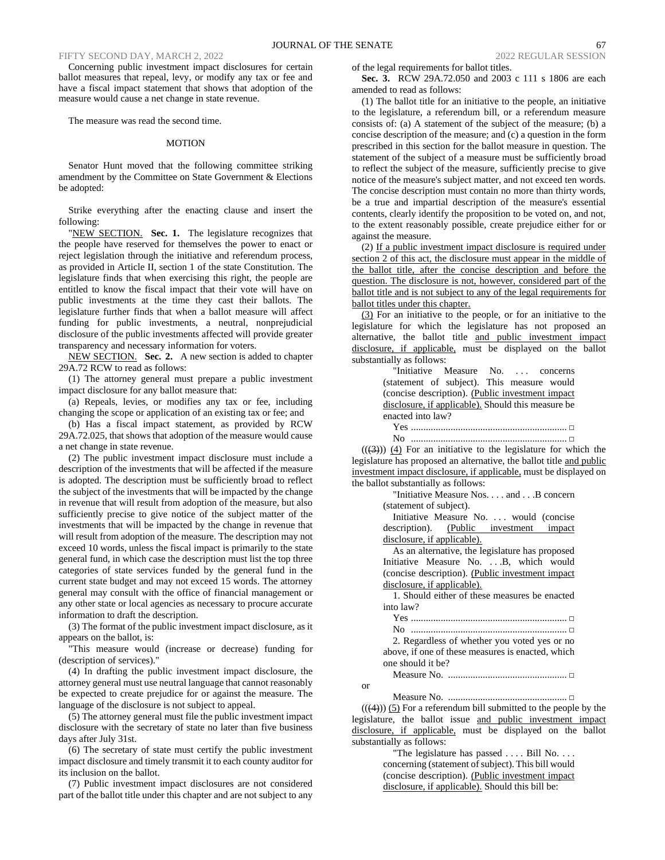Concerning public investment impact disclosures for certain ballot measures that repeal, levy, or modify any tax or fee and have a fiscal impact statement that shows that adoption of the measure would cause a net change in state revenue.

The measure was read the second time.

## MOTION

Senator Hunt moved that the following committee striking amendment by the Committee on State Government & Elections be adopted:

Strike everything after the enacting clause and insert the following:

"NEW SECTION. Sec. 1. The legislature recognizes that the people have reserved for themselves the power to enact or reject legislation through the initiative and referendum process, as provided in Article II, section 1 of the state Constitution. The legislature finds that when exercising this right, the people are entitled to know the fiscal impact that their vote will have on public investments at the time they cast their ballots. The legislature further finds that when a ballot measure will affect funding for public investments, a neutral, nonprejudicial disclosure of the public investments affected will provide greater transparency and necessary information for voters.

NEW SECTION. **Sec. 2.** A new section is added to chapter 29A.72 RCW to read as follows:

(1) The attorney general must prepare a public investment impact disclosure for any ballot measure that:

(a) Repeals, levies, or modifies any tax or fee, including changing the scope or application of an existing tax or fee; and

(b) Has a fiscal impact statement, as provided by RCW 29A.72.025, that shows that adoption of the measure would cause a net change in state revenue.

(2) The public investment impact disclosure must include a description of the investments that will be affected if the measure is adopted. The description must be sufficiently broad to reflect the subject of the investments that will be impacted by the change in revenue that will result from adoption of the measure, but also sufficiently precise to give notice of the subject matter of the investments that will be impacted by the change in revenue that will result from adoption of the measure. The description may not exceed 10 words, unless the fiscal impact is primarily to the state general fund, in which case the description must list the top three categories of state services funded by the general fund in the current state budget and may not exceed 15 words. The attorney general may consult with the office of financial management or any other state or local agencies as necessary to procure accurate information to draft the description.

(3) The format of the public investment impact disclosure, as it appears on the ballot, is:

"This measure would (increase or decrease) funding for (description of services)."

(4) In drafting the public investment impact disclosure, the attorney general must use neutral language that cannot reasonably be expected to create prejudice for or against the measure. The language of the disclosure is not subject to appeal.

(5) The attorney general must file the public investment impact disclosure with the secretary of state no later than five business days after July 31st.

(6) The secretary of state must certify the public investment impact disclosure and timely transmit it to each county auditor for its inclusion on the ballot.

(7) Public investment impact disclosures are not considered part of the ballot title under this chapter and are not subject to any

of the legal requirements for ballot titles.

**Sec. 3.** RCW 29A.72.050 and 2003 c 111 s 1806 are each amended to read as follows:

(1) The ballot title for an initiative to the people, an initiative to the legislature, a referendum bill, or a referendum measure consists of: (a) A statement of the subject of the measure; (b) a concise description of the measure; and (c) a question in the form prescribed in this section for the ballot measure in question. The statement of the subject of a measure must be sufficiently broad to reflect the subject of the measure, sufficiently precise to give notice of the measure's subject matter, and not exceed ten words. The concise description must contain no more than thirty words, be a true and impartial description of the measure's essential contents, clearly identify the proposition to be voted on, and not, to the extent reasonably possible, create prejudice either for or against the measure.

(2) If a public investment impact disclosure is required under section 2 of this act, the disclosure must appear in the middle of the ballot title, after the concise description and before the question. The disclosure is not, however, considered part of the ballot title and is not subject to any of the legal requirements for ballot titles under this chapter.

(3) For an initiative to the people, or for an initiative to the legislature for which the legislature has not proposed an alternative, the ballot title and public investment impact disclosure, if applicable, must be displayed on the ballot substantially as follows:

"Initiative Measure No. ... concerns (statement of subject). This measure would (concise description). (Public investment impact disclosure, if applicable). Should this measure be enacted into law?

Yes ............................................................... **□** No ............................................................... **□**

 $((3))$  (4) For an initiative to the legislature for which the legislature has proposed an alternative, the ballot title and public investment impact disclosure, if applicable, must be displayed on the ballot substantially as follows:

> "Initiative Measure Nos. . . . and . . .B concern (statement of subject).

> Initiative Measure No. . . . would (concise description). (Public investment impact disclosure, if applicable).

> As an alternative, the legislature has proposed Initiative Measure No. . . .B, which would (concise description). (Public investment impact disclosure, if applicable).

> 1. Should either of these measures be enacted into law?

Yes ............................................................... **□**

No ............................................................... **□** 2. Regardless of whether you voted yes or no above, if one of these measures is enacted, which one should it be?

Measure No. ................................................ **□**

or

Measure No. ................................................ **□**  $((4))$  (5) For a referendum bill submitted to the people by the legislature, the ballot issue and public investment impact disclosure, if applicable, must be displayed on the ballot substantially as follows:

> "The legislature has passed . . . . Bill No. . . . concerning (statement of subject). This bill would (concise description). (Public investment impact disclosure, if applicable). Should this bill be: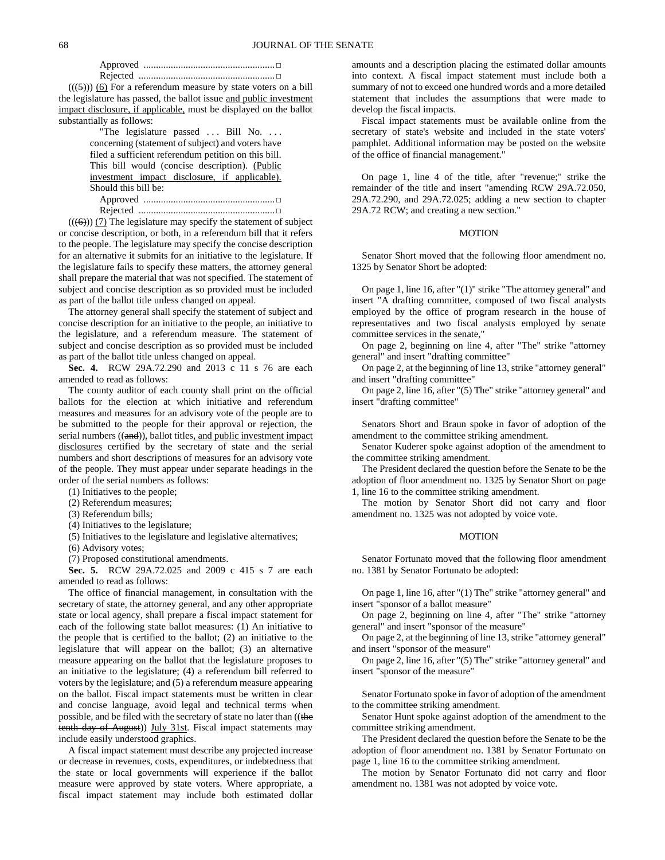$((\left(5\right)))$  (6) For a referendum measure by state voters on a bill the legislature has passed, the ballot issue and public investment impact disclosure, if applicable, must be displayed on the ballot substantially as follows:

> "The legislature passed ... Bill No. ... concerning (statement of subject) and voters have filed a sufficient referendum petition on this bill. This bill would (concise description). (Public investment impact disclosure, if applicable). Should this bill be: Approved .....................................................**□**

Rejected .......................................................**□**  $((\left(\overline{\Theta}\right)))$  (7) The legislature may specify the statement of subject or concise description, or both, in a referendum bill that it refers to the people. The legislature may specify the concise description for an alternative it submits for an initiative to the legislature. If the legislature fails to specify these matters, the attorney general shall prepare the material that was not specified. The statement of subject and concise description as so provided must be included as part of the ballot title unless changed on appeal.

The attorney general shall specify the statement of subject and concise description for an initiative to the people, an initiative to the legislature, and a referendum measure. The statement of subject and concise description as so provided must be included as part of the ballot title unless changed on appeal.

**Sec. 4.** RCW 29A.72.290 and 2013 c 11 s 76 are each amended to read as follows:

The county auditor of each county shall print on the official ballots for the election at which initiative and referendum measures and measures for an advisory vote of the people are to be submitted to the people for their approval or rejection, the serial numbers ((and)), ballot titles, and public investment impact disclosures certified by the secretary of state and the serial numbers and short descriptions of measures for an advisory vote of the people. They must appear under separate headings in the order of the serial numbers as follows:

(1) Initiatives to the people;

(2) Referendum measures;

(3) Referendum bills;

(4) Initiatives to the legislature;

(5) Initiatives to the legislature and legislative alternatives;

(6) Advisory votes;

(7) Proposed constitutional amendments.

**Sec. 5.** RCW 29A.72.025 and 2009 c 415 s 7 are each amended to read as follows:

The office of financial management, in consultation with the secretary of state, the attorney general, and any other appropriate state or local agency, shall prepare a fiscal impact statement for each of the following state ballot measures: (1) An initiative to the people that is certified to the ballot; (2) an initiative to the legislature that will appear on the ballot; (3) an alternative measure appearing on the ballot that the legislature proposes to an initiative to the legislature; (4) a referendum bill referred to voters by the legislature; and (5) a referendum measure appearing on the ballot. Fiscal impact statements must be written in clear and concise language, avoid legal and technical terms when possible, and be filed with the secretary of state no later than ((the tenth day of August)) July 31st. Fiscal impact statements may include easily understood graphics.

A fiscal impact statement must describe any projected increase or decrease in revenues, costs, expenditures, or indebtedness that the state or local governments will experience if the ballot measure were approved by state voters. Where appropriate, a fiscal impact statement may include both estimated dollar amounts and a description placing the estimated dollar amounts into context. A fiscal impact statement must include both a summary of not to exceed one hundred words and a more detailed statement that includes the assumptions that were made to develop the fiscal impacts.

Fiscal impact statements must be available online from the secretary of state's website and included in the state voters' pamphlet. Additional information may be posted on the website of the office of financial management."

On page 1, line 4 of the title, after "revenue;" strike the remainder of the title and insert "amending RCW 29A.72.050, 29A.72.290, and 29A.72.025; adding a new section to chapter 29A.72 RCW; and creating a new section."

## MOTION

Senator Short moved that the following floor amendment no. 1325 by Senator Short be adopted:

On page 1, line 16, after "(1)" strike "The attorney general" and insert "A drafting committee, composed of two fiscal analysts employed by the office of program research in the house of representatives and two fiscal analysts employed by senate committee services in the senate,"

On page 2, beginning on line 4, after "The" strike "attorney general" and insert "drafting committee"

On page 2, at the beginning of line 13, strike "attorney general" and insert "drafting committee"

On page 2, line 16, after "(5) The" strike "attorney general" and insert "drafting committee"

Senators Short and Braun spoke in favor of adoption of the amendment to the committee striking amendment.

Senator Kuderer spoke against adoption of the amendment to the committee striking amendment.

The President declared the question before the Senate to be the adoption of floor amendment no. 1325 by Senator Short on page 1, line 16 to the committee striking amendment.

The motion by Senator Short did not carry and floor amendment no. 1325 was not adopted by voice vote.

#### MOTION

Senator Fortunato moved that the following floor amendment no. 1381 by Senator Fortunato be adopted:

On page 1, line 16, after "(1) The" strike "attorney general" and insert "sponsor of a ballot measure"

On page 2, beginning on line 4, after "The" strike "attorney general" and insert "sponsor of the measure"

On page 2, at the beginning of line 13, strike "attorney general" and insert "sponsor of the measure"

On page 2, line 16, after "(5) The" strike "attorney general" and insert "sponsor of the measure"

Senator Fortunato spoke in favor of adoption of the amendment to the committee striking amendment.

Senator Hunt spoke against adoption of the amendment to the committee striking amendment.

The President declared the question before the Senate to be the adoption of floor amendment no. 1381 by Senator Fortunato on page 1, line 16 to the committee striking amendment.

The motion by Senator Fortunato did not carry and floor amendment no. 1381 was not adopted by voice vote.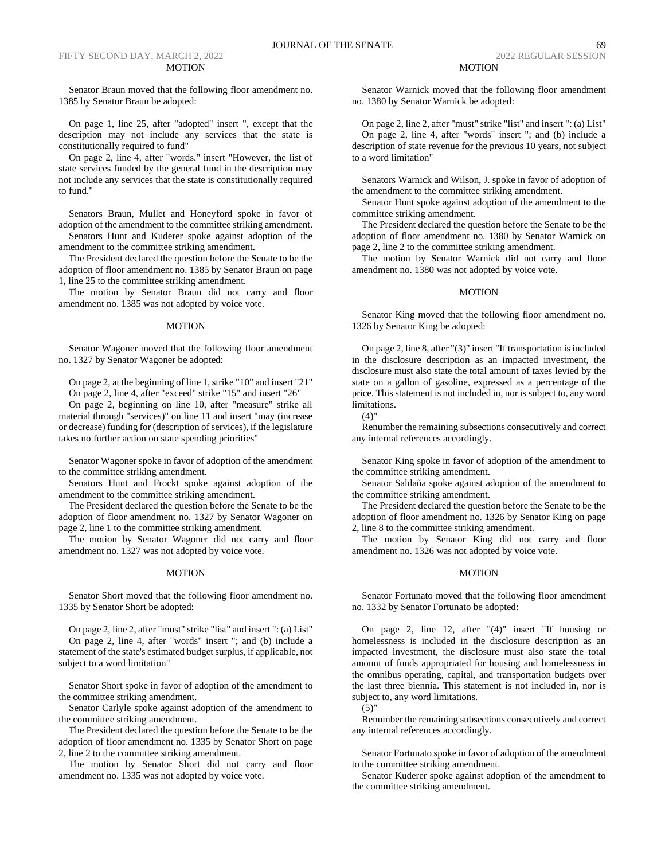## FIFTY SECOND DAY, MARCH 2, 2022 2022 REGULAR SESSION 2022 REGULAR SESSION MOTION

Senator Braun moved that the following floor amendment no. 1385 by Senator Braun be adopted:

On page 1, line 25, after "adopted" insert ", except that the description may not include any services that the state is constitutionally required to fund"

On page 2, line 4, after "words." insert "However, the list of state services funded by the general fund in the description may not include any services that the state is constitutionally required to fund."

Senators Braun, Mullet and Honeyford spoke in favor of adoption of the amendment to the committee striking amendment.

Senators Hunt and Kuderer spoke against adoption of the amendment to the committee striking amendment.

The President declared the question before the Senate to be the adoption of floor amendment no. 1385 by Senator Braun on page 1, line 25 to the committee striking amendment.

The motion by Senator Braun did not carry and floor amendment no. 1385 was not adopted by voice vote.

#### MOTION

Senator Wagoner moved that the following floor amendment no. 1327 by Senator Wagoner be adopted:

On page 2, at the beginning of line 1, strike "10" and insert "21" On page 2, line 4, after "exceed" strike "15" and insert "26"

On page 2, beginning on line 10, after "measure" strike all material through "services)" on line 11 and insert "may (increase or decrease) funding for (description of services), if the legislature takes no further action on state spending priorities"

Senator Wagoner spoke in favor of adoption of the amendment to the committee striking amendment.

Senators Hunt and Frockt spoke against adoption of the amendment to the committee striking amendment.

The President declared the question before the Senate to be the adoption of floor amendment no. 1327 by Senator Wagoner on page 2, line 1 to the committee striking amendment.

The motion by Senator Wagoner did not carry and floor amendment no. 1327 was not adopted by voice vote.

## MOTION

Senator Short moved that the following floor amendment no. 1335 by Senator Short be adopted:

On page 2, line 2, after "must" strike "list" and insert ": (a) List" On page 2, line 4, after "words" insert "; and (b) include a statement of the state's estimated budget surplus, if applicable, not subject to a word limitation"

Senator Short spoke in favor of adoption of the amendment to the committee striking amendment.

Senator Carlyle spoke against adoption of the amendment to the committee striking amendment.

The President declared the question before the Senate to be the adoption of floor amendment no. 1335 by Senator Short on page 2, line 2 to the committee striking amendment.

The motion by Senator Short did not carry and floor amendment no. 1335 was not adopted by voice vote.

Senator Warnick moved that the following floor amendment no. 1380 by Senator Warnick be adopted:

On page 2, line 2, after "must" strike "list" and insert ": (a) List" On page 2, line 4, after "words" insert "; and (b) include a description of state revenue for the previous 10 years, not subject to a word limitation"

Senators Warnick and Wilson, J. spoke in favor of adoption of the amendment to the committee striking amendment.

Senator Hunt spoke against adoption of the amendment to the committee striking amendment.

The President declared the question before the Senate to be the adoption of floor amendment no. 1380 by Senator Warnick on page 2, line 2 to the committee striking amendment.

The motion by Senator Warnick did not carry and floor amendment no. 1380 was not adopted by voice vote.

## MOTION

Senator King moved that the following floor amendment no. 1326 by Senator King be adopted:

On page 2, line 8, after "(3)" insert "If transportation is included in the disclosure description as an impacted investment, the disclosure must also state the total amount of taxes levied by the state on a gallon of gasoline, expressed as a percentage of the price. This statement is not included in, nor is subject to, any word limitations.

### $(4)$ "

Renumber the remaining subsections consecutively and correct any internal references accordingly.

Senator King spoke in favor of adoption of the amendment to the committee striking amendment.

Senator Saldaña spoke against adoption of the amendment to the committee striking amendment.

The President declared the question before the Senate to be the adoption of floor amendment no. 1326 by Senator King on page 2, line 8 to the committee striking amendment.

The motion by Senator King did not carry and floor amendment no. 1326 was not adopted by voice vote.

## MOTION

Senator Fortunato moved that the following floor amendment no. 1332 by Senator Fortunato be adopted:

On page 2, line 12, after "(4)" insert "If housing or homelessness is included in the disclosure description as an impacted investment, the disclosure must also state the total amount of funds appropriated for housing and homelessness in the omnibus operating, capital, and transportation budgets over the last three biennia. This statement is not included in, nor is subject to, any word limitations.

 $(5)$ "

Renumber the remaining subsections consecutively and correct any internal references accordingly.

Senator Fortunato spoke in favor of adoption of the amendment to the committee striking amendment.

Senator Kuderer spoke against adoption of the amendment to the committee striking amendment.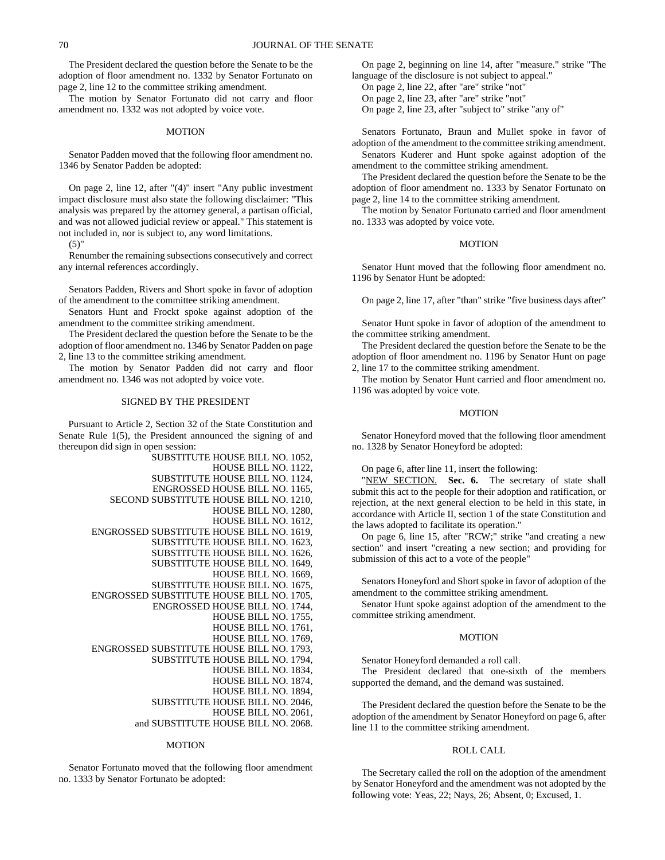The President declared the question before the Senate to be the adoption of floor amendment no. 1332 by Senator Fortunato on page 2, line 12 to the committee striking amendment.

The motion by Senator Fortunato did not carry and floor amendment no. 1332 was not adopted by voice vote.

#### MOTION

Senator Padden moved that the following floor amendment no. 1346 by Senator Padden be adopted:

On page 2, line 12, after "(4)" insert "Any public investment impact disclosure must also state the following disclaimer: "This analysis was prepared by the attorney general, a partisan official, and was not allowed judicial review or appeal." This statement is not included in, nor is subject to, any word limitations.

 $(5)$ "

Renumber the remaining subsections consecutively and correct any internal references accordingly.

Senators Padden, Rivers and Short spoke in favor of adoption of the amendment to the committee striking amendment.

Senators Hunt and Frockt spoke against adoption of the amendment to the committee striking amendment.

The President declared the question before the Senate to be the adoption of floor amendment no. 1346 by Senator Padden on page 2, line 13 to the committee striking amendment.

The motion by Senator Padden did not carry and floor amendment no. 1346 was not adopted by voice vote.

# SIGNED BY THE PRESIDENT

Pursuant to Article 2, Section 32 of the State Constitution and Senate Rule 1(5), the President announced the signing of and thereupon did sign in open session:

| SUBSTITUTE HOUSE BILL NO. 1052,           |                      |  |
|-------------------------------------------|----------------------|--|
|                                           | HOUSE BILL NO. 1122, |  |
| SUBSTITUTE HOUSE BILL NO. 1124,           |                      |  |
| ENGROSSED HOUSE BILL NO. 1165,            |                      |  |
| SECOND SUBSTITUTE HOUSE BILL NO. 1210,    |                      |  |
|                                           | HOUSE BILL NO. 1280, |  |
|                                           | HOUSE BILL NO. 1612, |  |
| ENGROSSED SUBSTITUTE HOUSE BILL NO. 1619, |                      |  |
| SUBSTITUTE HOUSE BILL NO. 1623,           |                      |  |
| SUBSTITUTE HOUSE BILL NO. 1626,           |                      |  |
| <b>SUBSTITUTE HOUSE BILL NO. 1649,</b>    |                      |  |
|                                           | HOUSE BILL NO. 1669, |  |
| SUBSTITUTE HOUSE BILL NO. 1675,           |                      |  |
| ENGROSSED SUBSTITUTE HOUSE BILL NO. 1705, |                      |  |
| ENGROSSED HOUSE BILL NO. 1744,            |                      |  |
|                                           | HOUSE BILL NO. 1755, |  |
|                                           | HOUSE BILL NO. 1761, |  |
|                                           | HOUSE BILL NO. 1769, |  |
| ENGROSSED SUBSTITUTE HOUSE BILL NO. 1793, |                      |  |
| SUBSTITUTE HOUSE BILL NO. 1794,           |                      |  |
|                                           | HOUSE BILL NO. 1834, |  |
|                                           | HOUSE BILL NO. 1874, |  |
|                                           | HOUSE BILL NO. 1894, |  |
| SUBSTITUTE HOUSE BILL NO. 2046,           |                      |  |
|                                           | HOUSE BILL NO. 2061, |  |
| and SUBSTITUTE HOUSE BILL NO. 2068.       |                      |  |
|                                           |                      |  |

## MOTION

Senator Fortunato moved that the following floor amendment no. 1333 by Senator Fortunato be adopted:

On page 2, beginning on line 14, after "measure." strike "The language of the disclosure is not subject to appeal."

On page 2, line 22, after "are" strike "not"

On page 2, line 23, after "are" strike "not"

On page 2, line 23, after "subject to" strike "any of"

Senators Fortunato, Braun and Mullet spoke in favor of adoption of the amendment to the committee striking amendment. Senators Kuderer and Hunt spoke against adoption of the amendment to the committee striking amendment.

The President declared the question before the Senate to be the adoption of floor amendment no. 1333 by Senator Fortunato on page 2, line 14 to the committee striking amendment.

The motion by Senator Fortunato carried and floor amendment no. 1333 was adopted by voice vote.

#### MOTION

Senator Hunt moved that the following floor amendment no. 1196 by Senator Hunt be adopted:

On page 2, line 17, after "than" strike "five business days after"

Senator Hunt spoke in favor of adoption of the amendment to the committee striking amendment.

The President declared the question before the Senate to be the adoption of floor amendment no. 1196 by Senator Hunt on page 2, line 17 to the committee striking amendment.

The motion by Senator Hunt carried and floor amendment no. 1196 was adopted by voice vote.

## MOTION

Senator Honeyford moved that the following floor amendment no. 1328 by Senator Honeyford be adopted:

On page 6, after line 11, insert the following:

"NEW SECTION. **Sec. 6.** The secretary of state shall submit this act to the people for their adoption and ratification, or rejection, at the next general election to be held in this state, in accordance with Article II, section 1 of the state Constitution and the laws adopted to facilitate its operation."

On page 6, line 15, after "RCW;" strike "and creating a new section" and insert "creating a new section; and providing for submission of this act to a vote of the people"

Senators Honeyford and Short spoke in favor of adoption of the amendment to the committee striking amendment.

Senator Hunt spoke against adoption of the amendment to the committee striking amendment.

## MOTION

Senator Honeyford demanded a roll call.

The President declared that one-sixth of the members supported the demand, and the demand was sustained.

The President declared the question before the Senate to be the adoption of the amendment by Senator Honeyford on page 6, after line 11 to the committee striking amendment.

## ROLL CALL

The Secretary called the roll on the adoption of the amendment by Senator Honeyford and the amendment was not adopted by the following vote: Yeas, 22; Nays, 26; Absent, 0; Excused, 1.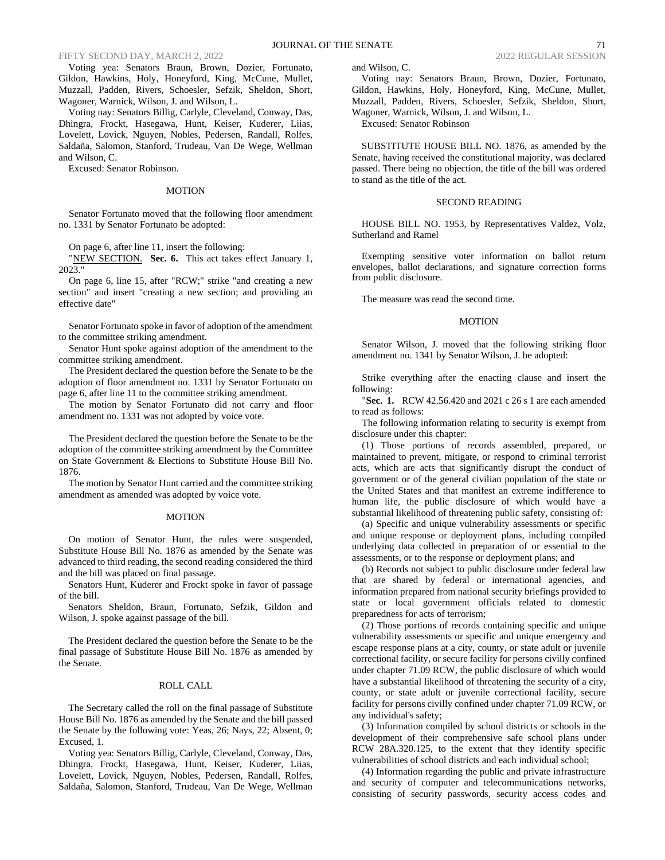## FIFTY SECOND DAY, MARCH 2, 2022 2022 REGULAR SESSION 2022 REGULAR SESSION

Voting yea: Senators Braun, Brown, Dozier, Fortunato, Gildon, Hawkins, Holy, Honeyford, King, McCune, Mullet, Muzzall, Padden, Rivers, Schoesler, Sefzik, Sheldon, Short, Wagoner, Warnick, Wilson, J. and Wilson, L.

Voting nay: Senators Billig, Carlyle, Cleveland, Conway, Das, Dhingra, Frockt, Hasegawa, Hunt, Keiser, Kuderer, Liias, Lovelett, Lovick, Nguyen, Nobles, Pedersen, Randall, Rolfes, Saldaña, Salomon, Stanford, Trudeau, Van De Wege, Wellman and Wilson, C.

Excused: Senator Robinson.

## MOTION

Senator Fortunato moved that the following floor amendment no. 1331 by Senator Fortunato be adopted:

On page 6, after line 11, insert the following:

"NEW SECTION. **Sec. 6.** This act takes effect January 1, 2023."

On page 6, line 15, after "RCW;" strike "and creating a new section" and insert "creating a new section; and providing an effective date"

Senator Fortunato spoke in favor of adoption of the amendment to the committee striking amendment.

Senator Hunt spoke against adoption of the amendment to the committee striking amendment.

The President declared the question before the Senate to be the adoption of floor amendment no. 1331 by Senator Fortunato on page 6, after line 11 to the committee striking amendment.

The motion by Senator Fortunato did not carry and floor amendment no. 1331 was not adopted by voice vote.

The President declared the question before the Senate to be the adoption of the committee striking amendment by the Committee on State Government & Elections to Substitute House Bill No. 1876.

The motion by Senator Hunt carried and the committee striking amendment as amended was adopted by voice vote.

#### MOTION

On motion of Senator Hunt, the rules were suspended, Substitute House Bill No. 1876 as amended by the Senate was advanced to third reading, the second reading considered the third and the bill was placed on final passage.

Senators Hunt, Kuderer and Frockt spoke in favor of passage of the bill.

Senators Sheldon, Braun, Fortunato, Sefzik, Gildon and Wilson, J. spoke against passage of the bill.

The President declared the question before the Senate to be the final passage of Substitute House Bill No. 1876 as amended by the Senate.

## ROLL CALL

The Secretary called the roll on the final passage of Substitute House Bill No. 1876 as amended by the Senate and the bill passed the Senate by the following vote: Yeas, 26; Nays, 22; Absent, 0; Excused, 1.

Voting yea: Senators Billig, Carlyle, Cleveland, Conway, Das, Dhingra, Frockt, Hasegawa, Hunt, Keiser, Kuderer, Liias, Lovelett, Lovick, Nguyen, Nobles, Pedersen, Randall, Rolfes, Saldaña, Salomon, Stanford, Trudeau, Van De Wege, Wellman and Wilson, C.

Voting nay: Senators Braun, Brown, Dozier, Fortunato, Gildon, Hawkins, Holy, Honeyford, King, McCune, Mullet, Muzzall, Padden, Rivers, Schoesler, Sefzik, Sheldon, Short, Wagoner, Warnick, Wilson, J. and Wilson, L.

Excused: Senator Robinson

SUBSTITUTE HOUSE BILL NO. 1876, as amended by the Senate, having received the constitutional majority, was declared passed. There being no objection, the title of the bill was ordered to stand as the title of the act.

## SECOND READING

HOUSE BILL NO. 1953, by Representatives Valdez, Volz, Sutherland and Ramel

Exempting sensitive voter information on ballot return envelopes, ballot declarations, and signature correction forms from public disclosure.

The measure was read the second time.

## **MOTION**

Senator Wilson, J. moved that the following striking floor amendment no. 1341 by Senator Wilson, J. be adopted:

Strike everything after the enacting clause and insert the following:

"**Sec. 1.** RCW 42.56.420 and 2021 c 26 s 1 are each amended to read as follows:

The following information relating to security is exempt from disclosure under this chapter:

(1) Those portions of records assembled, prepared, or maintained to prevent, mitigate, or respond to criminal terrorist acts, which are acts that significantly disrupt the conduct of government or of the general civilian population of the state or the United States and that manifest an extreme indifference to human life, the public disclosure of which would have a substantial likelihood of threatening public safety, consisting of:

(a) Specific and unique vulnerability assessments or specific and unique response or deployment plans, including compiled underlying data collected in preparation of or essential to the assessments, or to the response or deployment plans; and

(b) Records not subject to public disclosure under federal law that are shared by federal or international agencies, and information prepared from national security briefings provided to state or local government officials related to domestic preparedness for acts of terrorism;

(2) Those portions of records containing specific and unique vulnerability assessments or specific and unique emergency and escape response plans at a city, county, or state adult or juvenile correctional facility, or secure facility for persons civilly confined under chapter 71.09 RCW, the public disclosure of which would have a substantial likelihood of threatening the security of a city, county, or state adult or juvenile correctional facility, secure facility for persons civilly confined under chapter 71.09 RCW, or any individual's safety;

(3) Information compiled by school districts or schools in the development of their comprehensive safe school plans under RCW 28A.320.125, to the extent that they identify specific vulnerabilities of school districts and each individual school;

(4) Information regarding the public and private infrastructure and security of computer and telecommunications networks, consisting of security passwords, security access codes and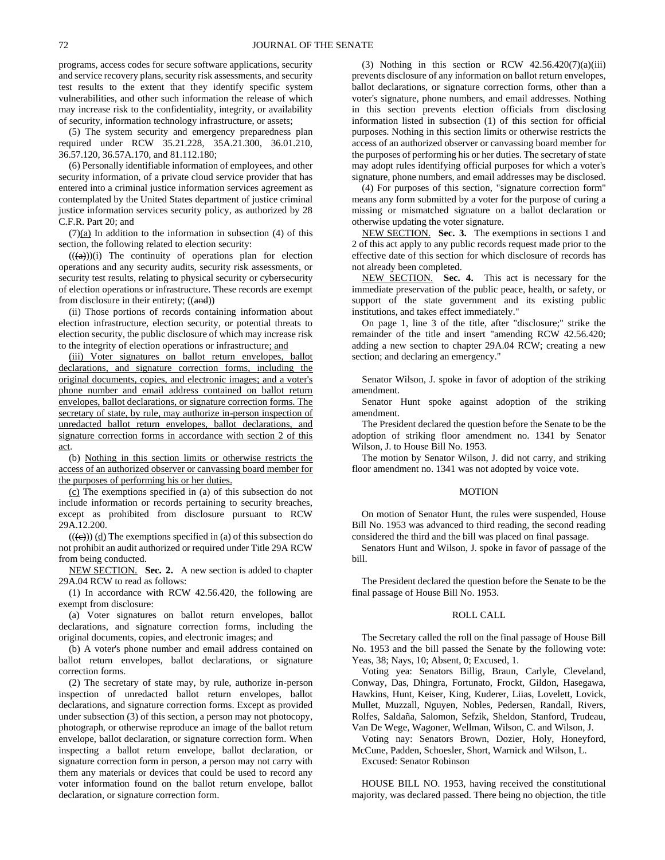programs, access codes for secure software applications, security and service recovery plans, security risk assessments, and security test results to the extent that they identify specific system vulnerabilities, and other such information the release of which may increase risk to the confidentiality, integrity, or availability of security, information technology infrastructure, or assets;

(5) The system security and emergency preparedness plan required under RCW 35.21.228, 35A.21.300, 36.01.210, 36.57.120, 36.57A.170, and 81.112.180;

(6) Personally identifiable information of employees, and other security information, of a private cloud service provider that has entered into a criminal justice information services agreement as contemplated by the United States department of justice criminal justice information services security policy, as authorized by 28 C.F.R. Part 20; and

 $(7)(a)$  In addition to the information in subsection (4) of this section, the following related to election security:

 $((a))$ (i) The continuity of operations plan for election operations and any security audits, security risk assessments, or security test results, relating to physical security or cybersecurity of election operations or infrastructure. These records are exempt from disclosure in their entirety; ((and))

(ii) Those portions of records containing information about election infrastructure, election security, or potential threats to election security, the public disclosure of which may increase risk to the integrity of election operations or infrastructure; and

(iii) Voter signatures on ballot return envelopes, ballot declarations, and signature correction forms, including the original documents, copies, and electronic images; and a voter's phone number and email address contained on ballot return envelopes, ballot declarations, or signature correction forms. The secretary of state, by rule, may authorize in-person inspection of unredacted ballot return envelopes, ballot declarations, and signature correction forms in accordance with section 2 of this act.

(b) Nothing in this section limits or otherwise restricts the access of an authorized observer or canvassing board member for the purposes of performing his or her duties.

(c) The exemptions specified in (a) of this subsection do not include information or records pertaining to security breaches, except as prohibited from disclosure pursuant to RCW 29A.12.200.

 $((\text{(e}))$   $(\text{d})$  The exemptions specified in (a) of this subsection do not prohibit an audit authorized or required under Title 29A RCW from being conducted.

NEW SECTION. **Sec. 2.** A new section is added to chapter 29A.04 RCW to read as follows:

(1) In accordance with RCW 42.56.420, the following are exempt from disclosure:

(a) Voter signatures on ballot return envelopes, ballot declarations, and signature correction forms, including the original documents, copies, and electronic images; and

(b) A voter's phone number and email address contained on ballot return envelopes, ballot declarations, or signature correction forms.

(2) The secretary of state may, by rule, authorize in-person inspection of unredacted ballot return envelopes, ballot declarations, and signature correction forms. Except as provided under subsection (3) of this section, a person may not photocopy, photograph, or otherwise reproduce an image of the ballot return envelope, ballot declaration, or signature correction form. When inspecting a ballot return envelope, ballot declaration, or signature correction form in person, a person may not carry with them any materials or devices that could be used to record any voter information found on the ballot return envelope, ballot declaration, or signature correction form.

(3) Nothing in this section or RCW  $42.56.420(7)(a)(iii)$ prevents disclosure of any information on ballot return envelopes, ballot declarations, or signature correction forms, other than a voter's signature, phone numbers, and email addresses. Nothing in this section prevents election officials from disclosing information listed in subsection (1) of this section for official purposes. Nothing in this section limits or otherwise restricts the access of an authorized observer or canvassing board member for the purposes of performing his or her duties. The secretary of state may adopt rules identifying official purposes for which a voter's signature, phone numbers, and email addresses may be disclosed.

(4) For purposes of this section, "signature correction form" means any form submitted by a voter for the purpose of curing a missing or mismatched signature on a ballot declaration or otherwise updating the voter signature.

NEW SECTION. **Sec. 3.** The exemptions in sections 1 and 2 of this act apply to any public records request made prior to the effective date of this section for which disclosure of records has not already been completed.

NEW SECTION. **Sec. 4.** This act is necessary for the immediate preservation of the public peace, health, or safety, or support of the state government and its existing public institutions, and takes effect immediately."

On page 1, line 3 of the title, after "disclosure;" strike the remainder of the title and insert "amending RCW 42.56.420; adding a new section to chapter 29A.04 RCW; creating a new section; and declaring an emergency."

Senator Wilson, J. spoke in favor of adoption of the striking amendment.

Senator Hunt spoke against adoption of the striking amendment.

The President declared the question before the Senate to be the adoption of striking floor amendment no. 1341 by Senator Wilson, J. to House Bill No. 1953.

The motion by Senator Wilson, J. did not carry, and striking floor amendment no. 1341 was not adopted by voice vote.

#### MOTION

On motion of Senator Hunt, the rules were suspended, House Bill No. 1953 was advanced to third reading, the second reading considered the third and the bill was placed on final passage.

Senators Hunt and Wilson, J. spoke in favor of passage of the bill.

The President declared the question before the Senate to be the final passage of House Bill No. 1953.

#### ROLL CALL

The Secretary called the roll on the final passage of House Bill No. 1953 and the bill passed the Senate by the following vote: Yeas, 38; Nays, 10; Absent, 0; Excused, 1.

Voting yea: Senators Billig, Braun, Carlyle, Cleveland, Conway, Das, Dhingra, Fortunato, Frockt, Gildon, Hasegawa, Hawkins, Hunt, Keiser, King, Kuderer, Liias, Lovelett, Lovick, Mullet, Muzzall, Nguyen, Nobles, Pedersen, Randall, Rivers, Rolfes, Saldaña, Salomon, Sefzik, Sheldon, Stanford, Trudeau, Van De Wege, Wagoner, Wellman, Wilson, C. and Wilson, J.

Voting nay: Senators Brown, Dozier, Holy, Honeyford, McCune, Padden, Schoesler, Short, Warnick and Wilson, L.

# Excused: Senator Robinson

HOUSE BILL NO. 1953, having received the constitutional majority, was declared passed. There being no objection, the title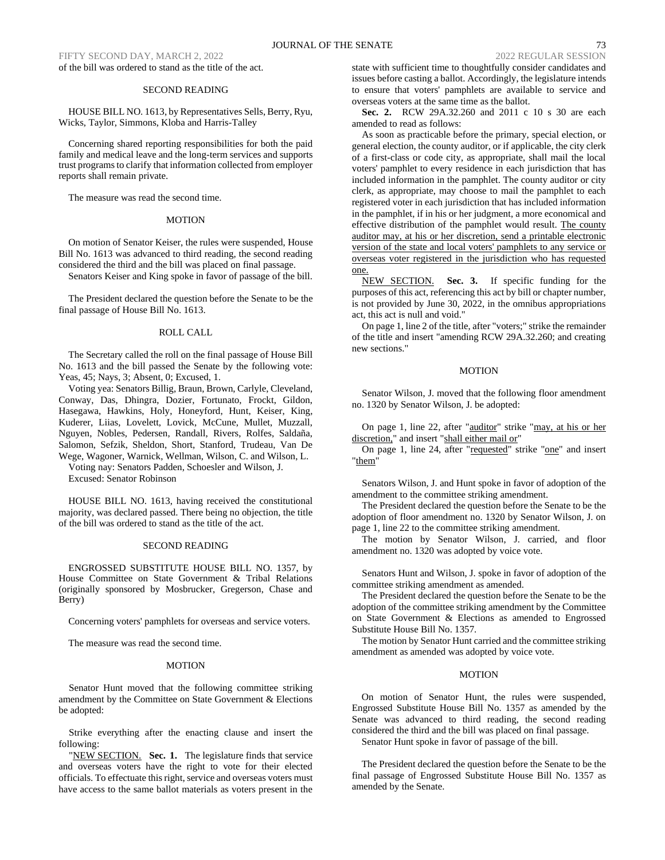FIFTY SECOND DAY, MARCH 2, 2022 2022 REGULAR SESSION 2022 REGULAR SESSION of the bill was ordered to stand as the title of the act.

## SECOND READING

HOUSE BILL NO. 1613, by Representatives Sells, Berry, Ryu, Wicks, Taylor, Simmons, Kloba and Harris-Talley

Concerning shared reporting responsibilities for both the paid family and medical leave and the long-term services and supports trust programs to clarify that information collected from employer reports shall remain private.

The measure was read the second time.

#### **MOTION**

On motion of Senator Keiser, the rules were suspended, House Bill No. 1613 was advanced to third reading, the second reading considered the third and the bill was placed on final passage.

Senators Keiser and King spoke in favor of passage of the bill.

The President declared the question before the Senate to be the final passage of House Bill No. 1613.

#### ROLL CALL

The Secretary called the roll on the final passage of House Bill No. 1613 and the bill passed the Senate by the following vote: Yeas, 45; Nays, 3; Absent, 0; Excused, 1.

Voting yea: Senators Billig, Braun, Brown, Carlyle, Cleveland, Conway, Das, Dhingra, Dozier, Fortunato, Frockt, Gildon, Hasegawa, Hawkins, Holy, Honeyford, Hunt, Keiser, King, Kuderer, Liias, Lovelett, Lovick, McCune, Mullet, Muzzall, Nguyen, Nobles, Pedersen, Randall, Rivers, Rolfes, Saldaña, Salomon, Sefzik, Sheldon, Short, Stanford, Trudeau, Van De Wege, Wagoner, Warnick, Wellman, Wilson, C. and Wilson, L.

Voting nay: Senators Padden, Schoesler and Wilson, J. Excused: Senator Robinson

HOUSE BILL NO. 1613, having received the constitutional majority, was declared passed. There being no objection, the title of the bill was ordered to stand as the title of the act.

# SECOND READING

ENGROSSED SUBSTITUTE HOUSE BILL NO. 1357, by House Committee on State Government & Tribal Relations (originally sponsored by Mosbrucker, Gregerson, Chase and Berry)

Concerning voters' pamphlets for overseas and service voters.

The measure was read the second time.

#### MOTION

Senator Hunt moved that the following committee striking amendment by the Committee on State Government & Elections be adopted:

Strike everything after the enacting clause and insert the following:

"NEW SECTION. Sec. 1. The legislature finds that service and overseas voters have the right to vote for their elected officials. To effectuate this right, service and overseas voters must have access to the same ballot materials as voters present in the state with sufficient time to thoughtfully consider candidates and issues before casting a ballot. Accordingly, the legislature intends to ensure that voters' pamphlets are available to service and overseas voters at the same time as the ballot.

**Sec. 2.** RCW 29A.32.260 and 2011 c 10 s 30 are each amended to read as follows:

As soon as practicable before the primary, special election, or general election, the county auditor, or if applicable, the city clerk of a first-class or code city, as appropriate, shall mail the local voters' pamphlet to every residence in each jurisdiction that has included information in the pamphlet. The county auditor or city clerk, as appropriate, may choose to mail the pamphlet to each registered voter in each jurisdiction that has included information in the pamphlet, if in his or her judgment, a more economical and effective distribution of the pamphlet would result. The county auditor may, at his or her discretion, send a printable electronic version of the state and local voters' pamphlets to any service or overseas voter registered in the jurisdiction who has requested one.

NEW SECTION. **Sec. 3.** If specific funding for the purposes of this act, referencing this act by bill or chapter number, is not provided by June 30, 2022, in the omnibus appropriations act, this act is null and void."

On page 1, line 2 of the title, after "voters;" strike the remainder of the title and insert "amending RCW 29A.32.260; and creating new sections."

# MOTION

Senator Wilson, J. moved that the following floor amendment no. 1320 by Senator Wilson, J. be adopted:

On page 1, line 22, after "auditor" strike "may, at his or her discretion," and insert "shall either mail or"

On page 1, line 24, after "requested" strike "one" and insert "them"

Senators Wilson, J. and Hunt spoke in favor of adoption of the amendment to the committee striking amendment.

The President declared the question before the Senate to be the adoption of floor amendment no. 1320 by Senator Wilson, J. on page 1, line 22 to the committee striking amendment.

The motion by Senator Wilson, J. carried, and floor amendment no. 1320 was adopted by voice vote.

Senators Hunt and Wilson, J. spoke in favor of adoption of the committee striking amendment as amended.

The President declared the question before the Senate to be the adoption of the committee striking amendment by the Committee on State Government & Elections as amended to Engrossed Substitute House Bill No. 1357.

The motion by Senator Hunt carried and the committee striking amendment as amended was adopted by voice vote.

# MOTION

On motion of Senator Hunt, the rules were suspended, Engrossed Substitute House Bill No. 1357 as amended by the Senate was advanced to third reading, the second reading considered the third and the bill was placed on final passage. Senator Hunt spoke in favor of passage of the bill.

The President declared the question before the Senate to be the final passage of Engrossed Substitute House Bill No. 1357 as amended by the Senate.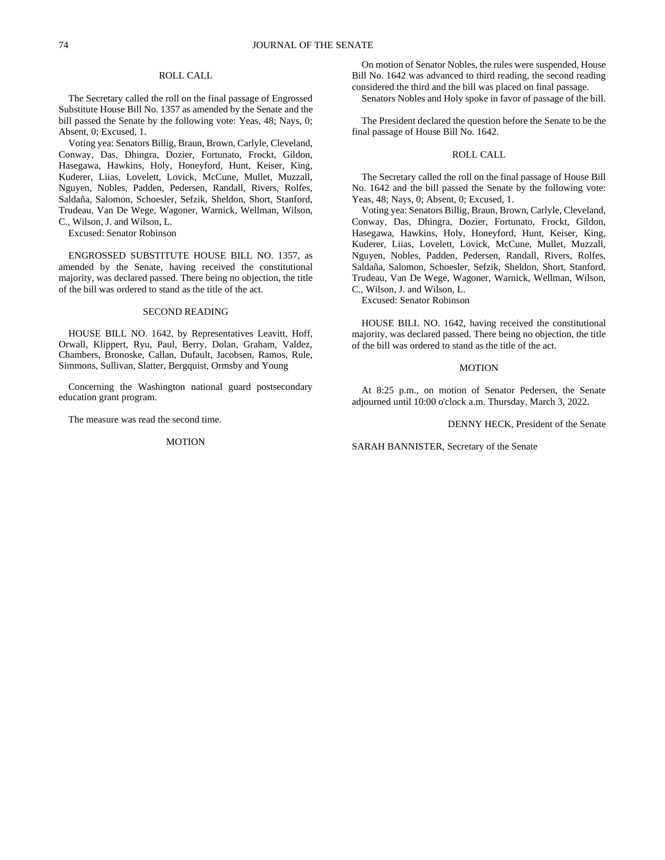# ROLL CALL

The Secretary called the roll on the final passage of Engrossed Substitute House Bill No. 1357 as amended by the Senate and the bill passed the Senate by the following vote: Yeas, 48; Nays, 0; Absent, 0; Excused, 1.

Voting yea: Senators Billig, Braun, Brown, Carlyle, Cleveland, Conway, Das, Dhingra, Dozier, Fortunato, Frockt, Gildon, Hasegawa, Hawkins, Holy, Honeyford, Hunt, Keiser, King, Kuderer, Liias, Lovelett, Lovick, McCune, Mullet, Muzzall, Nguyen, Nobles, Padden, Pedersen, Randall, Rivers, Rolfes, Saldaña, Salomon, Schoesler, Sefzik, Sheldon, Short, Stanford, Trudeau, Van De Wege, Wagoner, Warnick, Wellman, Wilson, C., Wilson, J. and Wilson, L.

Excused: Senator Robinson

ENGROSSED SUBSTITUTE HOUSE BILL NO. 1357, as amended by the Senate, having received the constitutional majority, was declared passed. There being no objection, the title of the bill was ordered to stand as the title of the act.

#### SECOND READING

HOUSE BILL NO. 1642, by Representatives Leavitt, Hoff, Orwall, Klippert, Ryu, Paul, Berry, Dolan, Graham, Valdez, Chambers, Bronoske, Callan, Dufault, Jacobsen, Ramos, Rule, Simmons, Sullivan, Slatter, Bergquist, Ormsby and Young

Concerning the Washington national guard postsecondary education grant program.

The measure was read the second time.

## MOTION

On motion of Senator Nobles, the rules were suspended, House Bill No. 1642 was advanced to third reading, the second reading considered the third and the bill was placed on final passage.

Senators Nobles and Holy spoke in favor of passage of the bill.

The President declared the question before the Senate to be the final passage of House Bill No. 1642.

### ROLL CALL

The Secretary called the roll on the final passage of House Bill No. 1642 and the bill passed the Senate by the following vote: Yeas, 48; Nays, 0; Absent, 0; Excused, 1.

Voting yea: Senators Billig, Braun, Brown, Carlyle, Cleveland, Conway, Das, Dhingra, Dozier, Fortunato, Frockt, Gildon, Hasegawa, Hawkins, Holy, Honeyford, Hunt, Keiser, King, Kuderer, Liias, Lovelett, Lovick, McCune, Mullet, Muzzall, Nguyen, Nobles, Padden, Pedersen, Randall, Rivers, Rolfes, Saldaña, Salomon, Schoesler, Sefzik, Sheldon, Short, Stanford, Trudeau, Van De Wege, Wagoner, Warnick, Wellman, Wilson, C., Wilson, J. and Wilson, L.

Excused: Senator Robinson

HOUSE BILL NO. 1642, having received the constitutional majority, was declared passed. There being no objection, the title of the bill was ordered to stand as the title of the act.

#### MOTION

At 8:25 p.m., on motion of Senator Pedersen, the Senate adjourned until 10:00 o'clock a.m. Thursday, March 3, 2022.

DENNY HECK, President of the Senate

SARAH BANNISTER, Secretary of the Senate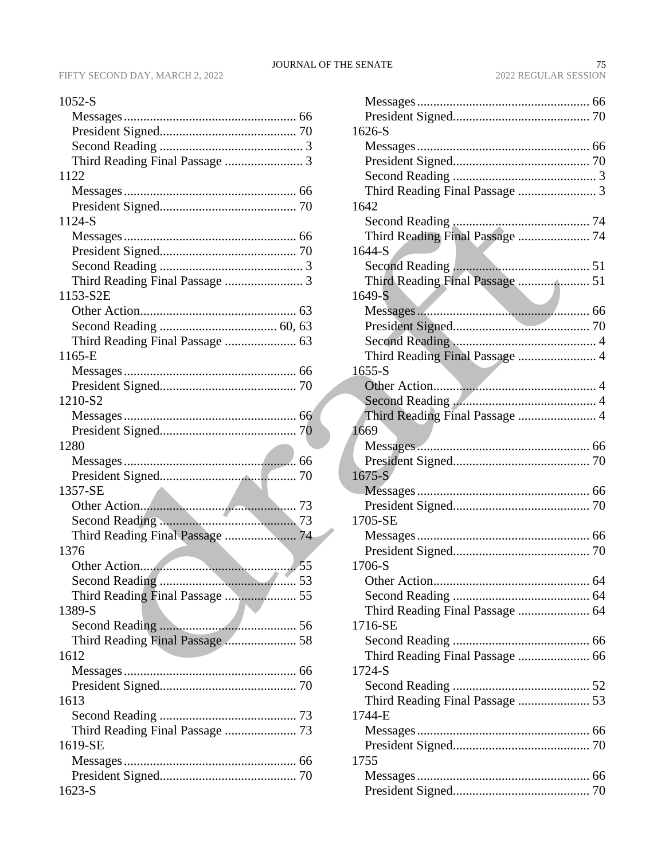|--|--|

| 1122                            |  |
|---------------------------------|--|
|                                 |  |
|                                 |  |
| 1124-S                          |  |
|                                 |  |
|                                 |  |
|                                 |  |
|                                 |  |
| 1153-S2E                        |  |
|                                 |  |
|                                 |  |
| Third Reading Final Passage  63 |  |
| 1165-E                          |  |
|                                 |  |
|                                 |  |
| 1210-S2                         |  |
|                                 |  |
|                                 |  |
| 1280                            |  |
|                                 |  |
|                                 |  |
|                                 |  |
| 1357-SE                         |  |
|                                 |  |
|                                 |  |
| Third Reading Final Passage  74 |  |
| 1376                            |  |
|                                 |  |
|                                 |  |
| Third Reading Final Passage  55 |  |
| 1389-S                          |  |
|                                 |  |
| Third Reading Final Passage  58 |  |
| 1612                            |  |
|                                 |  |
|                                 |  |
| 1613                            |  |
|                                 |  |
| Third Reading Final Passage  73 |  |
| 1619-SE                         |  |
|                                 |  |
|                                 |  |
| $1623-S$                        |  |

| 1626-S                          |  |
|---------------------------------|--|
|                                 |  |
|                                 |  |
|                                 |  |
|                                 |  |
| 1642                            |  |
|                                 |  |
| Third Reading Final Passage  74 |  |
| 1644-S                          |  |
|                                 |  |
| Third Reading Final Passage  51 |  |
| $1649-S$                        |  |
|                                 |  |
|                                 |  |
|                                 |  |
| Third Reading Final Passage  4  |  |
| $1655-S$                        |  |
|                                 |  |
|                                 |  |
|                                 |  |
| 1669                            |  |
|                                 |  |
|                                 |  |
| $1675-S$                        |  |
|                                 |  |
|                                 |  |
| 1705-SE                         |  |
|                                 |  |
|                                 |  |
| 1706-S                          |  |
|                                 |  |
|                                 |  |
| Third Reading Final Passage  64 |  |
| 1716-SE                         |  |
|                                 |  |
|                                 |  |
| 1724-S                          |  |
|                                 |  |
| Third Reading Final Passage  53 |  |
| 1744-E                          |  |
|                                 |  |
|                                 |  |
| 1755                            |  |
|                                 |  |
|                                 |  |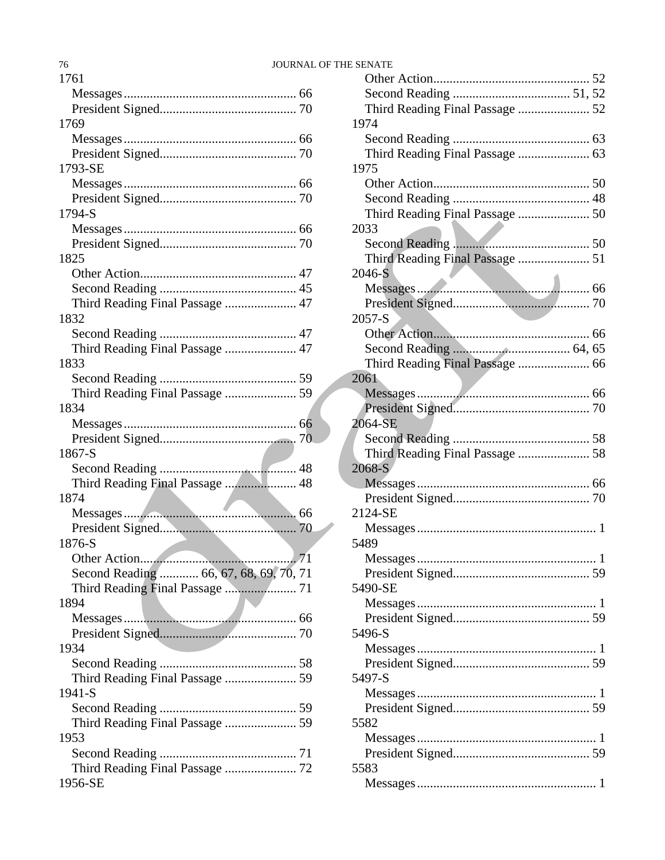# 76 JOURNAL OF THE SENATE

| 1761                                       |
|--------------------------------------------|
|                                            |
|                                            |
| 1769                                       |
|                                            |
|                                            |
| 1793-SE                                    |
|                                            |
|                                            |
| 1794-S                                     |
|                                            |
|                                            |
| 1825                                       |
|                                            |
|                                            |
| Third Reading Final Passage  47            |
| 1832                                       |
|                                            |
|                                            |
| 1833                                       |
|                                            |
| Third Reading Final Passage  59            |
| 1834                                       |
|                                            |
|                                            |
| 1867-S                                     |
|                                            |
| Third Reading Final Passage  48            |
| 1874                                       |
|                                            |
|                                            |
| 1876-S                                     |
| .71                                        |
| Second Reading  66, 67, 68, 69, 70, 71     |
| Third Reading Final Passage  71            |
| 1894                                       |
|                                            |
|                                            |
| 1934                                       |
|                                            |
|                                            |
| Third Reading Final Passage  59            |
| 1941-S                                     |
|                                            |
|                                            |
| 1953                                       |
|                                            |
|                                            |
| Third Reading Final Passage  72<br>1956-SE |

| Third Reading Final Passage  52 |  |
|---------------------------------|--|
| 1974                            |  |
|                                 |  |
|                                 |  |
| 1975                            |  |
|                                 |  |
|                                 |  |
| Third Reading Final Passage  50 |  |
| 2033                            |  |
|                                 |  |
| Third Reading Final Passage  51 |  |
| 2046-S                          |  |
|                                 |  |
|                                 |  |
| $2057-S$                        |  |
|                                 |  |
|                                 |  |
|                                 |  |
|                                 |  |
| 2061                            |  |
|                                 |  |
|                                 |  |
| 2064-SE                         |  |
|                                 |  |
| Third Reading Final Passage  58 |  |
| 2068-S                          |  |
|                                 |  |
|                                 |  |
| 2124-SE                         |  |
|                                 |  |
| 5489                            |  |
|                                 |  |
|                                 |  |
| 5490-SE                         |  |
|                                 |  |
|                                 |  |
| 5496-S                          |  |
|                                 |  |
|                                 |  |
| 5497-S                          |  |
|                                 |  |
|                                 |  |
| 5582                            |  |
|                                 |  |
|                                 |  |
| 5583                            |  |
|                                 |  |
|                                 |  |